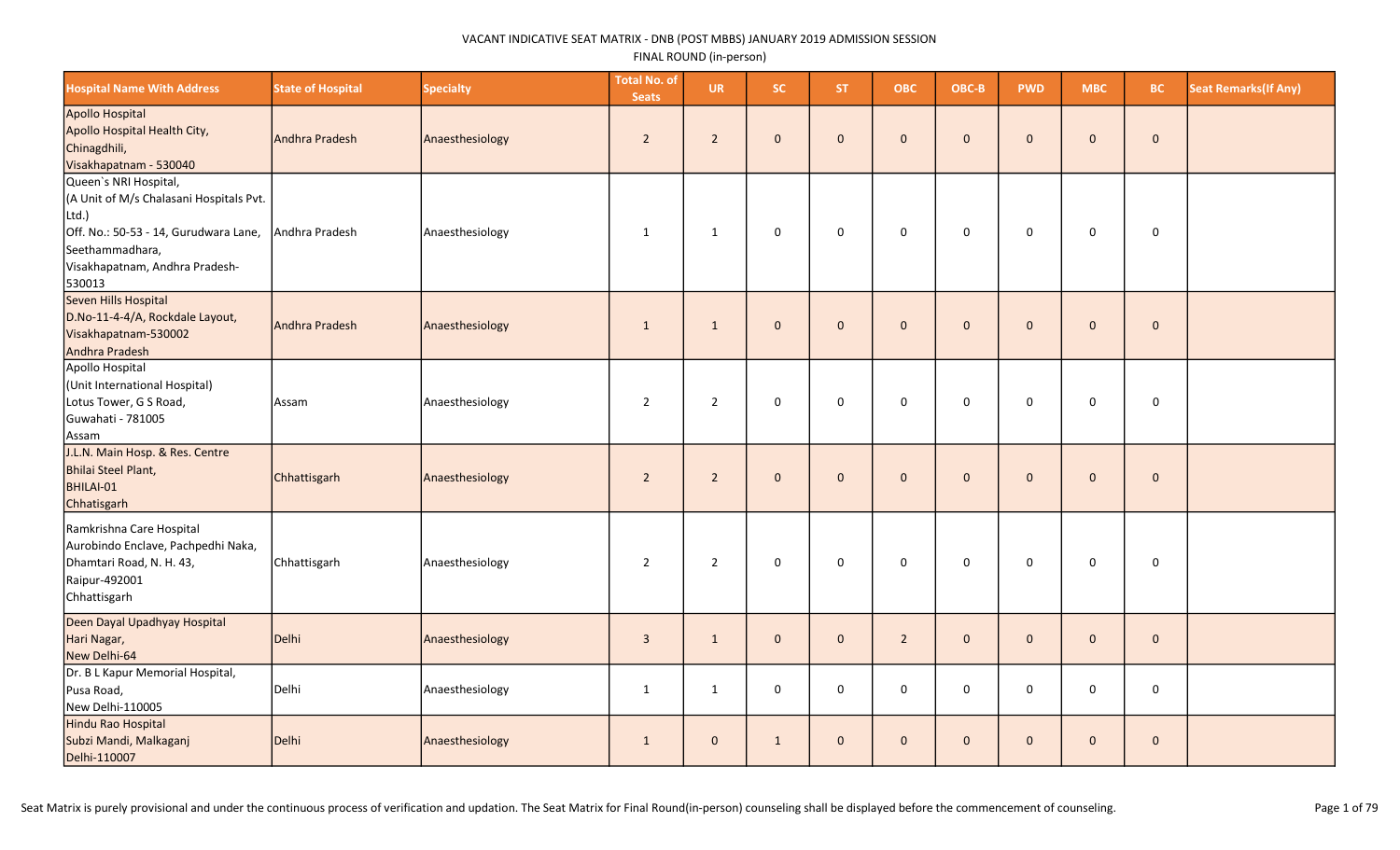| <b>Hospital Name With Address</b>                                                                                                                                                 | <b>State of Hospital</b> | <b>Specialty</b> | <b>Total No. of</b><br><b>Seats</b> | <b>UR</b>      | SC.          | <b>ST</b>    | <b>OBC</b>          | OBC-B        | <b>PWD</b>   | <b>MBC</b>   | <b>BC</b>           | <b>Seat Remarks (If Any)</b> |
|-----------------------------------------------------------------------------------------------------------------------------------------------------------------------------------|--------------------------|------------------|-------------------------------------|----------------|--------------|--------------|---------------------|--------------|--------------|--------------|---------------------|------------------------------|
| Apollo Hospital<br>Apollo Hospital Health City,<br>Chinagdhili,<br>Visakhapatnam - 530040                                                                                         | Andhra Pradesh           | Anaesthesiology  | $\overline{2}$                      | $2^{\circ}$    | $\mathbf{0}$ | $\mathbf{0}$ | $\mathbf 0$         | $\mathbf 0$  | $\mathbf{0}$ | $\mathbf{0}$ | $\mathbf{0}$        |                              |
| Queen's NRI Hospital,<br>(A Unit of M/s Chalasani Hospitals Pvt.<br>Ltd.)<br>Off. No.: 50-53 - 14, Gurudwara Lane,<br>Seethammadhara,<br>Visakhapatnam, Andhra Pradesh-<br>530013 | Andhra Pradesh           | Anaesthesiology  | 1                                   | $\mathbf{1}$   | $\mathsf 0$  | $\mathbf 0$  | $\mathsf{O}\xspace$ | $\mathsf 0$  | $\mathbf 0$  | $\mathbf 0$  | $\mathsf{O}\xspace$ |                              |
| Seven Hills Hospital<br>D.No-11-4-4/A, Rockdale Layout,<br>Visakhapatnam-530002<br>Andhra Pradesh                                                                                 | Andhra Pradesh           | Anaesthesiology  | $\mathbf{1}$                        | $\mathbf 1$    | $\mathbf{0}$ | $\mathbf{0}$ | $\mathbf 0$         | $\mathbf 0$  | $\mathbf{0}$ | $\mathbf 0$  | $\mathbf 0$         |                              |
| Apollo Hospital<br>(Unit International Hospital)<br>Lotus Tower, G S Road,<br>Guwahati - 781005<br>Assam                                                                          | Assam                    | Anaesthesiology  | $\overline{2}$                      | $\overline{2}$ | $\mathbf 0$  | $\mathbf 0$  | 0                   | $\mathbf 0$  | 0            | 0            | 0                   |                              |
| J.L.N. Main Hosp. & Res. Centre<br>Bhilai Steel Plant,<br>BHILAI-01<br>Chhatisgarh                                                                                                | Chhattisgarh             | Anaesthesiology  | $\overline{2}$                      | $\overline{2}$ | $\mathbf{0}$ | $\mathbf{0}$ | $\mathbf{0}$        | $\mathbf{0}$ | $\mathbf 0$  | $\mathbf{0}$ | $\mathbf 0$         |                              |
| Ramkrishna Care Hospital<br>Aurobindo Enclave, Pachpedhi Naka,<br>Dhamtari Road, N. H. 43,<br>Raipur-492001<br>Chhattisgarh                                                       | Chhattisgarh             | Anaesthesiology  | $\overline{2}$                      | $\overline{2}$ | $\mathsf 0$  | $\mathbf 0$  | 0                   | $\mathsf 0$  | 0            | 0            | 0                   |                              |
| Deen Dayal Upadhyay Hospital<br>Hari Nagar,<br>New Delhi-64                                                                                                                       | Delhi                    | Anaesthesiology  | $\mathbf{3}$                        | $\mathbf{1}$   | $\mathbf{0}$ | $\mathbf{0}$ | $\overline{2}$      | $\mathbf 0$  | $\mathbf{0}$ | $\mathbf{0}$ | $\mathbf{0}$        |                              |
| Dr. B L Kapur Memorial Hospital,<br>Pusa Road,<br>New Delhi-110005                                                                                                                | Delhi                    | Anaesthesiology  | $\mathbf{1}$                        | $\mathbf{1}$   | $\mathbf 0$  | 0            | 0                   | $\mathbf 0$  | $\mathbf 0$  | $\mathbf 0$  | 0                   |                              |
| Hindu Rao Hospital<br>Subzi Mandi, Malkaganj<br>Delhi-110007                                                                                                                      | Delhi                    | Anaesthesiology  | $\mathbf{1}$                        | $\overline{0}$ | $\mathbf{1}$ | $\mathbf{0}$ | $\mathbf{0}$        | $\mathbf{0}$ | $\mathbf{0}$ | $\mathbf{0}$ | $\mathbf{0}$        |                              |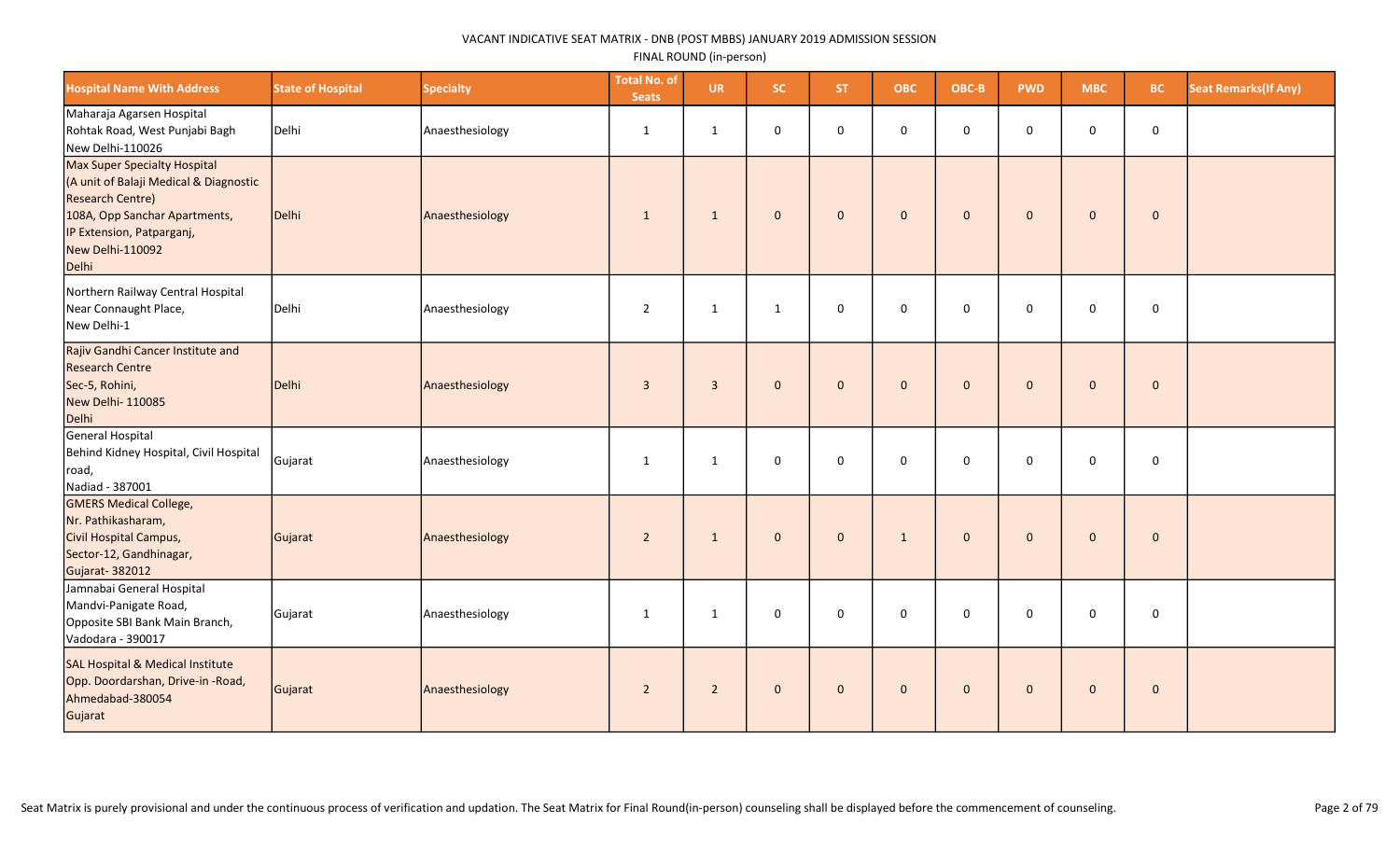| <b>Hospital Name With Address</b>                                                                                                                                                            | <b>State of Hospital</b> | <b>Specialty</b> | <b>Total No. of</b><br><b>Seats</b> | <b>UR</b>      | <b>SC</b>    | ST.          | <b>OBC</b>   | OBC-B        | <b>PWD</b>   | <b>MBC</b>   | BC.         | <b>Seat Remarks(If Any)</b> |
|----------------------------------------------------------------------------------------------------------------------------------------------------------------------------------------------|--------------------------|------------------|-------------------------------------|----------------|--------------|--------------|--------------|--------------|--------------|--------------|-------------|-----------------------------|
| Maharaja Agarsen Hospital<br>Rohtak Road, West Punjabi Bagh<br>New Delhi-110026                                                                                                              | Delhi                    | Anaesthesiology  | $\mathbf{1}$                        | $\mathbf{1}$   | 0            | $\mathbf 0$  | $\mathbf 0$  | $\mathbf 0$  | 0            | $\mathbf 0$  | $\pmb{0}$   |                             |
| Max Super Specialty Hospital<br>(A unit of Balaji Medical & Diagnostic<br><b>Research Centre)</b><br>108A, Opp Sanchar Apartments,<br>IP Extension, Patparganj,<br>New Delhi-110092<br>Delhi | Delhi                    | Anaesthesiology  | $\mathbf{1}$                        | $\mathbf{1}$   | $\mathbf 0$  | $\mathbf{0}$ | $\mathbf{0}$ | $\mathbf{0}$ | $\mathbf{0}$ | $\mathbf{0}$ | $\mathbf 0$ |                             |
| Northern Railway Central Hospital<br>Near Connaught Place,<br>New Delhi-1                                                                                                                    | Delhi                    | Anaesthesiology  | $\overline{2}$                      | $\mathbf{1}$   | $\mathbf{1}$ | $\mathbf 0$  | $\mathbf 0$  | $\mathbf{0}$ | $\Omega$     | $\mathbf 0$  | $\mathsf 0$ |                             |
| Rajiv Gandhi Cancer Institute and<br><b>Research Centre</b><br>Sec-5, Rohini,<br>New Delhi-110085<br>Delhi                                                                                   | Delhi                    | Anaesthesiology  | $\overline{3}$                      | $\overline{3}$ | $\mathbf{0}$ | $\mathbf 0$  | $\mathbf 0$  | $\mathbf{0}$ | $\mathbf{0}$ | $\mathbf{0}$ | $\pmb{0}$   |                             |
| General Hospital<br>Behind Kidney Hospital, Civil Hospital<br>road,<br>Nadiad - 387001                                                                                                       | Gujarat                  | Anaesthesiology  | 1                                   | $\mathbf{1}$   | 0            | $\mathbf 0$  | $\mathbf 0$  | $\mathbf 0$  | $\mathbf 0$  | 0            | $\mathbf 0$ |                             |
| <b>GMERS Medical College,</b><br>Nr. Pathikasharam,<br>Civil Hospital Campus,<br>Sector-12, Gandhinagar,<br>Gujarat-382012                                                                   | Gujarat                  | Anaesthesiology  | $\overline{2}$                      | $\mathbf{1}$   | $\mathbf 0$  | $\mathbf{0}$ | $\mathbf{1}$ | $\mathbf 0$  | $\mathbf{0}$ | $\mathbf{0}$ | $\pmb{0}$   |                             |
| Jamnabai General Hospital<br>Mandvi-Panigate Road,<br>Opposite SBI Bank Main Branch,<br>Vadodara - 390017                                                                                    | Gujarat                  | Anaesthesiology  | $\mathbf{1}$                        | $\mathbf{1}$   | 0            | $\mathbf 0$  | $\mathbf 0$  | $\mathbf 0$  | $\mathbf 0$  | $\mathbf 0$  | $\mathbf 0$ |                             |
| <b>SAL Hospital &amp; Medical Institute</b><br>Opp. Doordarshan, Drive-in-Road,<br>Ahmedabad-380054<br>Gujarat                                                                               | Gujarat                  | Anaesthesiology  | $\overline{2}$                      | $\overline{2}$ | $\mathbf 0$  | $\mathbf{0}$ | $\mathbf{0}$ | $\mathbf{0}$ | $\mathbf{0}$ | $\mathbf{0}$ | $\mathbf 0$ |                             |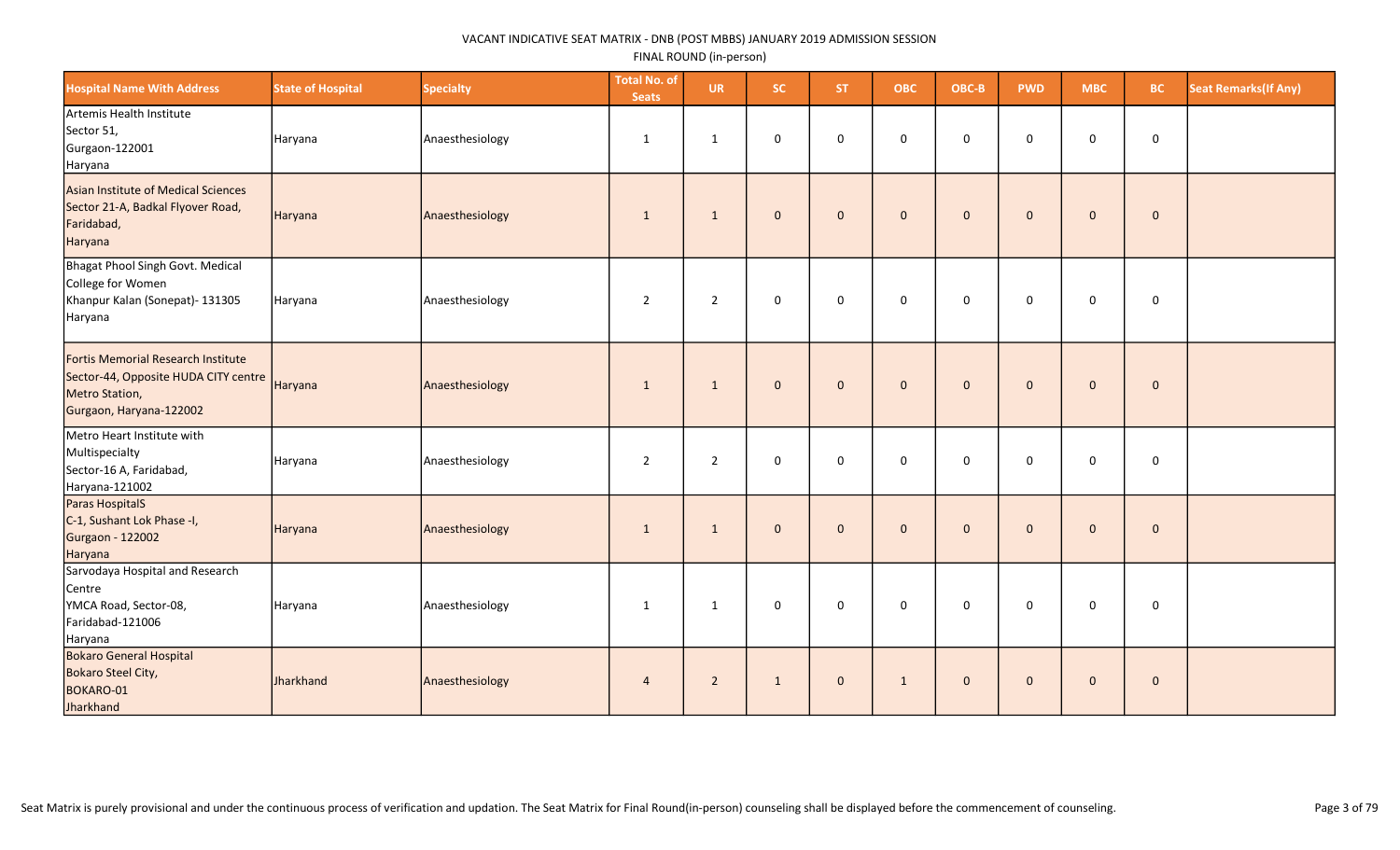| <b>Hospital Name With Address</b>                                                                                       | <b>State of Hospital</b> | <b>Specialty</b> | <b>Total No. of</b><br><b>Seats</b> | <b>UR</b>      | SC.          | ST.          | <b>OBC</b>   | OBC-B        | <b>PWD</b>   | <b>MBC</b>   | <b>BC</b>    | <b>Seat Remarks (If Any)</b> |
|-------------------------------------------------------------------------------------------------------------------------|--------------------------|------------------|-------------------------------------|----------------|--------------|--------------|--------------|--------------|--------------|--------------|--------------|------------------------------|
| Artemis Health Institute<br>Sector 51,<br>Gurgaon-122001<br>Haryana                                                     | Haryana                  | Anaesthesiology  | 1                                   | 1              | 0            | $\mathbf 0$  | $\mathbf 0$  | $\mathbf 0$  | $\mathbf 0$  | 0            | $\mathbf 0$  |                              |
| Asian Institute of Medical Sciences<br>Sector 21-A, Badkal Flyover Road,<br>Faridabad,<br>Haryana                       | Haryana                  | Anaesthesiology  | 1                                   | $\mathbf{1}$   | $\mathbf{0}$ | $\mathbf{0}$ | $\mathbf{0}$ | $\mathbf{0}$ | $\mathbf{0}$ | $\mathbf 0$  | $\mathbf 0$  |                              |
| Bhagat Phool Singh Govt. Medical<br>College for Women<br>Khanpur Kalan (Sonepat)- 131305<br>Haryana                     | Haryana                  | Anaesthesiology  | $\overline{2}$                      | $\overline{2}$ | 0            | $\mathbf 0$  | $\mathsf 0$  | $\mathbf 0$  | $\mathbf 0$  | 0            | $\mathsf 0$  |                              |
| Fortis Memorial Research Institute<br>Sector-44, Opposite HUDA CITY centre<br>Metro Station,<br>Gurgaon, Haryana-122002 | Haryana                  | Anaesthesiology  | $\mathbf{1}$                        | $\mathbf{1}$   | $\mathbf 0$  | $\mathbf{0}$ | $\mathbf 0$  | $\mathbf{0}$ | $\mathbf{0}$ | $\mathbf 0$  | $\mathbf{0}$ |                              |
| Metro Heart Institute with<br>Multispecialty<br>Sector-16 A, Faridabad,<br>Haryana-121002                               | Haryana                  | Anaesthesiology  | $\overline{2}$                      | $\overline{2}$ | 0            | $\mathbf 0$  | $\mathbf 0$  | $\Omega$     | 0            | $\mathbf 0$  | $\mathbf 0$  |                              |
| Paras HospitalS<br>C-1, Sushant Lok Phase -I,<br><b>Gurgaon - 122002</b><br>Haryana                                     | Haryana                  | Anaesthesiology  | 1                                   | 1              | $\mathbf{0}$ | $\mathbf{0}$ | $\mathbf{0}$ | $\mathbf{0}$ | $\Omega$     | $\mathbf{0}$ | $\mathbf{0}$ |                              |
| Sarvodaya Hospital and Research<br>Centre<br>YMCA Road, Sector-08,<br>Faridabad-121006<br>Haryana                       | Haryana                  | Anaesthesiology  | 1                                   | 1              | 0            | $\mathbf 0$  | $\mathbf 0$  | $\mathbf 0$  | $\mathbf 0$  | 0            | $\mathbf 0$  |                              |
| <b>Bokaro General Hospital</b><br>Bokaro Steel City,<br>BOKARO-01<br>Jharkhand                                          | Jharkhand                | Anaesthesiology  | $\overline{4}$                      | $\overline{2}$ | $\mathbf{1}$ | $\mathbf{0}$ | $\mathbf{1}$ | $\mathbf 0$  | $\mathbf{0}$ | $\mathbf 0$  | $\mathbf 0$  |                              |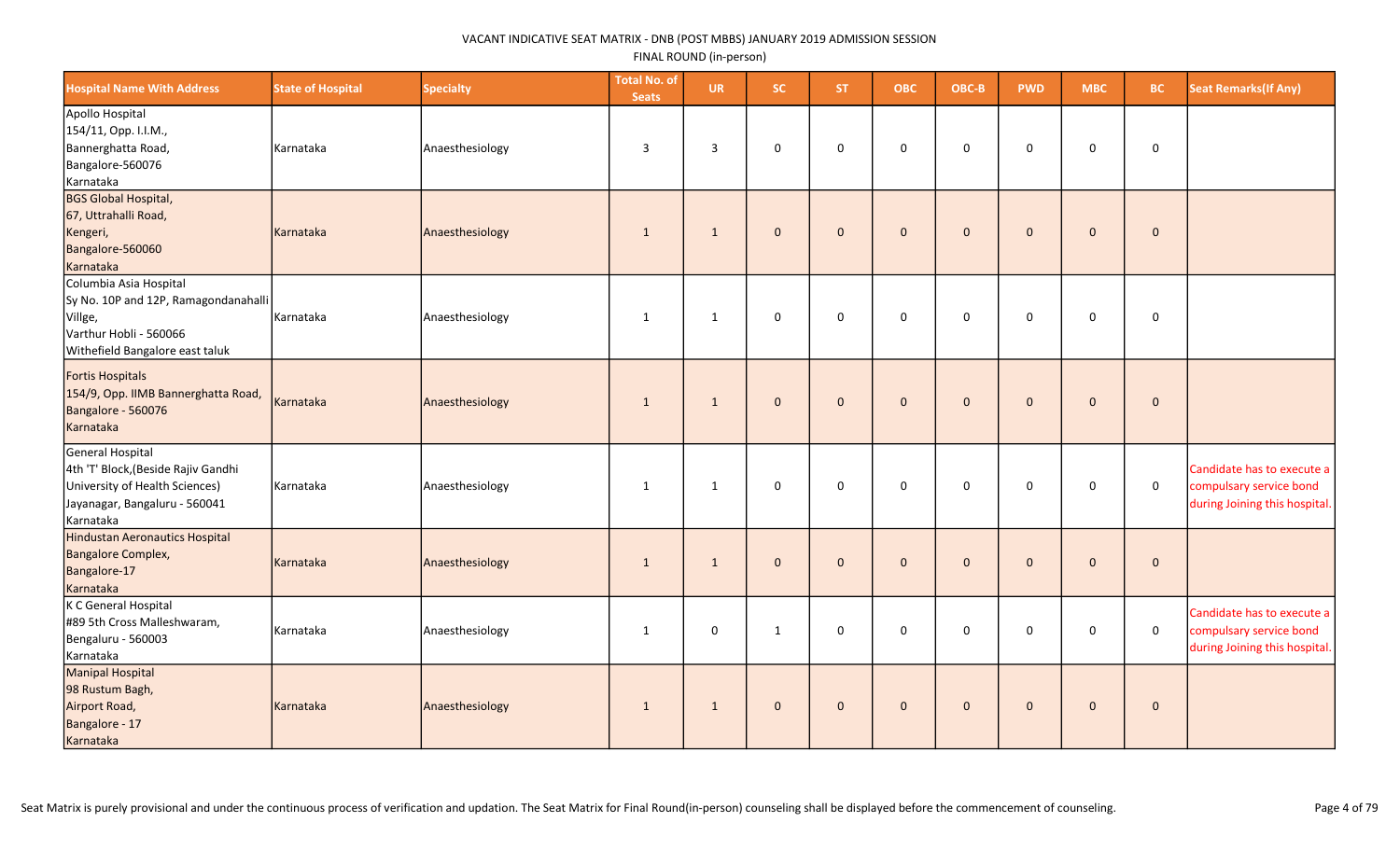| <b>Hospital Name With Address</b>                                                                                                       | <b>State of Hospital</b> | <b>Specialty</b> | <b>Total No. of</b><br><b>Seats</b> | <b>UR</b>    | <b>SC</b>    | <b>ST</b>    | <b>OBC</b>   | OBC-B        | <b>PWD</b>   | <b>MBC</b>   | <b>BC</b>   | <b>Seat Remarks (If Any)</b>                                                           |
|-----------------------------------------------------------------------------------------------------------------------------------------|--------------------------|------------------|-------------------------------------|--------------|--------------|--------------|--------------|--------------|--------------|--------------|-------------|----------------------------------------------------------------------------------------|
| Apollo Hospital<br>154/11, Opp. I.I.M.,<br>Bannerghatta Road,<br>Bangalore-560076<br>Karnataka                                          | Karnataka                | Anaesthesiology  | 3                                   | 3            | 0            | $\mathbf 0$  | $\mathbf 0$  | $\mathbf 0$  | $\mathbf 0$  | 0            | 0           |                                                                                        |
| <b>BGS Global Hospital,</b><br>67, Uttrahalli Road,<br>Kengeri,<br>Bangalore-560060<br>Karnataka                                        | Karnataka                | Anaesthesiology  | $\mathbf{1}$                        | 1            | $\mathbf{0}$ | $\Omega$     | $\mathbf 0$  | $\mathbf{0}$ | $\mathbf{0}$ | $\mathbf 0$  | $\mathbf 0$ |                                                                                        |
| Columbia Asia Hospital<br>Sy No. 10P and 12P, Ramagondanahalli<br>Villge,<br>Varthur Hobli - 560066<br>Withefield Bangalore east taluk  | Karnataka                | Anaesthesiology  | $\mathbf{1}$                        | 1            | 0            | $\mathbf 0$  | $\mathbf 0$  | $\mathbf 0$  | $\Omega$     | 0            | 0           |                                                                                        |
| Fortis Hospitals<br>154/9, Opp. IIMB Bannerghatta Road,<br>Bangalore - 560076<br>Karnataka                                              | Karnataka                | Anaesthesiology  | $\overline{1}$                      | $\mathbf{1}$ | $\mathbf{0}$ | $\mathbf{0}$ | $\mathbf{0}$ | $\mathbf{0}$ | $\mathbf{0}$ | $\mathbf{0}$ | $\mathbf 0$ |                                                                                        |
| General Hospital<br>4th 'T' Block, (Beside Rajiv Gandhi<br>University of Health Sciences)<br>Jayanagar, Bangaluru - 560041<br>Karnataka | Karnataka                | Anaesthesiology  | 1                                   | 1            | 0            | $\mathbf 0$  | $\mathsf 0$  | $\mathbf 0$  | $\mathbf 0$  | $\mathbf 0$  | $\mathsf 0$ | Candidate has to execute a<br>compulsary service bond<br>during Joining this hospital. |
| Hindustan Aeronautics Hospital<br>Bangalore Complex,<br>Bangalore-17<br>Karnataka                                                       | Karnataka                | Anaesthesiology  | $\mathbf{1}$                        | $\mathbf{1}$ | $\mathbf{0}$ | $\Omega$     | $\mathbf{0}$ | $\mathbf{0}$ | $\mathbf{0}$ | $\mathbf 0$  | $\mathbf 0$ |                                                                                        |
| K C General Hospital<br>#89 5th Cross Malleshwaram,<br>Bengaluru - 560003<br>Karnataka                                                  | Karnataka                | Anaesthesiology  | $\mathbf{1}$                        | 0            | $\mathbf{1}$ | 0            | $\mathsf 0$  | $\mathbf 0$  | 0            | 0            | $\mathbf 0$ | Candidate has to execute a<br>compulsary service bond<br>during Joining this hospital. |
| Manipal Hospital<br>98 Rustum Bagh,<br>Airport Road,<br>Bangalore - 17<br>Karnataka                                                     | Karnataka                | Anaesthesiology  | $\mathbf{1}$                        | $\mathbf{1}$ | $\mathbf{0}$ | $\mathbf{0}$ | $\mathbf{0}$ | $\mathbf{0}$ | $\mathbf{0}$ | $\mathbf{0}$ | $\pmb{0}$   |                                                                                        |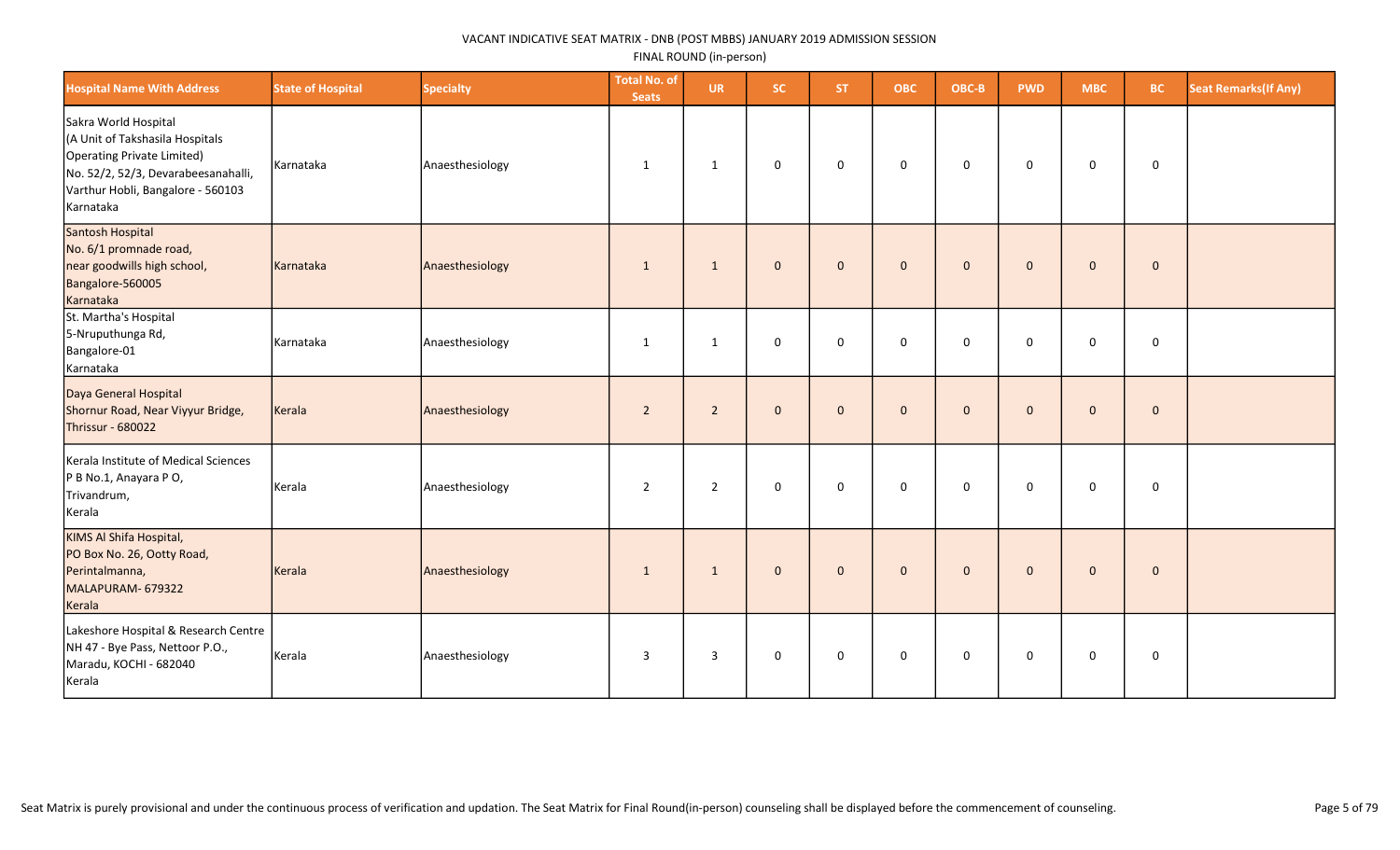| <b>Hospital Name With Address</b>                                                                                                                                              | <b>State of Hospital</b> | <b>Specialty</b> | <b>Total No. of</b><br><b>Seats</b> | <b>UR</b>      | SC.          | ST.          | <b>OBC</b>   | OBC-B        | <b>PWD</b>   | <b>MBC</b>          | <b>BC</b>   | <b>Seat Remarks (If Any)</b> |
|--------------------------------------------------------------------------------------------------------------------------------------------------------------------------------|--------------------------|------------------|-------------------------------------|----------------|--------------|--------------|--------------|--------------|--------------|---------------------|-------------|------------------------------|
| Sakra World Hospital<br>(A Unit of Takshasila Hospitals<br>Operating Private Limited)<br>No. 52/2, 52/3, Devarabeesanahalli,<br>Varthur Hobli, Bangalore - 560103<br>Karnataka | Karnataka                | Anaesthesiology  | 1                                   | 1              | $\mathbf 0$  | $\mathbf 0$  | $\mathbf 0$  | 0            | $\mathbf 0$  | $\mathbf 0$         | $\mathbf 0$ |                              |
| Santosh Hospital<br>No. 6/1 promnade road,<br>near goodwills high school,<br>Bangalore-560005<br>Karnataka                                                                     | Karnataka                | Anaesthesiology  | 1                                   | $\mathbf{1}$   | $\mathbf{0}$ | $\mathbf{0}$ | $\mathbf{0}$ | $\mathbf{0}$ | $\mathbf{0}$ | $\mathbf{0}$        | $\mathbf 0$ |                              |
| St. Martha's Hospital<br>5-Nruputhunga Rd,<br>Bangalore-01<br>Karnataka                                                                                                        | Karnataka                | Anaesthesiology  | 1                                   | 1              | $\mathbf 0$  | $\mathbf 0$  | $\mathbf 0$  | $\mathbf 0$  | $\mathbf 0$  | 0                   | $\mathsf 0$ |                              |
| Daya General Hospital<br>Shornur Road, Near Viyyur Bridge,<br>Thrissur - 680022                                                                                                | Kerala                   | Anaesthesiology  | $\overline{2}$                      | $\overline{2}$ | $\mathbf{0}$ | $\mathbf{0}$ | $\mathbf{0}$ | $\mathbf 0$  | $\mathbf{0}$ | $\mathbf 0$         | $\mathbf 0$ |                              |
| Kerala Institute of Medical Sciences<br>P B No.1, Anayara P O,<br>Trivandrum,<br>Kerala                                                                                        | Kerala                   | Anaesthesiology  | $\overline{2}$                      | $\overline{2}$ | $\mathsf 0$  | $\mathbf 0$  | $\mathbf 0$  | $\mathsf 0$  | $\mathbf 0$  | $\mathsf{O}\xspace$ | $\mathbf 0$ |                              |
| KIMS Al Shifa Hospital,<br>PO Box No. 26, Ootty Road,<br>Perintalmanna,<br>MALAPURAM- 679322<br>Kerala                                                                         | Kerala                   | Anaesthesiology  | 1                                   | $\mathbf{1}$   | $\mathbf 0$  | $\mathbf 0$  | $\mathbf 0$  | $\mathbf 0$  | $\mathbf{0}$ | $\mathbf 0$         | $\pmb{0}$   |                              |
| Lakeshore Hospital & Research Centre<br>NH 47 - Bye Pass, Nettoor P.O.,<br>Maradu, KOCHI - 682040<br>Kerala                                                                    | Kerala                   | Anaesthesiology  | 3                                   | $\overline{3}$ | 0            | $\mathbf 0$  | $\mathbf 0$  | 0            | 0            | 0                   | 0           |                              |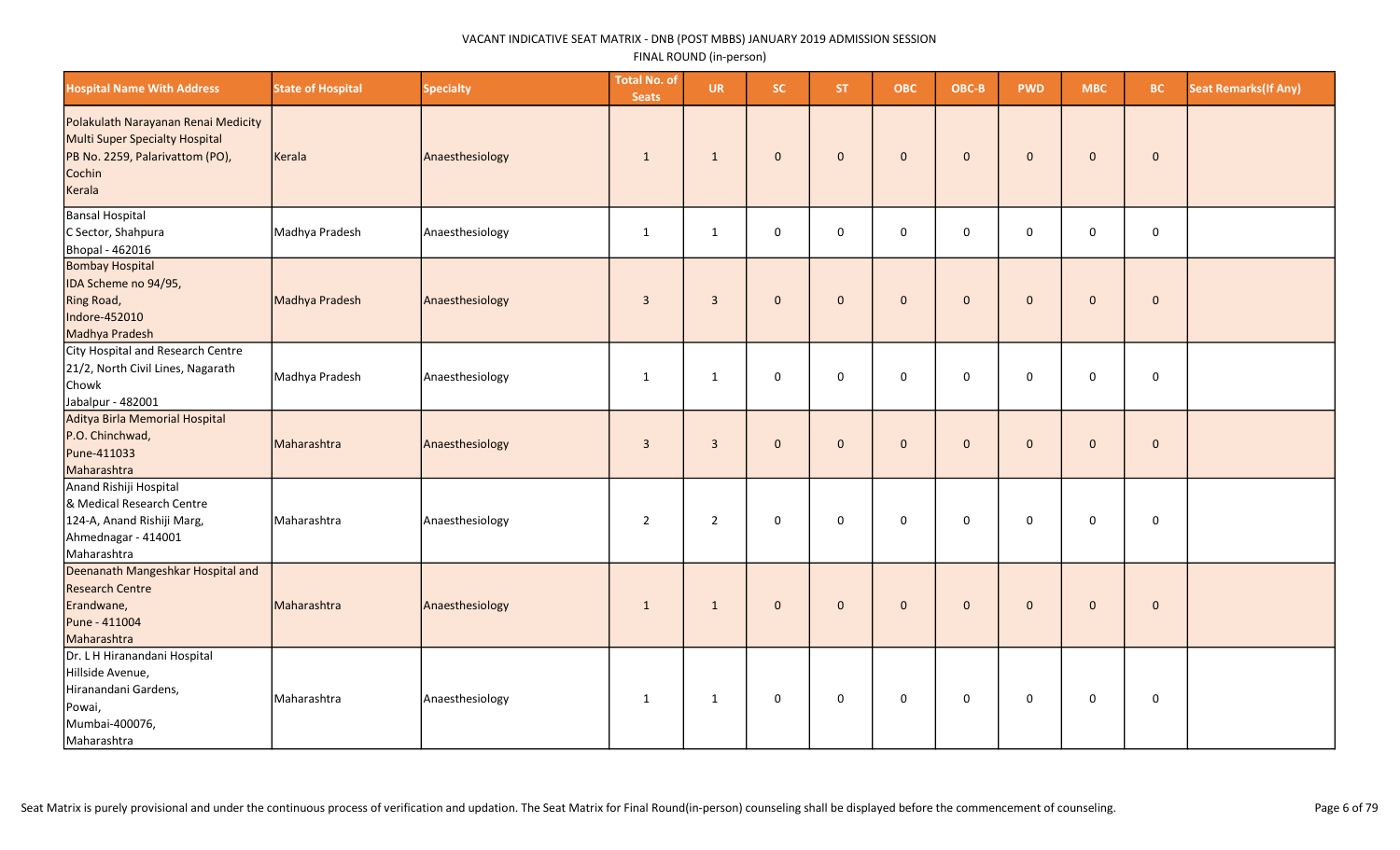| <b>Hospital Name With Address</b>                                                                                            | <b>State of Hospital</b> | <b>Specialty</b> | <b>Total No. of</b><br><b>Seats</b> | <b>UR</b>      | SC.          | ST.          | <b>OBC</b>   | OBC-B       | <b>PWD</b>   | <b>MBC</b>          | <b>BC</b>    | <b>Seat Remarks (If Any)</b> |
|------------------------------------------------------------------------------------------------------------------------------|--------------------------|------------------|-------------------------------------|----------------|--------------|--------------|--------------|-------------|--------------|---------------------|--------------|------------------------------|
| Polakulath Narayanan Renai Medicity<br>Multi Super Specialty Hospital<br>PB No. 2259, Palarivattom (PO),<br>Cochin<br>Kerala | Kerala                   | Anaesthesiology  | $\mathbf{1}$                        | $\mathbf{1}$   | $\mathbf{0}$ | $\mathbf{0}$ | $\mathbf{0}$ | $\mathbf 0$ | $\mathbf{0}$ | $\mathbf 0$         | $\mathbf{0}$ |                              |
| Bansal Hospital<br>C Sector, Shahpura<br>Bhopal - 462016                                                                     | Madhya Pradesh           | Anaesthesiology  | $\mathbf{1}$                        | $\mathbf{1}$   | 0            | 0            | $\mathbf 0$  | 0           | 0            | $\mathbf 0$         | $\mathbf 0$  |                              |
| <b>Bombay Hospital</b><br>IDA Scheme no 94/95,<br>Ring Road,<br>Indore-452010<br>Madhya Pradesh                              | Madhya Pradesh           | Anaesthesiology  | $\overline{3}$                      | $\overline{3}$ | $\mathbf{0}$ | $\mathbf{0}$ | $\mathbf{0}$ | $\mathbf 0$ | $\mathbf{0}$ | $\mathbf 0$         | $\mathbf 0$  |                              |
| City Hospital and Research Centre<br>21/2, North Civil Lines, Nagarath<br>Chowk<br>Jabalpur - 482001                         | Madhya Pradesh           | Anaesthesiology  | 1                                   | $\mathbf{1}$   | 0            | 0            | $\mathbf 0$  | 0           | 0            | 0                   | $\mathbf 0$  |                              |
| Aditya Birla Memorial Hospital<br>P.O. Chinchwad,<br>Pune-411033<br>Maharashtra                                              | Maharashtra              | Anaesthesiology  | $\overline{3}$                      | $\overline{3}$ | $\mathbf{0}$ | $\mathbf{0}$ | $\mathbf{0}$ | $\mathbf 0$ | $\mathbf{0}$ | $\pmb{0}$           | $\mathbf 0$  |                              |
| Anand Rishiji Hospital<br>& Medical Research Centre<br>124-A, Anand Rishiji Marg,<br>Ahmednagar - 414001<br>Maharashtra      | Maharashtra              | Anaesthesiology  | $\overline{2}$                      | $\overline{2}$ | $\mathbf 0$  | $\mathbf 0$  | $\mathbf 0$  | $\mathbf 0$ | 0            | $\mathbf 0$         | $\mathbf 0$  |                              |
| Deenanath Mangeshkar Hospital and<br><b>Research Centre</b><br>Erandwane,<br>Pune - 411004<br>Maharashtra                    | Maharashtra              | Anaesthesiology  | 1                                   | $\mathbf{1}$   | $\mathbf{0}$ | $\mathbf{0}$ | $\mathbf{0}$ | $\mathbf 0$ | $\mathbf{0}$ | $\mathbf 0$         | $\mathbf 0$  |                              |
| Dr. L H Hiranandani Hospital<br>Hillside Avenue,<br>Hiranandani Gardens,<br>Powai,<br>Mumbai-400076,<br>Maharashtra          | Maharashtra              | Anaesthesiology  | $\mathbf{1}$                        | $\mathbf{1}$   | $\mathbf 0$  | $\mathbf 0$  | $\mathsf 0$  | $\pmb{0}$   | 0            | $\mathsf{O}\xspace$ | $\mathsf 0$  |                              |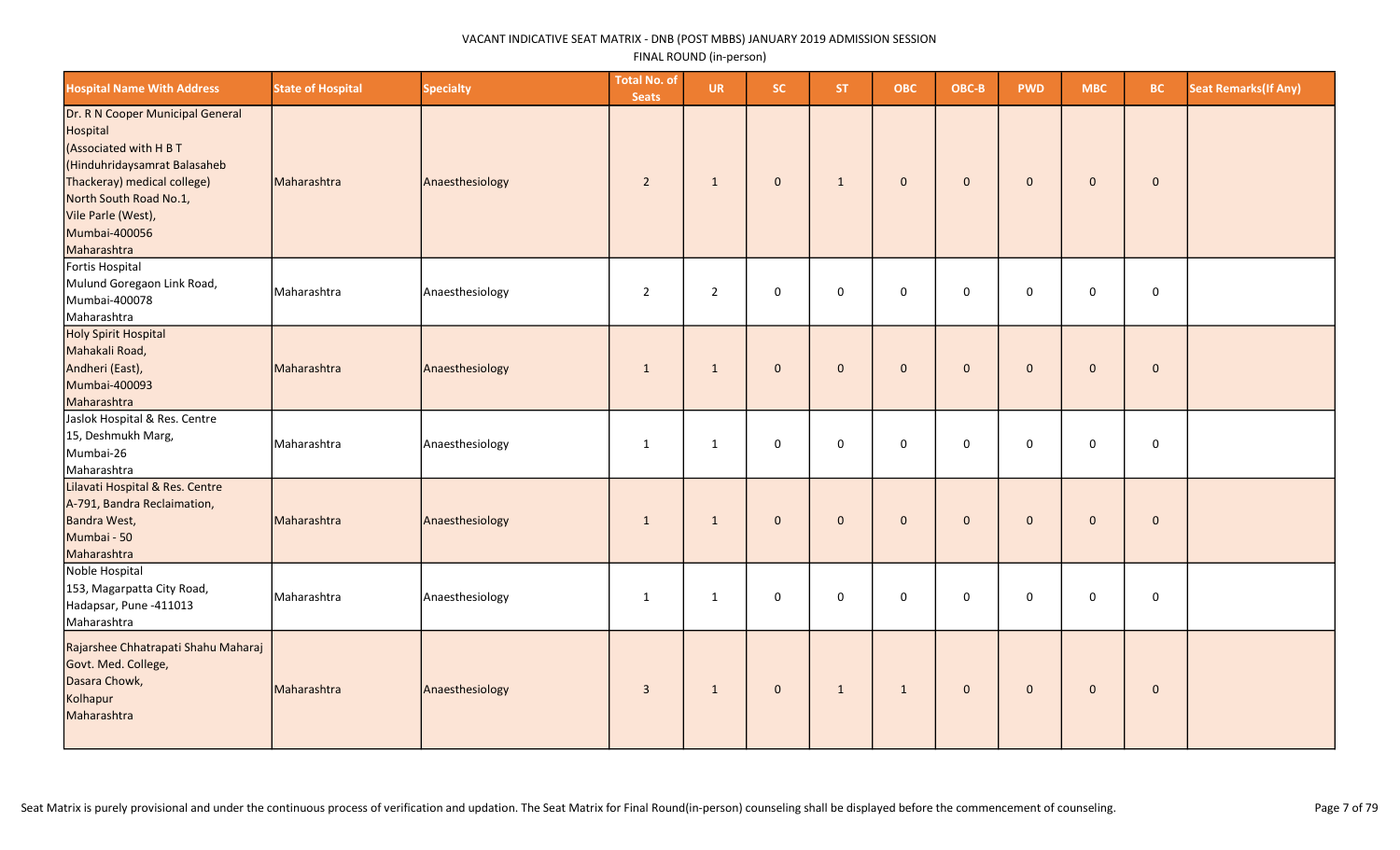| <b>Hospital Name With Address</b>                                                                                                                                                                                    | <b>State of Hospital</b> | <b>Specialty</b> | <b>Total No. of</b><br><b>Seats</b> | <b>UR</b>      | <b>SC</b>    | ST.          | <b>OBC</b>          | OBC-B               | <b>PWD</b>   | <b>MBC</b>   | BC.         | <b>Seat Remarks (If Any)</b> |
|----------------------------------------------------------------------------------------------------------------------------------------------------------------------------------------------------------------------|--------------------------|------------------|-------------------------------------|----------------|--------------|--------------|---------------------|---------------------|--------------|--------------|-------------|------------------------------|
| Dr. R N Cooper Municipal General<br>Hospital<br>(Associated with H B T<br>Hinduhridaysamrat Balasaheb<br>Thackeray) medical college)<br>North South Road No.1,<br>Vile Parle (West),<br>Mumbai-400056<br>Maharashtra | Maharashtra              | Anaesthesiology  | $\overline{2}$                      | $\mathbf{1}$   | $\mathbf{0}$ | $\mathbf{1}$ | $\mathsf{O}\xspace$ | $\mathbf 0$         | $\mathbf 0$  | $\mathbf 0$  | $\mathbf 0$ |                              |
| Fortis Hospital<br>Mulund Goregaon Link Road,<br>Mumbai-400078<br>Maharashtra                                                                                                                                        | Maharashtra              | Anaesthesiology  | $\overline{2}$                      | $\overline{2}$ | 0            | $\mathbf 0$  | 0                   | 0                   | $\mathsf 0$  | $\mathsf 0$  | $\mathbf 0$ |                              |
| Holy Spirit Hospital<br>Mahakali Road,<br>Andheri (East),<br>Mumbai-400093<br>Maharashtra                                                                                                                            | Maharashtra              | Anaesthesiology  | $\mathbf{1}$                        | $\mathbf{1}$   | $\mathbf{0}$ | $\mathbf 0$  | $\mathbf 0$         | $\mathbf{0}$        | $\mathbf{0}$ | $\mathbf 0$  | $\pmb{0}$   |                              |
| Jaslok Hospital & Res. Centre<br>15, Deshmukh Marg,<br>Mumbai-26<br>Maharashtra                                                                                                                                      | Maharashtra              | Anaesthesiology  | $\mathbf{1}$                        | $\mathbf{1}$   | 0            | $\mathbf 0$  | 0                   | $\mathsf{O}\xspace$ | 0            | $\mathsf 0$  | $\mathbf 0$ |                              |
| Lilavati Hospital & Res. Centre<br>A-791, Bandra Reclaimation,<br>Bandra West,<br>Mumbai - 50<br>Maharashtra                                                                                                         | Maharashtra              | Anaesthesiology  | $\mathbf{1}$                        | $\mathbf{1}$   | $\mathbf 0$  | $\mathbf 0$  | $\mathbf 0$         | $\mathbf 0$         | $\mathbf 0$  | $\mathbf{0}$ | $\mathbf 0$ |                              |
| Noble Hospital<br>153, Magarpatta City Road,<br>Hadapsar, Pune -411013<br>Maharashtra                                                                                                                                | Maharashtra              | Anaesthesiology  | $\mathbf{1}$                        | $\mathbf{1}$   | 0            | $\mathbf 0$  | 0                   | $\mathbf 0$         | 0            | $\mathsf 0$  | $\pmb{0}$   |                              |
| Rajarshee Chhatrapati Shahu Maharaj<br>Govt. Med. College,<br>Dasara Chowk,<br>Kolhapur<br>Maharashtra                                                                                                               | Maharashtra              | Anaesthesiology  | $\mathbf{3}$                        | $\mathbf{1}$   | $\mathbf{0}$ | $\mathbf{1}$ | $\mathbf{1}$        | $\mathbf{0}$        | $\mathbf 0$  | $\mathbf 0$  | $\mathbf 0$ |                              |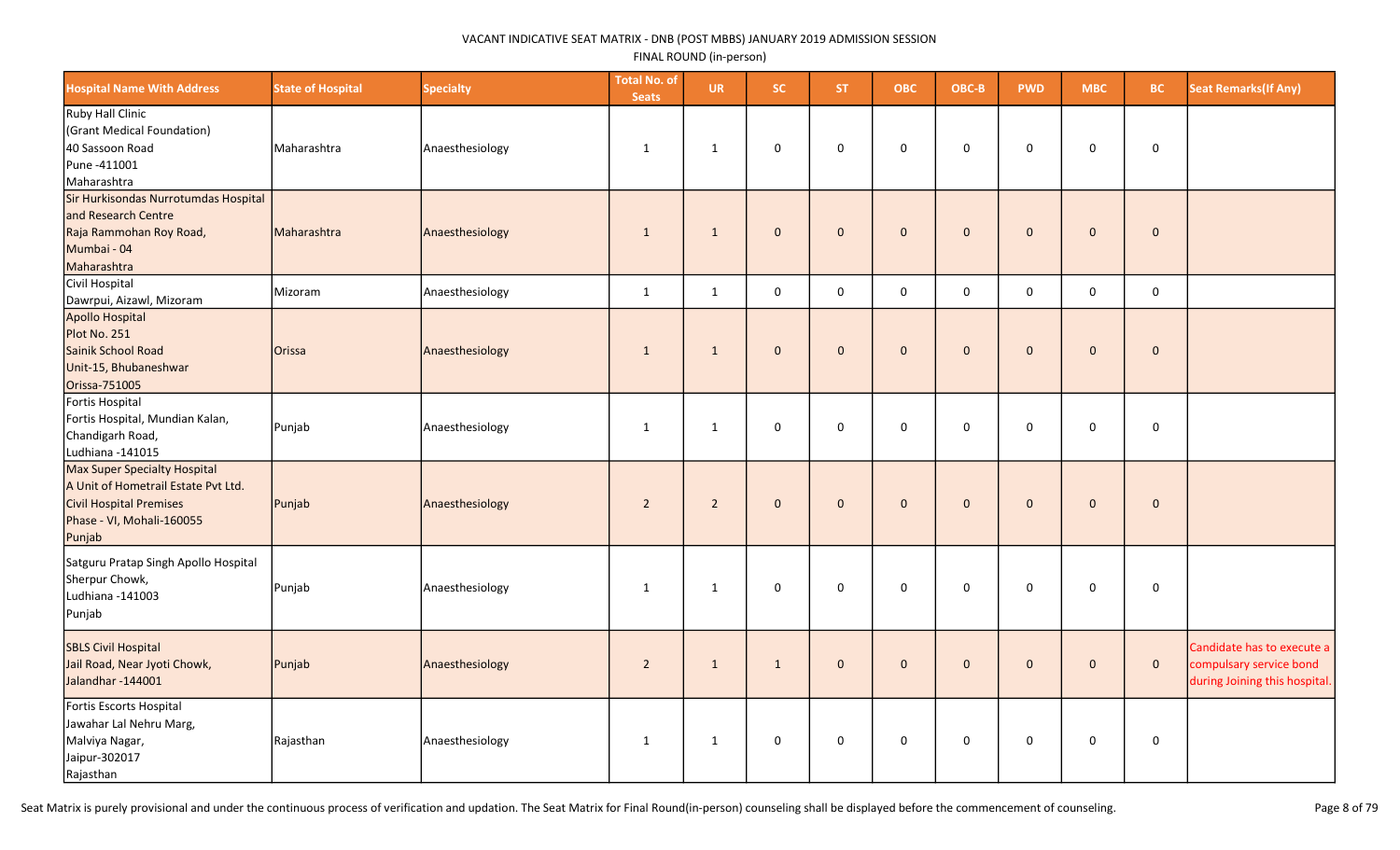| <b>Hospital Name With Address</b>                                                                                                     | <b>State of Hospital</b> | <b>Specialty</b> | <b>Total No. of</b><br><b>Seats</b> | <b>UR</b>      | SC.          | <b>ST</b>    | <b>OBC</b>     | OBC-B        | <b>PWD</b>   | <b>MBC</b>          | <b>BC</b>    | <b>Seat Remarks (If Any)</b>                                                           |
|---------------------------------------------------------------------------------------------------------------------------------------|--------------------------|------------------|-------------------------------------|----------------|--------------|--------------|----------------|--------------|--------------|---------------------|--------------|----------------------------------------------------------------------------------------|
| Ruby Hall Clinic<br>(Grant Medical Foundation)<br>40 Sassoon Road<br>Pune -411001<br>Maharashtra                                      | Maharashtra              | Anaesthesiology  | 1                                   | 1              | $\mathbf 0$  | $\mathbf 0$  | 0              | $\mathbf 0$  | $\mathbf 0$  | 0                   | 0            |                                                                                        |
| Sir Hurkisondas Nurrotumdas Hospital<br>and Research Centre<br>Raja Rammohan Roy Road,<br>Mumbai - 04<br>Maharashtra                  | Maharashtra              | Anaesthesiology  | $\mathbf{1}$                        | $\mathbf{1}$   | $\mathbf{0}$ | $\mathbf{0}$ | $\overline{0}$ | $\mathbf 0$  | $\mathbf{0}$ | $\mathsf{O}\xspace$ | $\mathbf{0}$ |                                                                                        |
| Civil Hospital<br>Dawrpui, Aizawl, Mizoram                                                                                            | Mizoram                  | Anaesthesiology  | 1                                   | 1              | $\mathbf 0$  | $\Omega$     | $\mathbf 0$    | $\mathbf 0$  | $\Omega$     | $\mathbf 0$         | $\mathbf 0$  |                                                                                        |
| <b>Apollo Hospital</b><br>Plot No. 251<br>Sainik School Road<br>Unit-15, Bhubaneshwar<br>Orissa-751005                                | <b>Orissa</b>            | Anaesthesiology  | $\mathbf{1}$                        | $\mathbf{1}$   | $\mathbf{0}$ | $\mathbf{0}$ | $\pmb{0}$      | $\mathbf 0$  | $\mathbf{0}$ | $\mathbf 0$         | $\mathbf 0$  |                                                                                        |
| Fortis Hospital<br>Fortis Hospital, Mundian Kalan,<br>Chandigarh Road,<br>Ludhiana -141015                                            | Punjab                   | Anaesthesiology  | 1                                   | $\mathbf{1}$   | $\mathbf 0$  | $\mathbf 0$  | 0              | $\mathbf 0$  | $\mathbf 0$  | 0                   | $\mathbf 0$  |                                                                                        |
| Max Super Specialty Hospital<br>A Unit of Hometrail Estate Pvt Ltd.<br>Civil Hospital Premises<br>Phase - VI, Mohali-160055<br>Punjab | Punjab                   | Anaesthesiology  | $\overline{2}$                      | $\overline{2}$ | $\mathbf{0}$ | $\mathbf{0}$ | $\mathbf{0}$   | $\mathbf 0$  | $\mathbf{0}$ | $\mathbf 0$         | $\mathbf{0}$ |                                                                                        |
| Satguru Pratap Singh Apollo Hospital<br>Sherpur Chowk,<br>Ludhiana -141003<br>Punjab                                                  | Punjab                   | Anaesthesiology  | 1                                   | $\mathbf{1}$   | $\mathbf 0$  | $\mathbf 0$  | $\mathbf 0$    | $\mathbf 0$  | $\Omega$     | 0                   | $\mathbf 0$  |                                                                                        |
| <b>SBLS Civil Hospital</b><br>Jail Road, Near Jyoti Chowk,<br>Jalandhar-144001                                                        | Punjab                   | Anaesthesiology  | $\overline{2}$                      | $\mathbf{1}$   | $\mathbf{1}$ | $\Omega$     | $\mathbf{0}$   | $\mathbf{0}$ | $\Omega$     | $\mathbf 0$         | $\mathbf 0$  | Candidate has to execute a<br>compulsary service bond<br>during Joining this hospital. |
| Fortis Escorts Hospital<br>Jawahar Lal Nehru Marg,<br>Malviya Nagar,<br>Jaipur-302017<br>Rajasthan                                    | Rajasthan                | Anaesthesiology  | $\mathbf{1}$                        | $\mathbf{1}$   | $\mathsf 0$  | $\mathbf 0$  | $\mathbf 0$    | $\mathbf 0$  | $\mathbf 0$  | $\mathbf 0$         | $\mathbf 0$  |                                                                                        |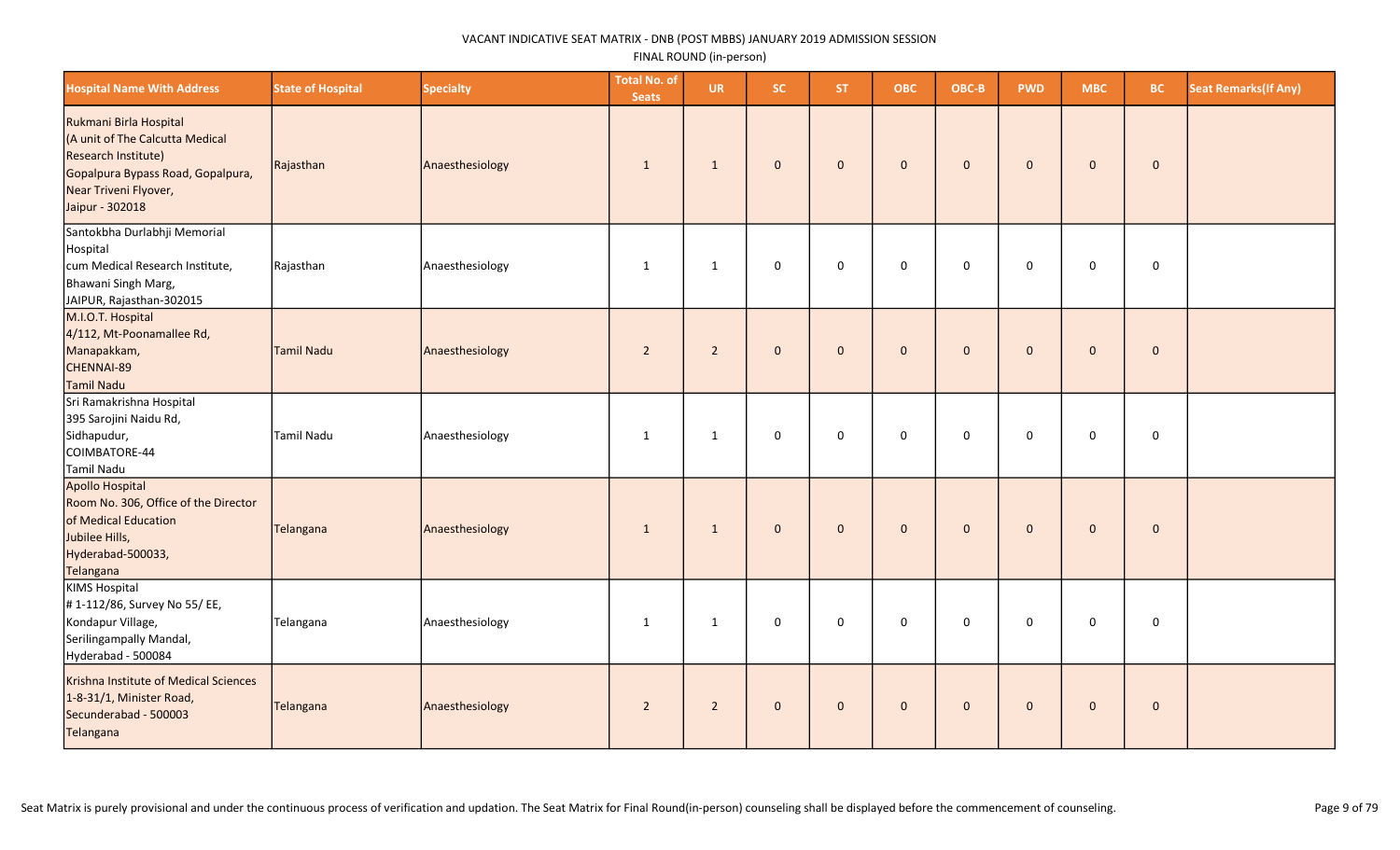| <b>Hospital Name With Address</b>                                                                                                                                 | <b>State of Hospital</b> | <b>Specialty</b> | <b>Total No. of</b><br><b>Seats</b> | <b>UR</b>      | SC.          | <b>ST</b>    | <b>OBC</b>   | OBC-B        | <b>PWD</b>   | <b>MBC</b>   | <b>BC</b>   | <b>Seat Remarks (If Any)</b> |
|-------------------------------------------------------------------------------------------------------------------------------------------------------------------|--------------------------|------------------|-------------------------------------|----------------|--------------|--------------|--------------|--------------|--------------|--------------|-------------|------------------------------|
| Rukmani Birla Hospital<br>(A unit of The Calcutta Medical<br>Research Institute)<br>Gopalpura Bypass Road, Gopalpura,<br>Near Triveni Flyover,<br>Jaipur - 302018 | Rajasthan                | Anaesthesiology  | 1                                   | $\mathbf{1}$   | $\mathbf{0}$ | $\mathbf{0}$ | $\mathbf{0}$ | $\mathbf 0$  | $\mathbf{0}$ | $\mathbf 0$  | $\mathbf 0$ |                              |
| Santokbha Durlabhji Memorial<br>Hospital<br>cum Medical Research Institute,<br>Bhawani Singh Marg,<br>JAIPUR, Rajasthan-302015                                    | Rajasthan                | Anaesthesiology  | 1                                   | $\mathbf{1}$   | $\mathsf 0$  | $\mathsf 0$  | $\mathbf 0$  | $\mathsf 0$  | $\mathbf 0$  | $\mathbf 0$  | $\mathbf 0$ |                              |
| M.I.O.T. Hospital<br>4/112, Mt-Poonamallee Rd,<br>Manapakkam,<br>CHENNAI-89<br>Tamil Nadu                                                                         | Tamil Nadu               | Anaesthesiology  | $\overline{2}$                      | $\overline{2}$ | $\mathbf 0$  | $\mathbf{0}$ | $\mathbf{0}$ | $\mathbf 0$  | $\mathbf{0}$ | $\mathbf{0}$ | $\mathbf 0$ |                              |
| Sri Ramakrishna Hospital<br>395 Sarojini Naidu Rd,<br>Sidhapudur,<br>COIMBATORE-44<br>Tamil Nadu                                                                  | Tamil Nadu               | Anaesthesiology  | 1                                   | 1              | 0            | $\mathbf 0$  | $\mathbf 0$  | $\mathbf 0$  | $\mathbf 0$  | $\mathbf 0$  | $\mathbf 0$ |                              |
| Apollo Hospital<br>Room No. 306, Office of the Director<br>of Medical Education<br>Jubilee Hills,<br>Hyderabad-500033,<br>Telangana                               | Telangana                | Anaesthesiology  | $\mathbf{1}$                        | $\mathbf{1}$   | $\mathbf 0$  | $\mathbf{0}$ | $\mathbf{0}$ | $\mathbf 0$  | $\mathbf{0}$ | $\mathbf{0}$ | $\mathbf 0$ |                              |
| KIMS Hospital<br>#1-112/86, Survey No 55/ EE,<br>Kondapur Village,<br>Serilingampally Mandal,<br>Hyderabad - 500084                                               | Telangana                | Anaesthesiology  | 1                                   | 1              | 0            | $\mathbf 0$  | $\mathbf 0$  | $\mathbf 0$  | $\mathbf 0$  | 0            | $\mathbf 0$ |                              |
| Krishna Institute of Medical Sciences<br>1-8-31/1, Minister Road,<br>Secunderabad - 500003<br>Telangana                                                           | Telangana                | Anaesthesiology  | $\overline{2}$                      | $\overline{2}$ | $\mathbf{0}$ | $\mathbf{0}$ | $\mathbf{0}$ | $\mathbf{0}$ | $\mathbf{0}$ | $\mathbf{0}$ | $\mathbf 0$ |                              |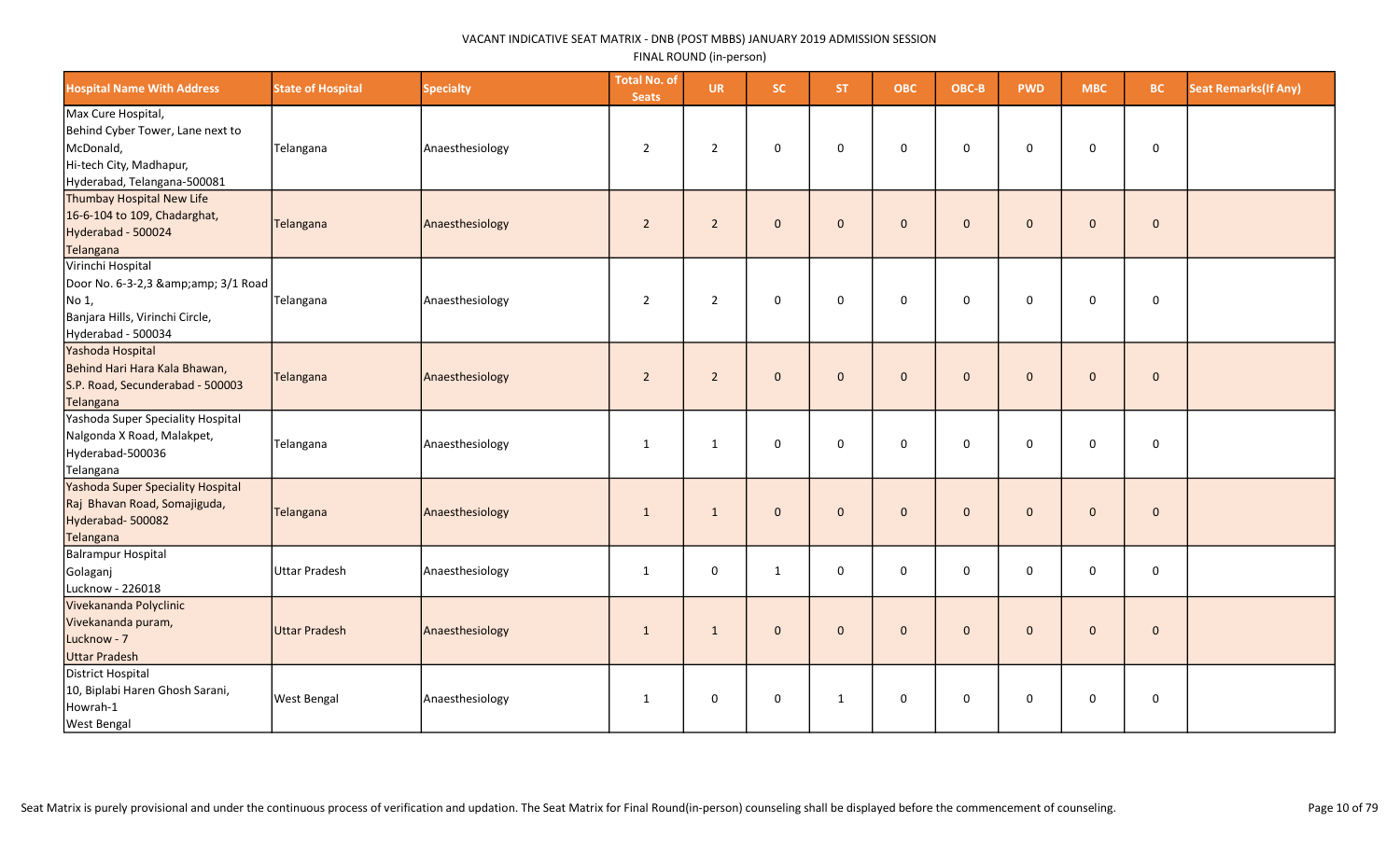| <b>Hospital Name With Address</b>                                                                                             | <b>State of Hospital</b> | <b>Specialty</b> | <b>Total No. of</b><br><b>Seats</b> | <b>UR</b>      | <b>SC</b>    | ST.          | <b>OBC</b>   | OBC-B        | <b>PWD</b>   | <b>MBC</b>     | BC.         | <b>Seat Remarks(If Any)</b> |
|-------------------------------------------------------------------------------------------------------------------------------|--------------------------|------------------|-------------------------------------|----------------|--------------|--------------|--------------|--------------|--------------|----------------|-------------|-----------------------------|
| Max Cure Hospital,<br>Behind Cyber Tower, Lane next to<br>McDonald,<br>Hi-tech City, Madhapur,<br>Hyderabad, Telangana-500081 | Telangana                | Anaesthesiology  | $\overline{2}$                      | 2              | 0            | $\mathbf 0$  | $\mathbf 0$  | $\mathbf 0$  | $\mathbf 0$  | $\mathbf 0$    | $\mathsf 0$ |                             |
| Thumbay Hospital New Life<br>16-6-104 to 109, Chadarghat,<br>Hyderabad - 500024<br>Telangana                                  | Telangana                | Anaesthesiology  | $\overline{2}$                      | $\overline{2}$ | $\mathbf 0$  | $\mathbf{0}$ | $\mathbf{0}$ | $\mathbf{0}$ | $\mathbf{0}$ | $\mathbf{0}$   | $\mathbf 0$ |                             |
| Virinchi Hospital<br>Door No. 6-3-2,3 & 3/1 Road<br>NO <sub>1</sub><br>Banjara Hills, Virinchi Circle,<br>Hyderabad - 500034  | Telangana                | Anaesthesiology  | $\overline{2}$                      | $\overline{2}$ | $\mathbf 0$  | $\mathbf 0$  | $\mathbf 0$  | $\mathbf 0$  | $\mathbf 0$  | $\mathbf 0$    | $\mathsf 0$ |                             |
| Yashoda Hospital<br>Behind Hari Hara Kala Bhawan,<br>S.P. Road, Secunderabad - 500003<br>Telangana                            | Telangana                | Anaesthesiology  | $\overline{2}$                      | $\overline{2}$ | $\mathbf{0}$ | $\mathbf{0}$ | $\mathbf{0}$ | $\mathbf{0}$ | $\Omega$     | $\mathbf 0$    | $\mathbf 0$ |                             |
| Yashoda Super Speciality Hospital<br>Nalgonda X Road, Malakpet,<br>Hyderabad-500036<br>Telangana                              | Telangana                | Anaesthesiology  | $\mathbf{1}$                        | 1              | $\mathbf 0$  | $\Omega$     | $\mathbf 0$  | $\mathbf 0$  | $\mathbf 0$  | $\mathbf 0$    | $\mathsf 0$ |                             |
| Yashoda Super Speciality Hospital<br>Raj Bhavan Road, Somajiguda,<br>Hyderabad-500082<br>Telangana                            | Telangana                | Anaesthesiology  | 1                                   | $\mathbf{1}$   | $\mathbf{0}$ | $\mathbf{0}$ | $\pmb{0}$    | $\mathbf{0}$ | $\mathbf{0}$ | $\pmb{0}$      | $\pmb{0}$   |                             |
| Balrampur Hospital<br>Golaganj<br>Lucknow - 226018                                                                            | Uttar Pradesh            | Anaesthesiology  | $\mathbf{1}$                        | $\mathsf 0$    | $\mathbf{1}$ | $\Omega$     | $\Omega$     | $\mathbf{0}$ | $\Omega$     | 0              | $\mathsf 0$ |                             |
| Vivekananda Polyclinic<br>Vivekananda puram,<br>Lucknow - 7<br><b>Uttar Pradesh</b>                                           | Uttar Pradesh            | Anaesthesiology  | $\mathbf{1}$                        | $\mathbf{1}$   | $\mathbf 0$  | $\mathbf{0}$ | $\mathbf{0}$ | $\mathbf{0}$ | $\mathbf{0}$ | $\overline{0}$ | $\pmb{0}$   |                             |
| District Hospital<br>10, Biplabi Haren Ghosh Sarani,<br>Howrah-1<br><b>West Bengal</b>                                        | <b>West Bengal</b>       | Anaesthesiology  | 1                                   | $\mathsf 0$    | 0            | $\mathbf{1}$ | $\mathsf 0$  | $\mathbf 0$  | $\mathbf 0$  | $\mathbf 0$    | $\pmb{0}$   |                             |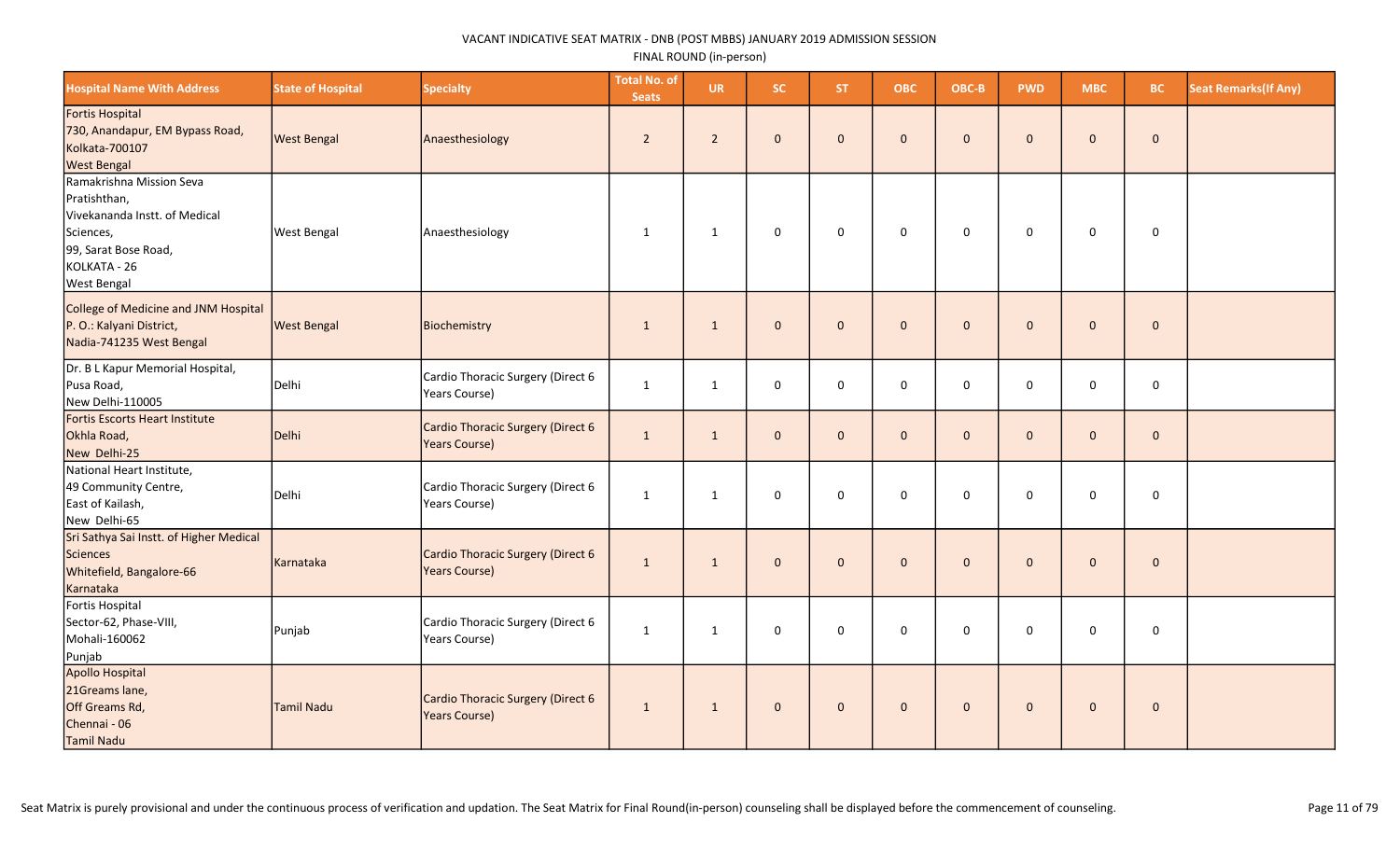| <b>Hospital Name With Address</b>                                                                                                                    | <b>State of Hospital</b> | <b>Specialty</b>                                          | <b>Total No. of</b><br><b>Seats</b> | <b>UR</b>      | SC.          | <b>ST</b>    | <b>OBC</b>   | OBC-B        | <b>PWD</b>   | <b>MBC</b>   | <b>BC</b>    | <b>Seat Remarks (If Any)</b> |
|------------------------------------------------------------------------------------------------------------------------------------------------------|--------------------------|-----------------------------------------------------------|-------------------------------------|----------------|--------------|--------------|--------------|--------------|--------------|--------------|--------------|------------------------------|
| Fortis Hospital<br>730, Anandapur, EM Bypass Road,<br>Kolkata-700107<br><b>West Bengal</b>                                                           | <b>West Bengal</b>       | Anaesthesiology                                           | $\overline{2}$                      | $\overline{2}$ | $\mathbf{0}$ | $\mathbf{0}$ | $\mathbf{0}$ | $\mathbf{0}$ | $\mathbf{0}$ | $\mathbf{0}$ | $\mathbf{0}$ |                              |
| Ramakrishna Mission Seva<br>Pratishthan,<br>Vivekananda Instt. of Medical<br>Sciences,<br>99, Sarat Bose Road,<br>KOLKATA - 26<br><b>West Bengal</b> | <b>West Bengal</b>       | Anaesthesiology                                           | $\mathbf{1}$                        | $\mathbf{1}$   | $\mathsf 0$  | $\mathbf 0$  | $\mathbf 0$  | $\mathsf 0$  | 0            | 0            | $\mathsf 0$  |                              |
| College of Medicine and JNM Hospital<br>P. O.: Kalyani District,<br>Nadia-741235 West Bengal                                                         | <b>West Bengal</b>       | Biochemistry                                              | $\overline{1}$                      | 1              | $\mathbf{0}$ | $\Omega$     | $\mathbf{0}$ | $\mathbf{0}$ | $\Omega$     | $\mathbf 0$  | $\mathbf 0$  |                              |
| Dr. B L Kapur Memorial Hospital,<br>Pusa Road,<br>New Delhi-110005                                                                                   | Delhi                    | Cardio Thoracic Surgery (Direct 6<br>Years Course)        | 1                                   | 1              | $\mathsf 0$  | $\mathbf 0$  | $\mathbf 0$  | $\mathbf 0$  | $\mathbf 0$  | 0            | 0            |                              |
| Fortis Escorts Heart Institute<br>Okhla Road,<br>New Delhi-25                                                                                        | Delhi                    | Cardio Thoracic Surgery (Direct 6<br><b>Years Course)</b> | $\mathbf{1}$                        | $\mathbf{1}$   | $\mathbf 0$  | $\mathbf{0}$ | $\mathbf 0$  | $\mathbf 0$  | $\mathbf{0}$ | $\mathbf 0$  | $\mathbf 0$  |                              |
| National Heart Institute,<br>49 Community Centre,<br>East of Kailash,<br>New Delhi-65                                                                | Delhi                    | Cardio Thoracic Surgery (Direct 6<br>Years Course)        | 1                                   | 1              | $\mathsf 0$  | $\mathbf 0$  | $\mathbf 0$  | $\mathbf 0$  | $\mathbf 0$  | $\mathsf{O}$ | $\mathsf 0$  |                              |
| Sri Sathya Sai Instt. of Higher Medical<br>Sciences<br>Whitefield, Bangalore-66<br>Karnataka                                                         | Karnataka                | Cardio Thoracic Surgery (Direct 6<br><b>Years Course)</b> | $\mathbf{1}$                        | 1              | $\mathbf 0$  | $\mathbf{0}$ | $\mathbf 0$  | $\mathbf 0$  | $\mathbf{0}$ | $\mathbf 0$  | $\mathbf 0$  |                              |
| Fortis Hospital<br>Sector-62, Phase-VIII,<br>Mohali-160062<br>Punjab                                                                                 | Punjab                   | Cardio Thoracic Surgery (Direct 6<br>Years Course)        | 1                                   | 1              | $\mathbf 0$  | $\mathbf 0$  | $\mathbf 0$  | $\mathbf 0$  | $\mathbf 0$  | 0            | $\mathbf 0$  |                              |
| Apollo Hospital<br>21Greams lane,<br>Off Greams Rd,<br>Chennai - 06<br>Tamil Nadu                                                                    | Tamil Nadu               | Cardio Thoracic Surgery (Direct 6<br><b>Years Course)</b> | $\mathbf{1}$                        | 1              | $\mathbf{0}$ | $\mathbf{0}$ | $\mathbf{0}$ | $\mathbf{0}$ | $\mathbf{0}$ | $\mathbf{0}$ | $\mathbf 0$  |                              |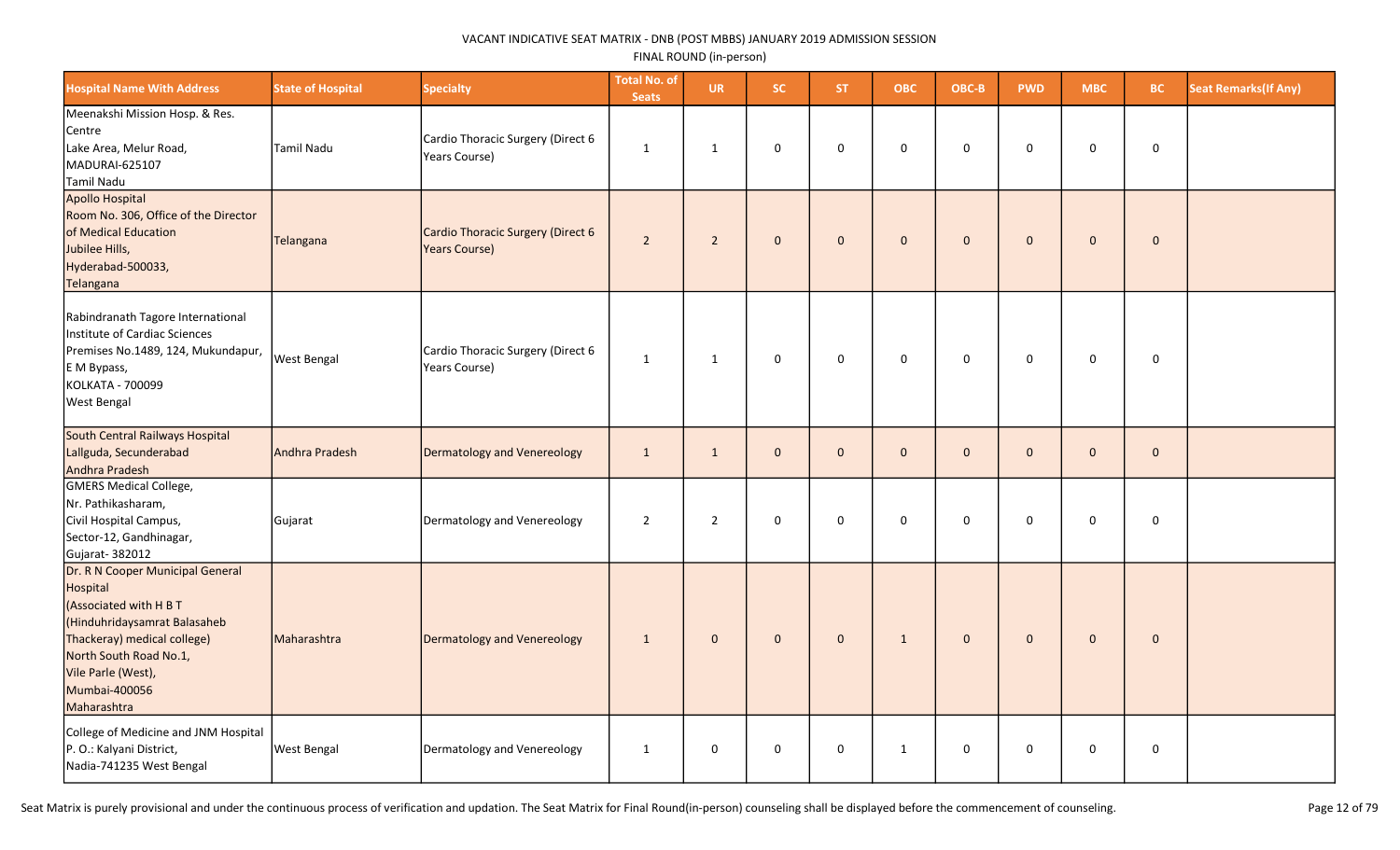| <b>Hospital Name With Address</b>                                                                                                                                                                                     | <b>State of Hospital</b> | <b>Specialty</b>                                          | <b>Total No. of</b><br><b>Seats</b> | <b>UR</b>      | <b>SC</b>      | ST.            | <b>OBC</b>   | OBC-B        | <b>PWD</b>   | <b>MBC</b>   | BC.         | <b>Seat Remarks(If Any)</b> |
|-----------------------------------------------------------------------------------------------------------------------------------------------------------------------------------------------------------------------|--------------------------|-----------------------------------------------------------|-------------------------------------|----------------|----------------|----------------|--------------|--------------|--------------|--------------|-------------|-----------------------------|
| Meenakshi Mission Hosp. & Res.<br>Centre<br>Lake Area, Melur Road,<br>MADURAI-625107<br>Tamil Nadu                                                                                                                    | <b>Tamil Nadu</b>        | Cardio Thoracic Surgery (Direct 6<br>Years Course)        | $\mathbf{1}$                        | $\mathbf{1}$   | 0              | $\mathbf 0$    | 0            | $\mathbf 0$  | $\mathbf 0$  | 0            | $\mathbf 0$ |                             |
| Apollo Hospital<br>Room No. 306, Office of the Director<br>of Medical Education<br>Jubilee Hills,<br>Hyderabad-500033,<br>Telangana                                                                                   | Telangana                | Cardio Thoracic Surgery (Direct 6<br><b>Years Course)</b> | $\overline{2}$                      | $\overline{2}$ | $\mathbf{0}$   | $\overline{0}$ | $\mathbf{0}$ | $\mathbf{0}$ | $\mathbf{0}$ | $\mathbf{0}$ | $\mathbf 0$ |                             |
| Rabindranath Tagore International<br>Institute of Cardiac Sciences<br>Premises No.1489, 124, Mukundapur,<br>E M Bypass,<br>KOLKATA - 700099<br>West Bengal                                                            | <b>West Bengal</b>       | Cardio Thoracic Surgery (Direct 6<br>Years Course)        | $\mathbf{1}$                        | $\mathbf{1}$   | 0              | $\mathbf 0$    | $\mathsf 0$  | 0            | 0            | $\mathbf 0$  | $\pmb{0}$   |                             |
| South Central Railways Hospital<br>Lallguda, Secunderabad<br>Andhra Pradesh                                                                                                                                           | Andhra Pradesh           | Dermatology and Venereology                               | $\mathbf{1}$                        | $\mathbf{1}$   | $\mathbf{0}$   | $\Omega$       | $\mathbf 0$  | $\mathbf{0}$ | $\Omega$     | $\mathbf 0$  | $\mathbf 0$ |                             |
| <b>GMERS Medical College,</b><br>Nr. Pathikasharam,<br>Civil Hospital Campus,<br>Sector-12, Gandhinagar,<br>Gujarat-382012                                                                                            | Gujarat                  | Dermatology and Venereology                               | $\overline{2}$                      | $\overline{2}$ | 0              | $\mathbf 0$    | $\pmb{0}$    | 0            | 0            | $\mathbf 0$  | $\pmb{0}$   |                             |
| Dr. R N Cooper Municipal General<br>Hospital<br>(Associated with H B T<br>(Hinduhridaysamrat Balasaheb<br>Thackeray) medical college)<br>North South Road No.1,<br>Vile Parle (West),<br>Mumbai-400056<br>Maharashtra | Maharashtra              | Dermatology and Venereology                               | $\mathbf{1}$                        | $\mathbf 0$    | $\overline{0}$ | $\Omega$       | $\mathbf{1}$ | $\mathbf{0}$ | $\mathbf{0}$ | $\mathbf{0}$ | $\mathbf 0$ |                             |
| College of Medicine and JNM Hospital<br>P. O.: Kalyani District,<br>Nadia-741235 West Bengal                                                                                                                          | <b>West Bengal</b>       | Dermatology and Venereology                               | $\mathbf{1}$                        | 0              | 0              | $\mathbf 0$    | $\mathbf{1}$ | 0            | $\mathbf 0$  | $\mathbf 0$  | 0           |                             |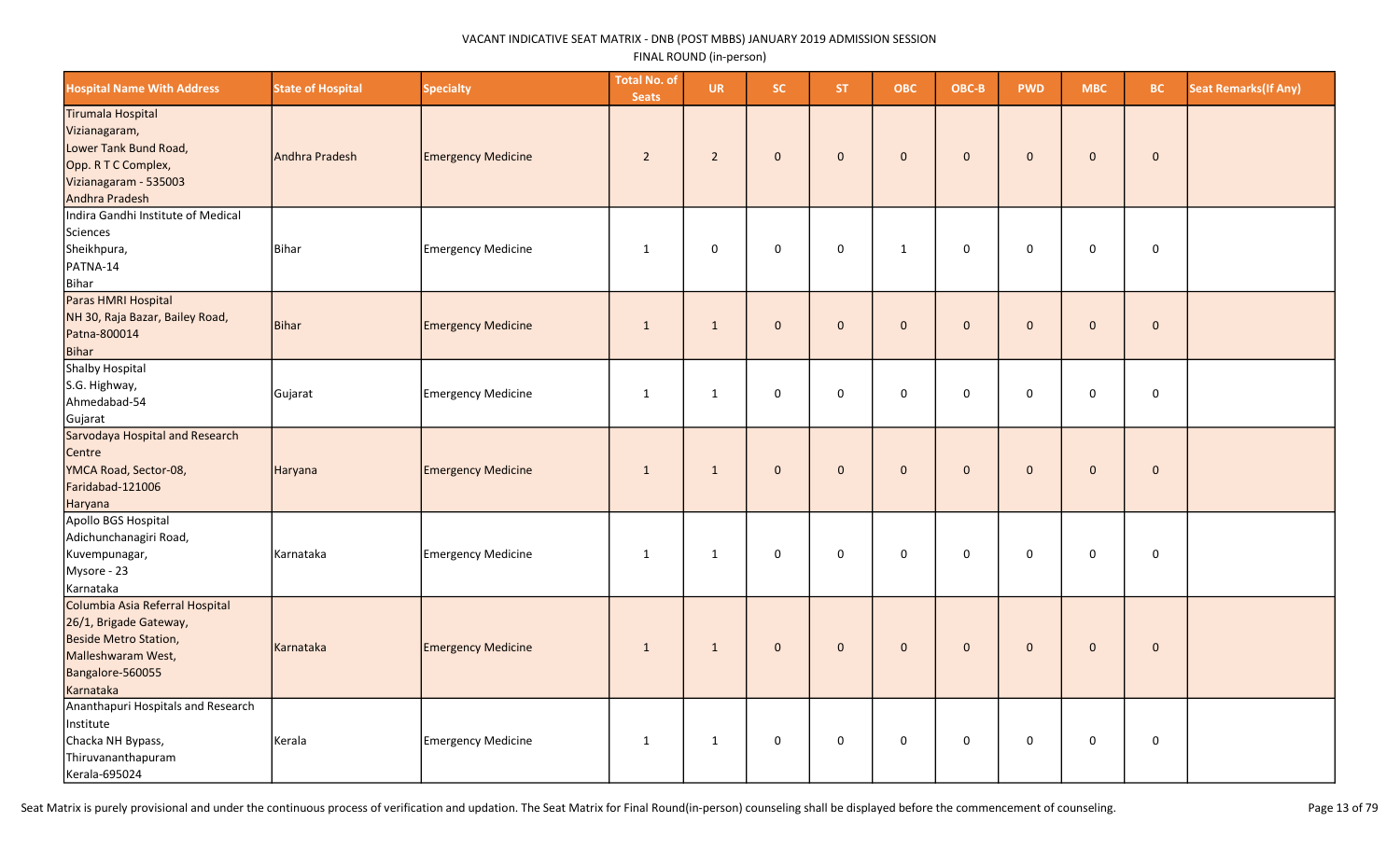| <b>Hospital Name With Address</b>                                                                                                         | <b>State of Hospital</b> | <b>Specialty</b>          | <b>Total No. of</b><br><b>Seats</b> | <b>UR</b>      | <b>SC</b>    | ST.          | <b>OBC</b>   | OBC-B        | <b>PWD</b>   | <b>MBC</b>  | <b>BC</b>   | <b>Seat Remarks (If Any)</b> |
|-------------------------------------------------------------------------------------------------------------------------------------------|--------------------------|---------------------------|-------------------------------------|----------------|--------------|--------------|--------------|--------------|--------------|-------------|-------------|------------------------------|
| Tirumala Hospital<br>Vizianagaram,<br>Lower Tank Bund Road,<br>Opp. R T C Complex,<br>Vizianagaram - 535003<br>Andhra Pradesh             | Andhra Pradesh           | <b>Emergency Medicine</b> | $\overline{2}$                      | $\overline{2}$ | $\mathbf 0$  | $\mathbf 0$  | $\mathbf 0$  | $\mathbf{0}$ | $\mathbf{0}$ | $\mathbf 0$ | $\mathbf 0$ |                              |
| Indira Gandhi Institute of Medical<br>Sciences<br>Sheikhpura,<br>PATNA-14<br>Bihar                                                        | Bihar                    | Emergency Medicine        | $\mathbf{1}$                        | $\mathsf 0$    | 0            | $\mathbf 0$  | $\mathbf{1}$ | $\Omega$     | 0            | 0           | $\pmb{0}$   |                              |
| Paras HMRI Hospital<br>NH 30, Raja Bazar, Bailey Road,<br>Patna-800014<br>Bihar                                                           | Bihar                    | <b>Emergency Medicine</b> | 1                                   | $\mathbf{1}$   | $\mathbf 0$  | $\mathbf 0$  | $\mathbf{0}$ | $\mathbf{0}$ | $\mathbf{0}$ | $\mathbf 0$ | $\mathbf 0$ |                              |
| Shalby Hospital<br>S.G. Highway,<br>Ahmedabad-54<br>Gujarat                                                                               | Gujarat                  | Emergency Medicine        | $\mathbf{1}$                        | $\mathbf{1}$   | $\mathbf 0$  | 0            | $\mathbf 0$  | $\mathbf 0$  | 0            | 0           | $\mathbf 0$ |                              |
| Sarvodaya Hospital and Research<br>Centre<br>YMCA Road, Sector-08,<br>Faridabad-121006<br>Haryana                                         | Haryana                  | <b>Emergency Medicine</b> | $\mathbf{1}$                        | $\mathbf{1}$   | $\mathbf 0$  | $\mathbf{0}$ | $\mathbf 0$  | $\mathbf{0}$ | $\mathbf{0}$ | $\mathbf 0$ | $\mathbf 0$ |                              |
| Apollo BGS Hospital<br>Adichunchanagiri Road,<br>Kuvempunagar,<br>Mysore - 23<br>Karnataka                                                | Karnataka                | Emergency Medicine        | $\mathbf{1}$                        | $\mathbf{1}$   | 0            | $\mathbf 0$  | $\mathbf 0$  | $\Omega$     | 0            | 0           | $\mathbf 0$ |                              |
| Columbia Asia Referral Hospital<br>26/1, Brigade Gateway,<br>Beside Metro Station,<br>Malleshwaram West,<br>Bangalore-560055<br>Karnataka | Karnataka                | <b>Emergency Medicine</b> | $\mathbf{1}$                        | $\mathbf{1}$   | $\mathbf{0}$ | $\mathbf{0}$ | $\mathbf{0}$ | $\mathbf{0}$ | $\mathbf{0}$ | $\mathbf 0$ | $\mathbf 0$ |                              |
| Ananthapuri Hospitals and Research<br>Institute<br>Chacka NH Bypass,<br>Thiruvananthapuram<br>Kerala-695024                               | Kerala                   | <b>Emergency Medicine</b> | $\mathbf{1}$                        | $\mathbf{1}$   | 0            | $\mathbf{0}$ | $\mathbf 0$  | $\mathbf 0$  | $\mathbf 0$  | 0           | $\mathbf 0$ |                              |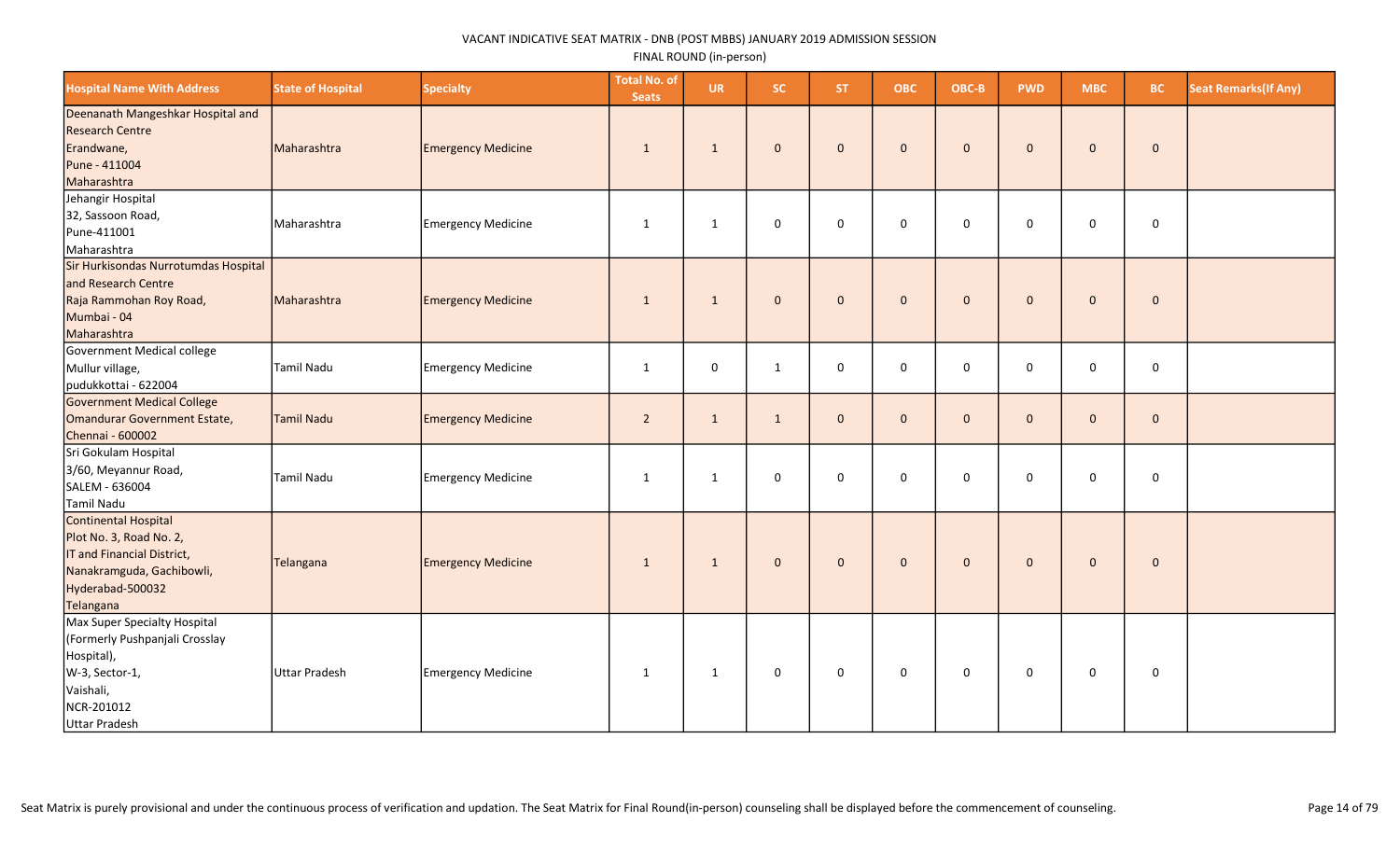| <b>Hospital Name With Address</b>                                                                                                           | <b>State of Hospital</b> | <b>Specialty</b>          | <b>Total No. of</b><br><b>Seats</b> | <b>UR</b>    | SC.          | ST.          | <b>OBC</b>          | OBC-B        | <b>PWD</b>   | <b>MBC</b>   | <b>BC</b>    | <b>Seat Remarks (If Any)</b> |
|---------------------------------------------------------------------------------------------------------------------------------------------|--------------------------|---------------------------|-------------------------------------|--------------|--------------|--------------|---------------------|--------------|--------------|--------------|--------------|------------------------------|
| Deenanath Mangeshkar Hospital and<br><b>Research Centre</b><br>Erandwane,<br>Pune - 411004<br>Maharashtra                                   | Maharashtra              | <b>Emergency Medicine</b> | 1                                   | $\mathbf{1}$ | $\mathbf{0}$ | $\mathbf{0}$ | $\mathbf{0}$        | $\mathbf 0$  | $\mathbf{0}$ | $\mathbf 0$  | $\mathbf 0$  |                              |
| Jehangir Hospital<br>32, Sassoon Road,<br>Pune-411001<br>Maharashtra                                                                        | Maharashtra              | <b>Emergency Medicine</b> | 1                                   | 1            | $\mathsf 0$  | 0            | $\mathsf{O}\xspace$ | $\mathsf 0$  | $\mathbf{0}$ | 0            | $\mathbf 0$  |                              |
| Sir Hurkisondas Nurrotumdas Hospital<br>and Research Centre<br>Raja Rammohan Roy Road,<br>Mumbai - 04<br>Maharashtra                        | Maharashtra              | <b>Emergency Medicine</b> | 1                                   | $\mathbf{1}$ | $\mathbf{0}$ | $\mathbf{0}$ | $\mathbf{0}$        | $\mathbf{0}$ | $\mathbf{0}$ | $\mathbf{0}$ | $\mathbf 0$  |                              |
| Government Medical college<br>Mullur village,<br>pudukkottai - 622004                                                                       | Tamil Nadu               | <b>Emergency Medicine</b> | $\mathbf{1}$                        | $\pmb{0}$    | $\mathbf{1}$ | $\mathbf 0$  | $\mathbf 0$         | $\mathbf 0$  | $\mathbf 0$  | 0            | $\mathsf 0$  |                              |
| Government Medical College<br>Omandurar Government Estate,<br>Chennai - 600002                                                              | <b>Tamil Nadu</b>        | <b>Emergency Medicine</b> | $\overline{2}$                      | $\mathbf{1}$ | $\mathbf{1}$ | $\mathbf{0}$ | $\mathbf{0}$        | $\mathbf 0$  | $\mathbf{0}$ | $\mathbf{0}$ | $\mathbf{0}$ |                              |
| Sri Gokulam Hospital<br>3/60, Meyannur Road,<br>SALEM - 636004<br>Tamil Nadu                                                                | Tamil Nadu               | <b>Emergency Medicine</b> | 1                                   | 1            | 0            | 0            | $\mathbf 0$         | $\mathsf 0$  | 0            | 0            | $\mathbf 0$  |                              |
| Continental Hospital<br>Plot No. 3, Road No. 2,<br>IT and Financial District,<br>Nanakramguda, Gachibowli,<br>Hyderabad-500032<br>Telangana | Telangana                | <b>Emergency Medicine</b> | $\mathbf{1}$                        | $\mathbf{1}$ | $\mathbf 0$  | $\mathbf{0}$ | $\mathbf{0}$        | $\mathbf 0$  | $\mathbf{0}$ | $\mathbf{0}$ | $\mathbf 0$  |                              |
| Max Super Specialty Hospital<br>(Formerly Pushpanjali Crosslay<br>Hospital),<br>W-3, Sector-1,<br>Vaishali,<br>NCR-201012<br>Uttar Pradesh  | Uttar Pradesh            | <b>Emergency Medicine</b> | $\mathbf{1}$                        | $\mathbf{1}$ | 0            | $\mathsf{O}$ | $\mathsf{O}$        | 0            | 0            | $\mathbf 0$  | 0            |                              |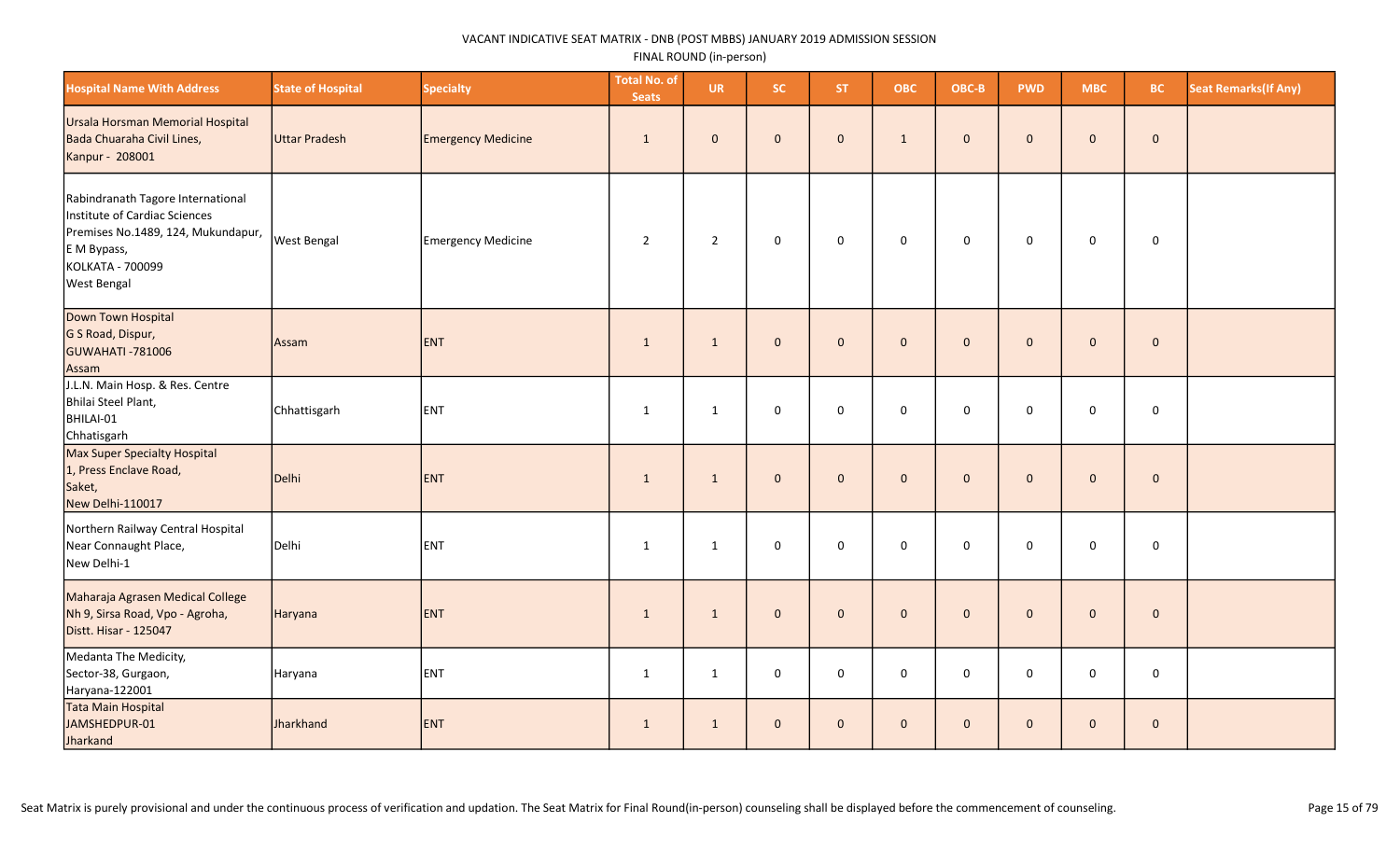| <b>Hospital Name With Address</b>                                                                                                                                 | <b>State of Hospital</b> | <b>Specialty</b>          | <b>Total No. of</b><br><b>Seats</b> | <b>UR</b>      | SC.                 | ST.          | <b>OBC</b>          | OBC-B        | <b>PWD</b>   | <b>MBC</b>          | <b>BC</b>    | <b>Seat Remarks (If Any)</b> |
|-------------------------------------------------------------------------------------------------------------------------------------------------------------------|--------------------------|---------------------------|-------------------------------------|----------------|---------------------|--------------|---------------------|--------------|--------------|---------------------|--------------|------------------------------|
| Ursala Horsman Memorial Hospital<br>Bada Chuaraha Civil Lines,<br>Kanpur - 208001                                                                                 | Uttar Pradesh            | <b>Emergency Medicine</b> | $\mathbf{1}$                        | $\mathbf 0$    | $\mathbf{0}$        | $\mathbf{0}$ | $\mathbf{1}$        | $\mathbf{0}$ | $\mathbf{0}$ | $\mathbf{0}$        | $\mathbf 0$  |                              |
| Rabindranath Tagore International<br>Institute of Cardiac Sciences<br>Premises No.1489, 124, Mukundapur,<br>E M Bypass,<br>KOLKATA - 700099<br><b>West Bengal</b> | <b>West Bengal</b>       | Emergency Medicine        | $\overline{2}$                      | $\overline{2}$ | $\mathbf 0$         | $\mathbf 0$  | $\mathsf{O}\xspace$ | $\mathsf 0$  | 0            | $\mathbf 0$         | $\mathbf 0$  |                              |
| Down Town Hospital<br>G S Road, Dispur,<br><b>GUWAHATI -781006</b><br>Assam                                                                                       | Assam                    | <b>ENT</b>                | $\mathbf{1}$                        | $\mathbf{1}$   | $\mathbf 0$         | $\mathbf{0}$ | $\mathbf{0}$        | $\mathbf 0$  | $\mathbf 0$  | $\mathbf{0}$        | $\mathbf 0$  |                              |
| J.L.N. Main Hosp. & Res. Centre<br>Bhilai Steel Plant,<br>BHILAI-01<br>Chhatisgarh                                                                                | Chhattisgarh             | ENT                       | $\mathbf{1}$                        | $\mathbf{1}$   | 0                   | $\mathbf 0$  | $\mathbf 0$         | $\mathbf 0$  | $\mathsf 0$  | $\mathbf 0$         | $\mathsf 0$  |                              |
| Max Super Specialty Hospital<br>1, Press Enclave Road,<br>Saket,<br>New Delhi-110017                                                                              | Delhi                    | <b>ENT</b>                | $\mathbf{1}$                        | $\mathbf{1}$   | $\mathsf{O}\xspace$ | $\mathbf{0}$ | $\mathbf{0}$        | $\mathbf{0}$ | $\mathbf{0}$ | $\mathbf{0}$        | $\mathbf 0$  |                              |
| Northern Railway Central Hospital<br>Near Connaught Place,<br>New Delhi-1                                                                                         | Delhi                    | ENT                       | $\mathbf{1}$                        | $\mathbf{1}$   | 0                   | $\mathbf 0$  | $\mathbf 0$         | $\mathbf 0$  | 0            | $\mathsf{O}\xspace$ | 0            |                              |
| Maharaja Agrasen Medical College<br>Nh 9, Sirsa Road, Vpo - Agroha,<br>Distt. Hisar - 125047                                                                      | Haryana                  | ENT                       | $\mathbf{1}$                        | $\mathbf{1}$   | $\mathbf 0$         | $\mathbf{0}$ | $\mathbf{0}$        | $\mathbf 0$  | $\mathbf{0}$ | $\mathbf{0}$        | $\pmb{0}$    |                              |
| Medanta The Medicity,<br>Sector-38, Gurgaon,<br>Haryana-122001                                                                                                    | Haryana                  | ENT                       | $\mathbf{1}$                        | $\mathbf{1}$   | 0                   | $\mathbf 0$  | $\mathbf 0$         | $\mathbf 0$  | $\mathbf 0$  | $\mathbf 0$         | $\mathbf 0$  |                              |
| Tata Main Hospital<br>JAMSHEDPUR-01<br>Jharkand                                                                                                                   | Jharkhand                | ENT                       | $\mathbf{1}$                        | $\mathbf{1}$   | $\pmb{0}$           | $\mathbf{0}$ | $\mathbf{0}$        | $\mathbf{0}$ | $\mathbf{0}$ | $\mathbf{0}$        | $\mathbf{0}$ |                              |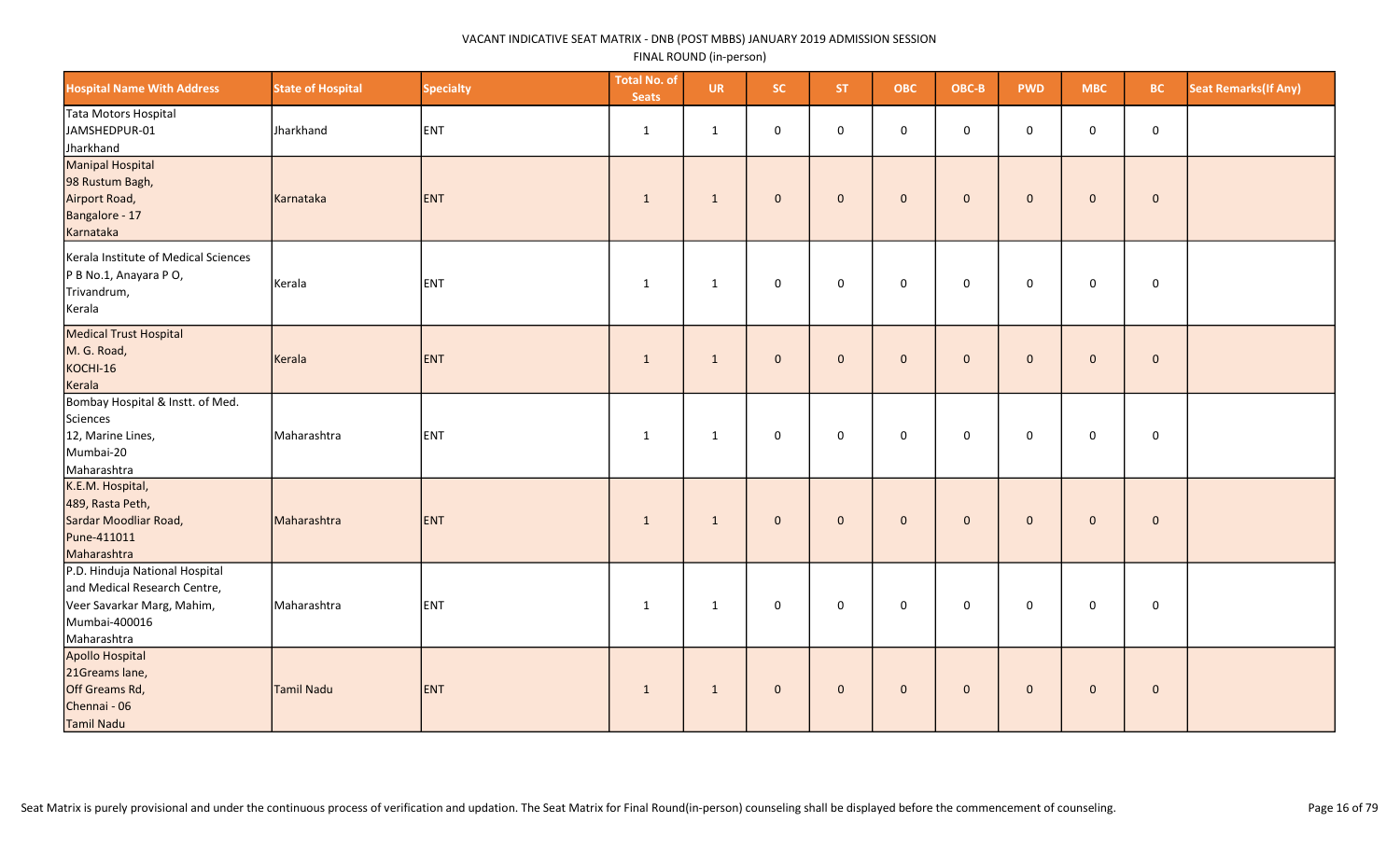| <b>Hospital Name With Address</b>                                                                                            | <b>State of Hospital</b> | <b>Specialty</b> | <b>Total No. of</b><br><b>Seats</b> | <b>UR</b>    | SC.                 | ST.          | <b>OBC</b>          | OBC-B        | <b>PWD</b>   | <b>MBC</b>          | <b>BC</b>   | <b>Seat Remarks (If Any)</b> |
|------------------------------------------------------------------------------------------------------------------------------|--------------------------|------------------|-------------------------------------|--------------|---------------------|--------------|---------------------|--------------|--------------|---------------------|-------------|------------------------------|
| Tata Motors Hospital<br>JAMSHEDPUR-01<br>Jharkhand                                                                           | Jharkhand                | ENT              | $\mathbf{1}$                        | $\mathbf{1}$ | 0                   | $\mathbf 0$  | $\mathsf 0$         | $\mathbf 0$  | $\mathbf 0$  | $\mathbf 0$         | $\mathsf 0$ |                              |
| Manipal Hospital<br>98 Rustum Bagh,<br>Airport Road,<br>Bangalore - 17<br>Karnataka                                          | Karnataka                | <b>ENT</b>       | 1                                   | $\mathbf{1}$ | $\pmb{0}$           | $\mathbf 0$  | $\mathsf{O}\xspace$ | $\mathbf 0$  | $\mathbf{0}$ | $\mathsf{O}\xspace$ | $\mathbf 0$ |                              |
| Kerala Institute of Medical Sciences<br>P B No.1, Anayara P O,<br>Trivandrum,<br>Kerala                                      | Kerala                   | ENT              | 1                                   | $\mathbf{1}$ | $\mathsf 0$         | $\mathsf{O}$ | $\mathbf 0$         | $\mathbf 0$  | 0            | 0                   | $\mathsf 0$ |                              |
| Medical Trust Hospital<br>M. G. Road,<br>KOCHI-16<br>Kerala                                                                  | Kerala                   | <b>ENT</b>       | 1                                   | $\mathbf{1}$ | $\mathbf{0}$        | $\mathbf{0}$ | $\mathbf{0}$        | $\mathbf{0}$ | $\mathbf{0}$ | $\mathbf 0$         | $\mathbf 0$ |                              |
| Bombay Hospital & Instt. of Med.<br>Sciences<br>12, Marine Lines,<br>Mumbai-20<br>Maharashtra                                | Maharashtra              | ENT              | 1                                   | 1            | $\mathbf 0$         | $\mathbf 0$  | $\mathbf{0}$        | $\mathbf 0$  | $\mathbf 0$  | $\mathbf 0$         | $\mathbf 0$ |                              |
| K.E.M. Hospital,<br>489, Rasta Peth,<br>Sardar Moodliar Road,<br>Pune-411011<br>Maharashtra                                  | Maharashtra              | <b>ENT</b>       | $\mathbf{1}$                        | $\mathbf{1}$ | $\mathbf 0$         | $\mathbf{0}$ | $\mathbf{0}$        | $\mathbf 0$  | $\mathbf{0}$ | $\mathbf{0}$        | $\mathbf 0$ |                              |
| P.D. Hinduja National Hospital<br>and Medical Research Centre,<br>Veer Savarkar Marg, Mahim,<br>Mumbai-400016<br>Maharashtra | Maharashtra              | ENT              | $\mathbf{1}$                        | $\mathbf{1}$ | 0                   | $\mathbf 0$  | $\mathsf 0$         | $\mathbf 0$  | $\mathbf 0$  | $\mathbf 0$         | $\mathbf 0$ |                              |
| Apollo Hospital<br>21Greams lane,<br>Off Greams Rd,<br>Chennai - 06<br>Tamil Nadu                                            | Tamil Nadu               | <b>ENT</b>       | $\mathbf{1}$                        | $\mathbf{1}$ | $\mathsf{O}\xspace$ | $\mathbf 0$  | $\mathbf 0$         | $\mathbf 0$  | $\mathbf{0}$ | $\mathbf 0$         | $\mathbf 0$ |                              |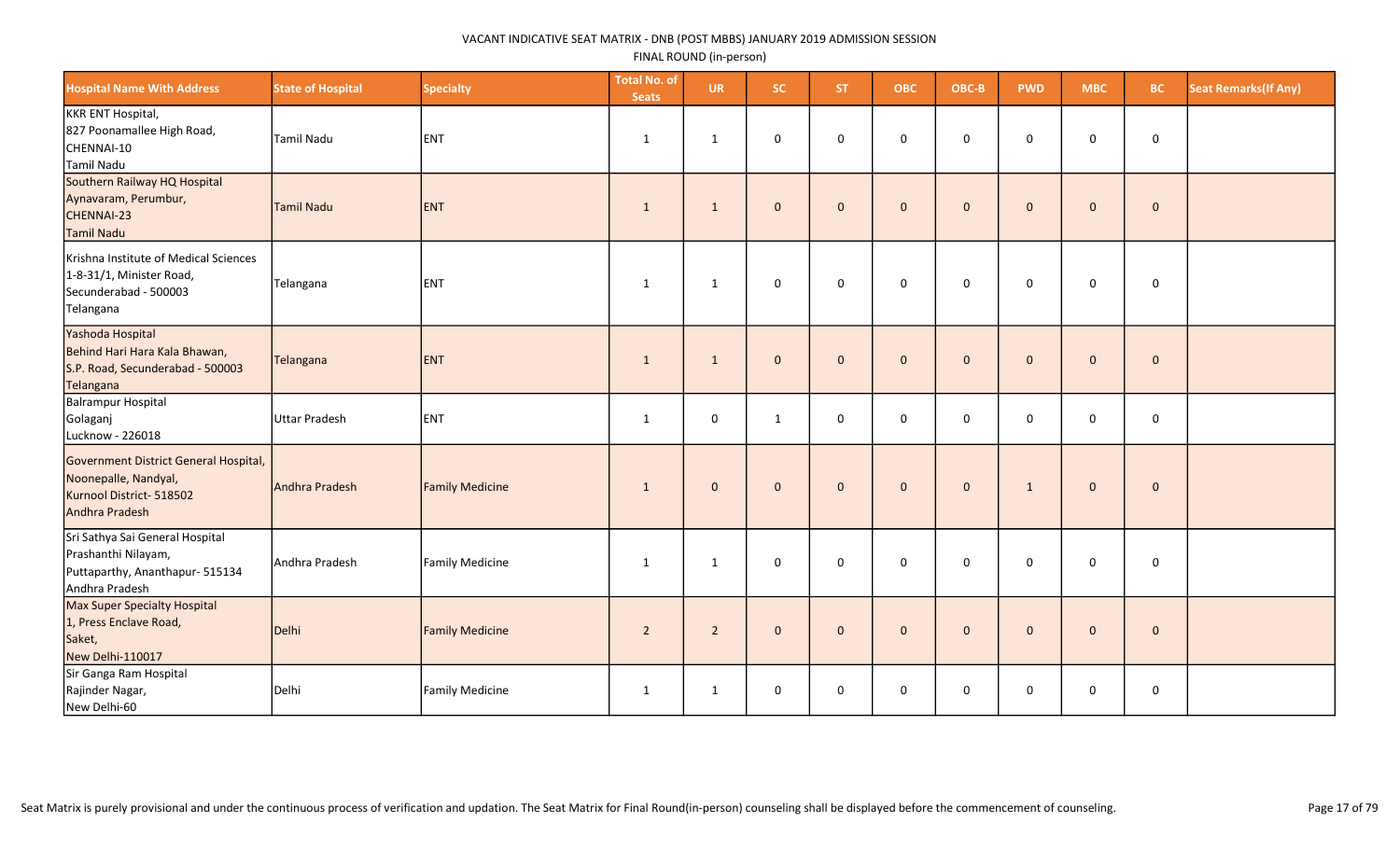| <b>Hospital Name With Address</b>                                                                           | <b>State of Hospital</b> | <b>Specialty</b>       | <b>Total No. of</b><br><b>Seats</b> | <b>UR</b>      | SC.          | <b>ST</b>    | <b>OBC</b>   | OBC-B       | <b>PWD</b>   | <b>MBC</b>   | <b>BC</b>    | <b>Seat Remarks (If Any)</b> |
|-------------------------------------------------------------------------------------------------------------|--------------------------|------------------------|-------------------------------------|----------------|--------------|--------------|--------------|-------------|--------------|--------------|--------------|------------------------------|
| KKR ENT Hospital,<br>827 Poonamallee High Road,<br>CHENNAI-10<br>Tamil Nadu                                 | Tamil Nadu               | ENT                    | $\mathbf{1}$                        | $\mathbf{1}$   | $\mathsf 0$  | $\mathbf 0$  | 0            | $\mathbf 0$ | $\mathbf 0$  | 0            | $\mathbf 0$  |                              |
| Southern Railway HQ Hospital<br>Aynavaram, Perumbur,<br>CHENNAI-23<br>Tamil Nadu                            | Tamil Nadu               | ENT                    | $\mathbf{1}$                        | $\mathbf{1}$   | $\mathbf{0}$ | $\mathbf{0}$ | $\mathbf{0}$ | $\mathbf 0$ | $\mathbf{0}$ | $\mathbf 0$  | $\mathbf{0}$ |                              |
| Krishna Institute of Medical Sciences<br>1-8-31/1, Minister Road,<br>Secunderabad - 500003<br>Telangana     | Telangana                | ENT                    | $\mathbf{1}$                        | $\mathbf{1}$   | $\mathbf 0$  | $\mathbf 0$  | 0            | $\mathbf 0$ | $\mathbf 0$  | 0            | 0            |                              |
| Yashoda Hospital<br>Behind Hari Hara Kala Bhawan,<br>S.P. Road, Secunderabad - 500003<br>Telangana          | Telangana                | <b>ENT</b>             | $\mathbf{1}$                        | $\mathbf{1}$   | $\mathbf{0}$ | $\mathbf{0}$ | $\mathbf 0$  | $\mathbf 0$ | $\mathbf{0}$ | $\mathbf 0$  | $\mathbf 0$  |                              |
| Balrampur Hospital<br>Golaganj<br>Lucknow - 226018                                                          | Uttar Pradesh            | ENT                    | $\mathbf{1}$                        | $\mathsf 0$    | $\mathbf{1}$ | 0            | 0            | $\mathbf 0$ | 0            | 0            | 0            |                              |
| Government District General Hospital,<br>Noonepalle, Nandyal,<br>Kurnool District- 518502<br>Andhra Pradesh | Andhra Pradesh           | <b>Family Medicine</b> | $\mathbf{1}$                        | $\mathbf 0$    | $\mathbf{0}$ | $\mathbf{0}$ | $\mathbf 0$  | $\mathbf 0$ | $\mathbf{1}$ | $\mathbf 0$  | $\mathbf 0$  |                              |
| Sri Sathya Sai General Hospital<br>Prashanthi Nilayam,<br>Puttaparthy, Ananthapur- 515134<br>Andhra Pradesh | Andhra Pradesh           | Family Medicine        | $\mathbf{1}$                        | $\mathbf{1}$   | $\mathbf 0$  | $\mathbf 0$  | 0            | $\mathbf 0$ | $\mathbf 0$  | $\mathsf{O}$ | $\mathsf 0$  |                              |
| Max Super Specialty Hospital<br>1, Press Enclave Road,<br>Saket,<br>New Delhi-110017                        | Delhi                    | <b>Family Medicine</b> | $\overline{2}$                      | $\overline{2}$ | $\mathbf 0$  | $\mathbf{0}$ | $\mathbf{0}$ | $\mathbf 0$ | $\mathbf{0}$ | $\mathbf 0$  | $\pmb{0}$    |                              |
| Sir Ganga Ram Hospital<br>Rajinder Nagar,<br>New Delhi-60                                                   | Delhi                    | Family Medicine        | $\mathbf{1}$                        | $\mathbf{1}$   | $\mathbf 0$  | 0            | 0            | 0           | 0            | 0            | 0            |                              |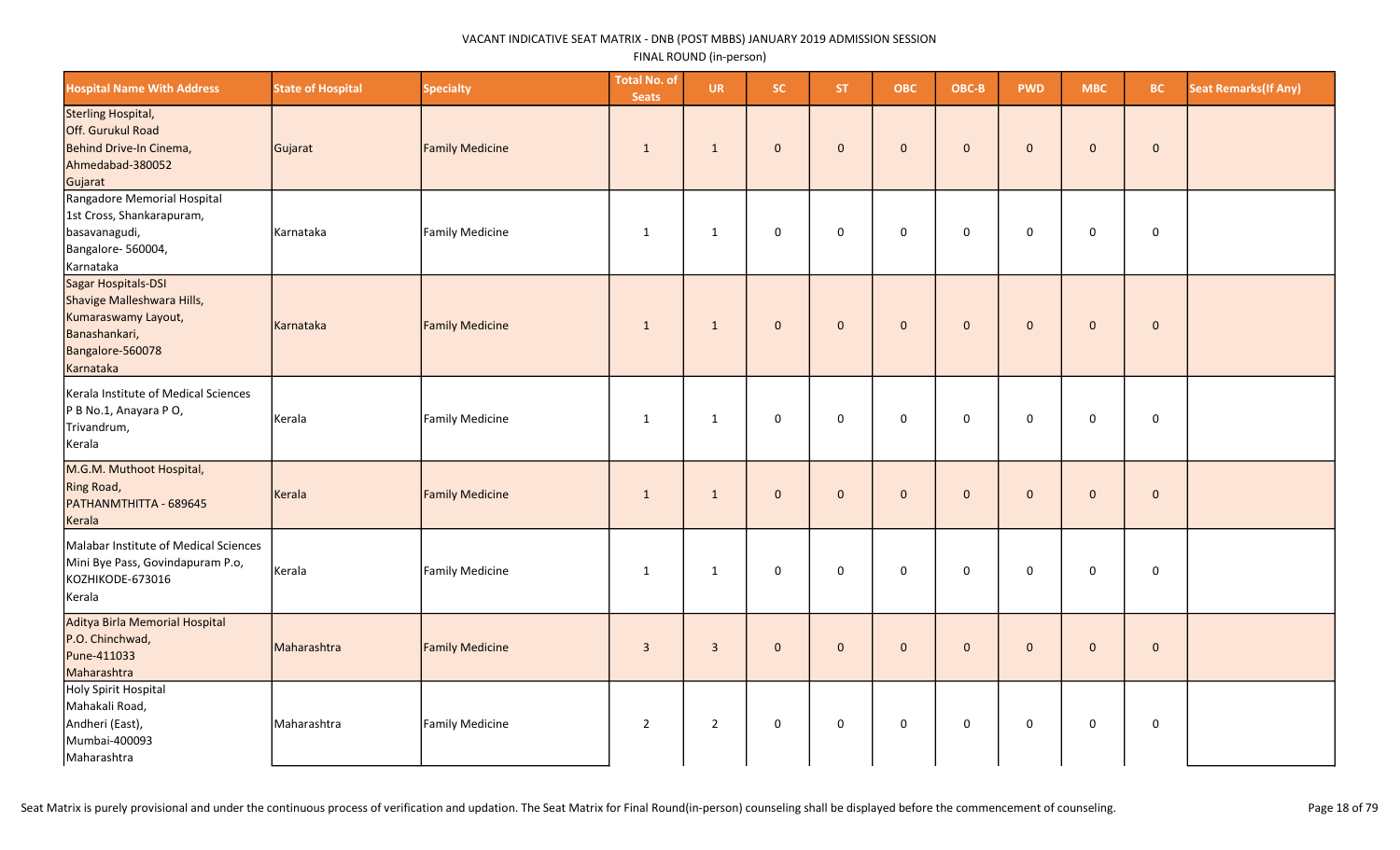| <b>Hospital Name With Address</b>                                                                                          | <b>State of Hospital</b> | <b>Specialty</b>       | <b>Total No. of</b><br><b>Seats</b> | <b>UR</b>      | SC.          | <b>ST</b>      | <b>OBC</b>   | OBC-B        | <b>PWD</b>   | <b>MBC</b>   | BC.         | <b>Seat Remarks (If Any)</b> |
|----------------------------------------------------------------------------------------------------------------------------|--------------------------|------------------------|-------------------------------------|----------------|--------------|----------------|--------------|--------------|--------------|--------------|-------------|------------------------------|
| Sterling Hospital,<br>Off. Gurukul Road<br>Behind Drive-In Cinema,<br>Ahmedabad-380052<br>Gujarat                          | Gujarat                  | <b>Family Medicine</b> | 1                                   | 1              | $\mathbf 0$  | $\mathbf{0}$   | $\mathbf{0}$ | $\mathbf{0}$ | $\mathbf{0}$ | $\mathbf{0}$ | $\mathbf 0$ |                              |
| Rangadore Memorial Hospital<br>1st Cross, Shankarapuram,<br>basavanagudi,<br>Bangalore- 560004,<br>Karnataka               | Karnataka                | Family Medicine        | $\mathbf{1}$                        | $\mathbf{1}$   | $\mathbf 0$  | $\mathbf 0$    | $\mathsf 0$  | $\mathbf 0$  | $\mathbf 0$  | $\mathbf 0$  | $\mathbf 0$ |                              |
| Sagar Hospitals-DSI<br>Shavige Malleshwara Hills,<br>Kumaraswamy Layout,<br>Banashankari,<br>Bangalore-560078<br>Karnataka | Karnataka                | <b>Family Medicine</b> | $\mathbf{1}$                        | $\mathbf{1}$   | $\mathbf{0}$ | $\overline{0}$ | $\mathbf{0}$ | $\mathbf{0}$ | $\mathbf{0}$ | $\mathbf{0}$ | $\mathbf 0$ |                              |
| Kerala Institute of Medical Sciences<br>P B No.1, Anayara P O,<br>Trivandrum,<br>Kerala                                    | Kerala                   | Family Medicine        | $\mathbf{1}$                        | $\mathbf{1}$   | $\mathbf 0$  | $\mathbf 0$    | $\mathsf 0$  | $\mathbf 0$  | $\mathbf 0$  | $\mathbf 0$  | $\mathbf 0$ |                              |
| M.G.M. Muthoot Hospital,<br>Ring Road,<br>PATHANMTHITTA - 689645<br>Kerala                                                 | Kerala                   | <b>Family Medicine</b> | $\mathbf{1}$                        | $\mathbf{1}$   | $\mathbf 0$  | $\mathbf 0$    | $\mathbf{0}$ | $\mathbf{0}$ | $\mathbf 0$  | $\mathbf 0$  | $\pmb{0}$   |                              |
| Malabar Institute of Medical Sciences<br>Mini Bye Pass, Govindapuram P.o,<br>KOZHIKODE-673016<br>Kerala                    | Kerala                   | Family Medicine        | $\mathbf{1}$                        | $\mathbf{1}$   | $\mathbf 0$  | $\mathbf 0$    | $\mathsf 0$  | $\mathsf 0$  | $\mathbf 0$  | $\mathbf 0$  | $\mathbf 0$ |                              |
| Aditya Birla Memorial Hospital<br>P.O. Chinchwad,<br>Pune-411033<br>Maharashtra                                            | Maharashtra              | <b>Family Medicine</b> | $\overline{3}$                      | $\overline{3}$ | $\mathbf 0$  | $\mathbf{0}$   | $\mathbf{0}$ | $\mathbf{0}$ | $\mathbf{0}$ | $\mathbf 0$  | $\mathbf 0$ |                              |
| Holy Spirit Hospital<br>Mahakali Road,<br>Andheri (East),<br>Mumbai-400093<br>Maharashtra                                  | Maharashtra              | Family Medicine        | $\overline{2}$                      | $\overline{2}$ | 0            | $\mathbf 0$    | $\mathsf 0$  | $\mathbf 0$  | $\mathbf 0$  | $\mathbf 0$  | $\mathbf 0$ |                              |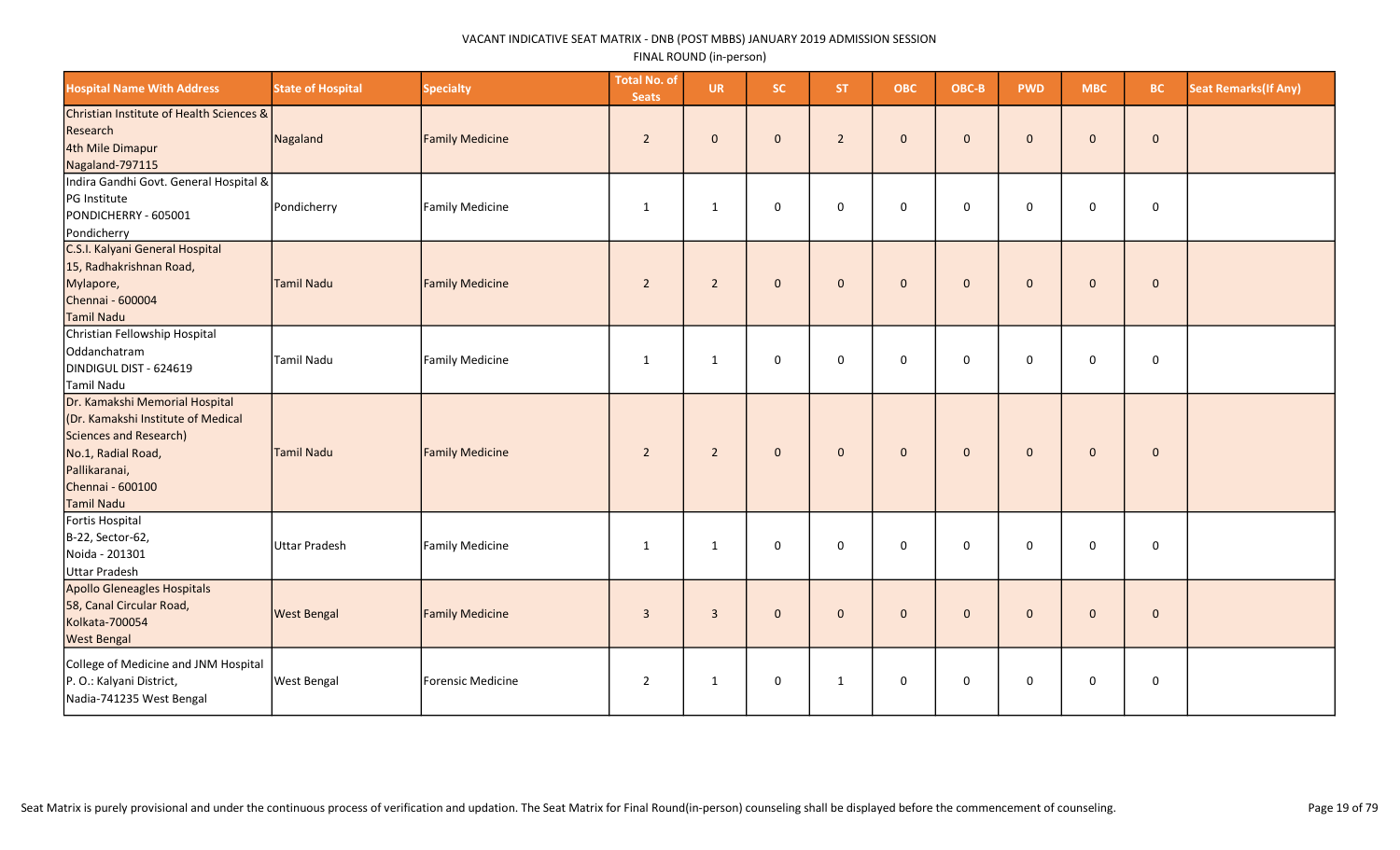| <b>Hospital Name With Address</b>                                                                                                                                       | <b>State of Hospital</b> | <b>Specialty</b>       | <b>Total No. of</b><br><b>Seats</b> | <b>UR</b>      | SC.          | <b>ST</b>      | <b>OBC</b>   | OBC-B        | <b>PWD</b>   | <b>MBC</b>   | <b>BC</b>    | <b>Seat Remarks (If Any)</b> |
|-------------------------------------------------------------------------------------------------------------------------------------------------------------------------|--------------------------|------------------------|-------------------------------------|----------------|--------------|----------------|--------------|--------------|--------------|--------------|--------------|------------------------------|
| Christian Institute of Health Sciences &<br>Research<br>4th Mile Dimapur<br>Nagaland-797115                                                                             | Nagaland                 | <b>Family Medicine</b> | $\overline{2}$                      | $\mathbf{0}$   | $\mathbf{0}$ | $\overline{2}$ | $\mathbf{0}$ | $\mathbf 0$  | $\mathbf{0}$ | $\mathbf 0$  | $\mathbf 0$  |                              |
| Indira Gandhi Govt. General Hospital &<br>PG Institute<br>PONDICHERRY - 605001<br>Pondicherry                                                                           | Pondicherry              | Family Medicine        | 1                                   | 1              | 0            | $\mathbf 0$    | $\mathbf 0$  | $\mathbf 0$  | $\mathbf 0$  | $\mathbf 0$  | $\mathsf 0$  |                              |
| C.S.I. Kalyani General Hospital<br>15, Radhakrishnan Road,<br>Mylapore,<br>Chennai - 600004<br>Tamil Nadu                                                               | Tamil Nadu               | <b>Family Medicine</b> | $\overline{2}$                      | $\overline{2}$ | $\mathbf{0}$ | $\mathbf{0}$   | $\mathbf{0}$ | $\mathbf{0}$ | $\mathbf{0}$ | $\mathbf{0}$ | $\mathbf 0$  |                              |
| Christian Fellowship Hospital<br>Oddanchatram<br>DINDIGUL DIST - 624619<br>Tamil Nadu                                                                                   | Tamil Nadu               | Family Medicine        | 1                                   | $\mathbf{1}$   | $\mathsf 0$  | $\mathbf 0$    | $\mathbf 0$  | $\mathbf 0$  | 0            | 0            | $\mathbf 0$  |                              |
| Dr. Kamakshi Memorial Hospital<br>(Dr. Kamakshi Institute of Medical<br>Sciences and Research)<br>No.1, Radial Road,<br>Pallikaranai,<br>Chennai - 600100<br>Tamil Nadu | Tamil Nadu               | <b>Family Medicine</b> | $\overline{2}$                      | $\overline{2}$ | $\mathbf 0$  | $\mathbf{0}$   | $\mathbf{0}$ | $\mathbf{0}$ | $\mathbf{0}$ | $\mathbf 0$  | $\mathbf 0$  |                              |
| Fortis Hospital<br>B-22, Sector-62,<br>Noida - 201301<br><b>Uttar Pradesh</b>                                                                                           | Uttar Pradesh            | Family Medicine        | 1                                   | $\mathbf{1}$   | $\mathsf 0$  | $\mathbf 0$    | $\mathbf 0$  | $\mathsf 0$  | $\mathbf{0}$ | $\mathsf{O}$ | $\mathbf 0$  |                              |
| Apollo Gleneagles Hospitals<br>58, Canal Circular Road,<br>Kolkata-700054<br><b>West Bengal</b>                                                                         | <b>West Bengal</b>       | <b>Family Medicine</b> | $\overline{3}$                      | $\overline{3}$ | $\mathbf{0}$ | $\mathbf{0}$   | $\mathbf{0}$ | $\mathbf{0}$ | $\mathbf{0}$ | $\mathbf{0}$ | $\mathbf{0}$ |                              |
| College of Medicine and JNM Hospital<br>P. O.: Kalyani District,<br>Nadia-741235 West Bengal                                                                            | <b>West Bengal</b>       | Forensic Medicine      | $\overline{2}$                      | $\mathbf{1}$   | $\mathsf 0$  | 1              | $\mathbf 0$  | $\mathbf 0$  | $\Omega$     | 0            | 0            |                              |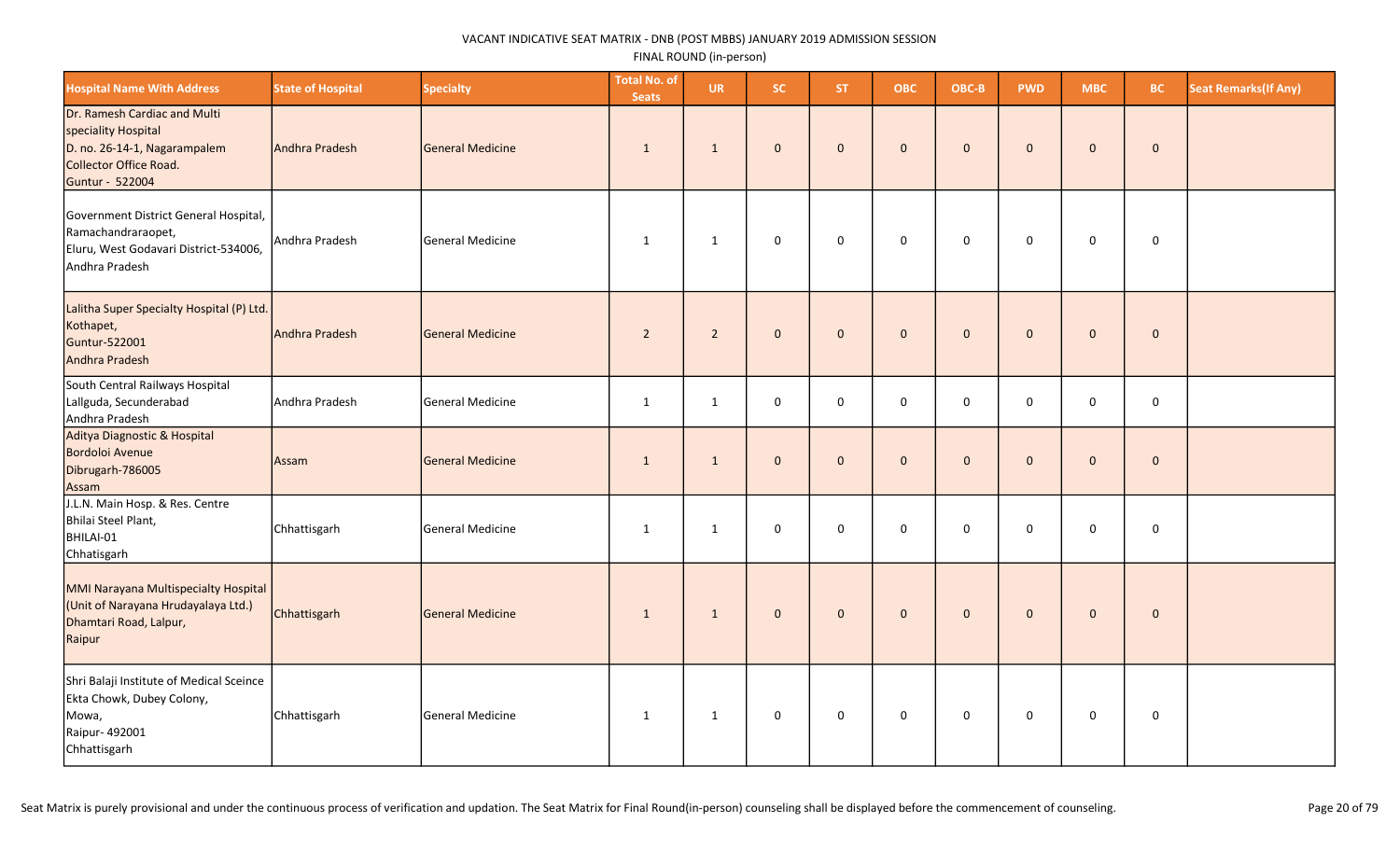| <b>Hospital Name With Address</b>                                                                                                | <b>State of Hospital</b> | <b>Specialty</b>        | <b>Total No. of</b><br><b>Seats</b> | <b>UR</b>      | SC.          | <b>ST</b>    | <b>OBC</b>     | OBC-B        | <b>PWD</b>   | <b>MBC</b>          | <b>BC</b>      | <b>Seat Remarks (If Any)</b> |
|----------------------------------------------------------------------------------------------------------------------------------|--------------------------|-------------------------|-------------------------------------|----------------|--------------|--------------|----------------|--------------|--------------|---------------------|----------------|------------------------------|
| Dr. Ramesh Cardiac and Multi<br>speciality Hospital<br>D. no. 26-14-1, Nagarampalem<br>Collector Office Road.<br>Guntur - 522004 | Andhra Pradesh           | <b>General Medicine</b> | $\mathbf{1}$                        | $\mathbf{1}$   | $\mathbf{0}$ | $\mathbf{0}$ | $\mathbf{0}$   | $\mathbf{0}$ | $\mathbf{0}$ | $\mathbf 0$         | $\mathbf 0$    |                              |
| Government District General Hospital,<br>Ramachandraraopet,<br>Eluru, West Godavari District-534006,<br>Andhra Pradesh           | Andhra Pradesh           | General Medicine        | 1                                   | $\mathbf{1}$   | $\mathbf 0$  | $\mathsf 0$  | $\mathbf 0$    | $\mathsf 0$  | $\mathbf 0$  | $\mathbf 0$         | $\mathsf 0$    |                              |
| Lalitha Super Specialty Hospital (P) Ltd.<br>Kothapet,<br>Guntur-522001<br>Andhra Pradesh                                        | Andhra Pradesh           | General Medicine        | $\overline{2}$                      | $\overline{2}$ | $\mathbf{0}$ | $\mathbf{0}$ | $\mathbf{0}$   | $\pmb{0}$    | $\mathbf{0}$ | $\pmb{0}$           | $\mathbf 0$    |                              |
| South Central Railways Hospital<br>Lallguda, Secunderabad<br>Andhra Pradesh                                                      | Andhra Pradesh           | <b>General Medicine</b> | $\mathbf{1}$                        | 1              | $\mathsf 0$  | $\mathbf 0$  | 0              | $\mathsf 0$  | $\mathbf 0$  | 0                   | $\mathbf 0$    |                              |
| Aditya Diagnostic & Hospital<br>Bordoloi Avenue<br>Dibrugarh-786005<br>Assam                                                     | Assam                    | <b>General Medicine</b> | $\mathbf{1}$                        | $\mathbf{1}$   | $\mathbf{0}$ | $\Omega$     | $\overline{0}$ | $\mathbf 0$  | $\Omega$     | $\mathbf 0$         | $\overline{0}$ |                              |
| J.L.N. Main Hosp. & Res. Centre<br>Bhilai Steel Plant,<br>BHILAI-01<br>Chhatisgarh                                               | Chhattisgarh             | General Medicine        | $\mathbf{1}$                        | $\mathbf{1}$   | $\mathsf 0$  | $\mathbf 0$  | 0              | $\mathbf 0$  | $\mathbf 0$  | 0                   | $\mathbf 0$    |                              |
| MMI Narayana Multispecialty Hospital<br>(Unit of Narayana Hrudayalaya Ltd.)<br>Dhamtari Road, Lalpur,<br>Raipur                  | Chhattisgarh             | General Medicine        | $\mathbf{1}$                        | $\mathbf{1}$   | $\mathbf{0}$ | $\mathbf{0}$ | $\mathbf{0}$   | $\mathbf 0$  | $\Omega$     | $\mathbf 0$         | $\mathbf 0$    |                              |
| Shri Balaji Institute of Medical Sceince<br>Ekta Chowk, Dubey Colony,<br>Mowa,<br>Raipur-492001<br>Chhattisgarh                  | Chhattisgarh             | General Medicine        | 1                                   | $\mathbf{1}$   | $\mathbf 0$  | $\mathbf 0$  | 0              | 0            | $\mathbf 0$  | $\mathsf{O}\xspace$ | 0              |                              |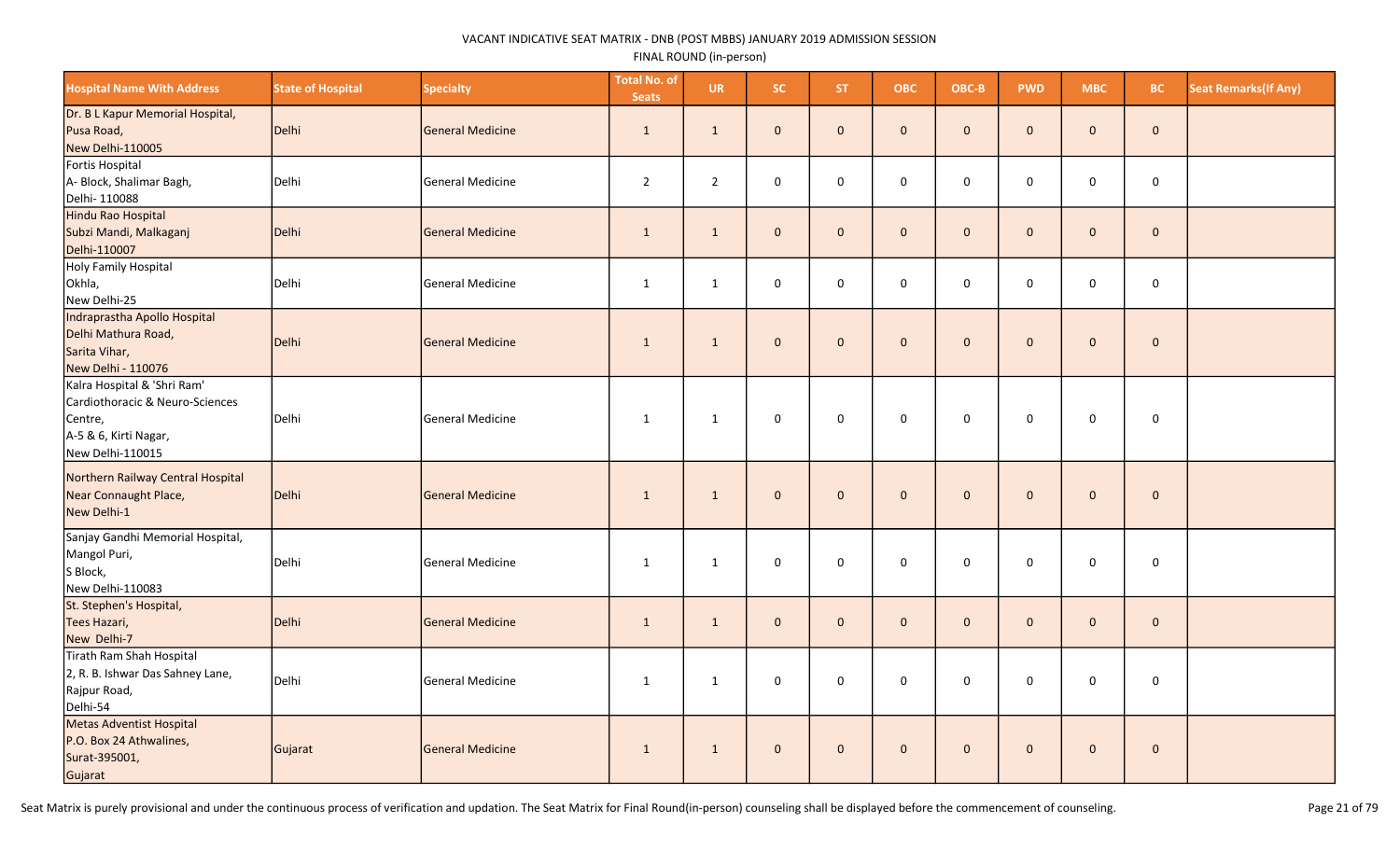| <b>Hospital Name With Address</b>                                                                                      | <b>State of Hospital</b> | <b>Specialty</b>        | <b>Total No. of</b><br><b>Seats</b> | <b>UR</b>      | SC.          | <b>ST</b>    | <b>OBC</b>          | OBC-B        | <b>PWD</b>   | <b>MBC</b>   | <b>BC</b>           | <b>Seat Remarks (If Any)</b> |
|------------------------------------------------------------------------------------------------------------------------|--------------------------|-------------------------|-------------------------------------|----------------|--------------|--------------|---------------------|--------------|--------------|--------------|---------------------|------------------------------|
| Dr. B L Kapur Memorial Hospital,<br>Pusa Road,<br>New Delhi-110005                                                     | Delhi                    | <b>General Medicine</b> | $\mathbf{1}$                        | $\mathbf{1}$   | $\mathbf{0}$ | $\mathbf{0}$ | $\mathbf{0}$        | $\mathbf{0}$ | $\mathbf{0}$ | $\mathbf{0}$ | $\mathbf{0}$        |                              |
| Fortis Hospital<br>A- Block, Shalimar Bagh,<br>Delhi- 110088                                                           | Delhi                    | <b>General Medicine</b> | $\overline{2}$                      | $\overline{2}$ | 0            | $\mathbf 0$  | $\mathsf{O}\xspace$ | $\pmb{0}$    | 0            | 0            | $\mathsf{O}\xspace$ |                              |
| Hindu Rao Hospital<br>Subzi Mandi, Malkaganj<br>Delhi-110007                                                           | Delhi                    | <b>General Medicine</b> | $\mathbf{1}$                        | $\mathbf{1}$   | $\mathbf{0}$ | $\mathbf 0$  | $\mathbf{0}$        | $\mathbf 0$  | $\mathbf{0}$ | $\mathbf{0}$ | $\mathbf 0$         |                              |
| Holy Family Hospital<br>Okhla,<br>New Delhi-25                                                                         | Delhi                    | <b>General Medicine</b> | $\mathbf{1}$                        | $\mathbf{1}$   | 0            | $\Omega$     | $\mathbf 0$         | $\mathsf 0$  | $\Omega$     | 0            | $\mathbf 0$         |                              |
| Indraprastha Apollo Hospital<br>Delhi Mathura Road,<br>Sarita Vihar,<br>New Delhi - 110076                             | Delhi                    | <b>General Medicine</b> | $\mathbf{1}$                        | 1              | $\mathbf 0$  | $\mathbf 0$  | $\mathbf 0$         | $\mathbf{0}$ | $\mathbf{0}$ | $\pmb{0}$    | $\pmb{0}$           |                              |
| Kalra Hospital & 'Shri Ram'<br>Cardiothoracic & Neuro-Sciences<br>Centre,<br>A-5 & 6, Kirti Nagar,<br>New Delhi-110015 | Delhi                    | <b>General Medicine</b> | 1                                   | $\mathbf{1}$   | $\mathbf 0$  | $\mathbf 0$  | $\mathbf 0$         | $\mathbf 0$  | $\mathbf 0$  | $\mathbf 0$  | $\pmb{0}$           |                              |
| Northern Railway Central Hospital<br>Near Connaught Place,<br>New Delhi-1                                              | Delhi                    | <b>General Medicine</b> | $\mathbf{1}$                        | 1              | $\mathbf{0}$ | $\mathbf 0$  | $\mathbf 0$         | $\mathbf{0}$ | $\mathbf{0}$ | $\mathbf 0$  | $\mathbf 0$         |                              |
| Sanjay Gandhi Memorial Hospital,<br>Mangol Puri,<br>S Block,<br>New Delhi-110083                                       | Delhi                    | General Medicine        | $\mathbf{1}$                        | $\mathbf{1}$   | $\mathbf 0$  | $\mathbf 0$  | $\mathbf 0$         | $\mathbf 0$  | 0            | 0            | $\mathbf 0$         |                              |
| St. Stephen's Hospital,<br>Tees Hazari,<br>New Delhi-7                                                                 | Delhi                    | <b>General Medicine</b> | $\mathbf{1}$                        | 1              | $\mathbf{0}$ | $\mathbf{0}$ | $\mathbf{0}$        | $\mathbf{0}$ | $\mathbf{0}$ | $\mathbf{0}$ | $\mathbf{0}$        |                              |
| Tirath Ram Shah Hospital<br>2, R. B. Ishwar Das Sahney Lane,<br>Rajpur Road,<br>Delhi-54                               | Delhi                    | <b>General Medicine</b> | $\mathbf{1}$                        | $\mathbf{1}$   | $\mathbf 0$  | $\mathbf 0$  | $\mathbf 0$         | $\mathbf 0$  | 0            | 0            | $\mathbf 0$         |                              |
| Metas Adventist Hospital<br>P.O. Box 24 Athwalines,<br>Surat-395001,<br>Gujarat                                        | Gujarat                  | General Medicine        | $\mathbf{1}$                        | $\mathbf{1}$   | $\mathbf 0$  | $\mathbf 0$  | $\pmb{0}$           | $\mathbf{0}$ | $\mathbf{0}$ | $\mathbf 0$  | $\pmb{0}$           |                              |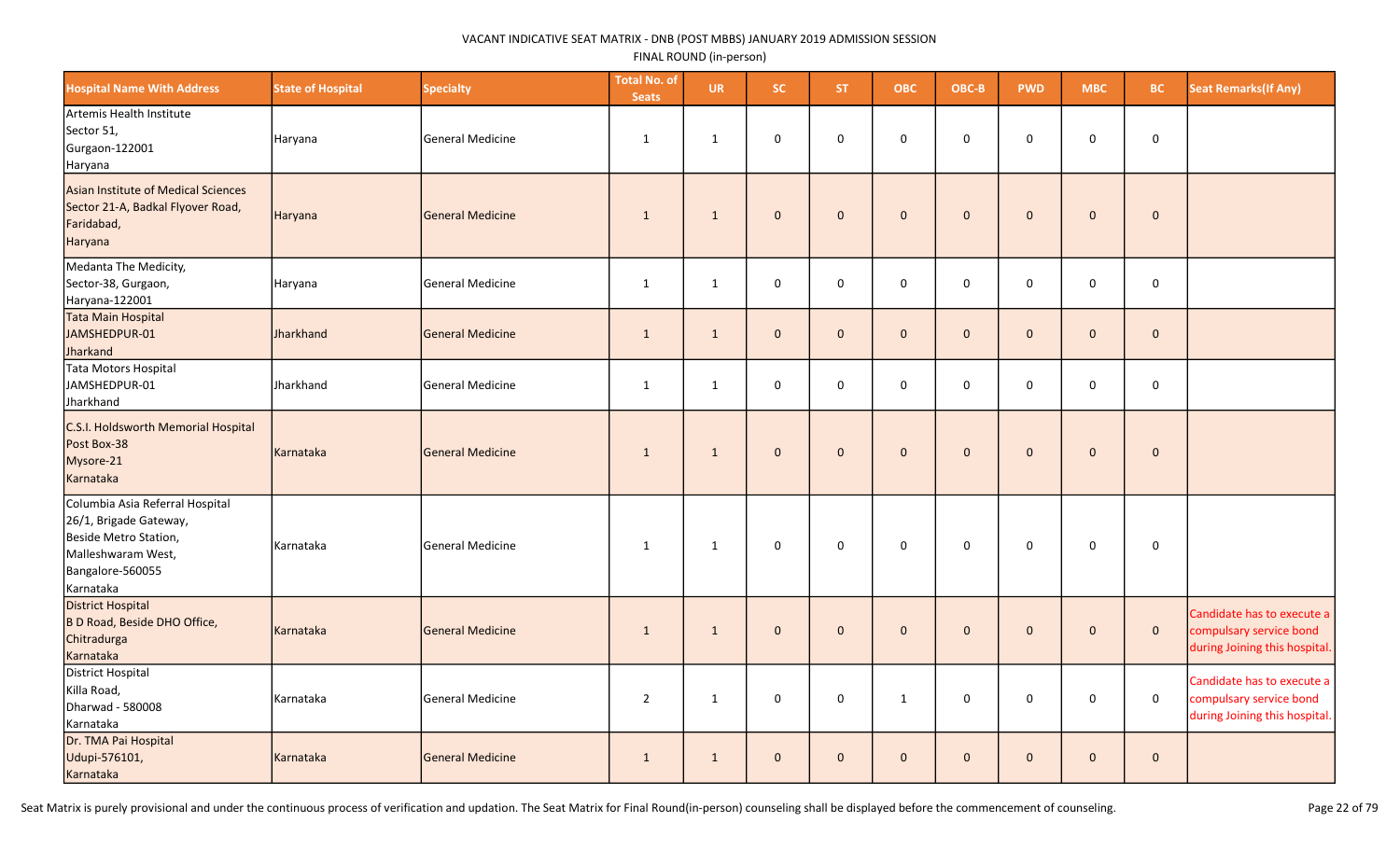| <b>Hospital Name With Address</b>                                                                                                         | <b>State of Hospital</b> | <b>Specialty</b>        | <b>Total No. of</b><br><b>Seats</b> | <b>UR</b>    | SC.          | ST.          | <b>OBC</b>          | OBC-B        | <b>PWD</b>   | <b>MBC</b>   | BC.         | <b>Seat Remarks (If Any)</b>                                                           |
|-------------------------------------------------------------------------------------------------------------------------------------------|--------------------------|-------------------------|-------------------------------------|--------------|--------------|--------------|---------------------|--------------|--------------|--------------|-------------|----------------------------------------------------------------------------------------|
| Artemis Health Institute<br>Sector 51,<br>Gurgaon-122001<br>Haryana                                                                       | Haryana                  | <b>General Medicine</b> | 1                                   | $\mathbf{1}$ | $\mathsf 0$  | $\mathbf 0$  | 0                   | $\mathbf 0$  | $\mathbf 0$  | 0            | $\mathbf 0$ |                                                                                        |
| Asian Institute of Medical Sciences<br>Sector 21-A, Badkal Flyover Road,<br>Faridabad,<br>Haryana                                         | Haryana                  | <b>General Medicine</b> | $\mathbf{1}$                        | $\mathbf{1}$ | $\mathbf 0$  | $\mathbf{0}$ | $\mathbf 0$         | $\mathbf 0$  | $\mathbf{0}$ | $\mathbf 0$  | $\pmb{0}$   |                                                                                        |
| Medanta The Medicity,<br>Sector-38, Gurgaon,<br>Haryana-122001                                                                            | Haryana                  | <b>General Medicine</b> | $\mathbf{1}$                        | $\mathbf{1}$ | $\mathsf 0$  | $\mathbf 0$  | 0                   | $\mathsf 0$  | $\mathbf 0$  | 0            | $\mathsf 0$ |                                                                                        |
| Tata Main Hospital<br>JAMSHEDPUR-01<br>Jharkand                                                                                           | Jharkhand                | <b>General Medicine</b> | $\mathbf{1}$                        | $\mathbf{1}$ | $\mathbf 0$  | $\mathbf 0$  | $\mathsf{O}\xspace$ | $\mathbf 0$  | $\mathbf 0$  | $\mathbf 0$  | $\pmb{0}$   |                                                                                        |
| Tata Motors Hospital<br>JAMSHEDPUR-01<br>Jharkhand                                                                                        | Jharkhand                | <b>General Medicine</b> | $\mathbf{1}$                        | $\mathbf{1}$ | $\mathsf 0$  | $\mathbf 0$  | 0                   | $\mathsf 0$  | $\mathbf 0$  | 0            | $\mathbf 0$ |                                                                                        |
| C.S.I. Holdsworth Memorial Hospital<br>Post Box-38<br>Mysore-21<br>Karnataka                                                              | Karnataka                | <b>General Medicine</b> | $\mathbf{1}$                        | $\mathbf{1}$ | $\mathbf 0$  | $\mathbf{0}$ | $\mathbf 0$         | $\mathbf 0$  | $\mathbf{0}$ | $\mathbf 0$  | $\pmb{0}$   |                                                                                        |
| Columbia Asia Referral Hospital<br>26/1, Brigade Gateway,<br>Beside Metro Station,<br>Malleshwaram West,<br>Bangalore-560055<br>Karnataka | Karnataka                | <b>General Medicine</b> | 1                                   | $\mathbf{1}$ | $\mathsf 0$  | $\mathbf 0$  | $\mathbf 0$         | $\mathsf 0$  | $\mathsf 0$  | $\pmb{0}$    | $\mathsf 0$ |                                                                                        |
| <b>District Hospital</b><br>B D Road, Beside DHO Office,<br>Chitradurga<br>Karnataka                                                      | Karnataka                | <b>General Medicine</b> | $\mathbf{1}$                        | $\mathbf{1}$ | $\mathbf{0}$ | $\mathbf{0}$ | $\mathbf{O}$        | $\mathbf 0$  | $\mathbf{0}$ | $\mathbf 0$  | $\mathbf 0$ | Candidate has to execute a<br>compulsary service bond<br>during Joining this hospital. |
| District Hospital<br>Killa Road,<br>Dharwad - 580008<br>Karnataka                                                                         | Karnataka                | <b>General Medicine</b> | $\overline{2}$                      | $\mathbf{1}$ | $\mathsf 0$  | 0            | 1                   | $\mathsf 0$  | 0            | 0            | $\mathbf 0$ | Candidate has to execute a<br>compulsary service bond<br>during Joining this hospital. |
| Dr. TMA Pai Hospital<br>Udupi-576101,<br>Karnataka                                                                                        | Karnataka                | <b>General Medicine</b> | $\mathbf{1}$                        | $\mathbf{1}$ | $\mathbf{0}$ | $\Omega$     | $\mathbf{0}$        | $\mathbf{0}$ | $\Omega$     | $\mathbf{0}$ | $\mathbf 0$ |                                                                                        |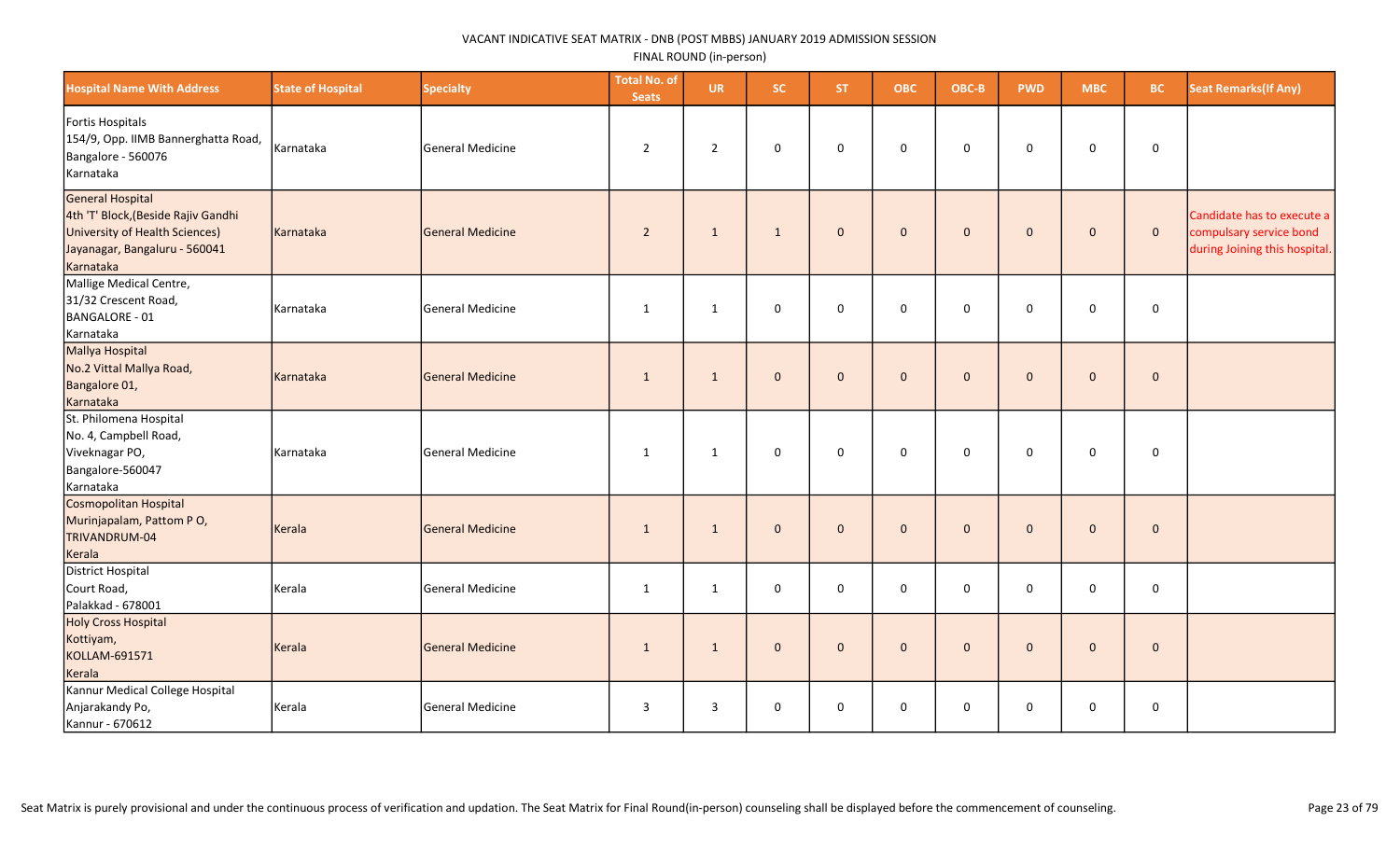| <b>Hospital Name With Address</b>                                                                                                       | <b>State of Hospital</b> | <b>Specialty</b> | <b>Total No. of</b><br><b>Seats</b> | <b>UR</b>      | SC.          | ST.          | <b>OBC</b>   | OBC-B        | <b>PWD</b>   | <b>MBC</b>   | <b>BC</b>   | <b>Seat Remarks (If Any)</b>                                                           |
|-----------------------------------------------------------------------------------------------------------------------------------------|--------------------------|------------------|-------------------------------------|----------------|--------------|--------------|--------------|--------------|--------------|--------------|-------------|----------------------------------------------------------------------------------------|
| Fortis Hospitals<br>154/9, Opp. IIMB Bannerghatta Road,<br>Bangalore - 560076<br>Karnataka                                              | Karnataka                | General Medicine | $\overline{2}$                      | $\overline{2}$ | 0            | 0            | $\mathbf 0$  | $\mathbf 0$  | 0            | 0            | $\mathbf 0$ |                                                                                        |
| General Hospital<br>4th 'T' Block, (Beside Rajiv Gandhi<br>University of Health Sciences)<br>Jayanagar, Bangaluru - 560041<br>Karnataka | Karnataka                | General Medicine | $\overline{2}$                      | 1              | $\mathbf{1}$ | $\mathbf{0}$ | $\mathbf{0}$ | $\mathbf 0$  | $\mathbf{0}$ | $\mathbf{0}$ | $\mathbf 0$ | Candidate has to execute a<br>compulsary service bond<br>during Joining this hospital. |
| Mallige Medical Centre,<br>31/32 Crescent Road,<br>BANGALORE - 01<br>Karnataka                                                          | Karnataka                | General Medicine | 1                                   | $\mathbf{1}$   | $\mathsf 0$  | $\mathbf 0$  | $\mathbf 0$  | $\mathbf 0$  | $\mathbf 0$  | $\mathsf{O}$ | $\mathsf 0$ |                                                                                        |
| Mallya Hospital<br>No.2 Vittal Mallya Road,<br>Bangalore 01,<br>Karnataka                                                               | Karnataka                | General Medicine | $\mathbf{1}$                        | $\mathbf{1}$   | $\mathbf 0$  | $\mathbf{0}$ | $\mathbf{0}$ | $\mathbf 0$  | $\mathbf{0}$ | $\mathbf 0$  | $\mathbf 0$ |                                                                                        |
| St. Philomena Hospital<br>No. 4, Campbell Road,<br>Viveknagar PO,<br>Bangalore-560047<br>Karnataka                                      | Karnataka                | General Medicine | 1                                   | $\mathbf{1}$   | 0            | $\mathbf 0$  | $\mathbf 0$  | 0            | $\mathbf 0$  | 0            | $\mathbf 0$ |                                                                                        |
| Cosmopolitan Hospital<br>Murinjapalam, Pattom PO,<br>TRIVANDRUM-04<br>Kerala                                                            | Kerala                   | General Medicine | 1                                   | $\mathbf{1}$   | $\mathbf{0}$ | $\mathbf{0}$ | $\mathbf{0}$ | $\mathbf 0$  | $\mathbf{0}$ | $\mathbf 0$  | $\mathbf 0$ |                                                                                        |
| District Hospital<br>Court Road,<br>Palakkad - 678001                                                                                   | Kerala                   | General Medicine | 1                                   | $\mathbf{1}$   | $\mathsf 0$  | $\mathbf 0$  | $\mathbf 0$  | $\mathbf 0$  | $\mathbf 0$  | 0            | $\mathbf 0$ |                                                                                        |
| Holy Cross Hospital<br>Kottiyam,<br>KOLLAM-691571<br>Kerala                                                                             | Kerala                   | General Medicine | 1                                   | 1              | $\mathbf{0}$ | $\mathbf{0}$ | $\mathbf{0}$ | $\mathbf{0}$ | $\Omega$     | $\mathbf{0}$ | $\mathbf 0$ |                                                                                        |
| Kannur Medical College Hospital<br>Anjarakandy Po,<br>Kannur - 670612                                                                   | Kerala                   | General Medicine | $\overline{3}$                      | 3              | 0            | 0            | $\mathbf 0$  | 0            | 0            | 0            | 0           |                                                                                        |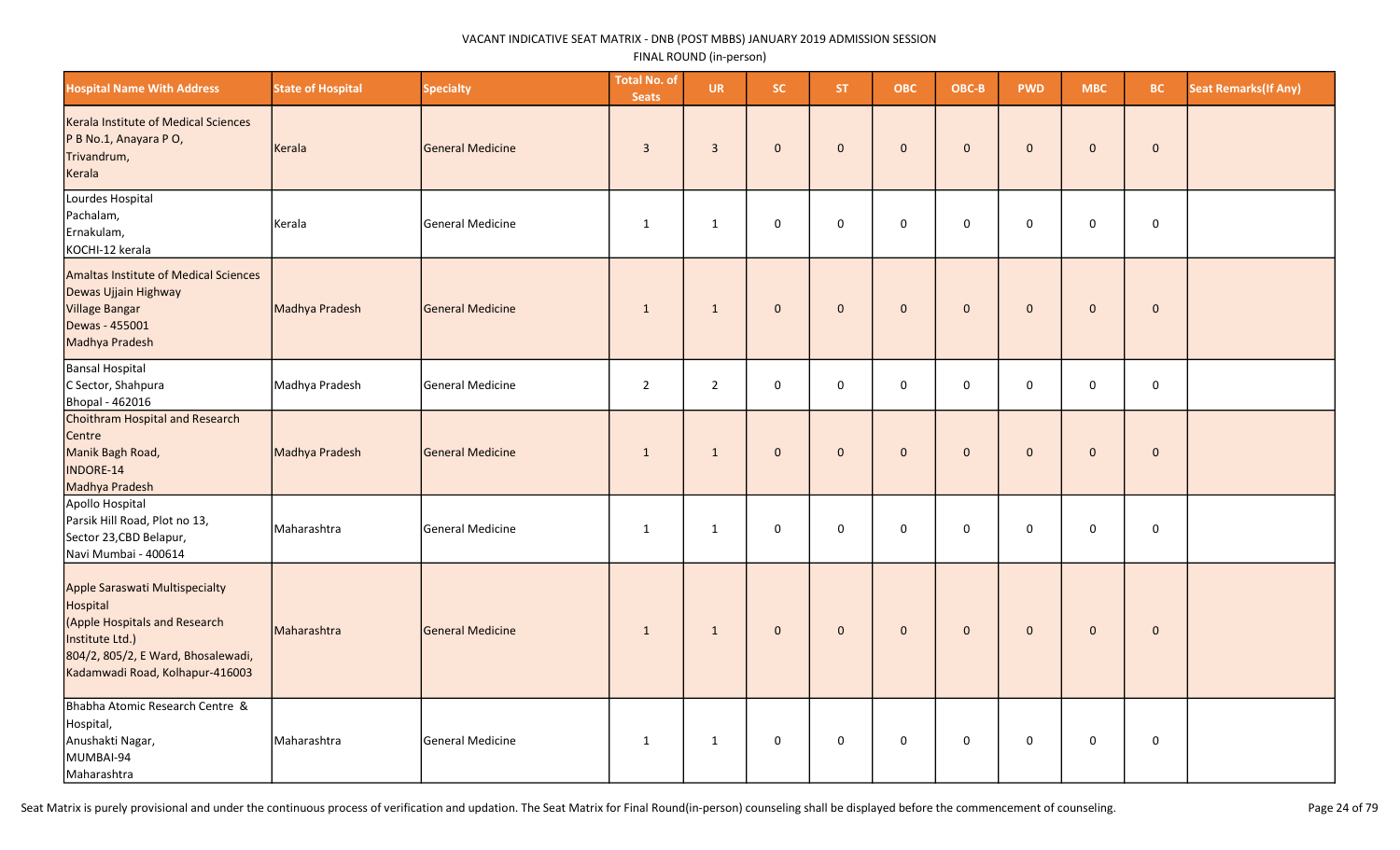| <b>Hospital Name With Address</b>                                                                                                                                       | <b>State of Hospital</b> | <b>Specialty</b> | <b>Total No. of</b><br><b>Seats</b> | <b>UR</b>      | <b>SC</b>    | ST.          | <b>OBC</b>   | OBC-B        | <b>PWD</b>   | <b>MBC</b>   | <b>BC</b>    | <b>Seat Remarks (If Any)</b> |
|-------------------------------------------------------------------------------------------------------------------------------------------------------------------------|--------------------------|------------------|-------------------------------------|----------------|--------------|--------------|--------------|--------------|--------------|--------------|--------------|------------------------------|
| Kerala Institute of Medical Sciences<br>P B No.1, Anayara P O,<br>Trivandrum,<br>Kerala                                                                                 | Kerala                   | General Medicine | $\overline{3}$                      | $\overline{3}$ | $\mathbf{0}$ | $\mathbf{0}$ | $\mathbf{0}$ | $\mathbf{0}$ | $\mathbf{0}$ | $\mathbf{0}$ | $\mathbf{0}$ |                              |
| Lourdes Hospital<br>Pachalam,<br>Ernakulam,<br>KOCHI-12 kerala                                                                                                          | Kerala                   | General Medicine | $\mathbf{1}$                        | $\mathbf{1}$   | $\mathbf 0$  | $\Omega$     | $\mathbf 0$  | $\mathbf 0$  | $\mathbf 0$  | 0            | $\mathbf 0$  |                              |
| Amaltas Institute of Medical Sciences<br>Dewas Ujjain Highway<br>Village Bangar<br>Dewas - 455001<br>Madhya Pradesh                                                     | Madhya Pradesh           | General Medicine | $\mathbf{1}$                        | $\mathbf{1}$   | $\mathbf 0$  | $\mathbf 0$  | $\mathbf{0}$ | $\pmb{0}$    | $\mathbf 0$  | $\pmb{0}$    | $\pmb{0}$    |                              |
| Bansal Hospital<br>C Sector, Shahpura<br>Bhopal - 462016                                                                                                                | Madhya Pradesh           | General Medicine | $\overline{2}$                      | $\overline{2}$ | 0            | 0            | $\mathbf 0$  | $\mathbf 0$  | $\mathbf 0$  | 0            | $\mathbf 0$  |                              |
| Choithram Hospital and Research<br>Centre<br>Manik Bagh Road,<br>INDORE-14<br>Madhya Pradesh                                                                            | Madhya Pradesh           | General Medicine | $\mathbf{1}$                        | $\mathbf{1}$   | $\mathbf 0$  | $\mathbf{0}$ | $\mathbf 0$  | $\mathbf{0}$ | $\mathbf{0}$ | $\mathbf{0}$ | $\mathbf 0$  |                              |
| Apollo Hospital<br>Parsik Hill Road, Plot no 13,<br>Sector 23, CBD Belapur,<br>Navi Mumbai - 400614                                                                     | Maharashtra              | General Medicine | $\mathbf{1}$                        | $\mathbf{1}$   | 0            | $\Omega$     | $\mathbf 0$  | $\Omega$     | 0            | 0            | $\mathbf 0$  |                              |
| Apple Saraswati Multispecialty<br>Hospital<br>(Apple Hospitals and Research<br>Institute Ltd.)<br>804/2, 805/2, E Ward, Bhosalewadi,<br>Kadamwadi Road, Kolhapur-416003 | Maharashtra              | General Medicine | 1                                   | $\mathbf{1}$   | $\mathbf 0$  | $\mathbf 0$  | $\mathbf{0}$ | $\mathbf 0$  | $\mathbf 0$  | $\mathbf 0$  | $\mathbf 0$  |                              |
| Bhabha Atomic Research Centre &<br>Hospital,<br>Anushakti Nagar,<br>MUMBAI-94<br>Maharashtra                                                                            | Maharashtra              | General Medicine | $\mathbf{1}$                        | $\mathbf{1}$   | 0            | $\mathbf 0$  | $\mathbf 0$  | $\mathbf 0$  | 0            | 0            | $\mathsf 0$  |                              |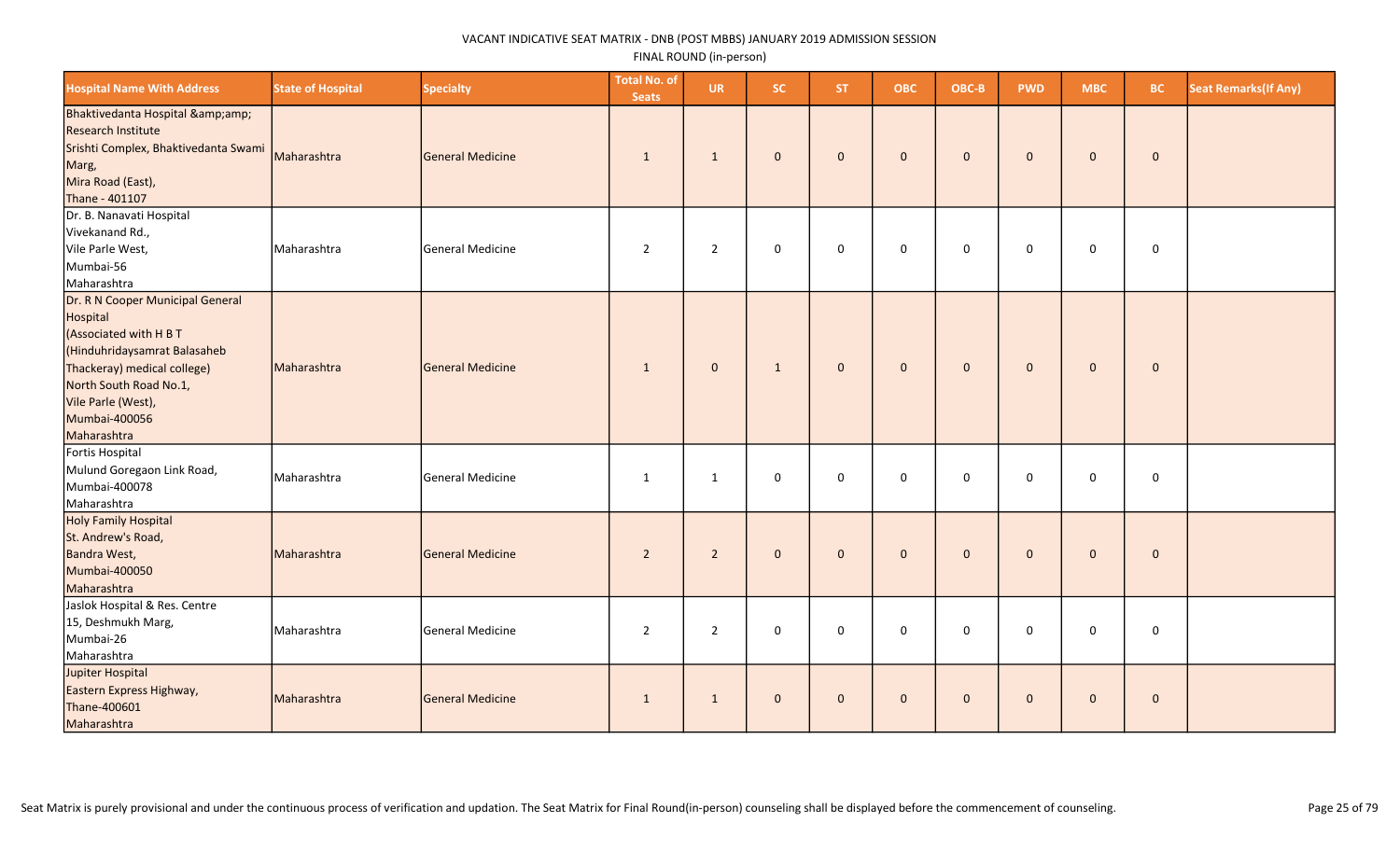| <b>Hospital Name With Address</b>                                                                                                                                                                                     | <b>State of Hospital</b> | <b>Specialty</b> | <b>Total No. of</b><br><b>Seats</b> | <b>UR</b>      | <b>SC</b>    | ST.            | <b>OBC</b>   | OBC-B        | <b>PWD</b>   | <b>MBC</b>   | <b>BC</b>    | <b>Seat Remarks(If Any)</b> |
|-----------------------------------------------------------------------------------------------------------------------------------------------------------------------------------------------------------------------|--------------------------|------------------|-------------------------------------|----------------|--------------|----------------|--------------|--------------|--------------|--------------|--------------|-----------------------------|
| Bhaktivedanta Hospital &<br>Research Institute<br>Srishti Complex, Bhaktivedanta Swami<br>Marg,<br>Mira Road (East),<br>Thane - 401107                                                                                | Maharashtra              | General Medicine | $\mathbf{1}$                        | $\mathbf{1}$   | $\mathbf 0$  | $\mathbf 0$    | $\mathbf 0$  | $\mathbf{0}$ | $\mathbf{0}$ | $\mathbf 0$  | $\pmb{0}$    |                             |
| Dr. B. Nanavati Hospital<br>Vivekanand Rd.,<br>Vile Parle West,<br>Mumbai-56<br>Maharashtra                                                                                                                           | Maharashtra              | General Medicine | 2                                   | $\overline{2}$ | 0            | $\mathbf 0$    | 0            | 0            | $\mathbf 0$  | $\mathbf 0$  | $\mathbf 0$  |                             |
| Dr. R N Cooper Municipal General<br>Hospital<br>(Associated with H B T<br>(Hinduhridaysamrat Balasaheb<br>Thackeray) medical college)<br>North South Road No.1,<br>Vile Parle (West),<br>Mumbai-400056<br>Maharashtra | Maharashtra              | General Medicine | $\mathbf{1}$                        | $\mathbf 0$    | $\mathbf{1}$ | $\mathbf 0$    | $\mathbf 0$  | $\mathbf{0}$ | $\mathbf{0}$ | $\mathbf{0}$ | $\mathbf 0$  |                             |
| Fortis Hospital<br>Mulund Goregaon Link Road,<br>Mumbai-400078<br>Maharashtra                                                                                                                                         | Maharashtra              | General Medicine | $\mathbf{1}$                        | $\mathbf{1}$   | $\mathbf 0$  | $\Omega$       | $\mathsf 0$  | $\mathbf 0$  | $\mathbf 0$  | $\mathbf 0$  | $\pmb{0}$    |                             |
| Holy Family Hospital<br>St. Andrew's Road,<br><b>Bandra West,</b><br>Mumbai-400050<br>Maharashtra                                                                                                                     | Maharashtra              | General Medicine | $\overline{2}$                      | $\overline{2}$ | $\mathbf{0}$ | $\overline{0}$ | $\mathbf{0}$ | $\mathbf{0}$ | $\mathbf{0}$ | $\mathbf{0}$ | $\mathbf{0}$ |                             |
| Jaslok Hospital & Res. Centre<br>15, Deshmukh Marg,<br>Mumbai-26<br>Maharashtra                                                                                                                                       | Maharashtra              | General Medicine | $\overline{2}$                      | $\overline{2}$ | $\mathbf 0$  | $\mathbf 0$    | $\mathbf 0$  | $\mathbf 0$  | $\Omega$     | $\mathbf 0$  | $\mathbf 0$  |                             |
| Jupiter Hospital<br>Eastern Express Highway,<br>Thane-400601<br>Maharashtra                                                                                                                                           | Maharashtra              | General Medicine | $\mathbf{1}$                        | $\mathbf{1}$   | $\mathbf{0}$ | $\mathbf{0}$   | $\mathbf{0}$ | $\mathbf{0}$ | $\mathbf{0}$ | $\mathbf{0}$ | $\mathbf 0$  |                             |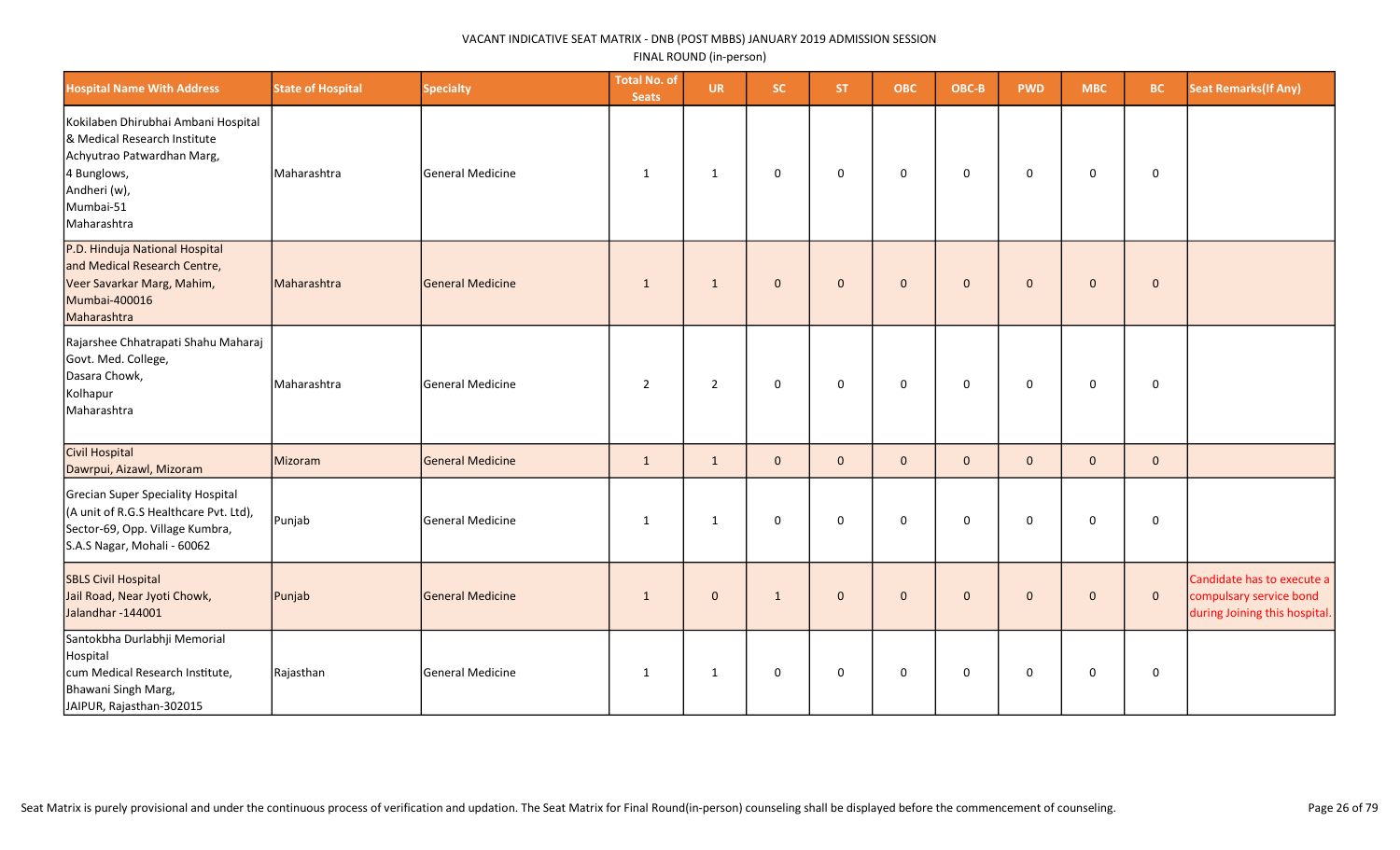| <b>Hospital Name With Address</b>                                                                                                                            | <b>State of Hospital</b> | <b>Specialty</b>        | <b>Total No. of</b><br><b>Seats</b> | <b>UR</b>      | <b>SC</b>    | ST.         | <b>OBC</b>   | OBC-B        | <b>PWD</b>   | <b>MBC</b>   | <b>BC</b>    | <b>Seat Remarks (If Any)</b>                                                           |
|--------------------------------------------------------------------------------------------------------------------------------------------------------------|--------------------------|-------------------------|-------------------------------------|----------------|--------------|-------------|--------------|--------------|--------------|--------------|--------------|----------------------------------------------------------------------------------------|
| Kokilaben Dhirubhai Ambani Hospital<br>& Medical Research Institute<br>Achyutrao Patwardhan Marg,<br>4 Bunglows,<br>Andheri (w),<br>Mumbai-51<br>Maharashtra | Maharashtra              | General Medicine        | 1                                   | $\mathbf{1}$   | 0            | $\mathbf 0$ | 0            | $\mathbf 0$  | $\mathbf 0$  | 0            | 0            |                                                                                        |
| P.D. Hinduja National Hospital<br>and Medical Research Centre,<br>Veer Savarkar Marg, Mahim,<br>Mumbai-400016<br>Maharashtra                                 | Maharashtra              | General Medicine        | $\mathbf{1}$                        | $\mathbf{1}$   | $\mathbf{0}$ | $\mathbf 0$ | $\mathbf 0$  | $\mathbf{0}$ | $\mathbf{0}$ | $\mathbf 0$  | $\mathbf 0$  |                                                                                        |
| Rajarshee Chhatrapati Shahu Maharaj<br>Govt. Med. College,<br>Dasara Chowk,<br>Kolhapur<br>Maharashtra                                                       | Maharashtra              | <b>General Medicine</b> | $\overline{2}$                      | $\overline{2}$ | 0            | $\mathbf 0$ | $\mathbf 0$  | $\mathbf 0$  | $\mathbf 0$  | $\mathbf 0$  | $\mathbf 0$  |                                                                                        |
| Civil Hospital<br>Dawrpui, Aizawl, Mizoram                                                                                                                   | Mizoram                  | <b>General Medicine</b> | $\mathbf{1}$                        | 1              | $\mathbf{0}$ | $\Omega$    | $\mathbf{0}$ | $\mathbf{0}$ | $\Omega$     | $\mathbf{0}$ | $\mathbf{0}$ |                                                                                        |
| Grecian Super Speciality Hospital<br>(A unit of R.G.S Healthcare Pvt. Ltd),<br>Sector-69, Opp. Village Kumbra,<br>S.A.S Nagar, Mohali - 60062                | Punjab                   | <b>General Medicine</b> | $\mathbf{1}$                        | 1              | 0            | $\mathbf 0$ | $\mathsf 0$  | $\mathbf 0$  | $\mathbf 0$  | 0            | 0            |                                                                                        |
| SBLS Civil Hospital<br>Jail Road, Near Jyoti Chowk,<br>Jalandhar-144001                                                                                      | Punjab                   | General Medicine        | $\mathbf{1}$                        | $\mathbf 0$    | $\mathbf{1}$ | $\mathbf 0$ | $\mathbf 0$  | $\pmb{0}$    | $\mathbf{0}$ | $\mathbf 0$  | $\mathbf 0$  | Candidate has to execute a<br>compulsary service bond<br>during Joining this hospital. |
| Santokbha Durlabhji Memorial<br>Hospital<br>cum Medical Research Institute,<br>Bhawani Singh Marg,<br>JAIPUR, Rajasthan-302015                               | Rajasthan                | General Medicine        | $\mathbf{1}$                        | $\mathbf{1}$   | 0            | $\mathbf 0$ | $\mathbf 0$  | $\mathsf 0$  | 0            | $\mathbf 0$  | $\pmb{0}$    |                                                                                        |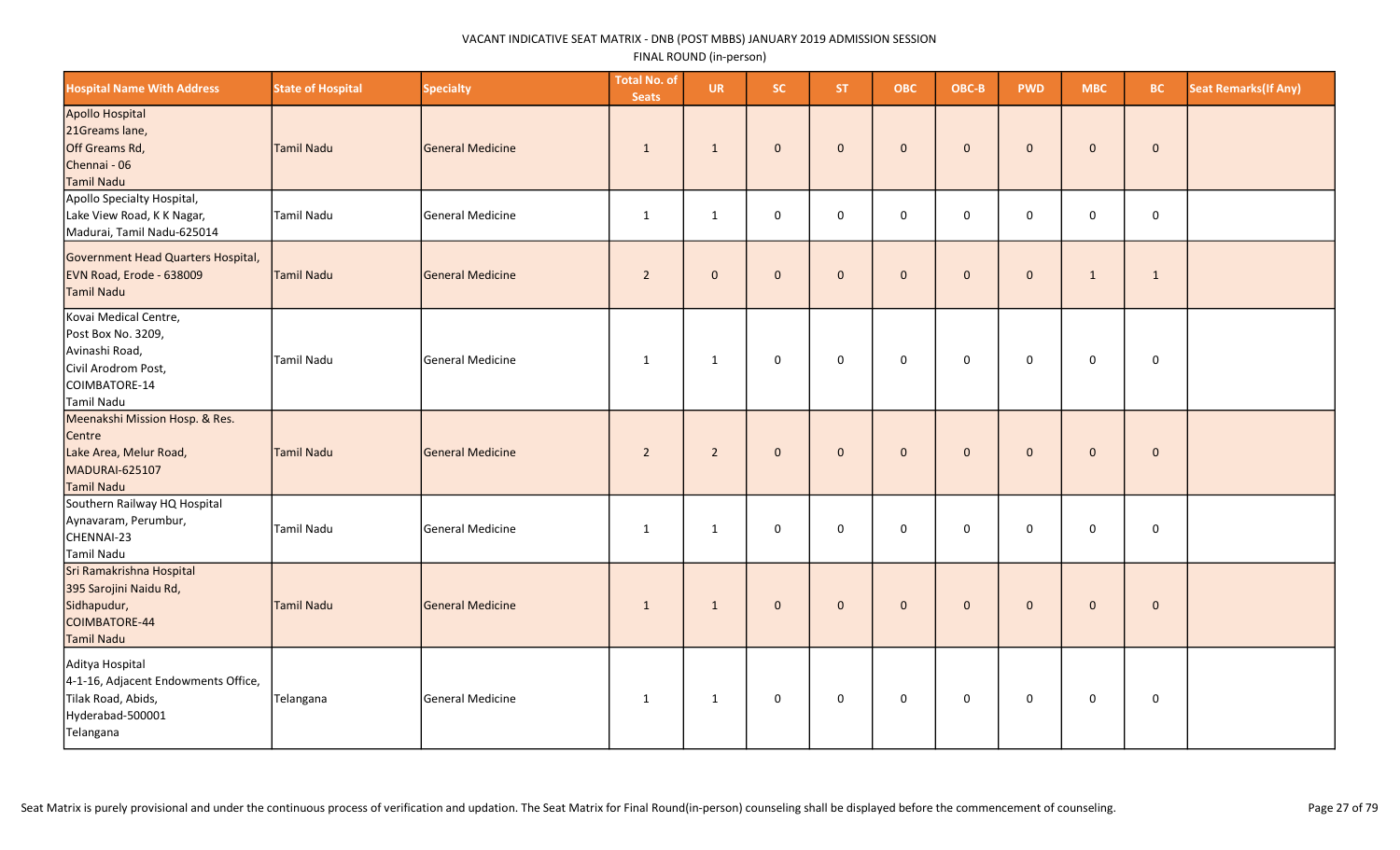| <b>Hospital Name With Address</b>                                                                                   | <b>State of Hospital</b> | <b>Specialty</b>        | <b>Total No. of</b><br><b>Seats</b> | <b>UR</b>    | SC.          | <b>ST</b>    | <b>OBC</b>   | OBC-B       | <b>PWD</b>   | <b>MBC</b>   | <b>BC</b>    | <b>Seat Remarks (If Any)</b> |
|---------------------------------------------------------------------------------------------------------------------|--------------------------|-------------------------|-------------------------------------|--------------|--------------|--------------|--------------|-------------|--------------|--------------|--------------|------------------------------|
| Apollo Hospital<br>21Greams lane,<br>Off Greams Rd,<br>Chennai - 06<br>Tamil Nadu                                   | <b>Tamil Nadu</b>        | General Medicine        | $\mathbf{1}$                        | $\mathbf{1}$ | $\mathbf 0$  | $\mathbf{0}$ | $\mathbf{0}$ | $\mathbf 0$ | $\mathbf{0}$ | $\mathbf 0$  | $\bf{0}$     |                              |
| Apollo Specialty Hospital,<br>Lake View Road, K K Nagar,<br>Madurai, Tamil Nadu-625014                              | <b>Tamil Nadu</b>        | General Medicine        | $\mathbf{1}$                        | $\mathbf{1}$ | $\mathbf 0$  | $\Omega$     | $\mathbf 0$  | $\mathbf 0$ | $\mathbf 0$  | $\mathbf 0$  | $\mathbf 0$  |                              |
| Government Head Quarters Hospital,<br>EVN Road, Erode - 638009<br>Tamil Nadu                                        | <b>Tamil Nadu</b>        | General Medicine        | $\overline{2}$                      | $\mathbf{0}$ | $\mathbf 0$  | $\mathbf 0$  | $\mathbf 0$  | $\mathbf 0$ | $\mathbf{0}$ | $\mathbf{1}$ | $\mathbf{1}$ |                              |
| Kovai Medical Centre,<br>Post Box No. 3209,<br>Avinashi Road,<br>Civil Arodrom Post,<br>COIMBATORE-14<br>Tamil Nadu | <b>Tamil Nadu</b>        | General Medicine        | $\mathbf{1}$                        | $\mathbf{1}$ | $\mathbf 0$  | $\mathbf 0$  | 0            | 0           | 0            | $\mathsf 0$  | $\mathbf 0$  |                              |
| Meenakshi Mission Hosp. & Res.<br>Centre<br>Lake Area, Melur Road,<br>MADURAI-625107<br>Tamil Nadu                  | <b>Tamil Nadu</b>        | General Medicine        | $\overline{2}$                      | $2^{\circ}$  | $\mathbf{0}$ | $\mathbf{0}$ | $\mathbf{0}$ | $\mathbf 0$ | $\mathbf{0}$ | $\mathbf 0$  | $\mathbf 0$  |                              |
| Southern Railway HQ Hospital<br>Aynavaram, Perumbur,<br>CHENNAI-23<br>Tamil Nadu                                    | <b>Tamil Nadu</b>        | <b>General Medicine</b> | $\mathbf{1}$                        | $\mathbf{1}$ | $\mathsf 0$  | $\mathbf 0$  | $\mathbf 0$  | $\mathbf 0$ | $\mathbf 0$  | 0            | $\mathsf 0$  |                              |
| Sri Ramakrishna Hospital<br>395 Sarojini Naidu Rd,<br>Sidhapudur,<br>COIMBATORE-44<br>Tamil Nadu                    | <b>Tamil Nadu</b>        | General Medicine        | $\mathbf{1}$                        | $\mathbf{1}$ | $\mathbf{0}$ | $\mathbf{0}$ | $\mathbf{0}$ | $\mathbf 0$ | $\mathbf{0}$ | $\mathbf 0$  | $\mathbf 0$  |                              |
| Aditya Hospital<br>4-1-16, Adjacent Endowments Office,<br>Tilak Road, Abids,<br>Hyderabad-500001<br>Telangana       | Telangana                | <b>General Medicine</b> | $\mathbf{1}$                        | $\mathbf{1}$ | $\mathsf 0$  | $\mathbf 0$  | $\mathbf 0$  | 0           | $\mathbf 0$  | 0            | $\mathbf 0$  |                              |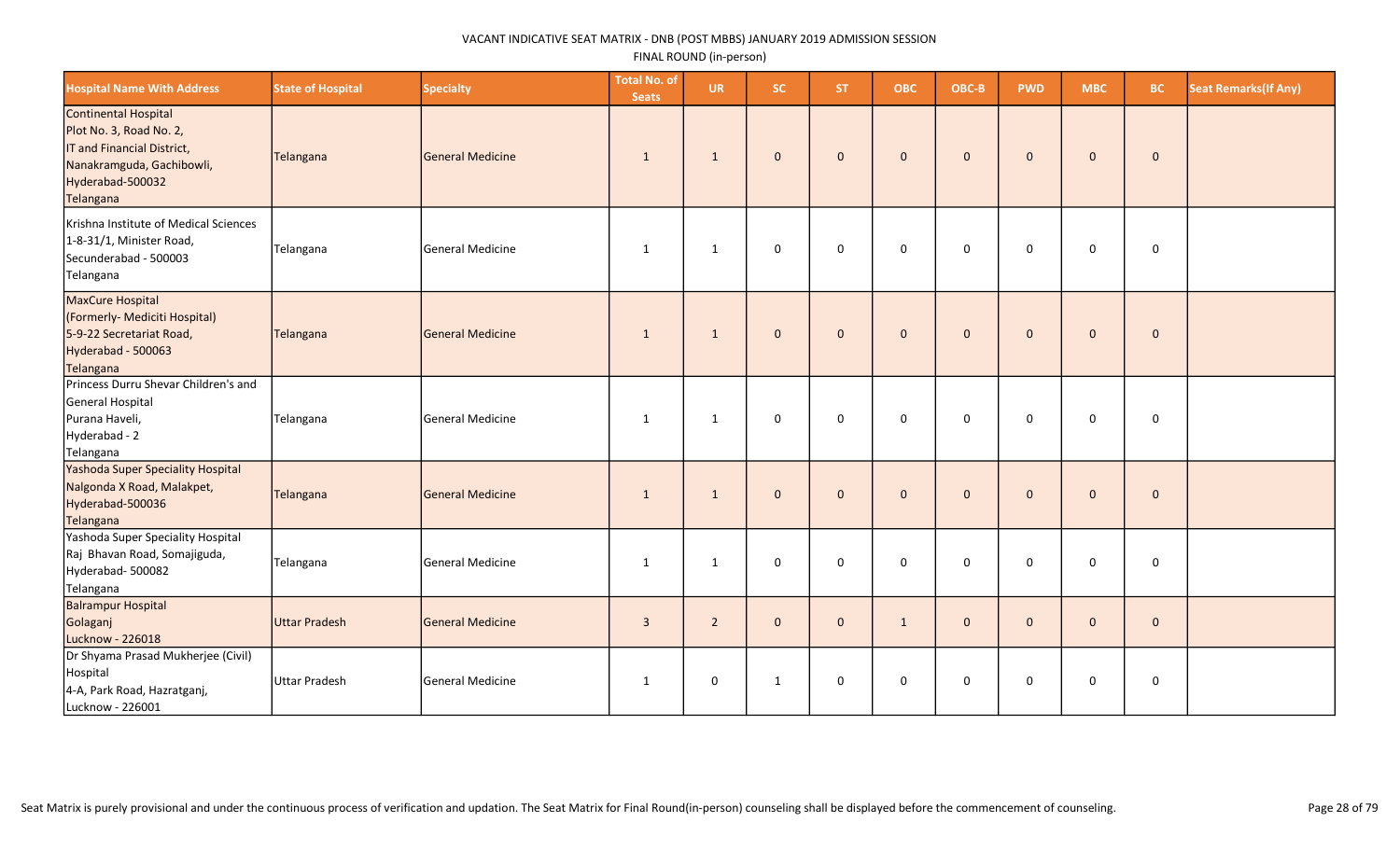| <b>Hospital Name With Address</b>                                                                                                           | <b>State of Hospital</b> | <b>Specialty</b>        | <b>Total No. of</b><br><b>Seats</b> | <b>UR</b>      | <b>SC</b>    | ST.          | <b>OBC</b>   | OBC-B        | <b>PWD</b>   | <b>MBC</b>   | <b>BC</b>    | <b>Seat Remarks(If Any)</b> |
|---------------------------------------------------------------------------------------------------------------------------------------------|--------------------------|-------------------------|-------------------------------------|----------------|--------------|--------------|--------------|--------------|--------------|--------------|--------------|-----------------------------|
| Continental Hospital<br>Plot No. 3, Road No. 2,<br>IT and Financial District,<br>Nanakramguda, Gachibowli,<br>Hyderabad-500032<br>Telangana | Telangana                | <b>General Medicine</b> | 1                                   | 1              | $\mathbf{0}$ | $\mathbf{0}$ | $\mathbf{0}$ | $\mathbf{0}$ | $\mathbf{0}$ | $\mathbf{0}$ | $\mathbf 0$  |                             |
| Krishna Institute of Medical Sciences<br>1-8-31/1, Minister Road,<br>Secunderabad - 500003<br>Telangana                                     | Telangana                | General Medicine        | 1                                   | 1              | $\mathbf 0$  | $\mathbf 0$  | $\mathbf 0$  | $\mathbf 0$  | $\mathbf 0$  | 0            | 0            |                             |
| MaxCure Hospital<br>(Formerly- Mediciti Hospital)<br>5-9-22 Secretariat Road,<br>Hyderabad - 500063<br>Telangana                            | Telangana                | <b>General Medicine</b> | $\mathbf{1}$                        | $\mathbf{1}$   | $\mathbf{0}$ | $\mathbf{0}$ | $\mathbf 0$  | $\mathbf{0}$ | $\mathbf{0}$ | $\mathbf{0}$ | $\mathbf{0}$ |                             |
| Princess Durru Shevar Children's and<br>General Hospital<br>Purana Haveli,<br>Hyderabad - 2<br>Telangana                                    | Telangana                | <b>General Medicine</b> | 1                                   | 1              | $\mathbf 0$  | $\mathbf 0$  | $\mathbf 0$  | $\mathbf 0$  | $\mathbf 0$  | $\mathbf 0$  | $\mathsf 0$  |                             |
| Yashoda Super Speciality Hospital<br>Nalgonda X Road, Malakpet,<br>Hyderabad-500036<br>Telangana                                            | Telangana                | General Medicine        | $\mathbf{1}$                        | 1              | $\mathbf{0}$ | $\Omega$     | $\mathbf{0}$ | $\Omega$     | $\Omega$     | $\mathbf{0}$ | $\mathbf 0$  |                             |
| Yashoda Super Speciality Hospital<br>Raj Bhavan Road, Somajiguda,<br>Hyderabad-500082<br>Telangana                                          | Telangana                | General Medicine        | $\mathbf{1}$                        | 1              | $\mathbf 0$  | $\Omega$     | $\Omega$     | $\Omega$     | $\Omega$     | $\Omega$     | $\mathsf 0$  |                             |
| <b>Balrampur Hospital</b><br>Golaganj<br>Lucknow - 226018                                                                                   | Uttar Pradesh            | General Medicine        | $\overline{3}$                      | $\overline{2}$ | $\mathbf{0}$ | $\mathbf{0}$ | $\mathbf{1}$ | $\mathbf{0}$ | $\mathbf{0}$ | $\mathbf{0}$ | $\mathbf{0}$ |                             |
| Dr Shyama Prasad Mukherjee (Civil)<br>Hospital<br>4-A, Park Road, Hazratganj,<br>Lucknow - 226001                                           | Uttar Pradesh            | <b>General Medicine</b> | 1                                   | $\mathbf 0$    | $\mathbf{1}$ | $\mathbf 0$  | $\mathbf 0$  | $\Omega$     | $\Omega$     | 0            | 0            |                             |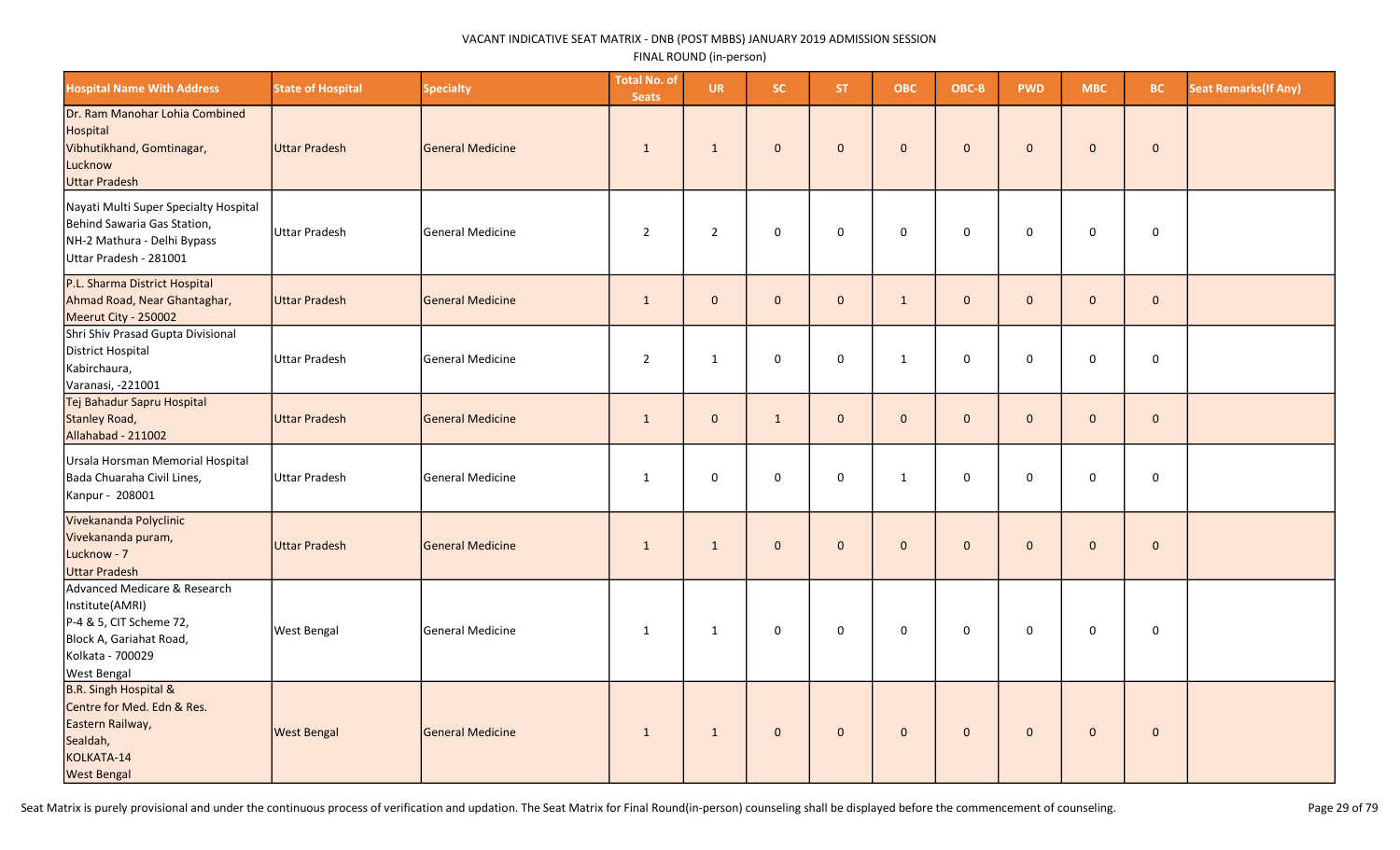| <b>Hospital Name With Address</b>                                                                                                               | <b>State of Hospital</b> | <b>Specialty</b>        | <b>Total No. of</b><br><b>Seats</b> | <b>UR</b>      | <b>SC</b>           | <b>ST</b>      | <b>OBC</b>   | OBC-B               | <b>PWD</b>   | <b>MBC</b>   | BC.         | <b>Seat Remarks (If Any)</b> |
|-------------------------------------------------------------------------------------------------------------------------------------------------|--------------------------|-------------------------|-------------------------------------|----------------|---------------------|----------------|--------------|---------------------|--------------|--------------|-------------|------------------------------|
| Dr. Ram Manohar Lohia Combined<br>Hospital<br>Vibhutikhand, Gomtinagar,<br>Lucknow<br>Uttar Pradesh                                             | Uttar Pradesh            | General Medicine        | $\mathbf{1}$                        | $\mathbf{1}$   | $\mathsf{O}\xspace$ | $\mathbf 0$    | $\mathbf 0$  | $\mathbf 0$         | $\mathbf{0}$ | $\mathbf{0}$ | $\pmb{0}$   |                              |
| Nayati Multi Super Specialty Hospital<br>Behind Sawaria Gas Station,<br>NH-2 Mathura - Delhi Bypass<br>Uttar Pradesh - 281001                   | <b>Uttar Pradesh</b>     | <b>General Medicine</b> | $\overline{2}$                      | $\overline{2}$ | $\mathbf 0$         | $\mathbf 0$    | $\mathbf 0$  | $\mathbf 0$         | $\mathbf 0$  | $\mathbf 0$  | $\pmb{0}$   |                              |
| P.L. Sharma District Hospital<br>Ahmad Road, Near Ghantaghar,<br>Meerut City - 250002                                                           | Uttar Pradesh            | General Medicine        | $\mathbf{1}$                        | $\mathbf{0}$   | $\mathbf{0}$        | $\mathbf{0}$   | $\mathbf{1}$ | $\mathbf{0}$        | $\mathbf{0}$ | $\mathbf{0}$ | $\mathbf 0$ |                              |
| Shri Shiv Prasad Gupta Divisional<br>District Hospital<br>Kabirchaura,<br>Varanasi, -221001                                                     | <b>Uttar Pradesh</b>     | <b>General Medicine</b> | $\overline{2}$                      | $\mathbf{1}$   | $\mathbf 0$         | $\mathbf 0$    | 1            | $\mathbf 0$         | $\mathbf 0$  | 0            | $\mathbf 0$ |                              |
| Tej Bahadur Sapru Hospital<br>Stanley Road,<br>Allahabad - 211002                                                                               | Uttar Pradesh            | General Medicine        | $\mathbf{1}$                        | $\mathbf{0}$   | $\mathbf{1}$        | $\overline{0}$ | $\mathbf 0$  | $\mathbf 0$         | $\mathbf{0}$ | $\mathbf{0}$ | $\mathbf 0$ |                              |
| Ursala Horsman Memorial Hospital<br>Bada Chuaraha Civil Lines,<br>Kanpur - 208001                                                               | Uttar Pradesh            | <b>General Medicine</b> | $\mathbf{1}$                        | $\mathsf 0$    | 0                   | $\mathbf 0$    | $\mathbf{1}$ | $\mathbf 0$         | $\mathbf 0$  | $\mathbf 0$  | $\mathsf 0$ |                              |
| Vivekananda Polyclinic<br>Vivekananda puram,<br>Lucknow - 7<br>Uttar Pradesh                                                                    | <b>Uttar Pradesh</b>     | General Medicine        | $\mathbf{1}$                        | $\mathbf{1}$   | $\mathbf{0}$        | $\overline{0}$ | $\mathbf 0$  | $\mathbf 0$         | $\mathbf{0}$ | $\mathbf{0}$ | $\mathbf 0$ |                              |
| Advanced Medicare & Research<br>Institute(AMRI)<br>P-4 & 5, CIT Scheme 72,<br>Block A, Gariahat Road,<br>Kolkata - 700029<br><b>West Bengal</b> | <b>West Bengal</b>       | General Medicine        | $\mathbf{1}$                        | $\mathbf{1}$   | $\mathbf 0$         | $\mathbf 0$    | $\mathsf 0$  | $\mathsf{O}\xspace$ | $\mathbf 0$  | $\mathbf 0$  | $\mathbf 0$ |                              |
| <b>B.R. Singh Hospital &amp;</b><br>Centre for Med. Edn & Res.<br>Eastern Railway,<br>Sealdah,<br>KOLKATA-14<br><b>West Bengal</b>              | <b>West Bengal</b>       | <b>General Medicine</b> | $\mathbf{1}$                        | $\mathbf{1}$   | $\mathsf{O}\xspace$ | $\mathbf 0$    | $\mathbf 0$  | $\mathbf 0$         | $\mathbf 0$  | $\mathbf 0$  | $\mathbf 0$ |                              |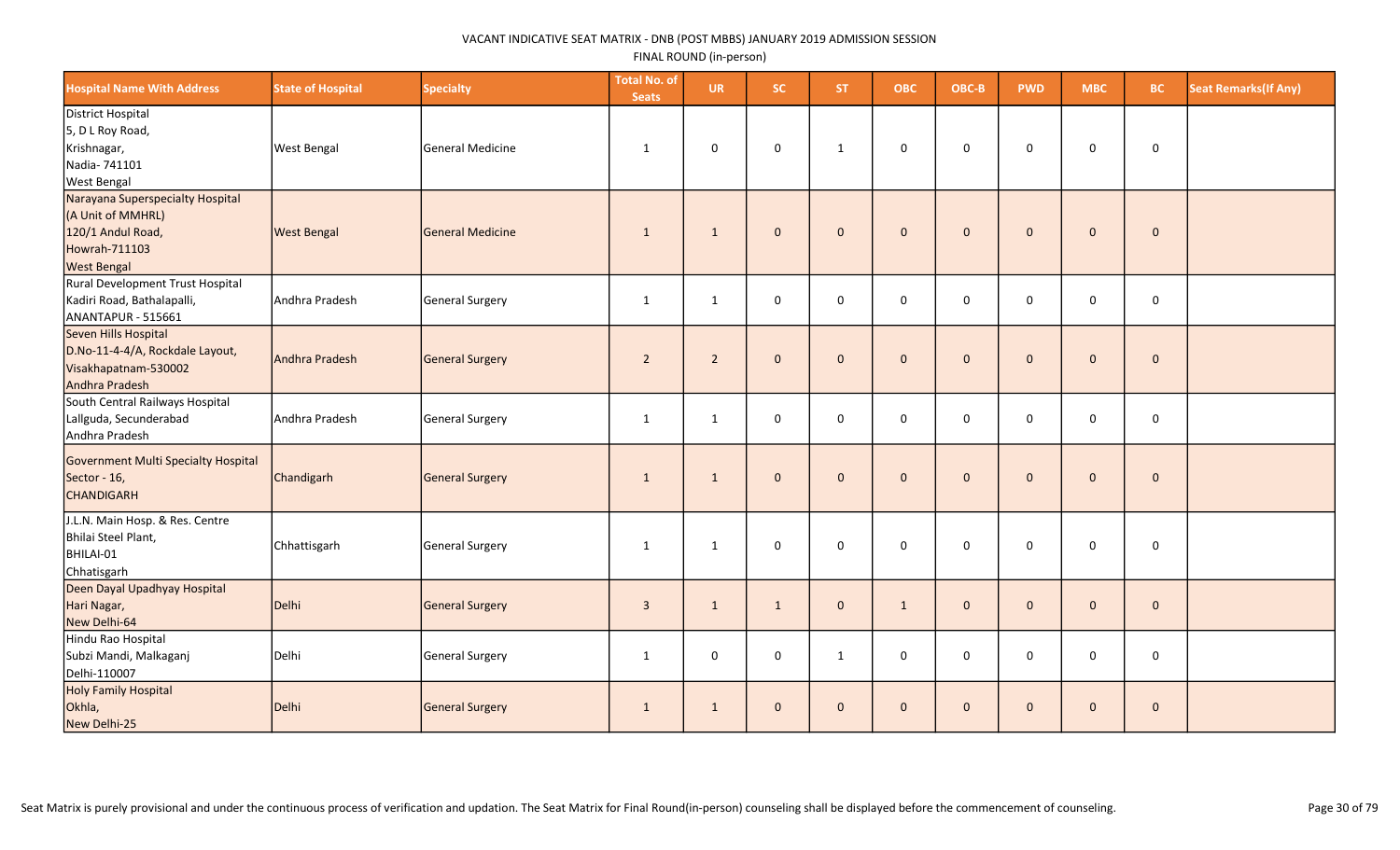| <b>Hospital Name With Address</b>                                                                                 | <b>State of Hospital</b> | <b>Specialty</b>        | <b>Total No. of</b><br><b>Seats</b> | <b>UR</b>      | <b>SC</b>           | <b>ST</b>      | <b>OBC</b>   | OBC-B               | <b>PWD</b>   | <b>MBC</b>   | <b>BC</b>   | <b>Seat Remarks(If Any)</b> |
|-------------------------------------------------------------------------------------------------------------------|--------------------------|-------------------------|-------------------------------------|----------------|---------------------|----------------|--------------|---------------------|--------------|--------------|-------------|-----------------------------|
| District Hospital<br>5, D L Roy Road,<br>Krishnagar,<br>Nadia- 741101<br><b>West Bengal</b>                       | <b>West Bengal</b>       | General Medicine        | $\mathbf{1}$                        | 0              | 0                   | $\mathbf{1}$   | 0            | 0                   | $\mathbf 0$  | $\mathbf 0$  | 0           |                             |
| Narayana Superspecialty Hospital<br>(A Unit of MMHRL)<br>120/1 Andul Road,<br>Howrah-711103<br><b>West Bengal</b> | <b>West Bengal</b>       | <b>General Medicine</b> | $\mathbf{1}$                        | $\mathbf{1}$   | $\mathbf{0}$        | $\mathbf{0}$   | $\mathbf{0}$ | $\mathbf{0}$        | $\mathbf{0}$ | $\mathbf{0}$ | $\mathbf 0$ |                             |
| Rural Development Trust Hospital<br>Kadiri Road, Bathalapalli,<br>ANANTAPUR - 515661                              | Andhra Pradesh           | General Surgery         | $\mathbf{1}$                        | $\mathbf{1}$   | 0                   | $\mathbf 0$    | $\mathbf 0$  | $\mathsf{O}\xspace$ | 0            | $\mathbf 0$  | $\mathbf 0$ |                             |
| Seven Hills Hospital<br>D.No-11-4-4/A, Rockdale Layout,<br>Visakhapatnam-530002<br>Andhra Pradesh                 | Andhra Pradesh           | General Surgery         | $\overline{2}$                      | $\overline{2}$ | $\mathbf{0}$        | $\overline{0}$ | $\mathbf 0$  | $\mathbf 0$         | $\mathbf{0}$ | $\mathbf{0}$ | $\pmb{0}$   |                             |
| South Central Railways Hospital<br>Lallguda, Secunderabad<br>Andhra Pradesh                                       | Andhra Pradesh           | <b>General Surgery</b>  | $\mathbf{1}$                        | $\mathbf{1}$   | 0                   | $\mathbf 0$    | 0            | 0                   | $\mathbf 0$  | $\mathbf 0$  | $\mathbf 0$ |                             |
| Government Multi Specialty Hospital<br>Sector - 16,<br><b>CHANDIGARH</b>                                          | Chandigarh               | <b>General Surgery</b>  | $\mathbf{1}$                        | $\mathbf{1}$   | $\mathsf{O}\xspace$ | $\overline{0}$ | $\pmb{0}$    | $\mathbf{0}$        | $\mathbf{0}$ | $\mathbf 0$  | $\pmb{0}$   |                             |
| J.L.N. Main Hosp. & Res. Centre<br>Bhilai Steel Plant,<br>BHILAI-01<br>Chhatisgarh                                | Chhattisgarh             | General Surgery         | $\mathbf{1}$                        | $\mathbf{1}$   | 0                   | $\mathbf 0$    | $\mathbf 0$  | 0                   | $\mathbf 0$  | $\mathbf 0$  | $\mathbf 0$ |                             |
| Deen Dayal Upadhyay Hospital<br>Hari Nagar,<br>New Delhi-64                                                       | Delhi                    | <b>General Surgery</b>  | $\overline{3}$                      | $\mathbf{1}$   | $\mathbf{1}$        | $\mathbf{0}$   | $\mathbf{1}$ | $\mathbf{0}$        | $\mathbf{0}$ | $\mathbf 0$  | $\mathbf 0$ |                             |
| Hindu Rao Hospital<br>Subzi Mandi, Malkaganj<br>Delhi-110007                                                      | Delhi                    | <b>General Surgery</b>  | $\mathbf{1}$                        | 0              | $\mathbf 0$         | $\mathbf{1}$   | $\mathbf 0$  | $\mathbf 0$         | $\mathbf 0$  | $\mathbf 0$  | 0           |                             |
| Holy Family Hospital<br>Okhla,<br>New Delhi-25                                                                    | Delhi                    | General Surgery         | $\mathbf{1}$                        | $\mathbf{1}$   | $\mathbf{0}$        | $\mathbf{0}$   | $\mathbf 0$  | $\mathbf{0}$        | $\mathbf{0}$ | $\mathbf 0$  | $\mathbf 0$ |                             |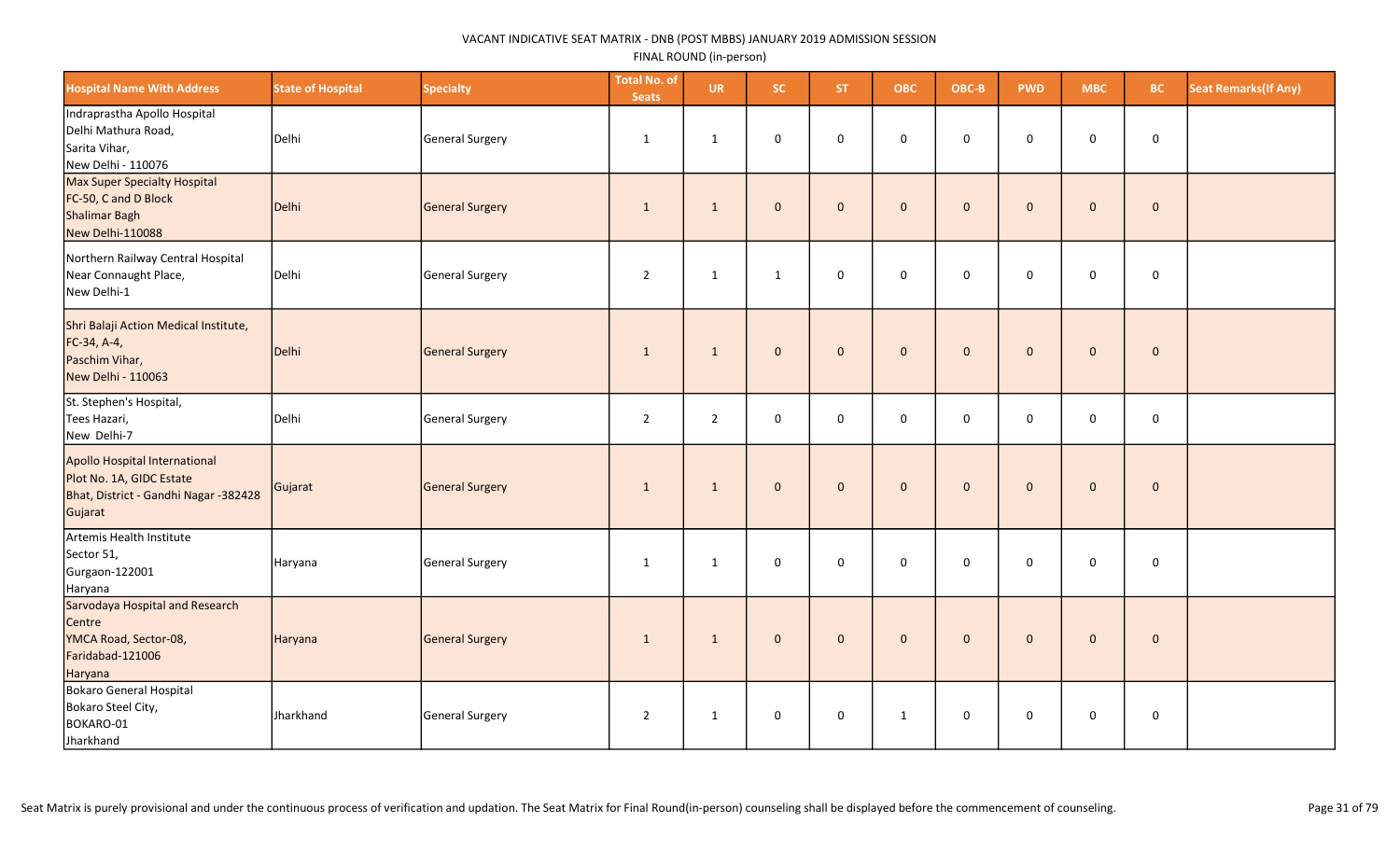| <b>Hospital Name With Address</b>                                                                             | <b>State of Hospital</b> | <b>Specialty</b> | <b>Total No. of</b><br><b>Seats</b> | <b>UR</b>      | SC.          | <b>ST</b>    | <b>OBC</b>   | OBC-B        | <b>PWD</b>   | <b>MBC</b>          | <b>BC</b>   | <b>Seat Remarks (If Any)</b> |
|---------------------------------------------------------------------------------------------------------------|--------------------------|------------------|-------------------------------------|----------------|--------------|--------------|--------------|--------------|--------------|---------------------|-------------|------------------------------|
| Indraprastha Apollo Hospital<br>Delhi Mathura Road,<br>Sarita Vihar,<br>New Delhi - 110076                    | Delhi                    | General Surgery  | 1                                   | 1              | 0            | $\mathbf 0$  | $\mathbf 0$  | 0            | $\mathbf 0$  | $\mathbf 0$         | $\mathbf 0$ |                              |
| Max Super Specialty Hospital<br>FC-50, C and D Block<br>Shalimar Bagh<br>New Delhi-110088                     | Delhi                    | General Surgery  | $\mathbf{1}$                        | $\mathbf{1}$   | $\mathbf 0$  | $\mathbf{0}$ | $\mathbf{0}$ | $\mathbf 0$  | $\mathbf{0}$ | $\mathbf{0}$        | $\mathbf 0$ |                              |
| Northern Railway Central Hospital<br>Near Connaught Place,<br>New Delhi-1                                     | Delhi                    | General Surgery  | $\overline{2}$                      | 1              | 1            | $\mathbf 0$  | $\mathbf 0$  | $\mathbf 0$  | $\mathbf 0$  | 0                   | $\mathbf 0$ |                              |
| Shri Balaji Action Medical Institute,<br>FC-34, A-4,<br>Paschim Vihar,<br>New Delhi - 110063                  | Delhi                    | General Surgery  | 1                                   | $\mathbf{1}$   | $\mathbf 0$  | $\mathbf{0}$ | $\mathbf{0}$ | $\mathbf{0}$ | $\mathbf{0}$ | $\mathbf{0}$        | $\pmb{0}$   |                              |
| St. Stephen's Hospital,<br>Tees Hazari,<br>New Delhi-7                                                        | Delhi                    | General Surgery  | $\overline{2}$                      | $\overline{2}$ | $\mathbf 0$  | $\mathbf 0$  | $\mathbf 0$  | $\mathbf 0$  | $\mathbf 0$  | 0                   | $\mathbf 0$ |                              |
| Apollo Hospital International<br>Plot No. 1A, GIDC Estate<br>Bhat, District - Gandhi Nagar -382428<br>Gujarat | Gujarat                  | General Surgery  | $\mathbf{1}$                        | $\mathbf{1}$   | $\mathbf{0}$ | $\mathbf{0}$ | $\mathbf{0}$ | $\mathbf 0$  | $\mathbf{0}$ | $\mathsf{O}\xspace$ | $\mathbf 0$ |                              |
| Artemis Health Institute<br>Sector 51,<br>Gurgaon-122001<br>Haryana                                           | Haryana                  | General Surgery  | 1                                   | 1              | $\mathsf 0$  | $\mathbf 0$  | $\mathbf 0$  | $\mathbf 0$  | $\mathbf 0$  | 0                   | $\mathbf 0$ |                              |
| Sarvodaya Hospital and Research<br>Centre<br>YMCA Road, Sector-08,<br>Faridabad-121006<br>Haryana             | Haryana                  | General Surgery  | $\mathbf{1}$                        | $\mathbf{1}$   | $\mathbf 0$  | $\mathbf{0}$ | $\mathbf 0$  | $\mathbf 0$  | $\mathbf{0}$ | $\mathsf{O}\xspace$ | $\pmb{0}$   |                              |
| Bokaro General Hospital<br>Bokaro Steel City,<br>BOKARO-01<br>Jharkhand                                       | Jharkhand                | General Surgery  | $\overline{2}$                      | $\mathbf{1}$   | $\mathsf 0$  | $\mathbf 0$  | $\mathbf{1}$ | $\mathsf 0$  | $\mathbf 0$  | 0                   | $\mathbf 0$ |                              |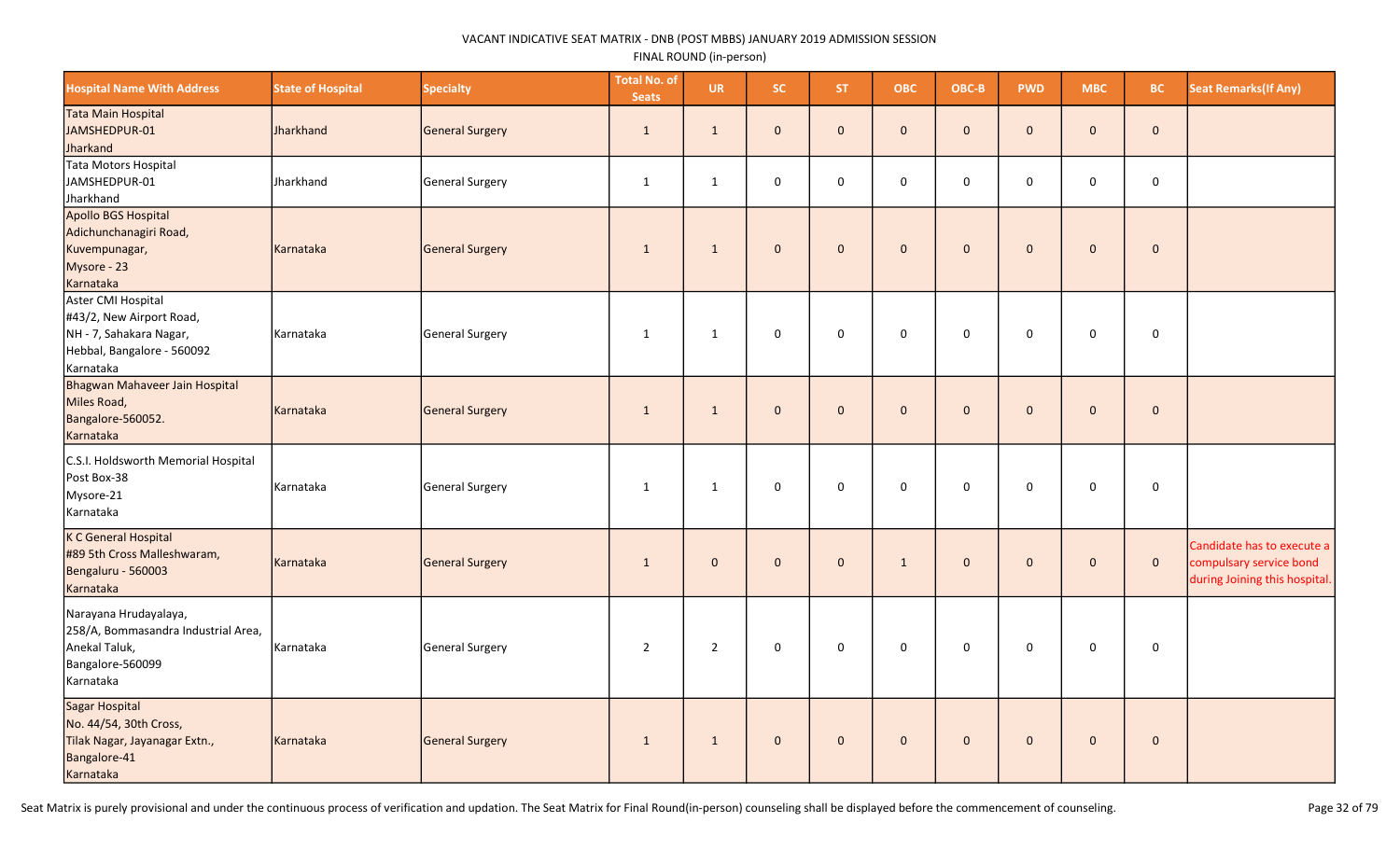| <b>Hospital Name With Address</b>                                                                                    | <b>State of Hospital</b> | <b>Specialty</b> | <b>Total No. of</b><br><b>Seats</b> | <b>UR</b>      | <b>SC</b>           | <b>ST</b>    | <b>OBC</b>   | OBC-B        | <b>PWD</b>   | <b>MBC</b>          | <b>BC</b>    | <b>Seat Remarks (If Any)</b>                                                           |
|----------------------------------------------------------------------------------------------------------------------|--------------------------|------------------|-------------------------------------|----------------|---------------------|--------------|--------------|--------------|--------------|---------------------|--------------|----------------------------------------------------------------------------------------|
| Tata Main Hospital<br>JAMSHEDPUR-01<br>Jharkand                                                                      | <b>Jharkhand</b>         | General Surgery  | 1                                   | $\mathbf{1}$   | $\mathbf{0}$        | $\mathbf{0}$ | $\mathbf{0}$ | $\mathbf{0}$ | $\mathbf{0}$ | $\mathbf{0}$        | $\mathbf{0}$ |                                                                                        |
| Tata Motors Hospital<br>JAMSHEDPUR-01<br>Jharkhand                                                                   | Jharkhand                | General Surgery  | $\mathbf{1}$                        | $\mathbf{1}$   | $\mathsf 0$         | $\mathbf 0$  | $\mathbf 0$  | $\mathbf 0$  | $\mathbf 0$  | 0                   | $\mathbf 0$  |                                                                                        |
| Apollo BGS Hospital<br>Adichunchanagiri Road,<br>Kuvempunagar,<br>Mysore - 23<br>Karnataka                           | Karnataka                | General Surgery  | 1                                   | 1              | $\mathbf{0}$        | $\mathbf{0}$ | $\mathbf{0}$ | $\mathbf 0$  | $\mathbf{0}$ | $\mathbf 0$         | $\mathbf 0$  |                                                                                        |
| Aster CMI Hospital<br>#43/2, New Airport Road,<br>NH - 7, Sahakara Nagar,<br>Hebbal, Bangalore - 560092<br>Karnataka | Karnataka                | General Surgery  | 1                                   | $\mathbf{1}$   | $\mathsf{O}\xspace$ | $\mathbf 0$  | $\mathsf 0$  | $\mathbf 0$  | $\mathsf 0$  | $\mathsf 0$         | $\mathbf 0$  |                                                                                        |
| Bhagwan Mahaveer Jain Hospital<br>Miles Road,<br>Bangalore-560052.<br>Karnataka                                      | Karnataka                | General Surgery  | 1                                   | $\mathbf{1}$   | $\mathbf 0$         | $\mathbf 0$  | $\mathbf 0$  | $\mathbf 0$  | $\mathbf{0}$ | $\mathsf{O}\xspace$ | $\pmb{0}$    |                                                                                        |
| C.S.I. Holdsworth Memorial Hospital<br>Post Box-38<br>Mysore-21<br>Karnataka                                         | Karnataka                | General Surgery  | 1                                   | $\mathbf{1}$   | 0                   | $\mathbf 0$  | 0            | $\mathbf 0$  | 0            | $\mathbf 0$         | $\mathbf 0$  |                                                                                        |
| K C General Hospital<br>#89 5th Cross Malleshwaram,<br>Bengaluru - 560003<br>Karnataka                               | Karnataka                | General Surgery  | 1                                   | $\mathbf{0}$   | $\mathbf{0}$        | $\mathbf{0}$ | $\mathbf{1}$ | $\mathbf{0}$ | $\mathbf{0}$ | $\mathbf 0$         | $\mathbf 0$  | Candidate has to execute a<br>compulsary service bond<br>during Joining this hospital. |
| Narayana Hrudayalaya,<br>258/A, Bommasandra Industrial Area,<br>Anekal Taluk,<br>Bangalore-560099<br>Karnataka       | Karnataka                | General Surgery  | $\overline{2}$                      | $\overline{2}$ | $\mathsf 0$         | $\mathbf 0$  | $\mathbf 0$  | $\mathbf 0$  | $\mathbf 0$  | $\mathbf 0$         | $\mathbf 0$  |                                                                                        |
| Sagar Hospital<br>No. 44/54, 30th Cross,<br>Tilak Nagar, Jayanagar Extn.,<br>Bangalore-41<br>Karnataka               | Karnataka                | General Surgery  | $\mathbf{1}$                        | $\mathbf{1}$   | $\mathbf 0$         | $\mathbf{0}$ | $\mathbf{0}$ | $\mathbf 0$  | $\mathbf{0}$ | $\mathsf{O}\xspace$ | $\pmb{0}$    |                                                                                        |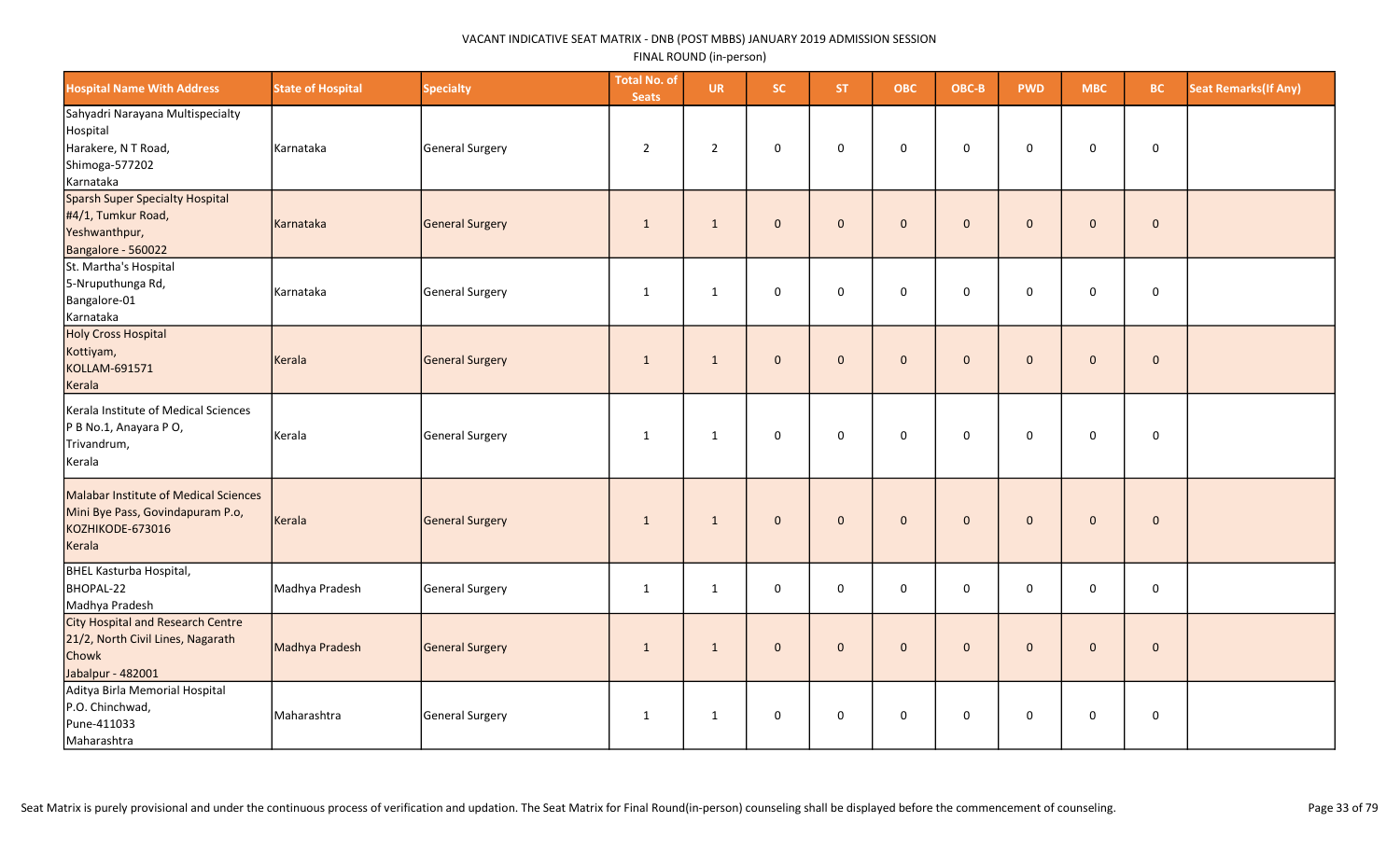| <b>Hospital Name With Address</b>                                                                           | <b>State of Hospital</b> | <b>Specialty</b> | <b>Total No. of</b><br><b>Seats</b> | <b>UR</b>      | SC.          | ST.            | <b>OBC</b>          | OBC-B               | <b>PWD</b>   | <b>MBC</b>          | BC.         | <b>Seat Remarks (If Any)</b> |
|-------------------------------------------------------------------------------------------------------------|--------------------------|------------------|-------------------------------------|----------------|--------------|----------------|---------------------|---------------------|--------------|---------------------|-------------|------------------------------|
| Sahyadri Narayana Multispecialty<br>Hospital<br>Harakere, N T Road,<br>Shimoga-577202<br>Karnataka          | Karnataka                | General Surgery  | $\overline{2}$                      | $\overline{2}$ | 0            | $\mathbf 0$    | 0                   | $\mathbf 0$         | $\mathbf 0$  | $\mathbf 0$         | $\mathbf 0$ |                              |
| Sparsh Super Specialty Hospital<br>#4/1, Tumkur Road,<br>Yeshwanthpur,<br>Bangalore - 560022                | Karnataka                | General Surgery  | $\mathbf{1}$                        | $\mathbf{1}$   | $\mathbf{0}$ | $\overline{0}$ | $\mathsf{O}\xspace$ | $\mathbf{0}$        | $\mathbf{0}$ | $\mathbf{0}$        | $\mathbf 0$ |                              |
| St. Martha's Hospital<br>5-Nruputhunga Rd,<br>Bangalore-01<br>Karnataka                                     | Karnataka                | General Surgery  | $\mathbf{1}$                        | $\mathbf{1}$   | 0            | $\mathbf 0$    | 0                   | 0                   | 0            | 0                   | $\mathbf 0$ |                              |
| Holy Cross Hospital<br>Kottiyam,<br>KOLLAM-691571<br>Kerala                                                 | Kerala                   | General Surgery  | $\mathbf{1}$                        | $\mathbf{1}$   | $\mathbf{0}$ | $\overline{0}$ | $\mathbf 0$         | $\mathbf{0}$        | $\mathbf{0}$ | $\mathbf{0}$        | $\mathbf 0$ |                              |
| Kerala Institute of Medical Sciences<br>P B No.1, Anayara P O,<br>Trivandrum,<br>Kerala                     | Kerala                   | General Surgery  | $\mathbf{1}$                        | $\mathbf{1}$   | 0            | $\mathbf 0$    | $\mathsf 0$         | 0                   | $\mathbf 0$  | $\mathbf 0$         | $\mathbf 0$ |                              |
| Malabar Institute of Medical Sciences<br>Mini Bye Pass, Govindapuram P.o,<br>KOZHIKODE-673016<br>Kerala     | Kerala                   | General Surgery  | $\mathbf{1}$                        | $\mathbf{1}$   | $\mathbf{0}$ | $\overline{0}$ | $\mathbf 0$         | $\mathbf{0}$        | $\mathbf{0}$ | $\mathbf{0}$        | $\mathbf 0$ |                              |
| BHEL Kasturba Hospital,<br>BHOPAL-22<br>Madhya Pradesh                                                      | Madhya Pradesh           | General Surgery  | $\mathbf{1}$                        | $\mathbf{1}$   | 0            | $\mathsf 0$    | $\mathsf{O}\xspace$ | $\mathsf{O}\xspace$ | $\mathbf 0$  | $\mathsf{O}\xspace$ | $\pmb{0}$   |                              |
| <b>City Hospital and Research Centre</b><br>21/2, North Civil Lines, Nagarath<br>Chowk<br>Jabalpur - 482001 | Madhya Pradesh           | General Surgery  | $\mathbf{1}$                        | $\mathbf{1}$   | $\mathbf{0}$ | $\overline{0}$ | $\mathbf 0$         | $\mathbf{0}$        | $\mathbf{0}$ | $\mathbf 0$         | $\mathbf 0$ |                              |
| Aditya Birla Memorial Hospital<br>P.O. Chinchwad,<br>Pune-411033<br>Maharashtra                             | Maharashtra              | General Surgery  | $\mathbf{1}$                        | $\mathbf{1}$   | 0            | $\mathsf 0$    | 0                   | 0                   | 0            | $\mathbf 0$         | $\mathbf 0$ |                              |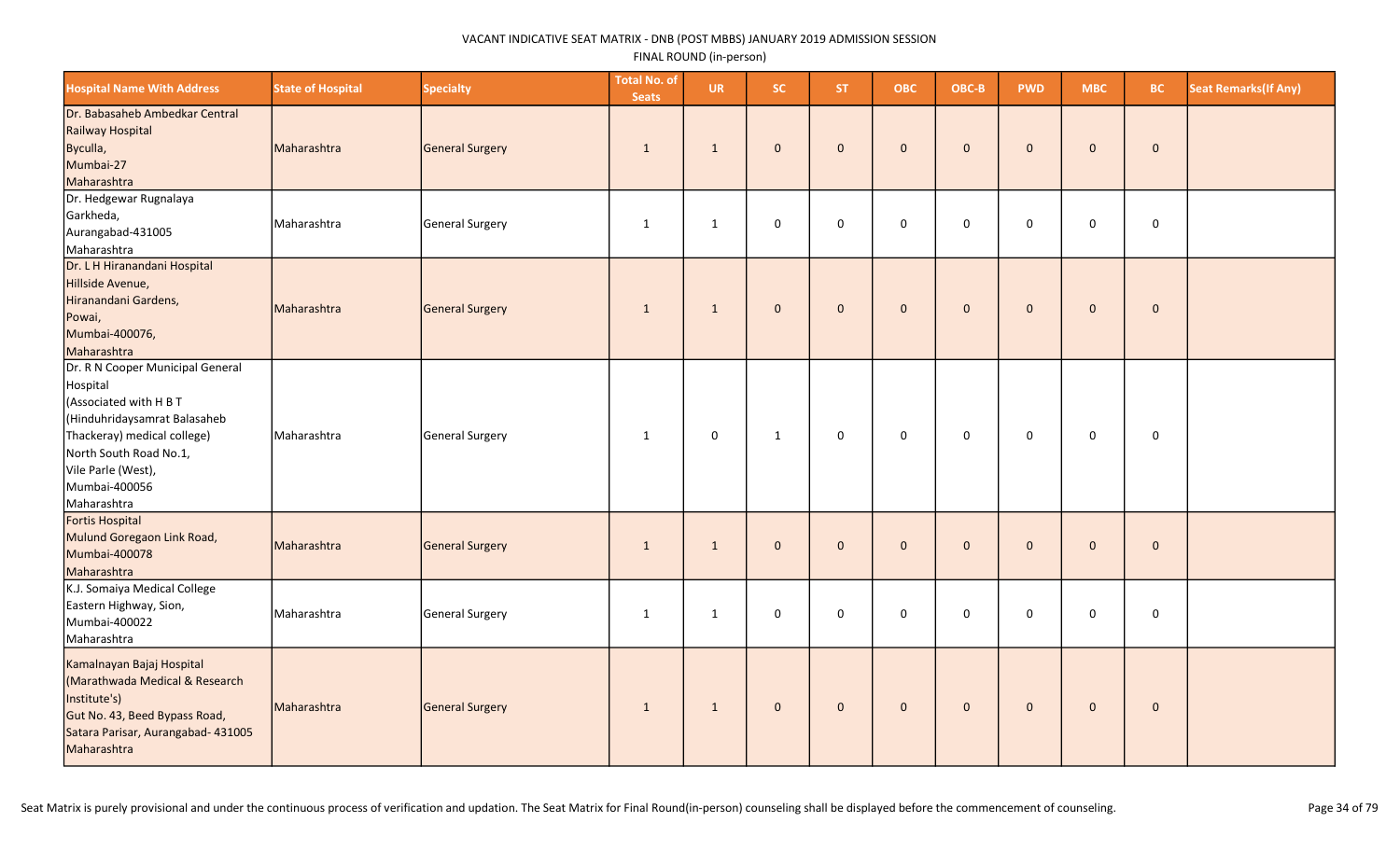| <b>Hospital Name With Address</b>                                                                                                                                                                                     | <b>State of Hospital</b> | <b>Specialty</b> | <b>Total No. of</b><br><b>Seats</b> | <b>UR</b>    | <b>SC</b>    | <b>ST</b>    | <b>OBC</b>   | OBC-B        | <b>PWD</b>   | <b>MBC</b>   | BC.         | <b>Seat Remarks (If Any)</b> |
|-----------------------------------------------------------------------------------------------------------------------------------------------------------------------------------------------------------------------|--------------------------|------------------|-------------------------------------|--------------|--------------|--------------|--------------|--------------|--------------|--------------|-------------|------------------------------|
| Dr. Babasaheb Ambedkar Central<br>Railway Hospital<br>Byculla,<br>Mumbai-27<br>Maharashtra                                                                                                                            | Maharashtra              | General Surgery  | $\mathbf{1}$                        | $\mathbf{1}$ | $\mathbf 0$  | $\mathbf{0}$ | $\mathbf{0}$ | $\mathbf{0}$ | $\mathbf{0}$ | $\mathbf 0$  | $\mathbf 0$ |                              |
| Dr. Hedgewar Rugnalaya<br>Garkheda,<br>Aurangabad-431005<br>Maharashtra                                                                                                                                               | Maharashtra              | General Surgery  | $\mathbf{1}$                        | $\mathbf{1}$ | 0            | $\mathbf 0$  | $\mathsf 0$  | $\mathbf 0$  | $\mathsf 0$  | $\mathbf 0$  | $\mathbf 0$ |                              |
| Dr. L H Hiranandani Hospital<br>Hillside Avenue,<br>Hiranandani Gardens,<br>Powai,<br>Mumbai-400076,<br>Maharashtra                                                                                                   | Maharashtra              | General Surgery  | $\mathbf{1}$                        | 1            | $\mathbf{0}$ | $\mathbf 0$  | $\mathbf 0$  | $\mathbf{0}$ | $\mathbf{0}$ | $\mathbf 0$  | $\pmb{0}$   |                              |
| Dr. R N Cooper Municipal General<br>Hospital<br>(Associated with H B T<br>(Hinduhridaysamrat Balasaheb<br>Thackeray) medical college)<br>North South Road No.1,<br>Vile Parle (West),<br>Mumbai-400056<br>Maharashtra | Maharashtra              | General Surgery  | $\mathbf{1}$                        | 0            | $\mathbf{1}$ | 0            | $\mathbf 0$  | $\mathbf 0$  | $\mathbf 0$  | $\mathbf 0$  | $\mathbf 0$ |                              |
| Fortis Hospital<br>Mulund Goregaon Link Road,<br>Mumbai-400078<br>Maharashtra                                                                                                                                         | Maharashtra              | General Surgery  | $\mathbf{1}$                        | $\mathbf{1}$ | $\mathbf 0$  | $\mathbf 0$  | $\mathbf{0}$ | $\mathbf{0}$ | $\mathbf{0}$ | $\mathbf 0$  | $\mathbf 0$ |                              |
| K.J. Somaiya Medical College<br>Eastern Highway, Sion,<br>Mumbai-400022<br>Maharashtra                                                                                                                                | Maharashtra              | General Surgery  | $\mathbf{1}$                        | $\mathbf{1}$ | 0            | $\mathbf 0$  | $\mathsf 0$  | $\mathbf 0$  | $\mathbf 0$  | $\mathbf 0$  | $\mathsf 0$ |                              |
| Kamalnayan Bajaj Hospital<br>(Marathwada Medical & Research<br>Institute's)<br>Gut No. 43, Beed Bypass Road,<br>Satara Parisar, Aurangabad- 431005<br>Maharashtra                                                     | Maharashtra              | General Surgery  | $\mathbf{1}$                        | $\mathbf{1}$ | $\mathbf{0}$ | $\mathbf 0$  | $\mathbf 0$  | $\mathbf{0}$ | $\mathbf{0}$ | $\mathbf{0}$ | $\mathbf 0$ |                              |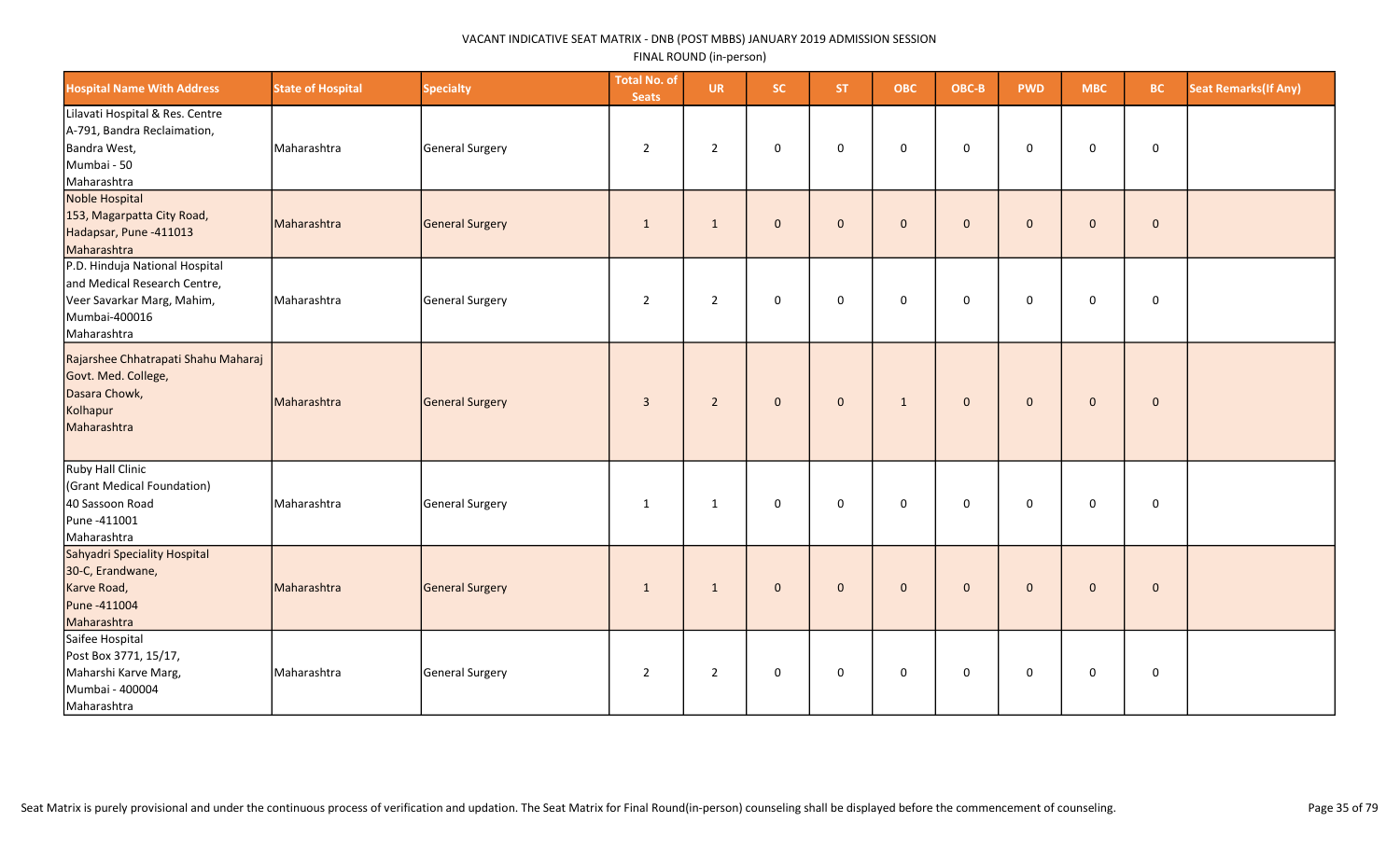| <b>Hospital Name With Address</b>                                                                                            | <b>State of Hospital</b> | <b>Specialty</b> | <b>Total No. of</b><br><b>Seats</b> | <b>UR</b>      | SC.          | ST.          | <b>OBC</b>   | OBC-B        | <b>PWD</b>   | <b>MBC</b>   | <b>BC</b>   | <b>Seat Remarks (If Any)</b> |
|------------------------------------------------------------------------------------------------------------------------------|--------------------------|------------------|-------------------------------------|----------------|--------------|--------------|--------------|--------------|--------------|--------------|-------------|------------------------------|
| Lilavati Hospital & Res. Centre<br>A-791, Bandra Reclaimation,<br>Bandra West,<br>Mumbai - 50<br>Maharashtra                 | Maharashtra              | General Surgery  | $\overline{2}$                      | $\overline{2}$ | $\mathbf 0$  | $\mathbf 0$  | $\mathbf 0$  | $\mathbf 0$  | $\mathbf 0$  | $\mathbf 0$  | $\mathbf 0$ |                              |
| Noble Hospital<br>153, Magarpatta City Road,<br>Hadapsar, Pune -411013<br>Maharashtra                                        | Maharashtra              | General Surgery  | $\mathbf{1}$                        | $\mathbf{1}$   | $\mathbf{0}$ | $\mathbf{0}$ | $\mathbf 0$  | $\mathbf{0}$ | $\mathbf{0}$ | $\mathbf{0}$ | $\pmb{0}$   |                              |
| P.D. Hinduja National Hospital<br>and Medical Research Centre,<br>Veer Savarkar Marg, Mahim,<br>Mumbai-400016<br>Maharashtra | Maharashtra              | General Surgery  | $\overline{2}$                      | $\overline{2}$ | $\mathbf 0$  | $\mathbf 0$  | $\mathsf 0$  | $\mathbf 0$  | $\mathbf 0$  | $\mathbf 0$  | $\mathsf 0$ |                              |
| Rajarshee Chhatrapati Shahu Maharaj<br>Govt. Med. College,<br>Dasara Chowk,<br>Kolhapur<br>Maharashtra                       | Maharashtra              | General Surgery  | $\overline{3}$                      | $\overline{2}$ | $\mathbf{0}$ | $\mathbf 0$  | $\mathbf{1}$ | $\mathbf 0$  | $\mathbf{0}$ | $\mathbf 0$  | $\pmb{0}$   |                              |
| Ruby Hall Clinic<br>(Grant Medical Foundation)<br>40 Sassoon Road<br>Pune -411001<br>Maharashtra                             | Maharashtra              | General Surgery  | 1                                   | $\mathbf{1}$   | 0            | $\mathbf 0$  | $\mathbf 0$  | $\mathbf 0$  | $\mathbf 0$  | $\mathbf 0$  | $\mathbf 0$ |                              |
| Sahyadri Speciality Hospital<br>30-C, Erandwane,<br>Karve Road,<br>Pune -411004<br>Maharashtra                               | Maharashtra              | General Surgery  | $\mathbf{1}$                        | $\mathbf{1}$   | $\mathbf{0}$ | $\mathbf{0}$ | $\mathbf 0$  | $\mathbf{0}$ | $\mathbf{0}$ | $\mathbf{0}$ | $\mathbf 0$ |                              |
| Saifee Hospital<br>Post Box 3771, 15/17,<br>Maharshi Karve Marg,<br>Mumbai - 400004<br>Maharashtra                           | Maharashtra              | General Surgery  | $\overline{2}$                      | $\overline{2}$ | $\mathbf 0$  | $\mathbf 0$  | $\mathsf 0$  | $\mathsf 0$  | $\mathbf 0$  | $\mathbf 0$  | $\mathbf 0$ |                              |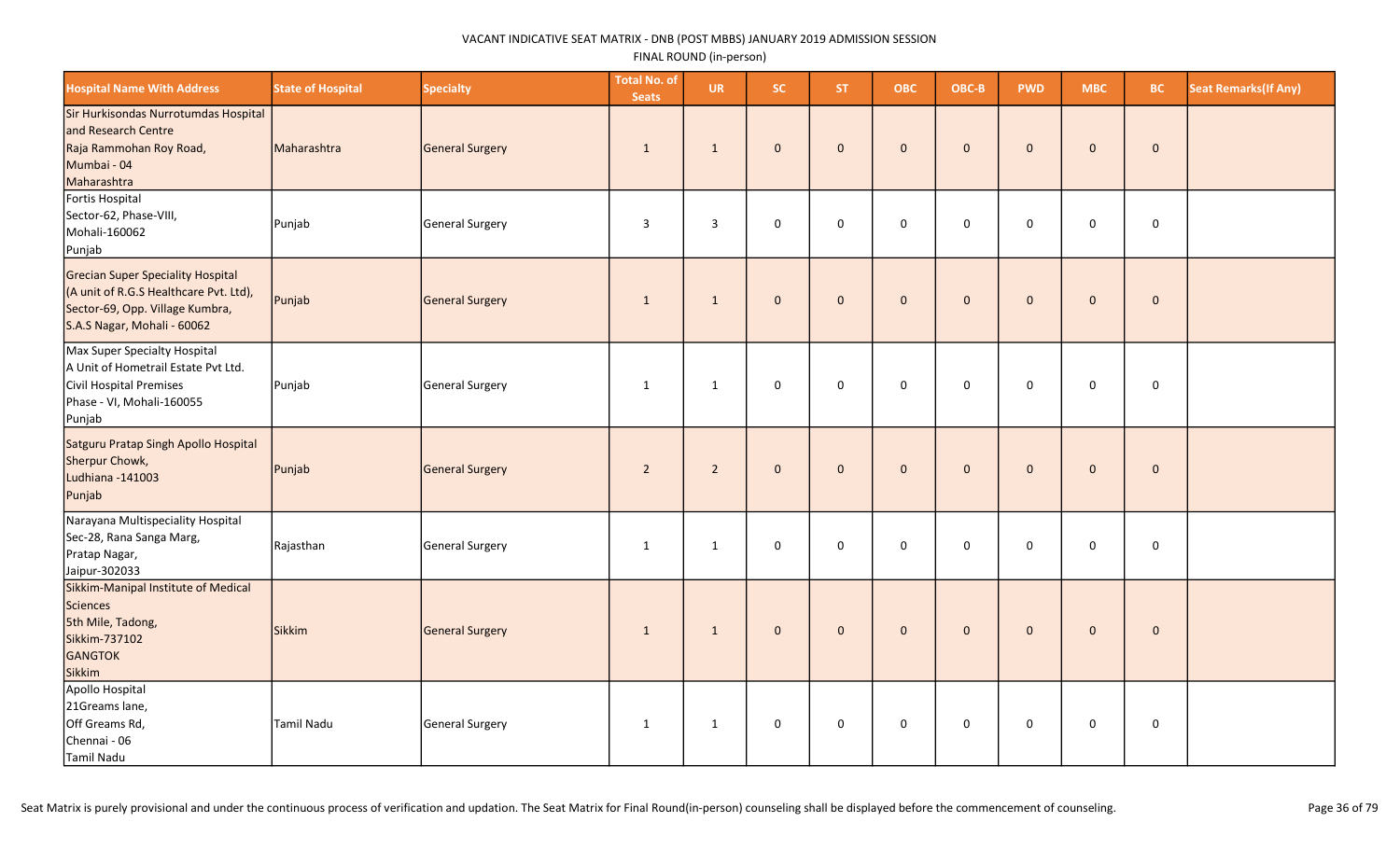| <b>Hospital Name With Address</b>                                                                                                                    | <b>State of Hospital</b> | <b>Specialty</b> | <b>Total No. of</b><br><b>Seats</b> | <b>UR</b>    | SC.          | <b>ST</b>    | <b>OBC</b>   | OBC-B        | <b>PWD</b>   | <b>MBC</b>   | <b>BC</b>   | <b>Seat Remarks (If Any)</b> |
|------------------------------------------------------------------------------------------------------------------------------------------------------|--------------------------|------------------|-------------------------------------|--------------|--------------|--------------|--------------|--------------|--------------|--------------|-------------|------------------------------|
| Sir Hurkisondas Nurrotumdas Hospital<br>and Research Centre<br>Raja Rammohan Roy Road,<br>Mumbai - 04<br>Maharashtra                                 | Maharashtra              | General Surgery  | 1                                   | 1            | $\mathbf{0}$ | $\mathbf{0}$ | $\mathbf{0}$ | $\mathbf{0}$ | $\mathbf{0}$ | $\mathbf{0}$ | $\mathbf 0$ |                              |
| Fortis Hospital<br>Sector-62, Phase-VIII,<br>Mohali-160062<br>Punjab                                                                                 | Punjab                   | General Surgery  | $\overline{3}$                      | 3            | $\mathsf 0$  | $\mathbf 0$  | $\mathbf 0$  | $\mathbf 0$  | $\mathbf 0$  | $\mathbf 0$  | $\mathbf 0$ |                              |
| <b>Grecian Super Speciality Hospital</b><br>(A unit of R.G.S Healthcare Pvt. Ltd),<br>Sector-69, Opp. Village Kumbra,<br>S.A.S Nagar, Mohali - 60062 | Punjab                   | General Surgery  | 1                                   | 1            | $\mathbf 0$  | $\mathbf{0}$ | $\mathbf{0}$ | $\mathbf 0$  | $\mathbf{0}$ | $\mathbf{0}$ | $\mathbf 0$ |                              |
| Max Super Specialty Hospital<br>A Unit of Hometrail Estate Pvt Ltd.<br>Civil Hospital Premises<br>Phase - VI, Mohali-160055<br>Punjab                | Punjab                   | General Surgery  | 1                                   | $\mathbf{1}$ | $\mathsf 0$  | 0            | $\mathbf 0$  | $\mathbf 0$  | 0            | 0            | $\mathbf 0$ |                              |
| Satguru Pratap Singh Apollo Hospital<br>Sherpur Chowk,<br>Ludhiana -141003<br>Punjab                                                                 | Punjab                   | General Surgery  | $\overline{2}$                      | $\sqrt{2}$   | $\mathbf 0$  | $\mathbf{0}$ | $\mathbf{0}$ | $\mathbf 0$  | $\Omega$     | $\mathbf{0}$ | $\mathbf 0$ |                              |
| Narayana Multispeciality Hospital<br>Sec-28, Rana Sanga Marg,<br>Pratap Nagar,<br>Jaipur-302033                                                      | Rajasthan                | General Surgery  | 1                                   | $\mathbf{1}$ | 0            | $\Omega$     | $\mathbf 0$  | 0            | $\Omega$     | 0            | $\mathbf 0$ |                              |
| Sikkim-Manipal Institute of Medical<br>Sciences<br>5th Mile, Tadong,<br>Sikkim-737102<br><b>GANGTOK</b><br>Sikkim                                    | Sikkim                   | General Surgery  | 1                                   | 1            | $\mathbf{0}$ | $\mathbf{0}$ | $\mathbf{0}$ | $\mathbf 0$  | $\mathbf{0}$ | $\mathbf 0$  | $\mathbf 0$ |                              |
| Apollo Hospital<br>21Greams lane,<br>Off Greams Rd,<br>Chennai - 06<br>Tamil Nadu                                                                    | Tamil Nadu               | General Surgery  | 1                                   | $\mathbf{1}$ | $\mathsf 0$  | $\mathbf 0$  | $\mathbf 0$  | 0            | $\mathbf 0$  | 0            | $\mathbf 0$ |                              |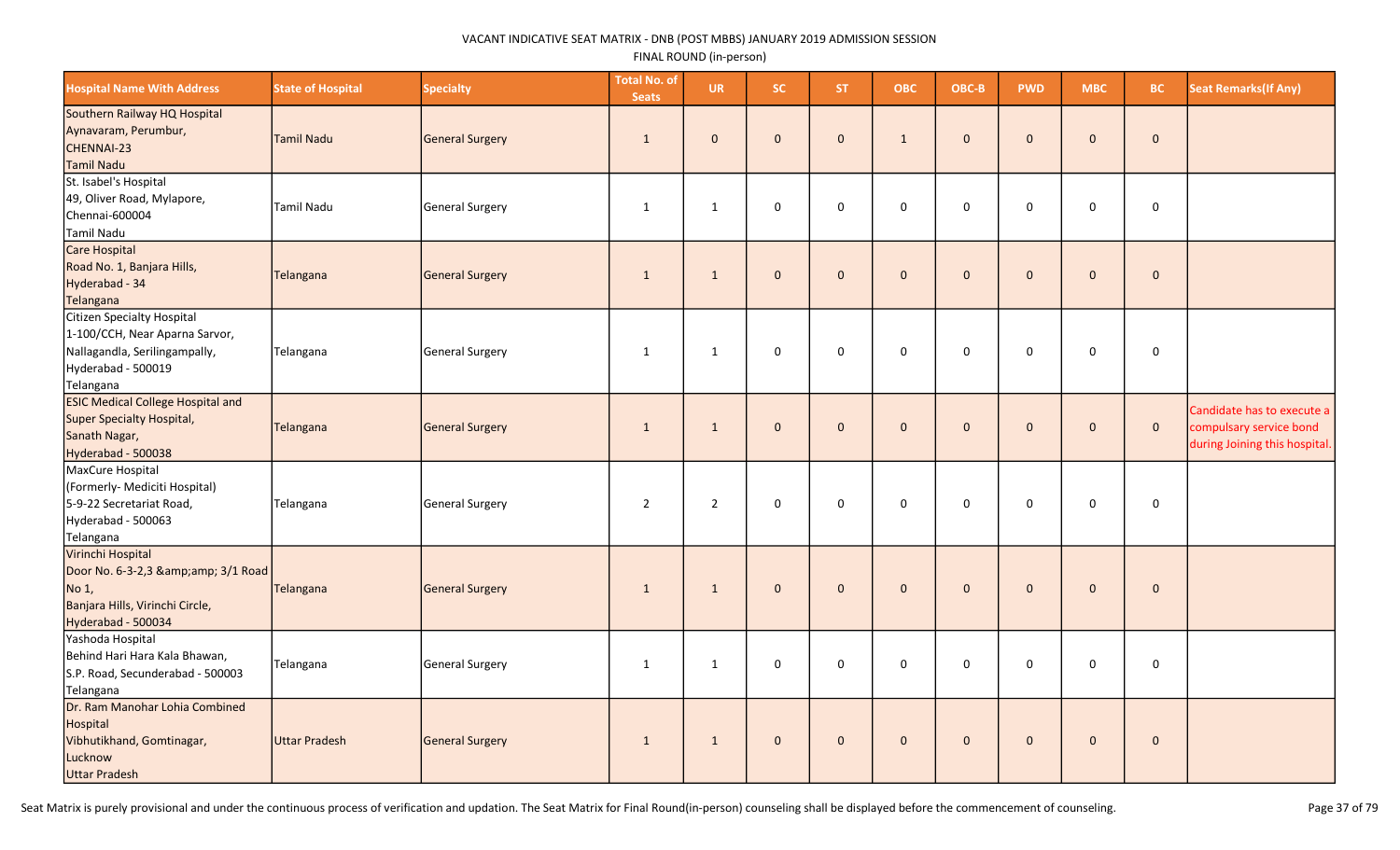| <b>Hospital Name With Address</b>                                                                                                | <b>State of Hospital</b> | <b>Specialty</b>       | <b>Total No. of</b><br><b>Seats</b> | <b>UR</b>      | SC.          | <b>ST</b>    | <b>OBC</b>     | OBC-B        | <b>PWD</b>   | <b>MBC</b>   | BC.          | <b>Seat Remarks (If Any)</b>                                                           |
|----------------------------------------------------------------------------------------------------------------------------------|--------------------------|------------------------|-------------------------------------|----------------|--------------|--------------|----------------|--------------|--------------|--------------|--------------|----------------------------------------------------------------------------------------|
| Southern Railway HQ Hospital<br>Aynavaram, Perumbur,<br>CHENNAI-23<br>Tamil Nadu                                                 | <b>Tamil Nadu</b>        | <b>General Surgery</b> | $\mathbf{1}$                        | $\mathbf{0}$   | $\mathbf{0}$ | $\mathbf{0}$ | $\mathbf{1}$   | $\mathbf{0}$ | $\Omega$     | $\mathbf 0$  | $\mathbf{0}$ |                                                                                        |
| St. Isabel's Hospital<br>49, Oliver Road, Mylapore,<br>Chennai-600004<br>Tamil Nadu                                              | <b>Tamil Nadu</b>        | <b>General Surgery</b> | $\mathbf{1}$                        | 1              | $\mathsf 0$  | $\mathbf 0$  | 0              | $\mathbf 0$  | $\Omega$     | 0            | 0            |                                                                                        |
| Care Hospital<br>Road No. 1, Banjara Hills,<br>Hyderabad - 34<br>Telangana                                                       | Telangana                | <b>General Surgery</b> | $\mathbf{1}$                        | $\mathbf{1}$   | $\mathbf{0}$ | $\mathbf{0}$ | $\mathbf{0}$   | $\mathbf 0$  | $\mathbf{0}$ | $\mathbf 0$  | $\mathbf{0}$ |                                                                                        |
| Citizen Specialty Hospital<br>1-100/CCH, Near Aparna Sarvor,<br>Nallagandla, Serilingampally,<br>Hyderabad - 500019<br>Telangana | Telangana                | General Surgery        | $\mathbf{1}$                        | $\mathbf{1}$   | $\mathbf 0$  | $\mathbf 0$  | $\mathbf 0$    | $\mathbf 0$  | $\mathbf 0$  | 0            | $\mathbf 0$  |                                                                                        |
| <b>ESIC Medical College Hospital and</b><br>Super Specialty Hospital,<br>Sanath Nagar,<br>Hyderabad - 500038                     | Telangana                | <b>General Surgery</b> | $\mathbf{1}$                        | $\mathbf{1}$   | $\mathbf{0}$ | $\mathbf{0}$ | $\overline{0}$ | $\mathbf 0$  | $\mathbf{0}$ | $\mathbf 0$  | $\mathbf{0}$ | Candidate has to execute a<br>compulsary service bond<br>during Joining this hospital. |
| MaxCure Hospital<br>(Formerly- Mediciti Hospital)<br>5-9-22 Secretariat Road,<br>Hyderabad - 500063<br>Telangana                 | Telangana                | General Surgery        | $\overline{2}$                      | $\overline{2}$ | $\mathbf 0$  | $\mathbf 0$  | $\mathbf 0$    | $\mathbf 0$  | $\mathbf 0$  | 0            | $\mathbf 0$  |                                                                                        |
| Virinchi Hospital<br>Door No. 6-3-2,3 & 3/1 Road<br>No 1,<br>Banjara Hills, Virinchi Circle,<br>Hyderabad - 500034               | Telangana                | <b>General Surgery</b> | $\mathbf{1}$                        | $\mathbf{1}$   | $\mathbf{0}$ | $\Omega$     | $\mathbf{0}$   | $\mathbf{0}$ | $\Omega$     | $\mathbf{0}$ | $\mathbf 0$  |                                                                                        |
| Yashoda Hospital<br>Behind Hari Hara Kala Bhawan,<br>S.P. Road, Secunderabad - 500003<br>Telangana                               | Telangana                | <b>General Surgery</b> | $\mathbf{1}$                        | $\mathbf{1}$   | $\mathbf{0}$ | $\Omega$     | $\Omega$       | $\Omega$     | $\Omega$     | 0            | $\mathbf 0$  |                                                                                        |
| Dr. Ram Manohar Lohia Combined<br>Hospital<br>Vibhutikhand, Gomtinagar,<br>Lucknow<br><b>Uttar Pradesh</b>                       | <b>Uttar Pradesh</b>     | <b>General Surgery</b> | $\mathbf{1}$                        | $\mathbf 1$    | $\mathbf{0}$ | $\mathbf{0}$ | $\mathbf{0}$   | $\mathbf{0}$ | $\Omega$     | $\mathbf{0}$ | $\pmb{0}$    |                                                                                        |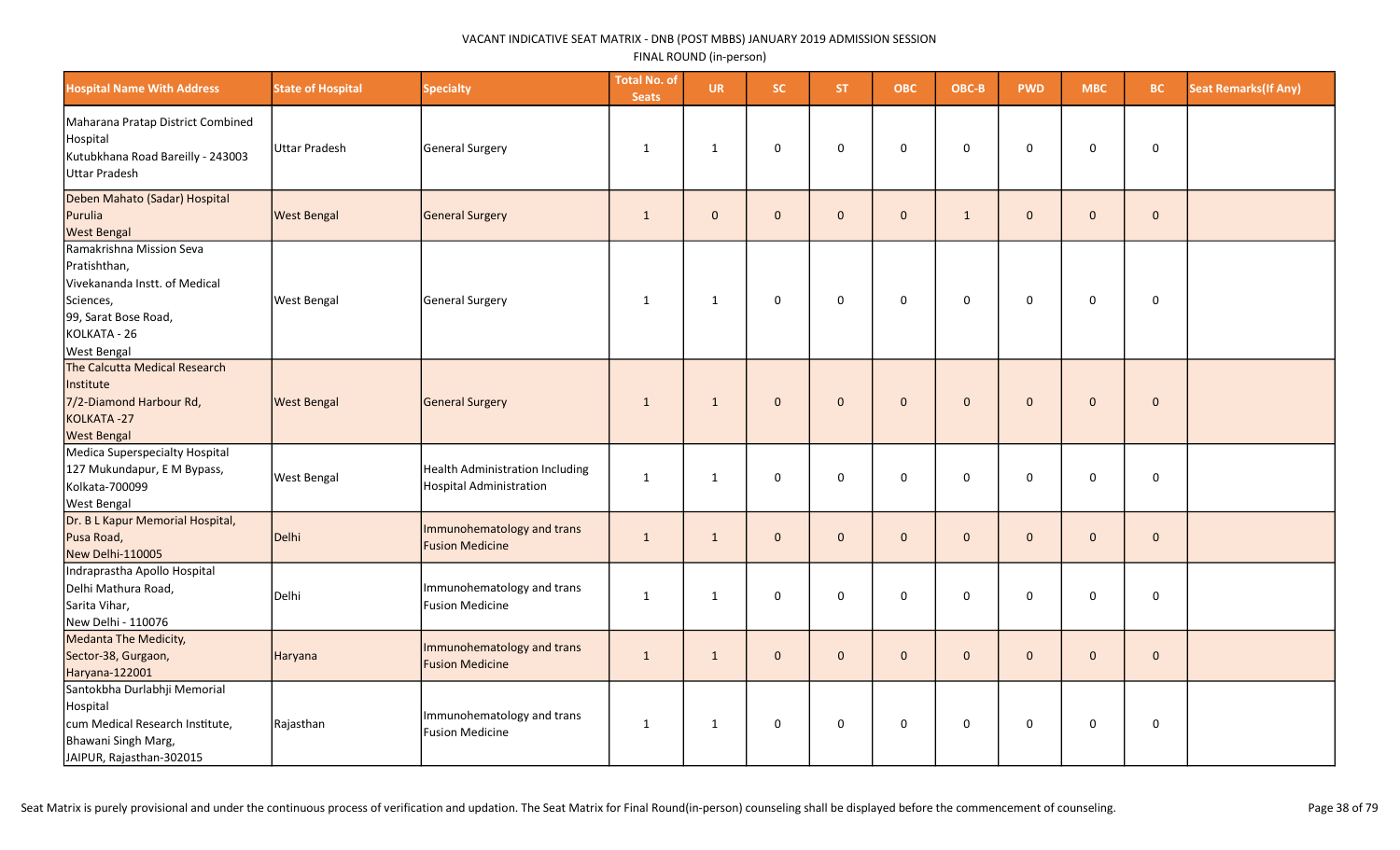| <b>Hospital Name With Address</b>                                                                                                                    | <b>State of Hospital</b> | <b>Specialty</b>                                                         | <b>Total No. of</b><br><b>Seats</b> | <b>UR</b>    | <b>SC</b>    | ST.            | <b>OBC</b>   | OBC-B        | <b>PWD</b>   | <b>MBC</b>   | BC.         | <b>Seat Remarks (If Any)</b> |
|------------------------------------------------------------------------------------------------------------------------------------------------------|--------------------------|--------------------------------------------------------------------------|-------------------------------------|--------------|--------------|----------------|--------------|--------------|--------------|--------------|-------------|------------------------------|
| Maharana Pratap District Combined<br>Hospital<br>Kutubkhana Road Bareilly - 243003<br><b>Uttar Pradesh</b>                                           | Uttar Pradesh            | General Surgery                                                          | $\mathbf{1}$                        | $\mathbf{1}$ | 0            | $\mathbf 0$    | 0            | 0            | 0            | 0            | 0           |                              |
| Deben Mahato (Sadar) Hospital<br>Purulia<br><b>West Bengal</b>                                                                                       | <b>West Bengal</b>       | General Surgery                                                          | $\mathbf{1}$                        | $\mathbf{0}$ | $\mathbf{0}$ | $\Omega$       | $\mathbf 0$  | $\mathbf{1}$ | $\mathbf{0}$ | $\mathbf{0}$ | $\mathbf 0$ |                              |
| Ramakrishna Mission Seva<br>Pratishthan,<br>Vivekananda Instt. of Medical<br>Sciences,<br>99, Sarat Bose Road,<br>KOLKATA - 26<br><b>West Bengal</b> | <b>West Bengal</b>       | General Surgery                                                          | 1                                   | $\mathbf{1}$ | 0            | $\mathbf 0$    | $\pmb{0}$    | 0            | $\mathbf 0$  | $\mathbf 0$  | 0           |                              |
| The Calcutta Medical Research<br>Institute<br>7/2-Diamond Harbour Rd,<br>KOLKATA-27<br><b>West Bengal</b>                                            | <b>West Bengal</b>       | General Surgery                                                          | $\mathbf{1}$                        | $\mathbf{1}$ | $\mathbf 0$  | $\overline{0}$ | $\mathbf 0$  | $\mathbf 0$  | $\mathbf{0}$ | $\mathbf 0$  | $\mathbf 0$ |                              |
| Medica Superspecialty Hospital<br>127 Mukundapur, E M Bypass,<br>Kolkata-700099<br><b>West Bengal</b>                                                | <b>West Bengal</b>       | <b>Health Administration Including</b><br><b>Hospital Administration</b> | $\mathbf{1}$                        | $\mathbf{1}$ | 0            | $\mathbf 0$    | 0            | 0            | 0            | $\mathsf{O}$ | 0           |                              |
| Dr. B L Kapur Memorial Hospital,<br>Pusa Road,<br>New Delhi-110005                                                                                   | Delhi                    | Immunohematology and trans<br><b>Fusion Medicine</b>                     | $\mathbf{1}$                        | 1            | $\mathbf{0}$ | $\mathbf{0}$   | $\mathbf{0}$ | $\mathbf{0}$ | $\mathbf{0}$ | $\mathbf{0}$ | $\mathbf 0$ |                              |
| Indraprastha Apollo Hospital<br>Delhi Mathura Road,<br>Sarita Vihar,<br>New Delhi - 110076                                                           | Delhi                    | Immunohematology and trans<br>Fusion Medicine                            | $\mathbf{1}$                        | $\mathbf{1}$ | 0            | $\mathbf 0$    | $\pmb{0}$    | 0            | $\mathbf 0$  | $\mathbf 0$  | $\pmb{0}$   |                              |
| Medanta The Medicity,<br>Sector-38, Gurgaon,<br>Haryana-122001                                                                                       | Haryana                  | Immunohematology and trans<br><b>Fusion Medicine</b>                     | $\mathbf{1}$                        | $\mathbf{1}$ | $\mathbf{0}$ | $\mathbf{0}$   | $\mathbf{0}$ | $\mathbf{0}$ | $\mathbf{0}$ | $\mathbf{0}$ | $\mathbf 0$ |                              |
| Santokbha Durlabhji Memorial<br>Hospital<br>cum Medical Research Institute,<br>Bhawani Singh Marg,<br>JAIPUR, Rajasthan-302015                       | Rajasthan                | Immunohematology and trans<br><b>Fusion Medicine</b>                     | $\mathbf{1}$                        | $\mathbf{1}$ | 0            | $\mathbf 0$    | 0            | 0            | $\mathbf 0$  | $\mathsf{O}$ | 0           |                              |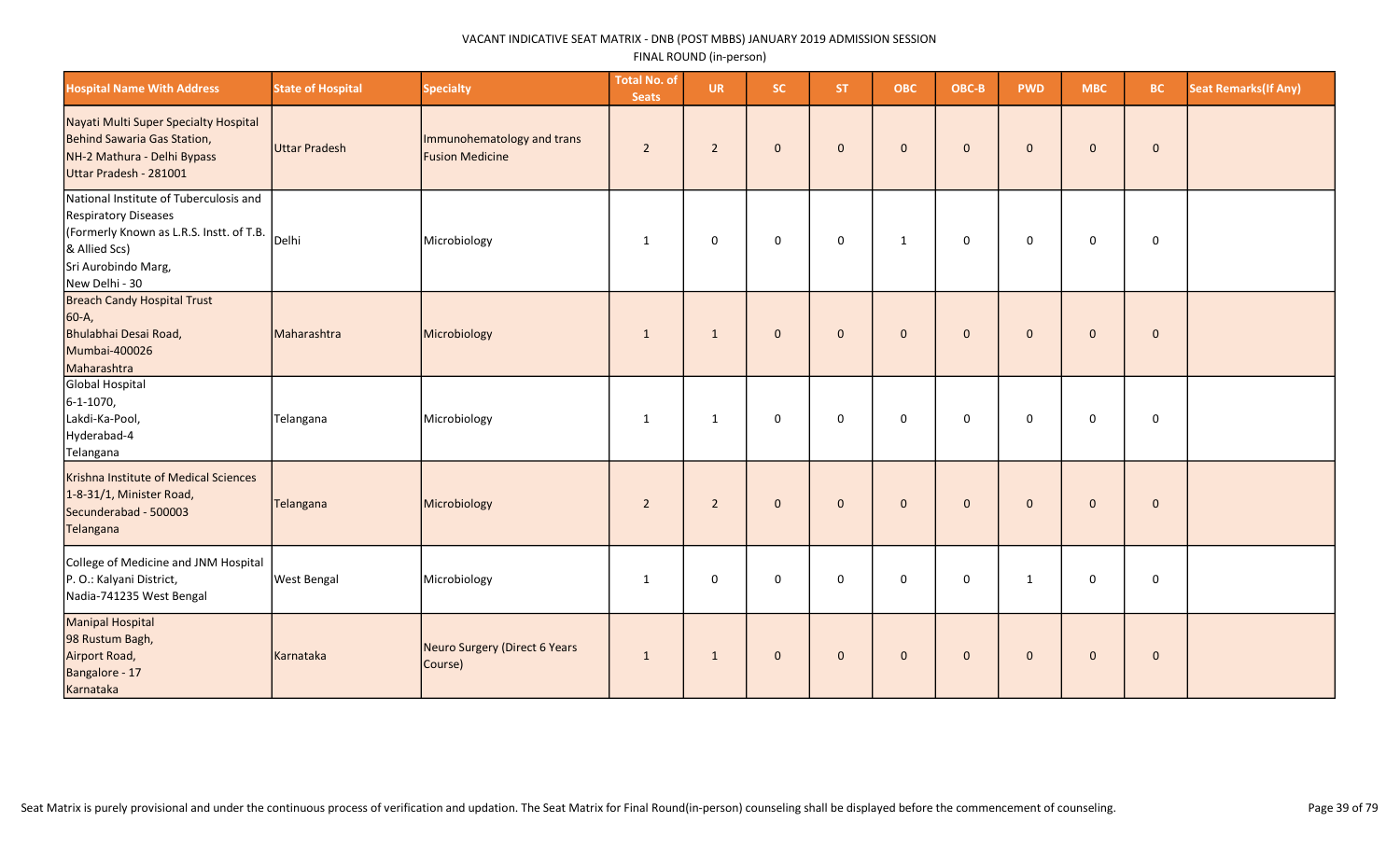| <b>Hospital Name With Address</b>                                                                                                                                           | <b>State of Hospital</b> | <b>Specialty</b>                                     | <b>Total No. of</b><br><b>Seats</b> | <b>UR</b>      | <b>SC</b>    | ST.            | <b>OBC</b>   | OBC-B        | <b>PWD</b>   | <b>MBC</b>   | BC.          | <b>Seat Remarks (If Any)</b> |
|-----------------------------------------------------------------------------------------------------------------------------------------------------------------------------|--------------------------|------------------------------------------------------|-------------------------------------|----------------|--------------|----------------|--------------|--------------|--------------|--------------|--------------|------------------------------|
| Nayati Multi Super Specialty Hospital<br>Behind Sawaria Gas Station,<br>NH-2 Mathura - Delhi Bypass<br>Uttar Pradesh - 281001                                               | Uttar Pradesh            | Immunohematology and trans<br><b>Fusion Medicine</b> | $\overline{2}$                      | $\overline{2}$ | $\mathbf{0}$ | $\mathbf{0}$   | $\mathbf{0}$ | $\mathbf{0}$ | $\mathbf{0}$ | $\mathbf{0}$ | $\mathbf 0$  |                              |
| National Institute of Tuberculosis and<br><b>Respiratory Diseases</b><br>(Formerly Known as L.R.S. Instt. of T.B.<br>& Allied Scs)<br>Sri Aurobindo Marg,<br>New Delhi - 30 | Delhi                    | Microbiology                                         | 1                                   | $\mathbf 0$    | $\mathbf 0$  | $\Omega$       | 1            | $\mathbf 0$  | $\mathbf 0$  | $\mathbf 0$  | $\mathbf 0$  |                              |
| Breach Candy Hospital Trust<br>60-A,<br>Bhulabhai Desai Road,<br>Mumbai-400026<br>Maharashtra                                                                               | Maharashtra              | Microbiology                                         | $\mathbf{1}$                        | $\mathbf{1}$   | $\mathbf{0}$ | $\overline{0}$ | $\mathbf{0}$ | $\mathbf{0}$ | $\mathbf{0}$ | $\mathbf{0}$ | $\mathbf{0}$ |                              |
| Global Hospital<br>6-1-1070,<br>Lakdi-Ka-Pool,<br>Hyderabad-4<br>Telangana                                                                                                  | Telangana                | Microbiology                                         | $\mathbf{1}$                        | 1              | 0            | $\mathbf 0$    | $\mathsf 0$  | $\mathbf 0$  | $\mathbf 0$  | $\mathbf 0$  | $\mathsf 0$  |                              |
| Krishna Institute of Medical Sciences<br>1-8-31/1, Minister Road,<br>Secunderabad - 500003<br>Telangana                                                                     | Telangana                | Microbiology                                         | $\overline{2}$                      | $\overline{2}$ | $\mathbf{0}$ | $\overline{0}$ | $\mathbf{0}$ | $\mathbf{0}$ | $\mathbf{0}$ | $\mathbf{0}$ | $\mathbf 0$  |                              |
| College of Medicine and JNM Hospital<br>P. O.: Kalyani District,<br>Nadia-741235 West Bengal                                                                                | <b>West Bengal</b>       | Microbiology                                         | $\mathbf 1$                         | 0              | 0            | $\mathbf 0$    | $\mathsf 0$  | $\mathbf 0$  | $\mathbf{1}$ | $\mathbf 0$  | $\mathbf 0$  |                              |
| Manipal Hospital<br>98 Rustum Bagh,<br>Airport Road,<br>Bangalore - 17<br>Karnataka                                                                                         | Karnataka                | Neuro Surgery (Direct 6 Years<br>Course)             | $\mathbf{1}$                        | $\mathbf{1}$   | $\mathbf{0}$ | $\mathbf 0$    | $\mathbf 0$  | $\mathbf{0}$ | $\mathbf{0}$ | $\mathbf{0}$ | $\mathbf 0$  |                              |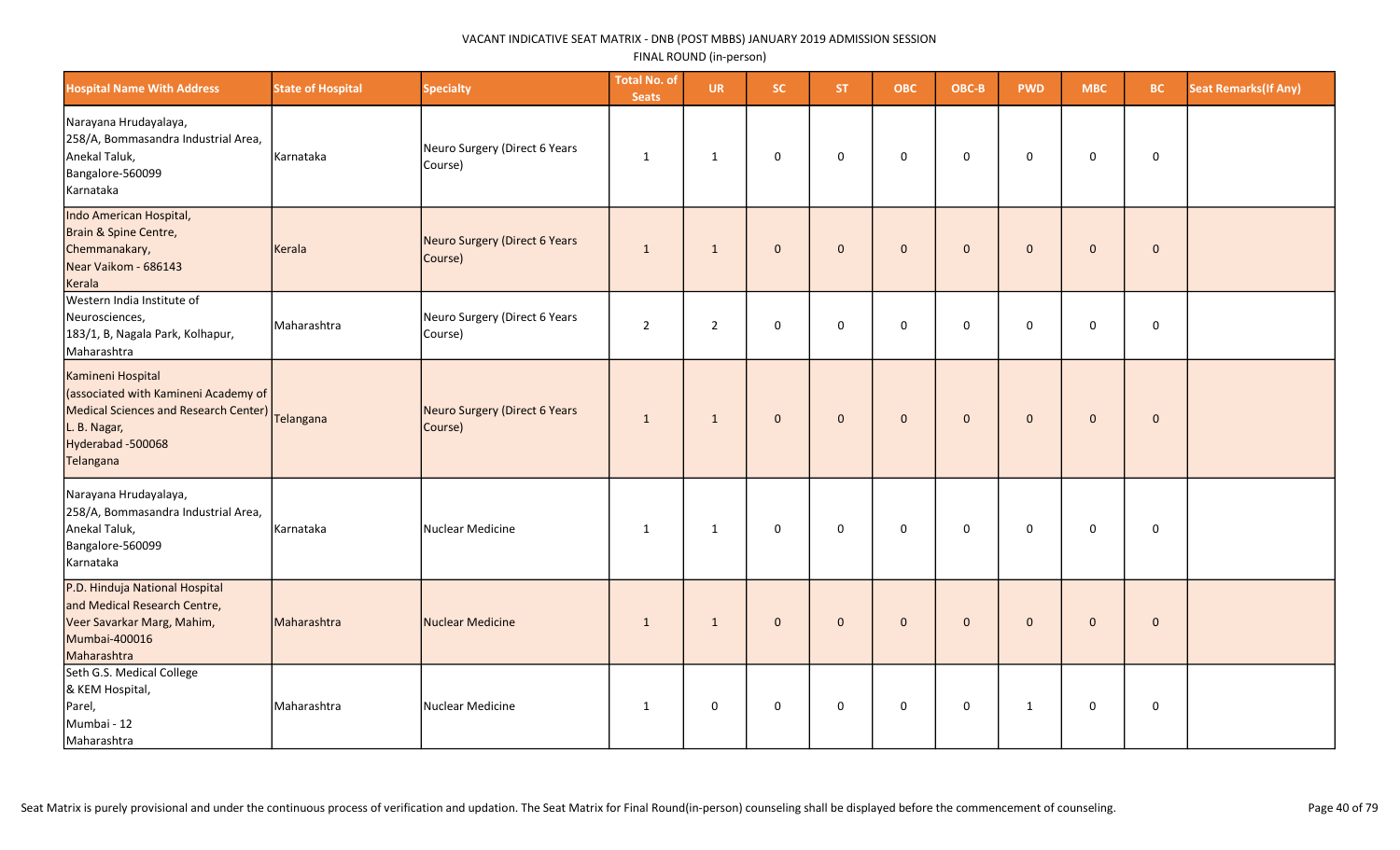| <b>Hospital Name With Address</b>                                                                                                                                    | <b>State of Hospital</b> | <b>Specialty</b>                         | <b>Total No. of</b><br><b>Seats</b> | <b>UR</b>      | <b>SC</b>           | ST.          | <b>OBC</b>  | OBC-B        | <b>PWD</b>   | <b>MBC</b>          | <b>BC</b>   | <b>Seat Remarks (If Any)</b> |
|----------------------------------------------------------------------------------------------------------------------------------------------------------------------|--------------------------|------------------------------------------|-------------------------------------|----------------|---------------------|--------------|-------------|--------------|--------------|---------------------|-------------|------------------------------|
| Narayana Hrudayalaya,<br>258/A, Bommasandra Industrial Area,<br>Anekal Taluk,<br>Bangalore-560099<br>Karnataka                                                       | Karnataka                | Neuro Surgery (Direct 6 Years<br>Course) | $\mathbf{1}$                        | $\mathbf{1}$   | 0                   | $\mathbf 0$  | $\mathsf 0$ | $\mathbf 0$  | $\mathbf 0$  | 0                   | $\mathbf 0$ |                              |
| Indo American Hospital,<br>Brain & Spine Centre,<br>Chemmanakary,<br>Near Vaikom - 686143<br>Kerala                                                                  | Kerala                   | Neuro Surgery (Direct 6 Years<br>Course) | $\mathbf{1}$                        | $\mathbf{1}$   | $\mathbf 0$         | $\mathbf{0}$ | $\mathbf 0$ | $\mathbf{0}$ | $\mathbf 0$  | $\mathbf 0$         | $\pmb{0}$   |                              |
| Western India Institute of<br>Neurosciences,<br>183/1, B, Nagala Park, Kolhapur,<br>Maharashtra                                                                      | Maharashtra              | Neuro Surgery (Direct 6 Years<br>Course) | $\overline{2}$                      | $\overline{2}$ | 0                   | $\mathbf 0$  | $\mathbf 0$ | $\mathbf 0$  | $\mathbf 0$  | 0                   | $\mathsf 0$ |                              |
| Kamineni Hospital<br>(associated with Kamineni Academy of<br>Medical Sciences and Research Center)  <br> Telangana<br>L. B. Nagar,<br>Hyderabad -500068<br>Telangana |                          | Neuro Surgery (Direct 6 Years<br>Course) | $\mathbf{1}$                        | $\mathbf{1}$   | $\mathbf{0}$        | $\mathbf{0}$ | $\mathbf 0$ | $\mathbf{0}$ | $\mathbf{0}$ | $\mathbf 0$         | $\mathbf 0$ |                              |
| Narayana Hrudayalaya,<br>258/A, Bommasandra Industrial Area,<br>Anekal Taluk,<br>Bangalore-560099<br>Karnataka                                                       | Karnataka                | Nuclear Medicine                         | 1                                   | $\mathbf{1}$   | 0                   | $\mathbf{0}$ | $\mathbf 0$ | $\mathbf 0$  | $\mathbf 0$  | $\mathsf{O}\xspace$ | $\mathsf 0$ |                              |
| P.D. Hinduja National Hospital<br>and Medical Research Centre,<br>Veer Savarkar Marg, Mahim,<br>Mumbai-400016<br>Maharashtra                                         | Maharashtra              | Nuclear Medicine                         | $\mathbf{1}$                        | $\mathbf{1}$   | $\mathbf 0$         | $\mathbf 0$  | $\mathbf 0$ | $\mathbf{0}$ | $\mathbf{0}$ | $\mathbf 0$         | $\mathbf 0$ |                              |
| Seth G.S. Medical College<br>& KEM Hospital,<br>Parel,<br>Mumbai - 12<br>Maharashtra                                                                                 | Maharashtra              | Nuclear Medicine                         | 1                                   | $\pmb{0}$      | $\mathsf{O}\xspace$ | $\mathbf 0$  | $\pmb{0}$   | $\mathbf 0$  | $\mathbf{1}$ | 0                   | $\mathbf 0$ |                              |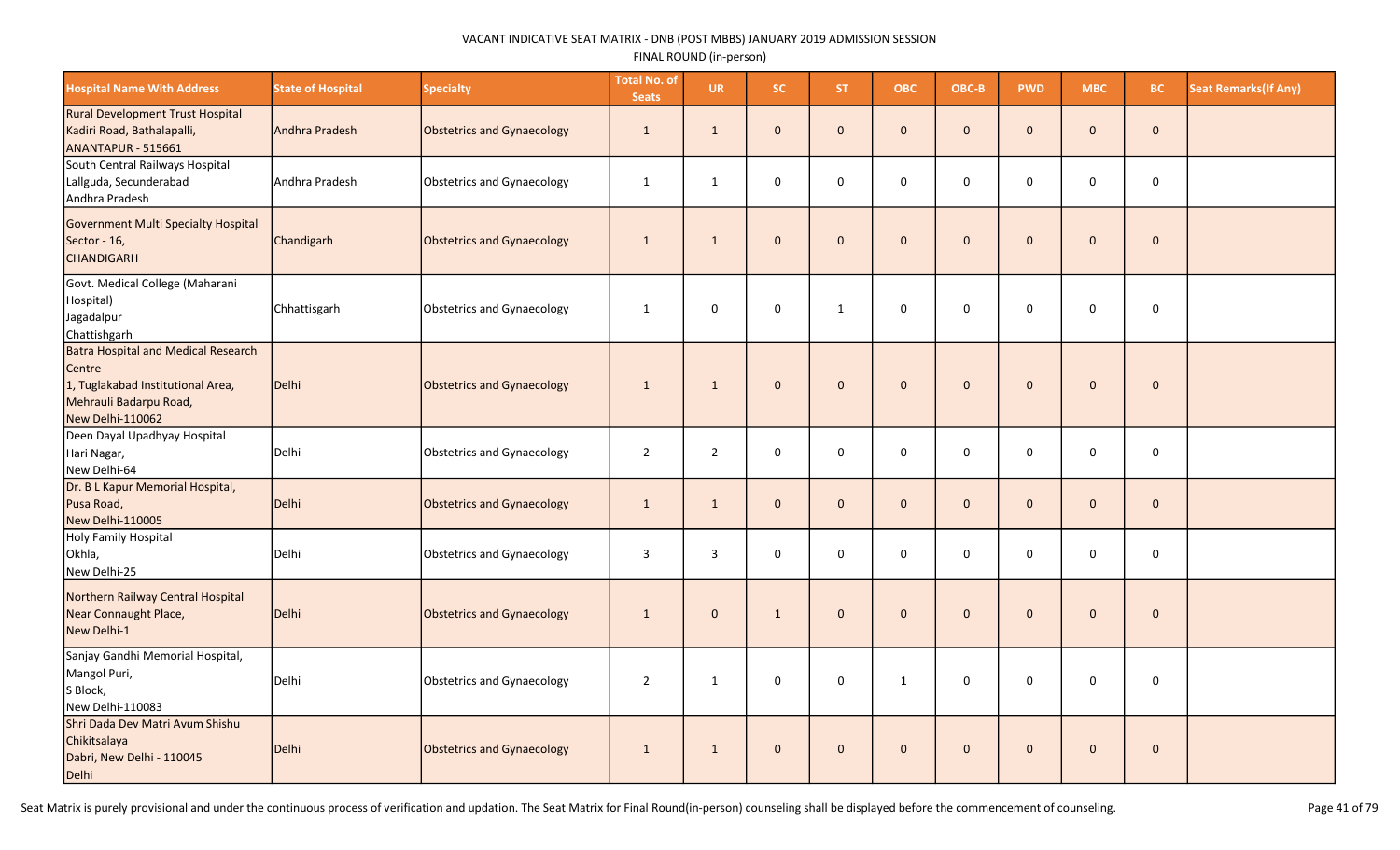| <b>Hospital Name With Address</b>                                                                                                       | <b>State of Hospital</b> | <b>Specialty</b>                  | <b>Total No. of</b><br><b>Seats</b> | <b>UR</b>      | <b>SC</b>           | <b>ST</b>    | <b>OBC</b>   | OBC-B        | <b>PWD</b>   | <b>MBC</b>     | <b>BC</b>           | <b>Seat Remarks(If Any)</b> |
|-----------------------------------------------------------------------------------------------------------------------------------------|--------------------------|-----------------------------------|-------------------------------------|----------------|---------------------|--------------|--------------|--------------|--------------|----------------|---------------------|-----------------------------|
| <b>Rural Development Trust Hospital</b><br>Kadiri Road, Bathalapalli,<br>ANANTAPUR - 515661                                             | Andhra Pradesh           | <b>Obstetrics and Gynaecology</b> | $\mathbf{1}$                        | $\mathbf{1}$   | $\mathbf{0}$        | $\mathbf{0}$ | $\mathbf 0$  | $\mathbf{0}$ | $\mathbf{0}$ | $\mathbf{0}$   | $\mathbf 0$         |                             |
| South Central Railways Hospital<br>Lallguda, Secunderabad<br>Andhra Pradesh                                                             | Andhra Pradesh           | Obstetrics and Gynaecology        | $\mathbf{1}$                        | $\mathbf{1}$   | 0                   | $\mathbf 0$  | $\mathbf 0$  | $\mathbf 0$  | $\mathbf 0$  | 0              | $\mathbf 0$         |                             |
| Government Multi Specialty Hospital<br>Sector - 16,<br><b>CHANDIGARH</b>                                                                | Chandigarh               | <b>Obstetrics and Gynaecology</b> | $\mathbf{1}$                        | 1              | $\mathbf 0$         | $\mathbf{0}$ | $\mathbf 0$  | $\mathbf{0}$ | $\mathbf{0}$ | $\overline{0}$ | $\mathbf 0$         |                             |
| Govt. Medical College (Maharani<br>Hospital)<br>Jagadalpur<br>Chattishgarh                                                              | Chhattisgarh             | <b>Obstetrics and Gynaecology</b> | $\mathbf{1}$                        | $\mathbf 0$    | 0                   | $\mathbf{1}$ | $\mathbf 0$  | $\mathbf 0$  | $\Omega$     | 0              | $\mathbf 0$         |                             |
| <b>Batra Hospital and Medical Research</b><br>Centre<br>1, Tuglakabad Institutional Area,<br>Mehrauli Badarpu Road,<br>New Delhi-110062 | Delhi                    | <b>Obstetrics and Gynaecology</b> | $\mathbf{1}$                        | $\mathbf{1}$   | $\mathbf{0}$        | $\Omega$     | $\mathbf{0}$ | $\mathbf{0}$ | $\Omega$     | $\mathbf 0$    | $\pmb{0}$           |                             |
| Deen Dayal Upadhyay Hospital<br>Hari Nagar,<br>New Delhi-64                                                                             | Delhi                    | <b>Obstetrics and Gynaecology</b> | $\overline{2}$                      | $\overline{2}$ | $\mathbf 0$         | $\Omega$     | $\mathbf 0$  | $\mathbf 0$  | $\Omega$     | 0              | $\mathbf 0$         |                             |
| Dr. B L Kapur Memorial Hospital,<br>Pusa Road,<br>New Delhi-110005                                                                      | Delhi                    | <b>Obstetrics and Gynaecology</b> | $\mathbf{1}$                        | $\mathbf{1}$   | $\mathbf{0}$        | $\mathbf{0}$ | $\mathbf 0$  | $\mathbf{0}$ | $\mathbf{0}$ | $\mathbf 0$    | $\mathbf 0$         |                             |
| Holy Family Hospital<br>Okhla,<br>New Delhi-25                                                                                          | Delhi                    | <b>Obstetrics and Gynaecology</b> | $\mathbf{3}$                        | $\mathbf{3}$   | 0                   | 0            | $\mathbf 0$  | $\mathsf 0$  | $\Omega$     | 0              | $\mathsf{O}\xspace$ |                             |
| Northern Railway Central Hospital<br>Near Connaught Place,<br>New Delhi-1                                                               | Delhi                    | <b>Obstetrics and Gynaecology</b> | $\mathbf{1}$                        | $\mathbf{0}$   | $\mathbf{1}$        | $\mathbf{0}$ | $\mathbf 0$  | $\mathbf{0}$ | $\Omega$     | $\mathbf{0}$   | $\pmb{0}$           |                             |
| Sanjay Gandhi Memorial Hospital,<br>Mangol Puri,<br>S Block,<br>New Delhi-110083                                                        | Delhi                    | <b>Obstetrics and Gynaecology</b> | $\overline{2}$                      | $\mathbf{1}$   | 0                   | $\mathbf 0$  | $\mathbf{1}$ | $\mathbf 0$  | $\mathbf 0$  | 0              | $\mathbf 0$         |                             |
| Shri Dada Dev Matri Avum Shishu<br>Chikitsalaya<br>Dabri, New Delhi - 110045<br>Delhi                                                   | Delhi                    | <b>Obstetrics and Gynaecology</b> | $\mathbf{1}$                        | $\mathbf{1}$   | $\mathsf{O}\xspace$ | $\mathbf{0}$ | $\pmb{0}$    | $\mathbf{0}$ | $\pmb{0}$    | $\pmb{0}$      | $\pmb{0}$           |                             |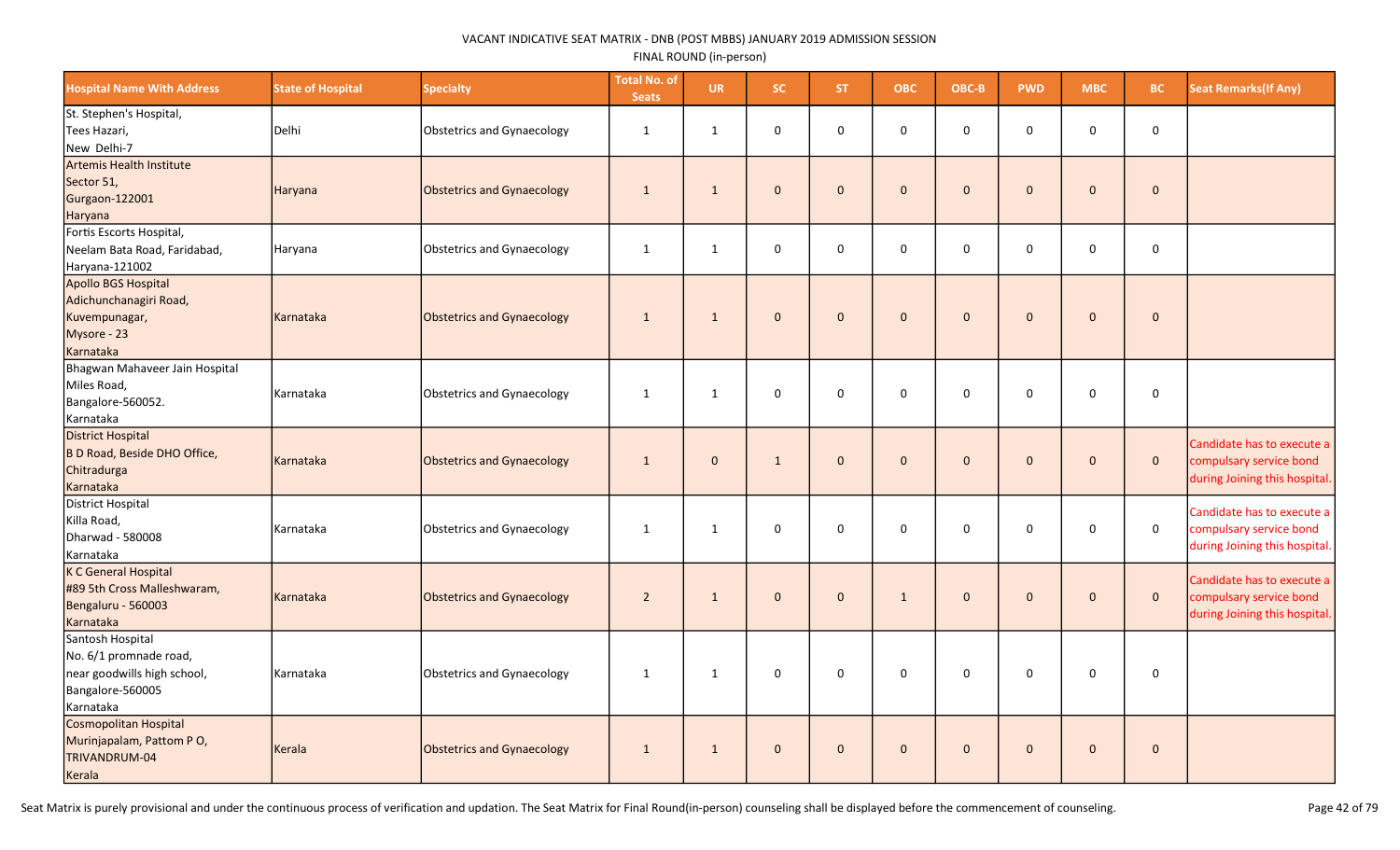| <b>Hospital Name With Address</b>                                                                          | <b>State of Hospital</b> | <b>Specialty</b>           | <b>Total No. of</b><br><b>Seats</b> | <b>UR</b>    | SC.          | ST.          | <b>OBC</b>   | OBC-B        | <b>PWD</b>   | <b>MBC</b>   | BC           | <b>Seat Remarks(If Any)</b>                                                            |
|------------------------------------------------------------------------------------------------------------|--------------------------|----------------------------|-------------------------------------|--------------|--------------|--------------|--------------|--------------|--------------|--------------|--------------|----------------------------------------------------------------------------------------|
| St. Stephen's Hospital,<br>Tees Hazari,<br>New Delhi-7                                                     | Delhi                    | Obstetrics and Gynaecology | $\mathbf{1}$                        | $\mathbf{1}$ | $\mathbf 0$  | $\Omega$     | 0            | $\mathbf 0$  | $\Omega$     | $\mathbf 0$  | 0            |                                                                                        |
| Artemis Health Institute<br>Sector 51,<br>Gurgaon-122001<br>Haryana                                        | Haryana                  | Obstetrics and Gynaecology | $\mathbf{1}$                        | $\mathbf{1}$ | $\mathbf{0}$ | $\mathbf{0}$ | $\mathbf{0}$ | $\mathbf{0}$ | $\mathbf{0}$ | $\mathbf{0}$ | $\mathbf{0}$ |                                                                                        |
| Fortis Escorts Hospital,<br>Neelam Bata Road, Faridabad,<br>Haryana-121002                                 | Haryana                  | Obstetrics and Gynaecology | $\mathbf{1}$                        | $\mathbf{1}$ | $\mathbf 0$  | 0            | 0            | $\mathbf 0$  | $\mathbf 0$  | $\mathbf 0$  | 0            |                                                                                        |
| Apollo BGS Hospital<br>Adichunchanagiri Road,<br>Kuvempunagar,<br>Mysore - 23<br>Karnataka                 | Karnataka                | Obstetrics and Gynaecology | $\mathbf{1}$                        | $\mathbf{1}$ | $\mathbf{0}$ | $\mathbf{0}$ | $\mathbf{0}$ | $\mathbf{0}$ | $\mathbf{0}$ | $\mathbf{0}$ | $\mathbf{0}$ |                                                                                        |
| Bhagwan Mahaveer Jain Hospital<br>Miles Road,<br>Bangalore-560052.<br>Karnataka                            | Karnataka                | Obstetrics and Gynaecology | $\mathbf{1}$                        | $\mathbf{1}$ | $\mathbf 0$  | 0            | 0            | $\mathbf 0$  | $\mathbf 0$  | 0            | 0            |                                                                                        |
| <b>District Hospital</b><br>B D Road, Beside DHO Office,<br>Chitradurga<br>Karnataka                       | Karnataka                | Obstetrics and Gynaecology | $\mathbf{1}$                        | $\mathbf{0}$ | 1            | $\mathbf{0}$ | $\mathbf{0}$ | $\mathbf 0$  | $\mathbf{0}$ | $\mathbf{0}$ | $\mathbf{0}$ | Candidate has to execute a<br>compulsary service bond<br>during Joining this hospital. |
| District Hospital<br>Killa Road,<br>Dharwad - 580008<br>Karnataka                                          | Karnataka                | Obstetrics and Gynaecology | $\mathbf{1}$                        | $\mathbf{1}$ | $\mathbf 0$  | 0            | 0            | 0            | 0            | 0            | $\mathbf 0$  | Candidate has to execute a<br>compulsary service bond<br>during Joining this hospital. |
| K C General Hospital<br>#89 5th Cross Malleshwaram,<br>Bengaluru - 560003<br>Karnataka                     | Karnataka                | Obstetrics and Gynaecology | $\overline{2}$                      | $\mathbf{1}$ | $\mathbf{0}$ | $\mathbf{0}$ | $\mathbf{1}$ | $\mathbf 0$  | $\mathbf{0}$ | $\mathbf 0$  | $\mathbf 0$  | Candidate has to execute a<br>compulsary service bond<br>during Joining this hospital. |
| Santosh Hospital<br>No. 6/1 promnade road,<br>near goodwills high school,<br>Bangalore-560005<br>Karnataka | Karnataka                | Obstetrics and Gynaecology | $\mathbf{1}$                        | $\mathbf{1}$ | $\mathbf 0$  | $\mathbf 0$  | 0            | $\mathbf 0$  | $\mathbf 0$  | $\pmb{0}$    | 0            |                                                                                        |
| Cosmopolitan Hospital<br>Murinjapalam, Pattom PO,<br>TRIVANDRUM-04<br>Kerala                               | Kerala                   | Obstetrics and Gynaecology | $\mathbf{1}$                        | $\mathbf{1}$ | $\mathbf{0}$ | $\mathbf{0}$ | $\mathbf{0}$ | $\mathbf 0$  | $\mathbf{0}$ | $\mathbf 0$  | $\mathbf 0$  |                                                                                        |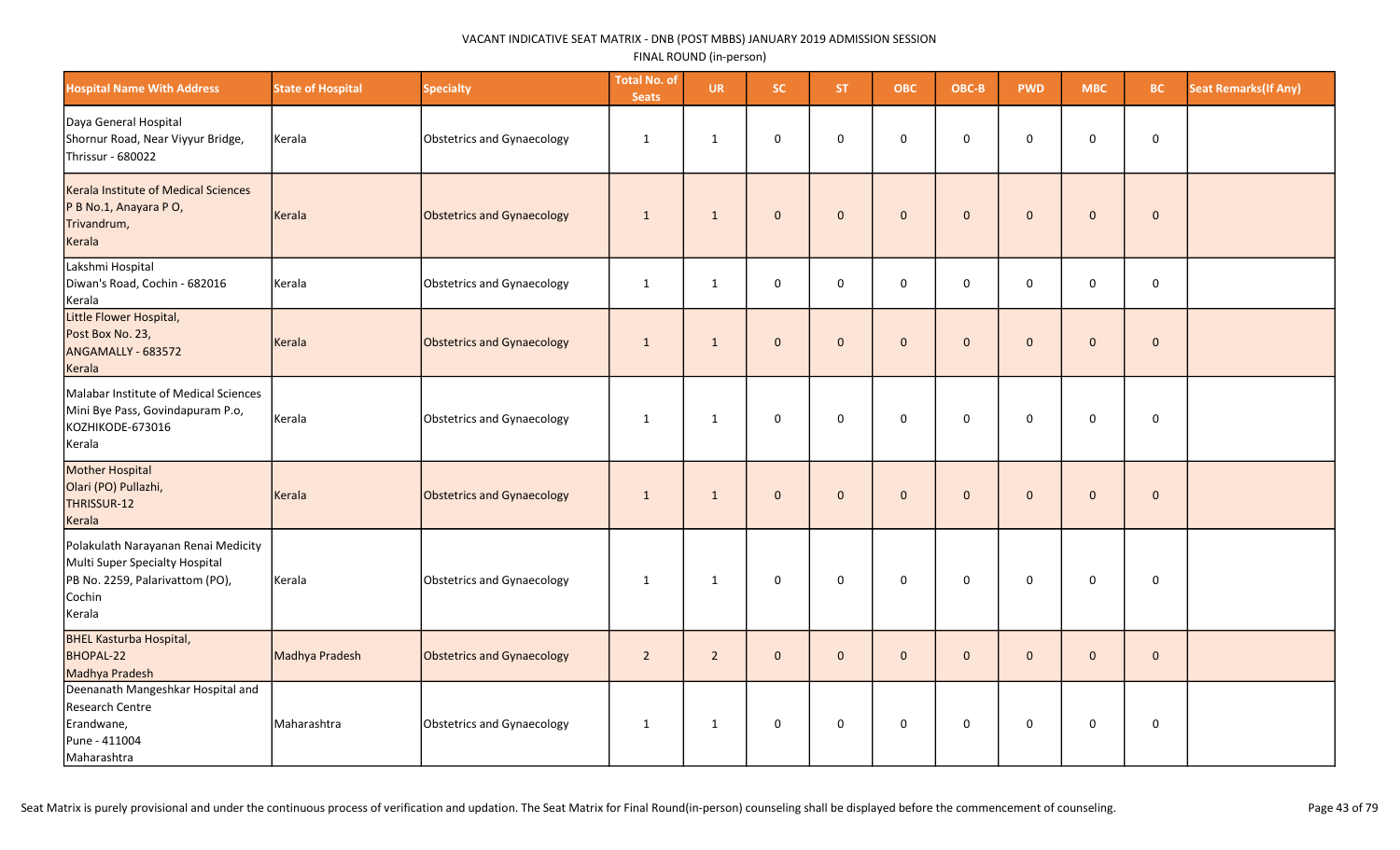| <b>Hospital Name With Address</b>                                                                                            | <b>State of Hospital</b> | <b>Specialty</b>           | <b>Total No. of</b><br><b>Seats</b> | <b>UR</b>      | <b>SC</b>    | <b>ST</b>      | <b>OBC</b>   | OBC-B        | <b>PWD</b>   | <b>MBC</b>   | <b>BC</b>   | <b>Seat Remarks (If Any)</b> |
|------------------------------------------------------------------------------------------------------------------------------|--------------------------|----------------------------|-------------------------------------|----------------|--------------|----------------|--------------|--------------|--------------|--------------|-------------|------------------------------|
| Daya General Hospital<br>Shornur Road, Near Viyyur Bridge,<br>Thrissur - 680022                                              | Kerala                   | Obstetrics and Gynaecology | $\mathbf{1}$                        | $\mathbf{1}$   | $\mathbf 0$  | $\mathbf 0$    | $\mathsf 0$  | $\mathbf 0$  | $\mathbf 0$  | $\mathbf 0$  | $\mathbf 0$ |                              |
| Kerala Institute of Medical Sciences<br>P B No.1, Anayara P O,<br>Trivandrum,<br>Kerala                                      | Kerala                   | Obstetrics and Gynaecology | $\mathbf{1}$                        | 1              | $\mathbf{0}$ | $\overline{0}$ | $\mathbf{0}$ | $\mathbf{0}$ | $\mathbf{0}$ | $\mathbf{0}$ | $\mathbf 0$ |                              |
| Lakshmi Hospital<br>Diwan's Road, Cochin - 682016<br>Kerala                                                                  | Kerala                   | Obstetrics and Gynaecology | $\mathbf{1}$                        | $\mathbf{1}$   | 0            | $\mathbf 0$    | $\mathbf 0$  | $\mathbf 0$  | $\mathbf 0$  | $\mathbf 0$  | 0           |                              |
| Little Flower Hospital,<br>Post Box No. 23,<br>ANGAMALLY - 683572<br>Kerala                                                  | Kerala                   | Obstetrics and Gynaecology | 1                                   | 1              | $\mathbf{0}$ | $\overline{0}$ | $\mathbf 0$  | $\mathbf{0}$ | $\mathbf{0}$ | $\mathbf{0}$ | $\mathbf 0$ |                              |
| Malabar Institute of Medical Sciences<br>Mini Bye Pass, Govindapuram P.o,<br>KOZHIKODE-673016<br>Kerala                      | Kerala                   | Obstetrics and Gynaecology | 1                                   | 1              | 0            | $\mathbf 0$    | $\mathbf 0$  | 0            | 0            | $\mathbf 0$  | $\pmb{0}$   |                              |
| Mother Hospital<br>Olari (PO) Pullazhi,<br>THRISSUR-12<br>Kerala                                                             | Kerala                   | Obstetrics and Gynaecology | $\mathbf{1}$                        | $\mathbf{1}$   | $\mathbf{0}$ | $\mathbf{0}$   | $\mathbf 0$  | $\mathbf{0}$ | $\mathbf{0}$ | $\mathbf{0}$ | $\mathbf 0$ |                              |
| Polakulath Narayanan Renai Medicity<br>Multi Super Specialty Hospital<br>PB No. 2259, Palarivattom (PO),<br>Cochin<br>Kerala | Kerala                   | Obstetrics and Gynaecology | $\mathbf{1}$                        | 1              | $\mathbf 0$  | $\mathbf 0$    | $\mathbf 0$  | $\mathbf 0$  | $\Omega$     | $\mathbf 0$  | $\mathbf 0$ |                              |
| <b>BHEL Kasturba Hospital,</b><br>BHOPAL-22<br>Madhya Pradesh                                                                | Madhya Pradesh           | Obstetrics and Gynaecology | $\sqrt{2}$                          | $\overline{2}$ | $\mathbf{0}$ | $\overline{0}$ | $\mathbf{0}$ | $\mathbf{0}$ | $\Omega$     | $\mathbf{0}$ | $\pmb{0}$   |                              |
| Deenanath Mangeshkar Hospital and<br>Research Centre<br>Erandwane,<br>Pune - 411004<br>Maharashtra                           | Maharashtra              | Obstetrics and Gynaecology | 1                                   | $\mathbf{1}$   | 0            | $\mathbf 0$    | 0            | $\mathbf 0$  | $\mathbf 0$  | 0            | $\mathbf 0$ |                              |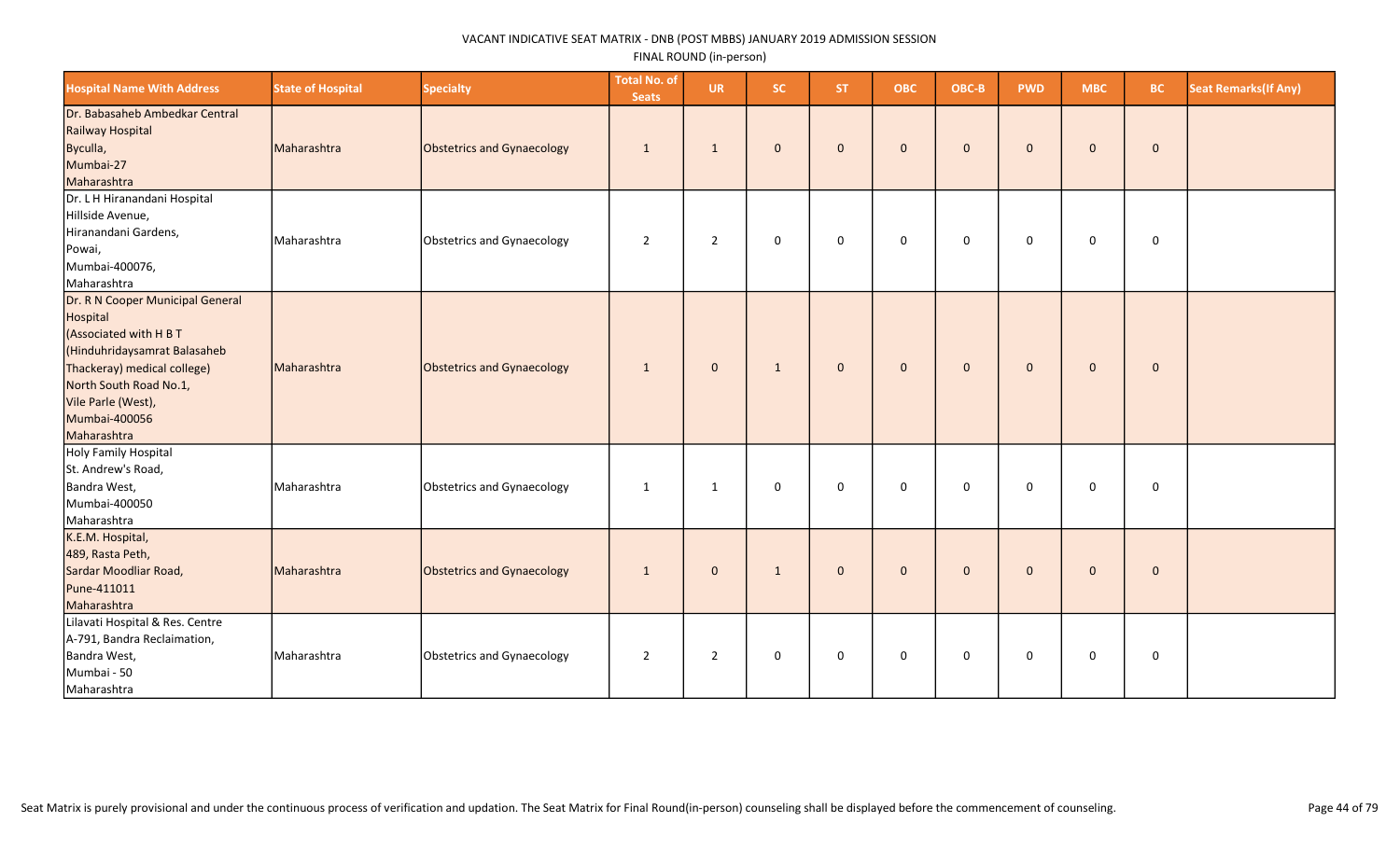| <b>Hospital Name With Address</b>                                                                                                                                                                                     | <b>State of Hospital</b> | <b>Specialty</b>           | <b>Total No. of</b><br><b>Seats</b> | <b>UR</b>      | <b>SC</b>    | ST.          | <b>OBC</b>   | OBC-B        | <b>PWD</b>   | <b>MBC</b>   | <b>BC</b>   | <b>Seat Remarks (If Any)</b> |
|-----------------------------------------------------------------------------------------------------------------------------------------------------------------------------------------------------------------------|--------------------------|----------------------------|-------------------------------------|----------------|--------------|--------------|--------------|--------------|--------------|--------------|-------------|------------------------------|
| Dr. Babasaheb Ambedkar Central<br>Railway Hospital<br>Byculla,<br>Mumbai-27<br>Maharashtra                                                                                                                            | Maharashtra              | Obstetrics and Gynaecology | $\mathbf{1}$                        | 1              | $\mathbf{0}$ | $\mathbf 0$  | $\mathbf{0}$ | $\mathbf{0}$ | $\mathbf{0}$ | $\mathbf 0$  | $\mathbf 0$ |                              |
| Dr. L H Hiranandani Hospital<br>Hillside Avenue,<br>Hiranandani Gardens,<br>Powai,<br>Mumbai-400076,<br>Maharashtra                                                                                                   | Maharashtra              | Obstetrics and Gynaecology | $\overline{2}$                      | $\overline{2}$ | 0            | $\mathbf 0$  | $\mathbf 0$  | $\mathbf 0$  | $\mathbf 0$  | 0            | $\mathbf 0$ |                              |
| Dr. R N Cooper Municipal General<br>Hospital<br>(Associated with H B T<br>(Hinduhridaysamrat Balasaheb<br>Thackeray) medical college)<br>North South Road No.1,<br>Vile Parle (West),<br>Mumbai-400056<br>Maharashtra | Maharashtra              | Obstetrics and Gynaecology | 1                                   | $\mathbf{0}$   | $\mathbf{1}$ | $\mathbf{0}$ | $\mathbf 0$  | $\mathbf{0}$ | $\mathbf 0$  | $\mathbf 0$  | $\mathbf 0$ |                              |
| Holy Family Hospital<br>St. Andrew's Road,<br>Bandra West,<br>Mumbai-400050<br>Maharashtra                                                                                                                            | Maharashtra              | Obstetrics and Gynaecology | 1                                   | $\mathbf{1}$   | 0            | $\mathbf 0$  | $\mathbf 0$  | $\mathbf 0$  | $\mathbf 0$  | 0            | $\mathbf 0$ |                              |
| K.E.M. Hospital,<br>489, Rasta Peth,<br>Sardar Moodliar Road,<br>Pune-411011<br>Maharashtra                                                                                                                           | Maharashtra              | Obstetrics and Gynaecology | $\mathbf{1}$                        | $\mathbf{0}$   | $\mathbf{1}$ | $\mathbf 0$  | $\mathbf{0}$ | $\mathbf{0}$ | $\mathbf{0}$ | $\mathbf{0}$ | $\mathbf 0$ |                              |
| Lilavati Hospital & Res. Centre<br>A-791, Bandra Reclaimation,<br>Bandra West,<br>Mumbai - 50<br>Maharashtra                                                                                                          | Maharashtra              | Obstetrics and Gynaecology | $\overline{2}$                      | $\overline{2}$ | $\mathsf 0$  | $\mathbf 0$  | $\mathbf 0$  | $\mathsf 0$  | $\mathsf 0$  | $\mathsf 0$  | $\mathbf 0$ |                              |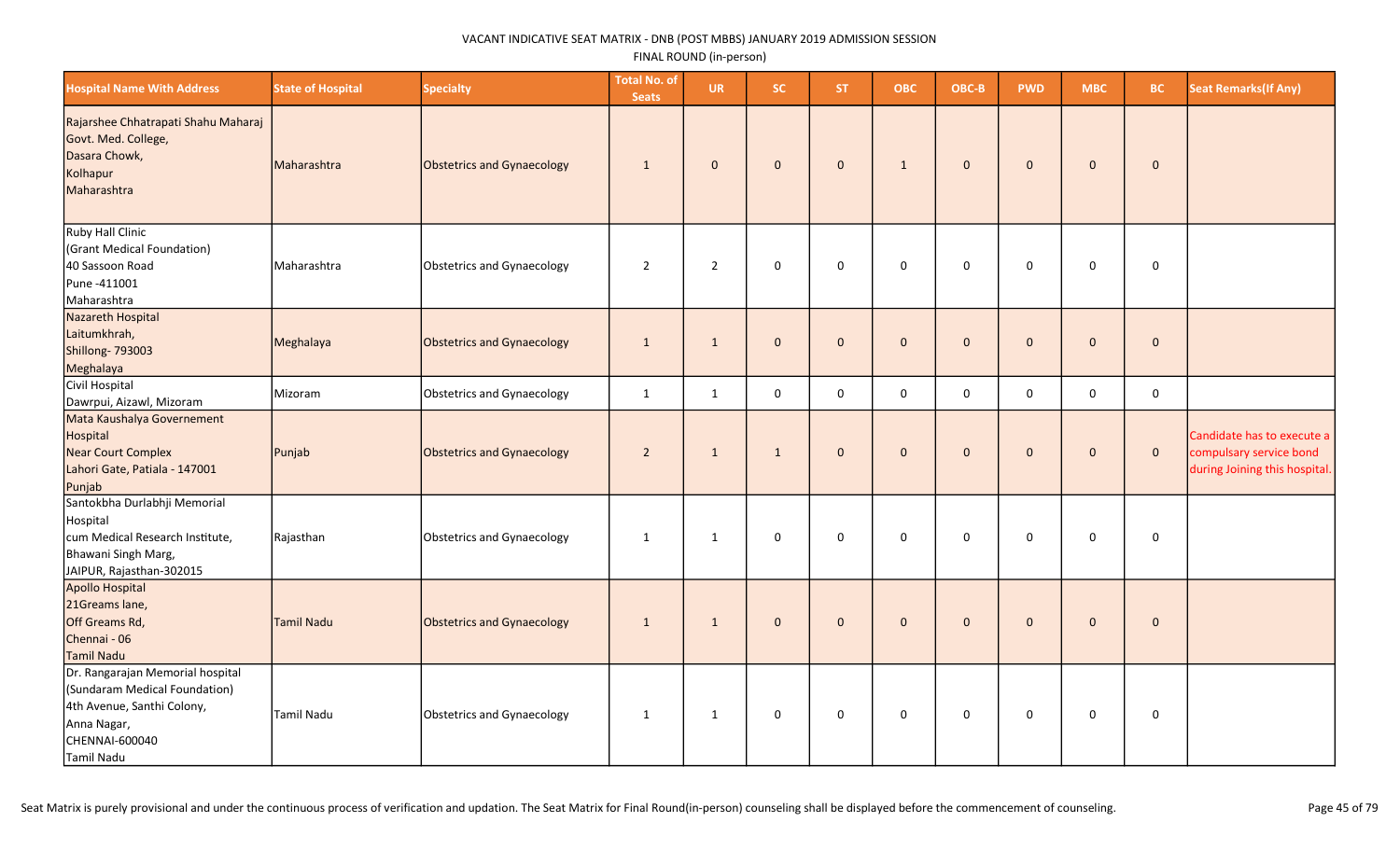| <b>Hospital Name With Address</b>                                                                                                              | <b>State of Hospital</b> | <b>Specialty</b>                  | <b>Total No. of</b><br><b>Seats</b> | <b>UR</b>      | SC.          | <b>ST</b>    | <b>OBC</b>   | OBC-B        | <b>PWD</b>   | <b>MBC</b>   | <b>BC</b>   | <b>Seat Remarks (If Any)</b>                                                           |
|------------------------------------------------------------------------------------------------------------------------------------------------|--------------------------|-----------------------------------|-------------------------------------|----------------|--------------|--------------|--------------|--------------|--------------|--------------|-------------|----------------------------------------------------------------------------------------|
| Rajarshee Chhatrapati Shahu Maharaj<br>Govt. Med. College,<br>Dasara Chowk,<br>Kolhapur<br>Maharashtra                                         | Maharashtra              | Obstetrics and Gynaecology        | $\mathbf{1}$                        | $\mathbf{0}$   | $\mathbf{0}$ | $\mathbf{0}$ | 1            | $\mathbf{0}$ | $\mathbf{0}$ | $\mathbf{0}$ | $\mathbf 0$ |                                                                                        |
| Ruby Hall Clinic<br>(Grant Medical Foundation)<br>40 Sassoon Road<br>Pune -411001<br>Maharashtra                                               | Maharashtra              | <b>Obstetrics and Gynaecology</b> | $\overline{2}$                      | $\overline{2}$ | $\mathsf 0$  | $\mathbf 0$  | $\mathbf 0$  | $\mathbf 0$  | $\mathbf 0$  | $\mathbf 0$  | 0           |                                                                                        |
| Nazareth Hospital<br>Laitumkhrah,<br>Shillong- 793003<br>Meghalaya                                                                             | Meghalaya                | <b>Obstetrics and Gynaecology</b> | 1                                   | $\mathbf{1}$   | $\mathbf{0}$ | $\mathbf{0}$ | $\mathbf{0}$ | $\mathbf 0$  | $\mathbf{0}$ | $\mathbf 0$  | $\mathbf 0$ |                                                                                        |
| Civil Hospital<br>Dawrpui, Aizawl, Mizoram                                                                                                     | Mizoram                  | <b>Obstetrics and Gynaecology</b> | $\mathbf{1}$                        | 1              | $\mathbf 0$  | $\mathbf 0$  | $\mathbf 0$  | $\mathbf 0$  | $\Omega$     | 0            | 0           |                                                                                        |
| Mata Kaushalya Governement<br>Hospital<br>Near Court Complex<br>Lahori Gate, Patiala - 147001<br>Punjab                                        | Punjab                   | <b>Obstetrics and Gynaecology</b> | $\overline{2}$                      | $\mathbf{1}$   | $\mathbf{1}$ | $\mathbf{0}$ | $\mathbf{0}$ | $\mathbf{0}$ | $\mathbf{0}$ | $\mathbf{0}$ | $\mathbf 0$ | Candidate has to execute a<br>compulsary service bond<br>during Joining this hospital. |
| Santokbha Durlabhji Memorial<br>Hospital<br>cum Medical Research Institute,<br>Bhawani Singh Marg,<br>JAIPUR, Rajasthan-302015                 | Rajasthan                | <b>Obstetrics and Gynaecology</b> | $\mathbf{1}$                        | $\mathbf{1}$   | 0            | $\mathbf 0$  | 0            | $\mathbf 0$  | $\mathbf 0$  | 0            | $\pmb{0}$   |                                                                                        |
| <b>Apollo Hospital</b><br>21Greams lane,<br>Off Greams Rd,<br>Chennai - 06<br>Tamil Nadu                                                       | <b>Tamil Nadu</b>        | <b>Obstetrics and Gynaecology</b> | $\mathbf{1}$                        | $\mathbf{1}$   | $\mathbf{0}$ | $\mathbf{0}$ | $\mathbf{0}$ | $\mathbf{0}$ | $\mathbf{0}$ | $\mathbf{0}$ | $\mathbf 0$ |                                                                                        |
| Dr. Rangarajan Memorial hospital<br>(Sundaram Medical Foundation)<br>4th Avenue, Santhi Colony,<br>Anna Nagar,<br>CHENNAI-600040<br>Tamil Nadu | <b>Tamil Nadu</b>        | <b>Obstetrics and Gynaecology</b> | $\mathbf{1}$                        | $\mathbf{1}$   | 0            | 0            | 0            | 0            | 0            | 0            | 0           |                                                                                        |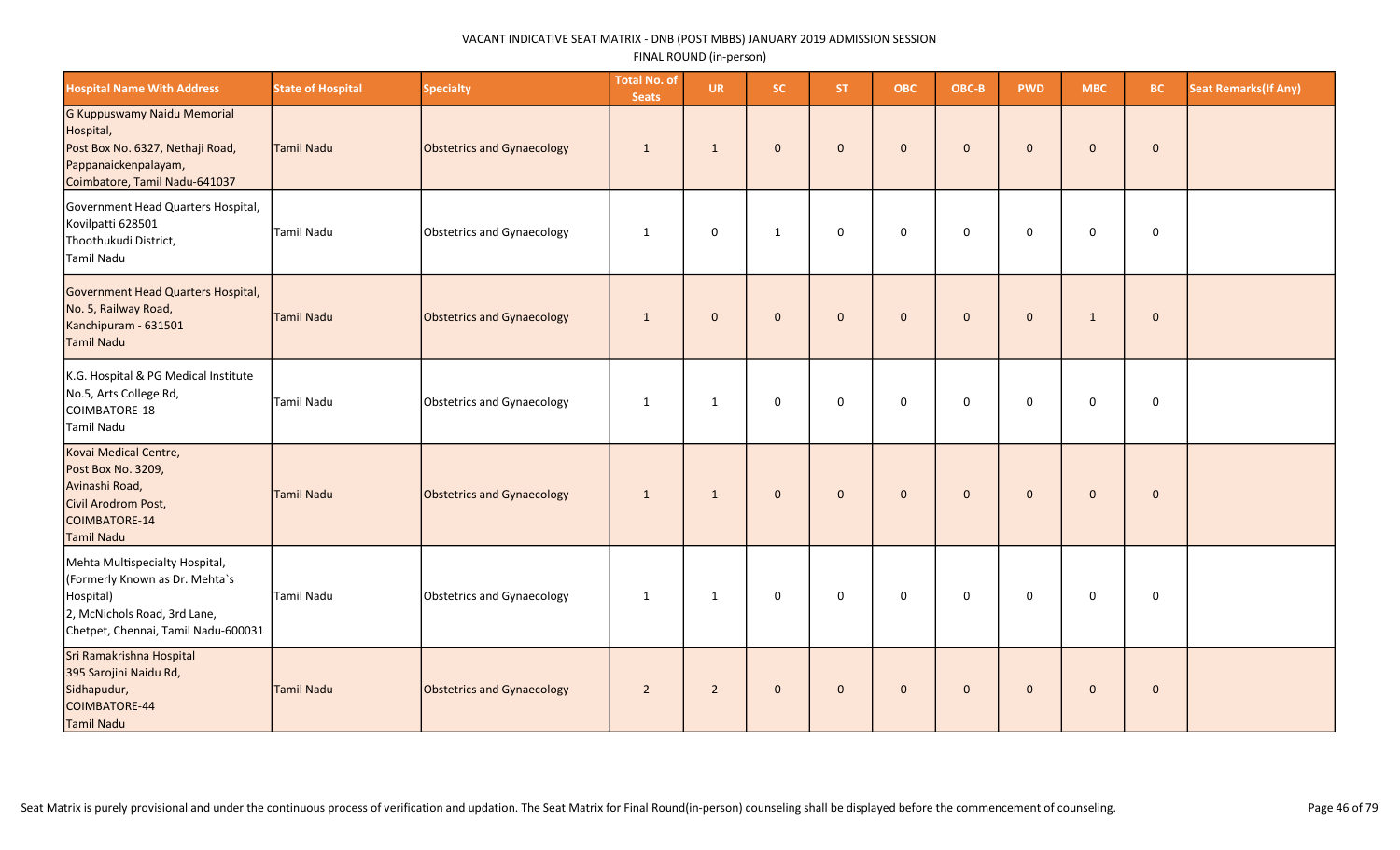| <b>Hospital Name With Address</b>                                                                                                                    | <b>State of Hospital</b> | <b>Specialty</b>           | <b>Total No. of</b><br><b>Seats</b> | <b>UR</b>      | <b>SC</b>    | ST.            | <b>OBC</b>   | OBC-B        | <b>PWD</b>   | <b>MBC</b>   | <b>BC</b>    | <b>Seat Remarks (If Any)</b> |
|------------------------------------------------------------------------------------------------------------------------------------------------------|--------------------------|----------------------------|-------------------------------------|----------------|--------------|----------------|--------------|--------------|--------------|--------------|--------------|------------------------------|
| G Kuppuswamy Naidu Memorial<br>Hospital,<br>Post Box No. 6327, Nethaji Road,<br>Pappanaickenpalayam,<br>Coimbatore, Tamil Nadu-641037                | Tamil Nadu               | Obstetrics and Gynaecology | $\mathbf{1}$                        | $\mathbf{1}$   | $\mathbf{0}$ | $\mathbf{0}$   | $\mathbf{0}$ | $\mathbf{0}$ | $\mathbf{0}$ | $\mathbf{0}$ | $\mathbf{0}$ |                              |
| Government Head Quarters Hospital,<br>Kovilpatti 628501<br>Thoothukudi District,<br>Tamil Nadu                                                       | Tamil Nadu               | Obstetrics and Gynaecology | $\mathbf{1}$                        | $\mathbf 0$    | $\mathbf{1}$ | $\Omega$       | $\mathbf 0$  | $\mathbf 0$  | $\mathbf 0$  | $\mathbf 0$  | $\mathbf 0$  |                              |
| Government Head Quarters Hospital,<br>No. 5, Railway Road,<br>Kanchipuram - 631501<br>Tamil Nadu                                                     | Tamil Nadu               | Obstetrics and Gynaecology | $\mathbf{1}$                        | $\mathbf{0}$   | $\mathbf{0}$ | $\overline{0}$ | $\mathbf{0}$ | $\mathbf{0}$ | $\mathbf{0}$ | $\mathbf{1}$ | $\mathbf{0}$ |                              |
| K.G. Hospital & PG Medical Institute<br>No.5, Arts College Rd,<br>COIMBATORE-18<br><b>Tamil Nadu</b>                                                 | Tamil Nadu               | Obstetrics and Gynaecology | $\mathbf{1}$                        | $\mathbf{1}$   | 0            | $\mathbf 0$    | $\mathsf 0$  | $\mathsf 0$  | $\mathsf 0$  | $\mathbf 0$  | $\mathbf 0$  |                              |
| Kovai Medical Centre,<br>Post Box No. 3209,<br>Avinashi Road,<br>Civil Arodrom Post,<br>COIMBATORE-14<br>Tamil Nadu                                  | Tamil Nadu               | Obstetrics and Gynaecology | $\mathbf{1}$                        | $\mathbf{1}$   | $\mathbf{0}$ | $\mathbf 0$    | $\mathbf{0}$ | $\mathbf{0}$ | $\mathbf{0}$ | $\mathbf{0}$ | $\mathbf 0$  |                              |
| Mehta Multispecialty Hospital,<br>(Formerly Known as Dr. Mehta's<br>Hospital)<br>2, McNichols Road, 3rd Lane,<br>Chetpet, Chennai, Tamil Nadu-600031 | Tamil Nadu               | Obstetrics and Gynaecology | $\mathbf{1}$                        | $\mathbf{1}$   | 0            | $\mathbf 0$    | $\mathbf 0$  | $\mathsf 0$  | $\mathsf 0$  | $\mathsf 0$  | $\mathbf 0$  |                              |
| Sri Ramakrishna Hospital<br>395 Sarojini Naidu Rd,<br>Sidhapudur,<br>COIMBATORE-44<br>Tamil Nadu                                                     | Tamil Nadu               | Obstetrics and Gynaecology | $\overline{2}$                      | $\overline{2}$ | $\mathbf{0}$ | $\mathbf{0}$   | $\mathbf 0$  | $\mathbf{0}$ | $\mathbf{0}$ | $\mathbf{0}$ | $\mathbf 0$  |                              |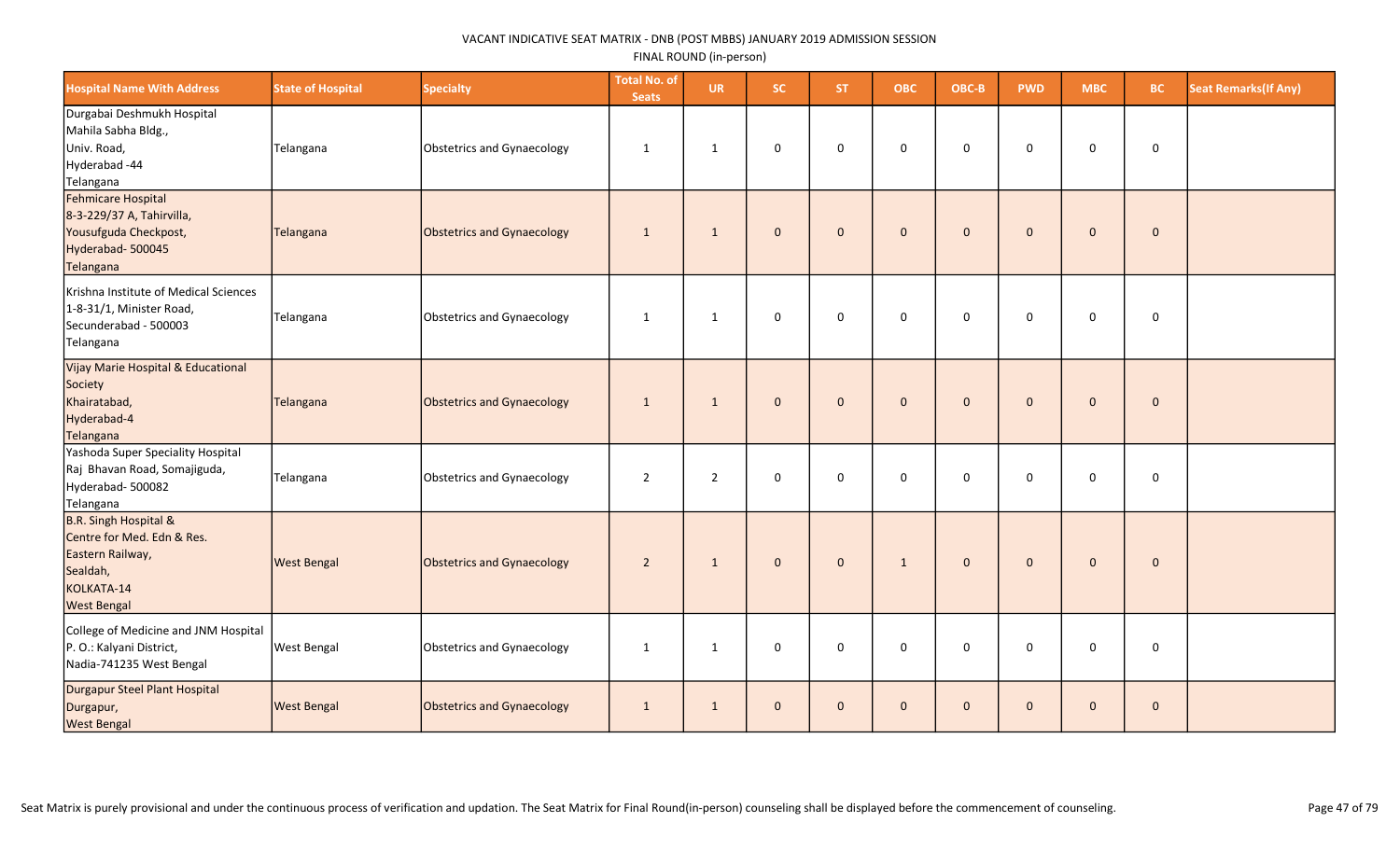| <b>Hospital Name With Address</b>                                                                                                  | <b>State of Hospital</b> | <b>Specialty</b>           | <b>Total No. of</b><br><b>Seats</b> | <b>UR</b>      | SC.          | ST.          | <b>OBC</b>   | OBC-B        | <b>PWD</b>   | <b>MBC</b>   | <b>BC</b>   | <b>Seat Remarks (If Any)</b> |
|------------------------------------------------------------------------------------------------------------------------------------|--------------------------|----------------------------|-------------------------------------|----------------|--------------|--------------|--------------|--------------|--------------|--------------|-------------|------------------------------|
| Durgabai Deshmukh Hospital<br>Mahila Sabha Bldg.,<br>Univ. Road,<br>Hyderabad -44<br>Telangana                                     | Telangana                | Obstetrics and Gynaecology | 1                                   | 1              | 0            | $\mathbf 0$  | $\mathbf 0$  | $\Omega$     | 0            | 0            | $\mathbf 0$ |                              |
| Fehmicare Hospital<br>8-3-229/37 A, Tahirvilla,<br>Yousufguda Checkpost,<br>Hyderabad-500045<br>Telangana                          | Telangana                | Obstetrics and Gynaecology | $\mathbf{1}$                        | 1              | $\mathbf{0}$ | $\mathbf{0}$ | $\mathbf{0}$ | $\mathbf 0$  | $\mathbf{0}$ | $\mathbf 0$  | $\mathbf 0$ |                              |
| Krishna Institute of Medical Sciences<br>1-8-31/1, Minister Road,<br>Secunderabad - 500003<br>Telangana                            | Telangana                | Obstetrics and Gynaecology | 1                                   | 1              | 0            | $\mathbf 0$  | $\mathbf 0$  | $\mathbf 0$  | $\mathbf 0$  | 0            | $\mathbf 0$ |                              |
| Vijay Marie Hospital & Educational<br>Society<br>Khairatabad,<br>Hyderabad-4<br>Telangana                                          | Telangana                | Obstetrics and Gynaecology | 1                                   | $\mathbf{1}$   | $\mathbf{0}$ | $\mathbf{0}$ | $\mathbf{0}$ | $\Omega$     | $\mathbf{0}$ | $\mathbf{0}$ | $\mathbf 0$ |                              |
| Yashoda Super Speciality Hospital<br>Raj Bhavan Road, Somajiguda,<br>Hyderabad-500082<br>Telangana                                 | Telangana                | Obstetrics and Gynaecology | $\overline{2}$                      | $\overline{2}$ | 0            | 0            | $\mathsf 0$  | $\mathbf 0$  | 0            | 0            | $\mathsf 0$ |                              |
| <b>B.R. Singh Hospital &amp;</b><br>Centre for Med. Edn & Res.<br>Eastern Railway,<br>Sealdah,<br>KOLKATA-14<br><b>West Bengal</b> | <b>West Bengal</b>       | Obstetrics and Gynaecology | $\overline{2}$                      | $\mathbf{1}$   | $\mathbf{0}$ | $\mathbf{0}$ | $\mathbf{1}$ | $\mathbf{0}$ | $\mathbf{0}$ | $\mathbf 0$  | $\mathbf 0$ |                              |
| College of Medicine and JNM Hospital<br>P. O.: Kalyani District,<br>Nadia-741235 West Bengal                                       | <b>West Bengal</b>       | Obstetrics and Gynaecology | 1                                   | $\mathbf{1}$   | $\mathbf 0$  | $\mathbf 0$  | $\mathbf 0$  | $\Omega$     | $\Omega$     | 0            | $\mathbf 0$ |                              |
| Durgapur Steel Plant Hospital<br>Durgapur,<br><b>West Bengal</b>                                                                   | <b>West Bengal</b>       | Obstetrics and Gynaecology | 1                                   | $\mathbf{1}$   | $\mathbf{0}$ | $\mathbf 0$  | $\mathbf 0$  | $\mathbf{0}$ | $\mathbf{0}$ | $\mathbf 0$  | $\mathbf 0$ |                              |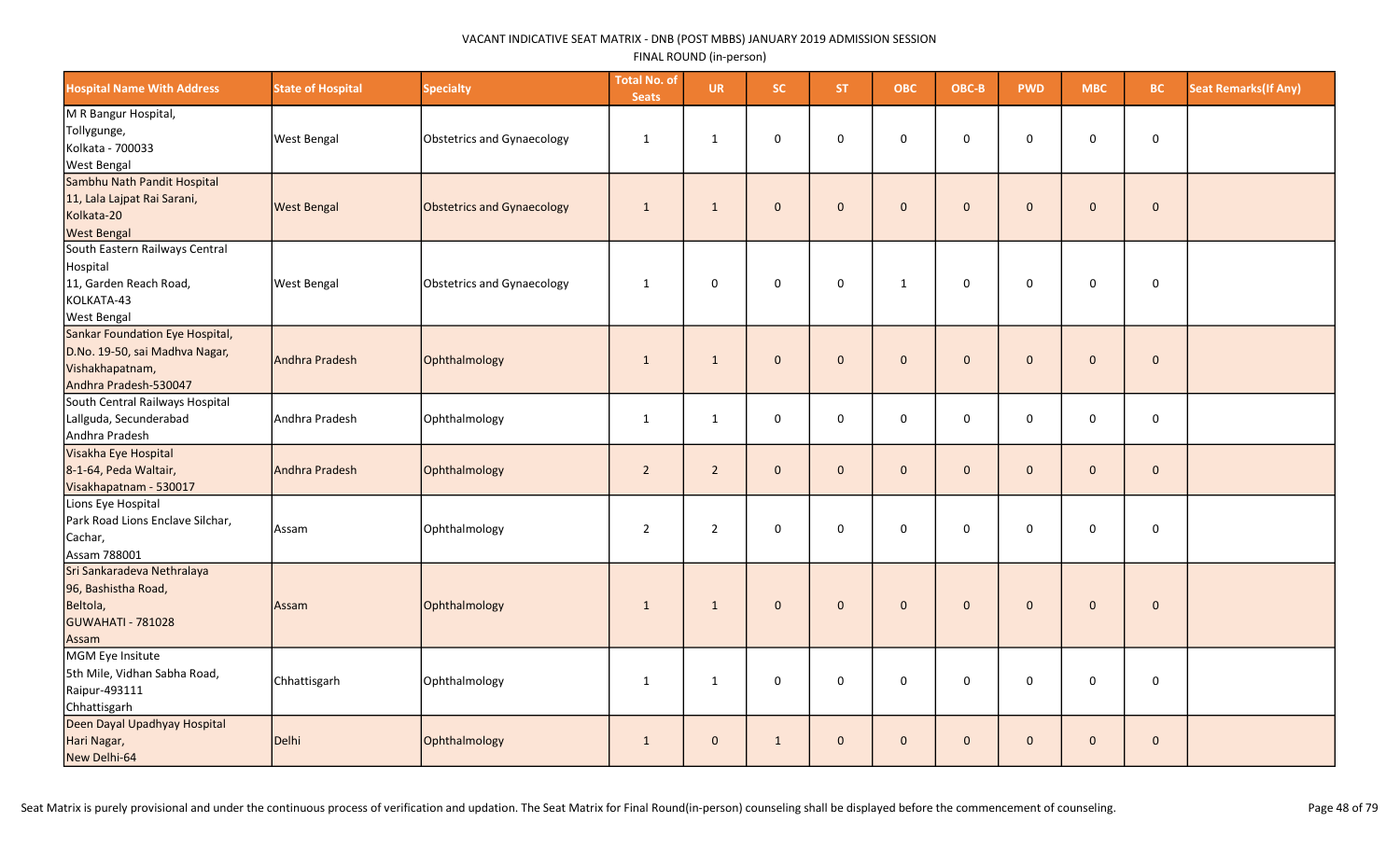| <b>Hospital Name With Address</b>                                                                             | <b>State of Hospital</b> | <b>Specialty</b>                  | <b>Total No. of</b><br><b>Seats</b> | <b>UR</b>      | SC.                 | ST.          | <b>OBC</b>   | OBC-B        | <b>PWD</b>   | <b>MBC</b>          | BC.          | <b>Seat Remarks (If Any)</b> |
|---------------------------------------------------------------------------------------------------------------|--------------------------|-----------------------------------|-------------------------------------|----------------|---------------------|--------------|--------------|--------------|--------------|---------------------|--------------|------------------------------|
| M R Bangur Hospital,<br>Tollygunge,<br>Kolkata - 700033<br><b>West Bengal</b>                                 | <b>West Bengal</b>       | <b>Obstetrics and Gynaecology</b> | $\mathbf{1}$                        | $\mathbf{1}$   | 0                   | 0            | $\mathbf 0$  | 0            | 0            | 0                   | $\mathbf 0$  |                              |
| Sambhu Nath Pandit Hospital<br>11, Lala Lajpat Rai Sarani,<br>Kolkata-20<br><b>West Bengal</b>                | <b>West Bengal</b>       | Obstetrics and Gynaecology        | $\mathbf{1}$                        | $\mathbf{1}$   | $\mathbf 0$         | $\mathbf{0}$ | $\mathbf{0}$ | $\mathbf 0$  | $\mathbf{0}$ | $\mathbf{0}$        | $\mathbf 0$  |                              |
| South Eastern Railways Central<br>Hospital<br>11, Garden Reach Road,<br>KOLKATA-43<br><b>West Bengal</b>      | <b>West Bengal</b>       | <b>Obstetrics and Gynaecology</b> | $\mathbf{1}$                        | $\mathsf 0$    | $\mathbf 0$         | $\mathbf 0$  | $\mathbf{1}$ | $\mathbf 0$  | $\mathbf 0$  | $\mathsf{O}\xspace$ | $\mathsf 0$  |                              |
| Sankar Foundation Eye Hospital,<br>D.No. 19-50, sai Madhva Nagar,<br>Vishakhapatnam,<br>Andhra Pradesh-530047 | Andhra Pradesh           | Ophthalmology                     | $\mathbf{1}$                        | 1              | $\mathbf{0}$        | $\mathbf{0}$ | $\mathbf{0}$ | $\mathbf{0}$ | $\mathbf{0}$ | $\mathbf 0$         | $\mathbf 0$  |                              |
| South Central Railways Hospital<br>Lallguda, Secunderabad<br>Andhra Pradesh                                   | Andhra Pradesh           | Ophthalmology                     | 1                                   | $\mathbf{1}$   | $\mathsf{O}\xspace$ | 0            | $\mathsf 0$  | $\pmb{0}$    | 0            | $\mathsf{O}\xspace$ | $\mathbf 0$  |                              |
| Visakha Eye Hospital<br>8-1-64, Peda Waltair,<br>Visakhapatnam - 530017                                       | Andhra Pradesh           | Ophthalmology                     | $\overline{2}$                      | $\overline{2}$ | $\mathbf{0}$        | $\mathbf{0}$ | $\mathbf{0}$ | $\mathbf{0}$ | $\mathbf{0}$ | $\mathbf{0}$        | $\mathbf{0}$ |                              |
| Lions Eye Hospital<br>Park Road Lions Enclave Silchar,<br>Cachar,<br>Assam 788001                             | Assam                    | Ophthalmology                     | $\overline{2}$                      | $\overline{2}$ | $\mathbf 0$         | 0            | $\mathbf 0$  | 0            | 0            | 0                   | $\mathbf 0$  |                              |
| Sri Sankaradeva Nethralaya<br>96, Bashistha Road,<br>Beltola,<br>GUWAHATI - 781028<br>Assam                   | Assam                    | Ophthalmology                     | $\mathbf{1}$                        | $\mathbf{1}$   | $\mathbf{0}$        | $\mathbf{0}$ | $\mathbf{0}$ | $\mathbf 0$  | $\mathbf{0}$ | $\mathbf{0}$        | $\mathbf 0$  |                              |
| MGM Eye Insitute<br>5th Mile, Vidhan Sabha Road,<br>Raipur-493111<br>Chhattisgarh                             | Chhattisgarh             | Ophthalmology                     | $\mathbf{1}$                        | $\mathbf{1}$   | $\mathbf 0$         | 0            | $\mathbf 0$  | $\mathbf 0$  | 0            | 0                   | $\mathbf 0$  |                              |
| Deen Dayal Upadhyay Hospital<br>Hari Nagar,<br>New Delhi-64                                                   | Delhi                    | Ophthalmology                     | 1                                   | $\mathbf 0$    | $\mathbf{1}$        | $\mathbf 0$  | $\mathbf{0}$ | $\mathbf 0$  | $\mathbf{0}$ | $\mathbf{0}$        | $\mathbf 0$  |                              |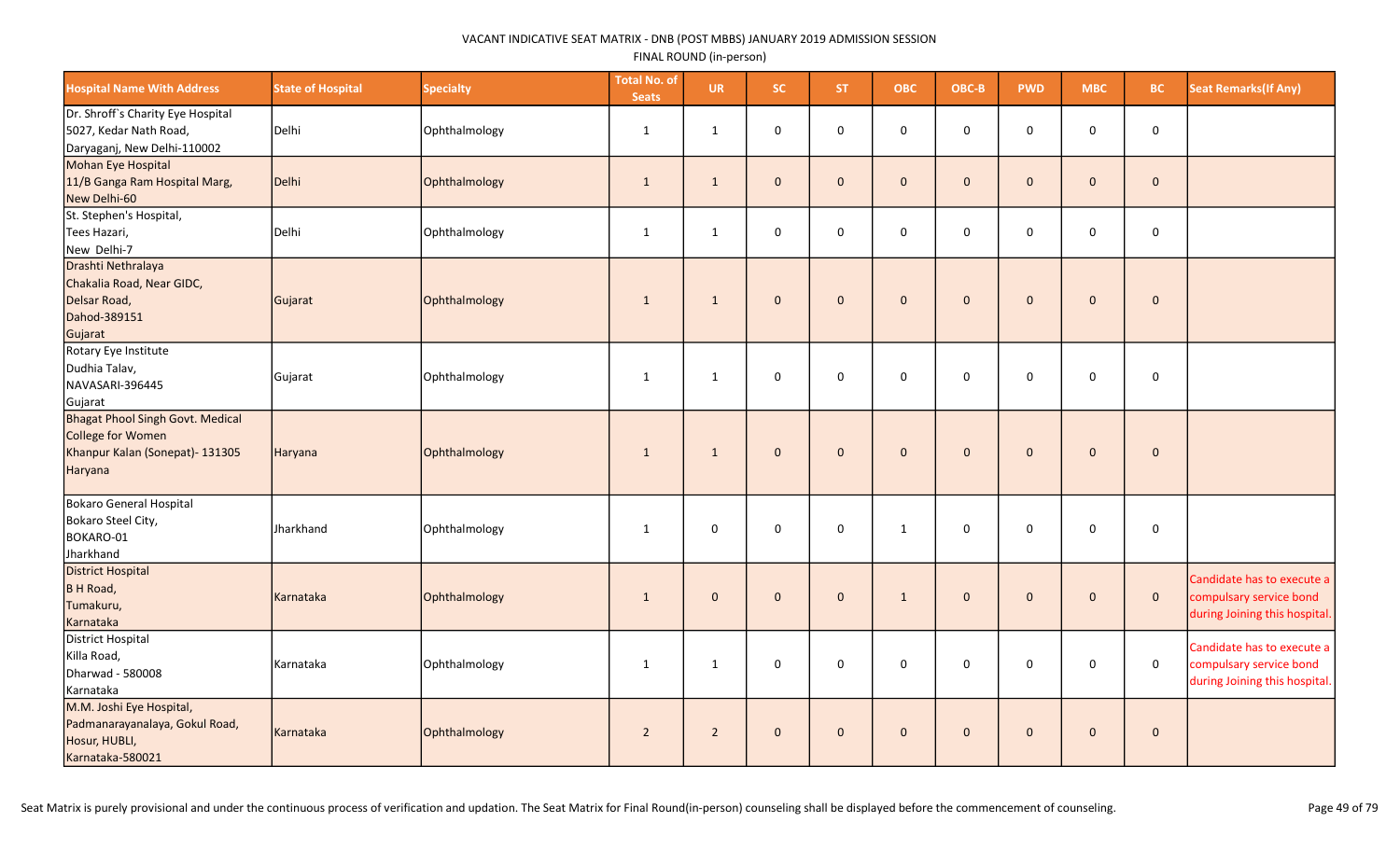| <b>Hospital Name With Address</b>                                                                                 | <b>State of Hospital</b> | <b>Specialty</b> | <b>Total No. of</b><br><b>Seats</b> | <b>UR</b>      | SC.                 | <b>ST</b>    | <b>OBC</b>   | OBC-B               | <b>PWD</b>   | <b>MBC</b>   | BC           | <b>Seat Remarks(If Any)</b>                                                            |
|-------------------------------------------------------------------------------------------------------------------|--------------------------|------------------|-------------------------------------|----------------|---------------------|--------------|--------------|---------------------|--------------|--------------|--------------|----------------------------------------------------------------------------------------|
| Dr. Shroff's Charity Eye Hospital<br>5027, Kedar Nath Road,<br>Daryaganj, New Delhi-110002                        | Delhi                    | Ophthalmology    | $\mathbf{1}$                        | $\mathbf{1}$   | $\mathsf{O}\xspace$ | $\mathbf 0$  | 0            | $\mathbf 0$         | $\mathbf 0$  | $\mathsf 0$  | 0            |                                                                                        |
| Mohan Eye Hospital<br>11/B Ganga Ram Hospital Marg,<br>New Delhi-60                                               | Delhi                    | Ophthalmology    | $\mathbf{1}$                        | $\mathbf{1}$   | $\mathbf 0$         | $\mathbf{0}$ | $\mathbf 0$  | $\mathbf{0}$        | $\mathbf{0}$ | $\mathbf 0$  | $\mathbf 0$  |                                                                                        |
| St. Stephen's Hospital,<br>Tees Hazari,<br>New Delhi-7                                                            | Delhi                    | Ophthalmology    | $\mathbf{1}$                        | $\mathbf{1}$   | $\mathbf 0$         | $\mathbf 0$  | $\mathbf 0$  | $\mathsf{O}\xspace$ | $\Omega$     | $\mathbf 0$  | 0            |                                                                                        |
| Drashti Nethralaya<br>Chakalia Road, Near GIDC,<br>Delsar Road,<br>Dahod-389151<br>Gujarat                        | Gujarat                  | Ophthalmology    | $\mathbf{1}$                        | $\mathbf{1}$   | $\mathbf 0$         | $\mathbf{0}$ | $\mathbf{0}$ | $\mathbf{0}$        | $\mathbf{0}$ | $\mathbf 0$  | $\mathbf 0$  |                                                                                        |
| Rotary Eye Institute<br>Dudhia Talav,<br>NAVASARI-396445<br>Gujarat                                               | Gujarat                  | Ophthalmology    | $\mathbf{1}$                        | $\mathbf{1}$   | $\mathbf 0$         | $\mathbf 0$  | 0            | $\mathsf{O}\xspace$ | $\mathbf 0$  | $\mathbf 0$  | 0            |                                                                                        |
| <b>Bhagat Phool Singh Govt. Medical</b><br><b>College for Women</b><br>Khanpur Kalan (Sonepat)- 131305<br>Haryana | Haryana                  | Ophthalmology    | $\mathbf{1}$                        | $\mathbf{1}$   | $\mathbf{0}$        | $\mathbf{0}$ | $\mathbf{0}$ | $\mathbf 0$         | $\mathbf{0}$ | $\mathbf{0}$ | $\mathbf 0$  |                                                                                        |
| Bokaro General Hospital<br>Bokaro Steel City,<br>BOKARO-01<br>Jharkhand                                           | Jharkhand                | Ophthalmology    | $\mathbf{1}$                        | 0              | $\mathsf{O}\xspace$ | $\Omega$     | $\mathbf{1}$ | $\mathsf 0$         | 0            | 0            | $\mathsf 0$  |                                                                                        |
| <b>District Hospital</b><br>B H Road,<br>Tumakuru,<br>Karnataka                                                   | Karnataka                | Ophthalmology    | $\mathbf{1}$                        | $\mathbf{0}$   | $\mathbf{0}$        | $\mathbf{0}$ | $\mathbf{1}$ | $\mathbf{0}$        | $\mathbf{0}$ | $\mathbf 0$  | $\mathbf{0}$ | Candidate has to execute a<br>compulsary service bond<br>during Joining this hospital. |
| District Hospital<br>Killa Road,<br>Dharwad - 580008<br>Karnataka                                                 | Karnataka                | Ophthalmology    | $\mathbf{1}$                        | $\mathbf{1}$   | $\mathsf 0$         | 0            | 0            | $\mathbf 0$         | 0            | $\mathsf 0$  | $\mathsf 0$  | Candidate has to execute a<br>compulsary service bond<br>during Joining this hospital. |
| M.M. Joshi Eye Hospital,<br>Padmanarayanalaya, Gokul Road,<br>Hosur, HUBLI,<br>Karnataka-580021                   | Karnataka                | Ophthalmology    | $\overline{2}$                      | $\overline{2}$ | $\mathbf{0}$        | $\mathbf{0}$ | $\pmb{0}$    | $\mathsf{O}\xspace$ | $\mathbf{0}$ | $\mathbf{0}$ | $\mathbf 0$  |                                                                                        |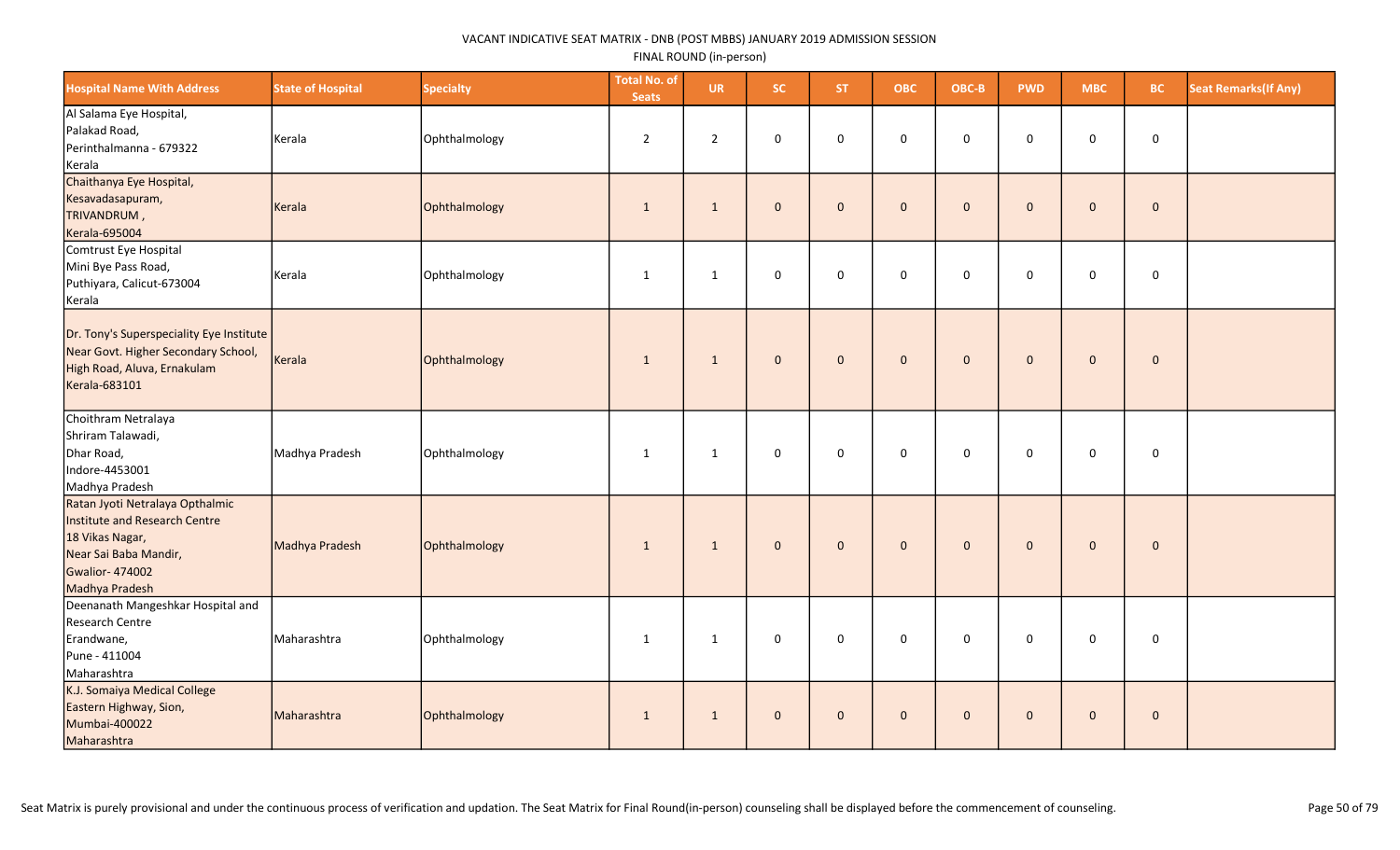| <b>Hospital Name With Address</b>                                                                                                                       | <b>State of Hospital</b> | <b>Specialty</b> | <b>Total No. of</b><br><b>Seats</b> | <b>UR</b>      | SC.          | <b>ST</b>    | <b>OBC</b>          | OBC-B       | <b>PWD</b>   | <b>MBC</b>          | <b>BC</b>    | <b>Seat Remarks (If Any)</b> |
|---------------------------------------------------------------------------------------------------------------------------------------------------------|--------------------------|------------------|-------------------------------------|----------------|--------------|--------------|---------------------|-------------|--------------|---------------------|--------------|------------------------------|
| Al Salama Eye Hospital,<br>Palakad Road,<br>Perinthalmanna - 679322<br>Kerala                                                                           | Kerala                   | Ophthalmology    | $\overline{2}$                      | $\overline{2}$ | $\mathbf 0$  | $\mathbf 0$  | $\mathbf 0$         | $\mathsf 0$ | $\mathbf 0$  | 0                   | $\mathbf 0$  |                              |
| Chaithanya Eye Hospital,<br>Kesavadasapuram,<br>TRIVANDRUM,<br><b>Kerala-695004</b>                                                                     | Kerala                   | Ophthalmology    | $\mathbf{1}$                        | $\mathbf{1}$   | $\mathbf 0$  | $\Omega$     | $\mathbf{O}$        | $\mathbf 0$ | $\Omega$     | $\pmb{0}$           | $\pmb{0}$    |                              |
| Comtrust Eye Hospital<br>Mini Bye Pass Road,<br>Puthiyara, Calicut-673004<br>Kerala                                                                     | Kerala                   | Ophthalmology    | $\mathbf{1}$                        | $\mathbf{1}$   | $\mathbf 0$  | $\mathbf 0$  | $\mathbf 0$         | $\mathsf 0$ | $\mathbf 0$  | 0                   | $\mathbf 0$  |                              |
| Dr. Tony's Superspeciality Eye Institute<br>Near Govt. Higher Secondary School,<br>High Road, Aluva, Ernakulam<br>Kerala-683101                         | Kerala                   | Ophthalmology    | $\mathbf{1}$                        | $\mathbf{1}$   | $\mathbf{0}$ | $\mathbf{0}$ | $\mathbf{0}$        | $\mathbf 0$ | $\mathbf{0}$ | $\mathbf 0$         | $\mathbf 0$  |                              |
| Choithram Netralaya<br>Shriram Talawadi,<br>Dhar Road,<br>Indore-4453001<br>Madhya Pradesh                                                              | Madhya Pradesh           | Ophthalmology    | $\mathbf{1}$                        | $\mathbf{1}$   | $\mathsf 0$  | $\mathbf 0$  | $\mathbf 0$         | $\mathsf 0$ | $\mathbf 0$  | 0                   | $\mathbf 0$  |                              |
| Ratan Jyoti Netralaya Opthalmic<br>Institute and Research Centre<br>18 Vikas Nagar,<br>Near Sai Baba Mandir,<br><b>Gwalior-474002</b><br>Madhya Pradesh | Madhya Pradesh           | Ophthalmology    | $\mathbf{1}$                        | $\mathbf{1}$   | $\mathbf{0}$ | $\mathbf{0}$ | $\mathbf{0}$        | $\mathbf 0$ | $\mathbf{0}$ | $\mathbf 0$         | $\mathbf{0}$ |                              |
| Deenanath Mangeshkar Hospital and<br>Research Centre<br>Erandwane,<br>Pune - 411004<br>Maharashtra                                                      | Maharashtra              | Ophthalmology    | 1                                   | $\mathbf{1}$   | $\mathsf 0$  | $\mathbf 0$  | $\mathsf{O}\xspace$ | $\mathsf 0$ | $\mathbf 0$  | $\mathsf{O}\xspace$ | $\mathsf 0$  |                              |
| K.J. Somaiya Medical College<br>Eastern Highway, Sion,<br>Mumbai-400022<br>Maharashtra                                                                  | Maharashtra              | Ophthalmology    | $\mathbf{1}$                        | $\mathbf{1}$   | $\mathbf{0}$ | $\mathbf{0}$ | $\mathbf{0}$        | $\mathbf 0$ | $\mathbf{0}$ | $\pmb{0}$           | $\mathbf 0$  |                              |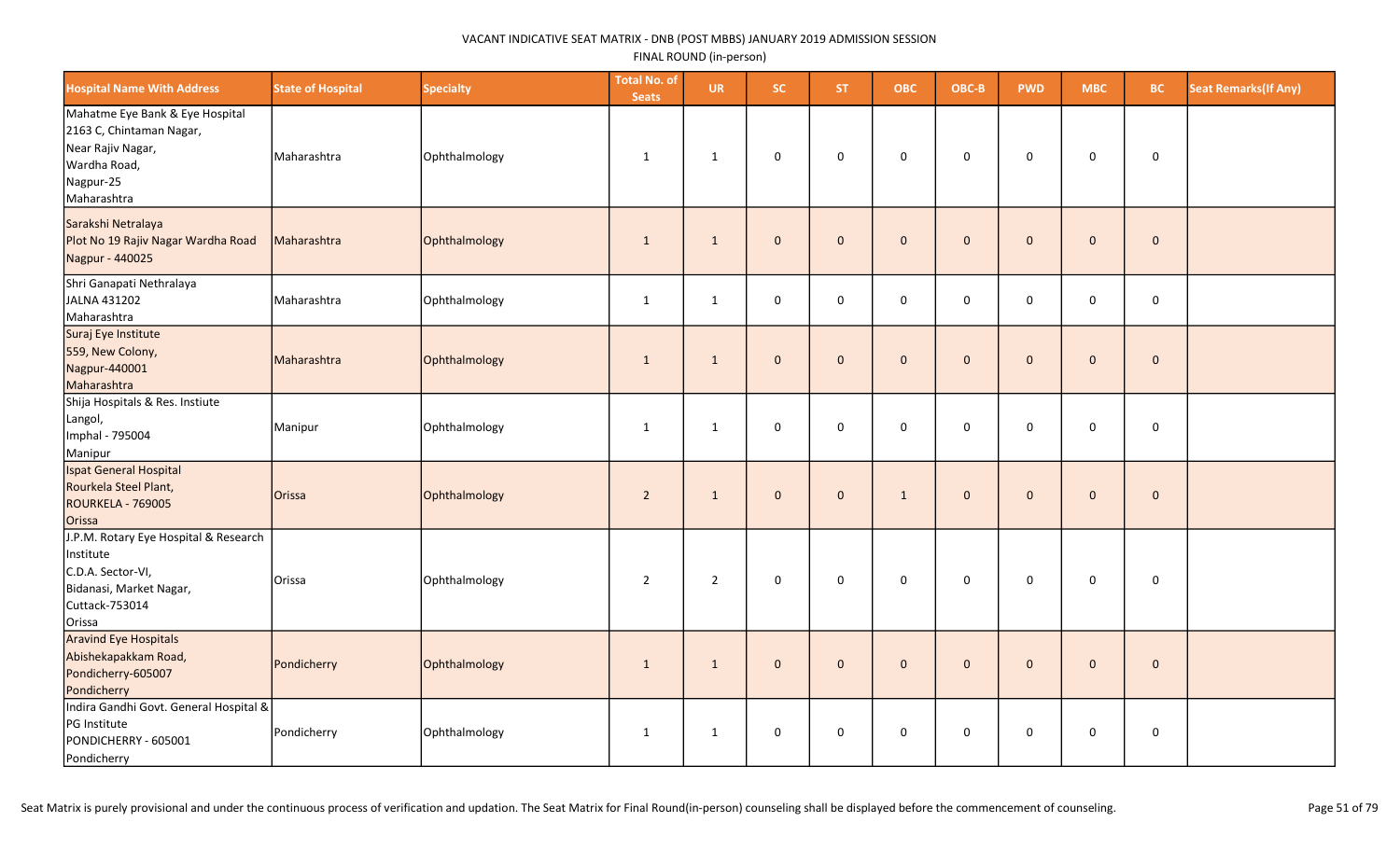| <b>Hospital Name With Address</b>                                                                                              | <b>State of Hospital</b> | <b>Specialty</b> | <b>Total No. of</b><br><b>Seats</b> | <b>UR</b>      | SC.                 | ST.          | <b>OBC</b>          | OBC-B        | <b>PWD</b>   | <b>MBC</b>          | <b>BC</b>   | <b>Seat Remarks (If Any)</b> |
|--------------------------------------------------------------------------------------------------------------------------------|--------------------------|------------------|-------------------------------------|----------------|---------------------|--------------|---------------------|--------------|--------------|---------------------|-------------|------------------------------|
| Mahatme Eye Bank & Eye Hospital<br>2163 C, Chintaman Nagar,<br>Near Rajiv Nagar,<br>Wardha Road,<br>Nagpur-25<br>Maharashtra   | Maharashtra              | Ophthalmology    | $\mathbf{1}$                        | 1              | 0                   | $\mathsf{O}$ | $\mathsf{O}$        | 0            | 0            | $\mathbf 0$         | $\mathbf 0$ |                              |
| Sarakshi Netralaya<br>Plot No 19 Rajiv Nagar Wardha Road<br>Nagpur - 440025                                                    | Maharashtra              | Ophthalmology    | 1                                   | $\mathbf{1}$   | $\mathbf{0}$        | $\mathbf{0}$ | $\mathbf{0}$        | $\mathbf{0}$ | $\mathbf{0}$ | $\mathsf{O}\xspace$ | $\mathbf 0$ |                              |
| Shri Ganapati Nethralaya<br>JALNA 431202<br>Maharashtra                                                                        | Maharashtra              | Ophthalmology    | $\mathbf{1}$                        | $\mathbf{1}$   | 0                   | 0            | $\mathsf{O}\xspace$ | $\mathbf 0$  | 0            | $\mathsf{O}\xspace$ | $\mathbf 0$ |                              |
| Suraj Eye Institute<br>559, New Colony,<br>Nagpur-440001<br>Maharashtra                                                        | Maharashtra              | Ophthalmology    | 1                                   | 1              | $\pmb{0}$           | $\mathbf{0}$ | $\mathbf{0}$        | $\mathbf{0}$ | $\mathbf{0}$ | $\mathbf{0}$        | $\mathbf 0$ |                              |
| Shija Hospitals & Res. Instiute<br>Langol,<br>Imphal - 795004<br>Manipur                                                       | Manipur                  | Ophthalmology    | $\mathbf{1}$                        | 1              | $\mathsf 0$         | $\mathbf 0$  | 0                   | $\mathsf 0$  | $\mathbf 0$  | 0                   | $\mathsf 0$ |                              |
| Ispat General Hospital<br>Rourkela Steel Plant,<br><b>ROURKELA - 769005</b><br>Orissa                                          | Orissa                   | Ophthalmology    | $\overline{2}$                      | $\mathbf{1}$   | $\mathbf{0}$        | $\mathbf{0}$ | $\mathbf{1}$        | $\mathbf 0$  | $\mathbf{0}$ | $\mathbf{0}$        | $\mathbf 0$ |                              |
| J.P.M. Rotary Eye Hospital & Research<br>Institute<br>C.D.A. Sector-VI,<br>Bidanasi, Market Nagar,<br>Cuttack-753014<br>Orissa | Orissa                   | Ophthalmology    | $\overline{2}$                      | $\overline{2}$ | $\pmb{0}$           | $\mathbf 0$  | $\mathsf{O}\xspace$ | $\pmb{0}$    | 0            | $\mathbf 0$         | $\mathbf 0$ |                              |
| <b>Aravind Eye Hospitals</b><br>Abishekapakkam Road,<br>Pondicherry-605007<br>Pondicherry                                      | Pondicherry              | Ophthalmology    | $\mathbf{1}$                        | $\mathbf{1}$   | $\mathbf{0}$        | $\mathbf 0$  | $\mathbf{0}$        | $\mathbf{0}$ | $\mathbf{0}$ | $\mathbf{0}$        | $\mathbf 0$ |                              |
| Indira Gandhi Govt. General Hospital &<br>PG Institute<br>PONDICHERRY - 605001<br>Pondicherry                                  | Pondicherry              | Ophthalmology    | $\mathbf{1}$                        | $\mathbf{1}$   | $\mathsf{O}\xspace$ | $\mathbf 0$  | $\mathbf 0$         | $\mathbf 0$  | $\mathbf 0$  | 0                   | $\mathsf 0$ |                              |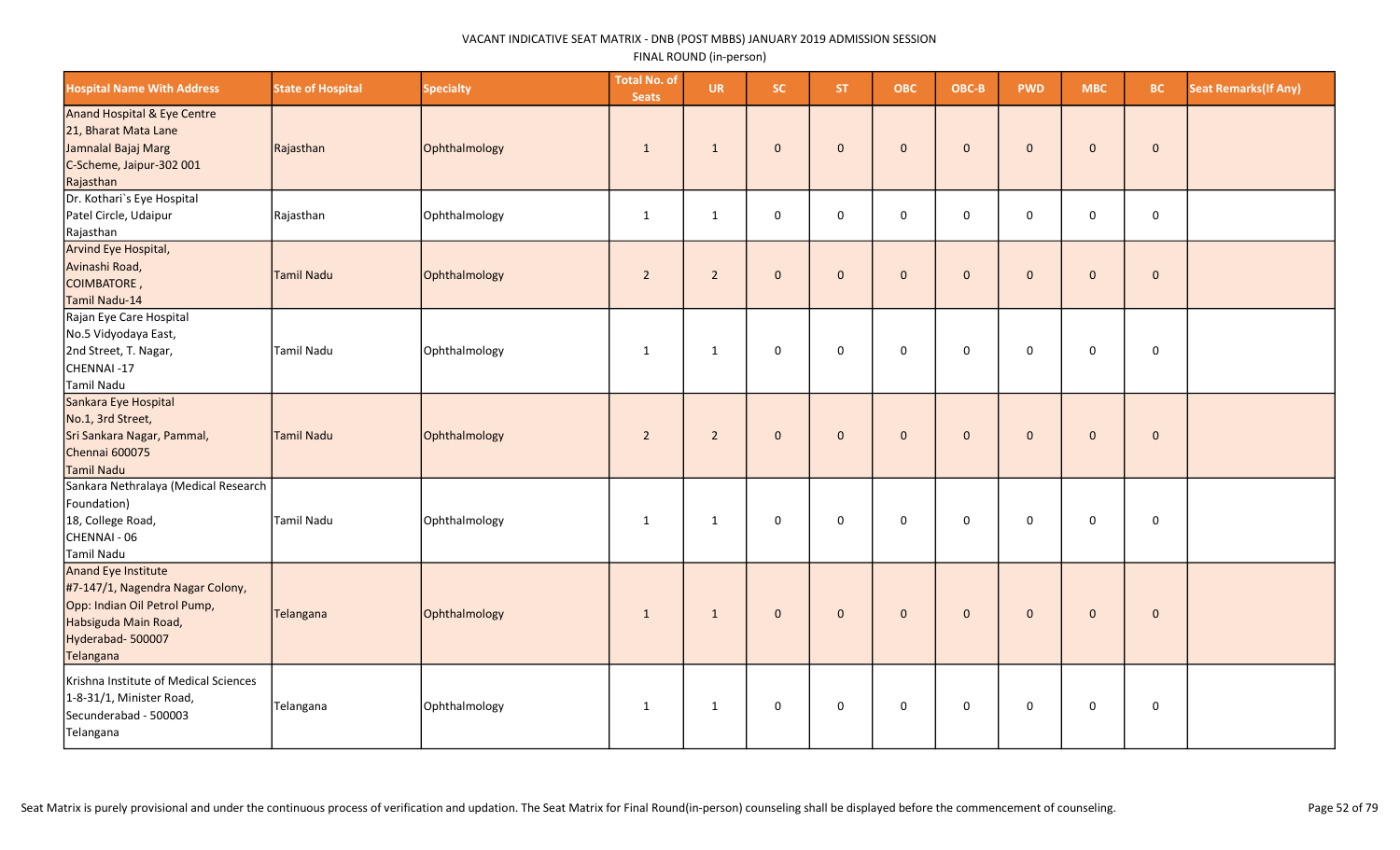| <b>Hospital Name With Address</b>                                                                                                                | <b>State of Hospital</b> | <b>Specialty</b> | <b>Total No. of</b><br><b>Seats</b> | <b>UR</b>      | SC.          | <b>ST</b>    | <b>OBC</b>          | OBC-B        | <b>PWD</b>   | <b>MBC</b>          | <b>BC</b>   | <b>Seat Remarks (If Any)</b> |
|--------------------------------------------------------------------------------------------------------------------------------------------------|--------------------------|------------------|-------------------------------------|----------------|--------------|--------------|---------------------|--------------|--------------|---------------------|-------------|------------------------------|
| Anand Hospital & Eye Centre<br>21, Bharat Mata Lane<br>Jamnalal Bajaj Marg<br>C-Scheme, Jaipur-302 001<br>Rajasthan                              | Rajasthan                | Ophthalmology    | 1                                   | $\mathbf{1}$   | $\mathbf{0}$ | $\mathbf{0}$ | $\mathbf{0}$        | $\mathbf{0}$ | $\mathbf{0}$ | $\mathbf{0}$        | $\mathbf 0$ |                              |
| Dr. Kothari's Eye Hospital<br>Patel Circle, Udaipur<br>Rajasthan                                                                                 | Rajasthan                | Ophthalmology    | $\mathbf{1}$                        | $\mathbf{1}$   | $\mathsf 0$  | $\mathbf 0$  | $\mathbf 0$         | $\mathsf 0$  | $\mathsf 0$  | $\mathbf 0$         | $\mathbf 0$ |                              |
| Arvind Eye Hospital,<br>Avinashi Road,<br>COIMBATORE,<br>Tamil Nadu-14                                                                           | Tamil Nadu               | Ophthalmology    | $\overline{2}$                      | $\overline{2}$ | $\mathbf{0}$ | $\mathbf{0}$ | $\mathbf{0}$        | $\mathbf{0}$ | $\mathbf{0}$ | $\mathbf{0}$        | $\mathbf 0$ |                              |
| Rajan Eye Care Hospital<br>No.5 Vidyodaya East,<br>2nd Street, T. Nagar,<br>CHENNAI-17<br>Tamil Nadu                                             | Tamil Nadu               | Ophthalmology    | 1                                   | $\mathbf{1}$   | 0            | $\mathbf 0$  | $\mathbf 0$         | 0            | $\mathbf 0$  | $\mathbf 0$         | $\mathbf 0$ |                              |
| Sankara Eye Hospital<br>No.1, 3rd Street,<br>Sri Sankara Nagar, Pammal,<br>Chennai 600075<br>Tamil Nadu                                          | Tamil Nadu               | Ophthalmology    | $\overline{2}$                      | $\overline{2}$ | $\mathbf{0}$ | $\mathbf{0}$ | $\mathbf{0}$        | $\mathbf 0$  | $\mathbf{0}$ | $\mathsf{O}\xspace$ | $\mathbf 0$ |                              |
| Sankara Nethralaya (Medical Research<br>Foundation)<br>18, College Road,<br>CHENNAI - 06<br>Tamil Nadu                                           | Tamil Nadu               | Ophthalmology    | $\mathbf{1}$                        | $\mathbf{1}$   | $\mathsf 0$  | $\mathsf 0$  | $\mathsf{O}\xspace$ | $\mathsf 0$  | $\mathsf 0$  | $\mathbf 0$         | $\mathbf 0$ |                              |
| Anand Eye Institute<br>#7-147/1, Nagendra Nagar Colony,<br>Opp: Indian Oil Petrol Pump,<br>Habsiguda Main Road,<br>Hyderabad-500007<br>Telangana | Telangana                | Ophthalmology    | 1                                   | $\mathbf{1}$   | $\mathbf 0$  | $\mathbf 0$  | $\mathbf 0$         | $\mathbf 0$  | $\mathbf{0}$ | $\mathsf{O}\xspace$ | $\pmb{0}$   |                              |
| Krishna Institute of Medical Sciences<br>1-8-31/1, Minister Road,<br>Secunderabad - 500003<br>Telangana                                          | Telangana                | Ophthalmology    | 1                                   | $\mathbf{1}$   | 0            | 0            | 0                   | 0            | 0            | $\mathbf 0$         | 0           |                              |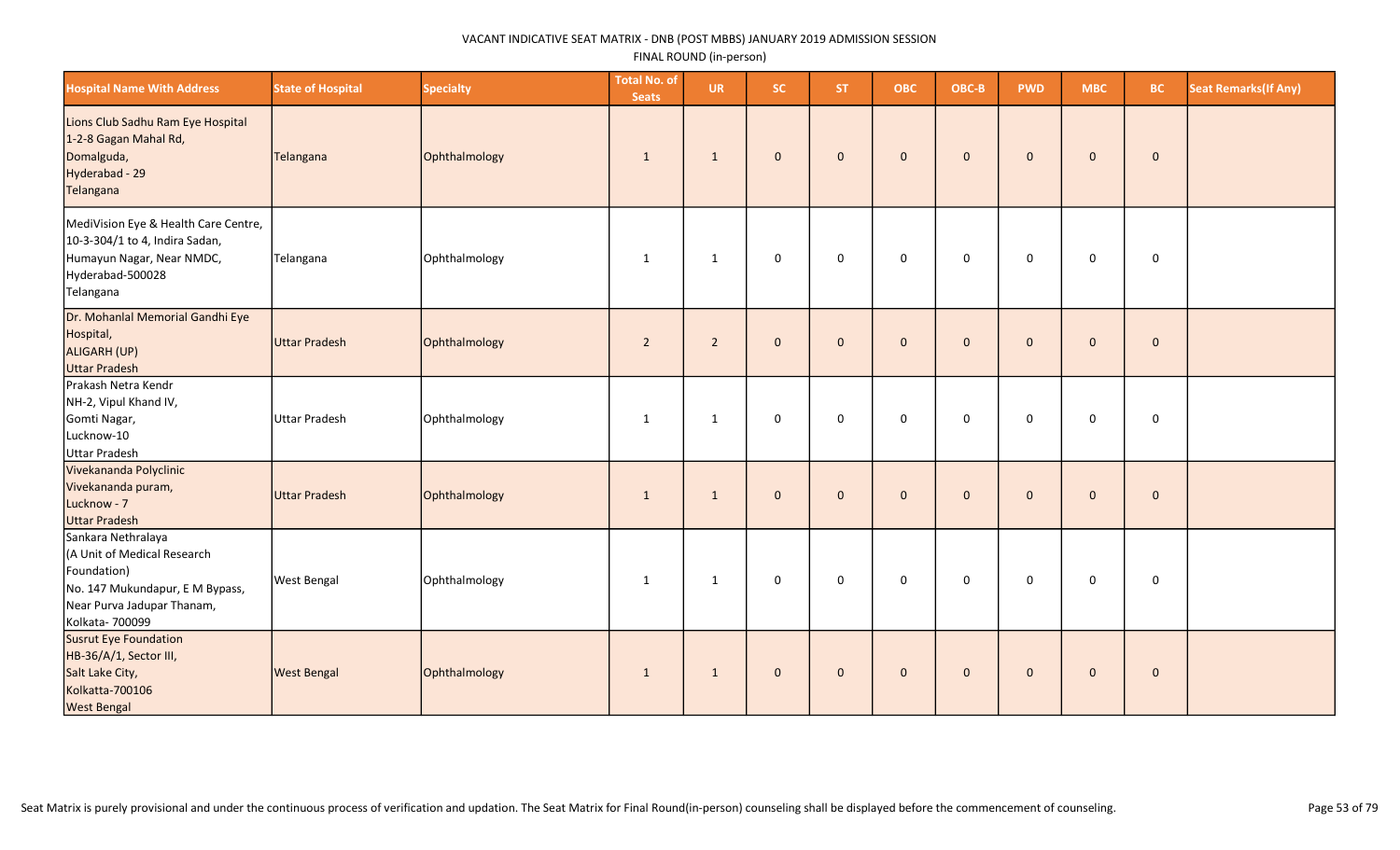| <b>Hospital Name With Address</b>                                                                                                                    | <b>State of Hospital</b> | <b>Specialty</b> | <b>Total No. of</b><br><b>Seats</b> | <b>UR</b>      | SC.                 | ST.            | <b>OBC</b>   | OBC-B        | <b>PWD</b>   | <b>MBC</b>   | <b>BC</b>    | <b>Seat Remarks (If Any)</b> |
|------------------------------------------------------------------------------------------------------------------------------------------------------|--------------------------|------------------|-------------------------------------|----------------|---------------------|----------------|--------------|--------------|--------------|--------------|--------------|------------------------------|
| Lions Club Sadhu Ram Eye Hospital<br>1-2-8 Gagan Mahal Rd,<br>Domalguda,<br>Hyderabad - 29<br>Telangana                                              | Telangana                | Ophthalmology    | $\mathbf{1}$                        | $\mathbf{1}$   | $\mathbf{0}$        | $\mathbf{0}$   | $\mathbf{0}$ | $\mathbf{0}$ | $\mathbf 0$  | $\mathbf{0}$ | $\mathbf{0}$ |                              |
| MediVision Eye & Health Care Centre,<br>10-3-304/1 to 4, Indira Sadan,<br>Humayun Nagar, Near NMDC,<br>Hyderabad-500028<br>Telangana                 | Telangana                | Ophthalmology    | $\mathbf{1}$                        | $\mathbf{1}$   | 0                   | $\mathbf 0$    | $\mathsf 0$  | $\mathbf 0$  | $\mathbf 0$  | $\mathsf 0$  | $\mathsf 0$  |                              |
| Dr. Mohanlal Memorial Gandhi Eye<br>Hospital,<br>ALIGARH (UP)<br><b>Uttar Pradesh</b>                                                                | Uttar Pradesh            | Ophthalmology    | $\overline{2}$                      | $\overline{2}$ | $\mathsf{O}\xspace$ | $\overline{0}$ | $\mathbf 0$  | $\mathbf{0}$ | $\mathbf 0$  | $\mathbf 0$  | $\mathbf 0$  |                              |
| Prakash Netra Kendr<br>NH-2, Vipul Khand IV,<br>Gomti Nagar,<br>Lucknow-10<br>Uttar Pradesh                                                          | Uttar Pradesh            | Ophthalmology    | $\mathbf{1}$                        | $\mathbf{1}$   | 0                   | $\mathbf 0$    | $\mathbf 0$  | $\mathbf 0$  | $\mathbf 0$  | $\mathbf 0$  | $\mathsf 0$  |                              |
| Vivekananda Polyclinic<br>Vivekananda puram,<br>Lucknow - 7<br><b>Uttar Pradesh</b>                                                                  | Uttar Pradesh            | Ophthalmology    | $\mathbf{1}$                        | $\mathbf{1}$   | $\mathbf{0}$        | $\overline{0}$ | $\mathbf 0$  | $\mathbf{0}$ | $\mathbf{0}$ | $\mathbf 0$  | $\mathbf{0}$ |                              |
| Sankara Nethralaya<br>(A Unit of Medical Research<br>Foundation)<br>No. 147 Mukundapur, E M Bypass,<br>Near Purva Jadupar Thanam,<br>Kolkata- 700099 | <b>West Bengal</b>       | Ophthalmology    | $\mathbf{1}$                        | 1              | $\mathbf 0$         | $\mathbf 0$    | $\mathsf 0$  | $\mathbf 0$  | $\mathbf 0$  | $\mathbf 0$  | $\mathsf 0$  |                              |
| Susrut Eye Foundation<br>HB-36/A/1, Sector III,<br>Salt Lake City,<br>Kolkatta-700106<br><b>West Bengal</b>                                          | <b>West Bengal</b>       | Ophthalmology    | $\mathbf{1}$                        | $\mathbf{1}$   | $\mathbf 0$         | $\mathbf 0$    | $\mathbf 0$  | $\mathbf{0}$ | $\mathbf{0}$ | $\mathbf 0$  | $\mathbf{0}$ |                              |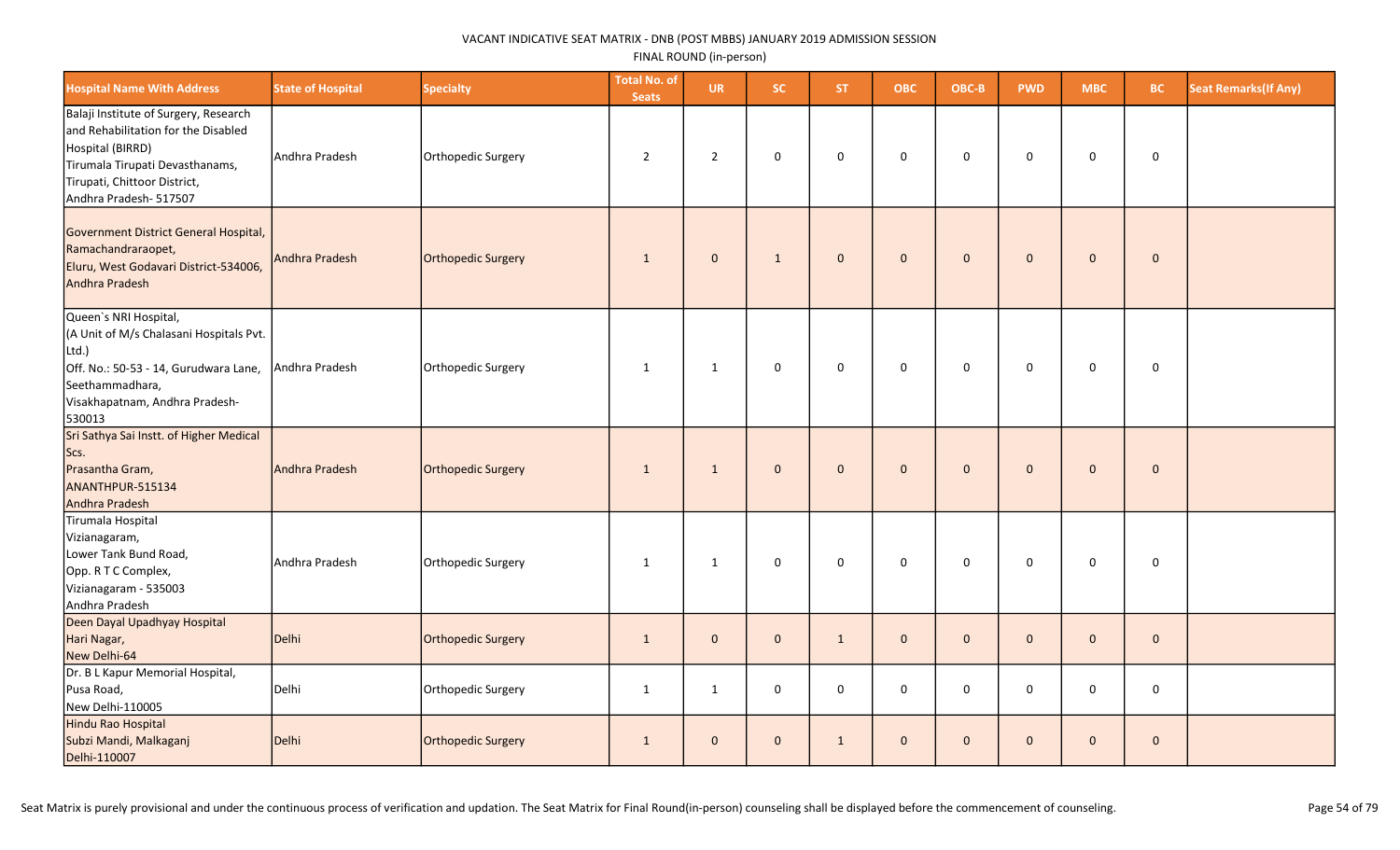| <b>Hospital Name With Address</b>                                                                                                                                                             | <b>State of Hospital</b> | <b>Specialty</b>          | <b>Total No. of</b><br><b>Seats</b> | <b>UR</b>      | SC.          | ST.          | <b>OBC</b>          | OBC-B        | <b>PWD</b>   | <b>MBC</b>   | <b>BC</b>    | <b>Seat Remarks (If Any)</b> |
|-----------------------------------------------------------------------------------------------------------------------------------------------------------------------------------------------|--------------------------|---------------------------|-------------------------------------|----------------|--------------|--------------|---------------------|--------------|--------------|--------------|--------------|------------------------------|
| Balaji Institute of Surgery, Research<br>and Rehabilitation for the Disabled<br>Hospital (BIRRD)<br>Tirumala Tirupati Devasthanams,<br>Tirupati, Chittoor District,<br>Andhra Pradesh- 517507 | Andhra Pradesh           | Orthopedic Surgery        | $\overline{2}$                      | $\overline{2}$ | $\mathbf 0$  | $\mathbf 0$  | $\mathsf{O}\xspace$ | $\mathbf 0$  | $\mathbf 0$  | $\mathbf 0$  | $\mathbf 0$  |                              |
| Government District General Hospital,<br>Ramachandraraopet,<br>Eluru, West Godavari District-534006,<br>Andhra Pradesh                                                                        | Andhra Pradesh           | Orthopedic Surgery        | $\mathbf{1}$                        | $\mathbf{0}$   | $\mathbf{1}$ | $\mathbf{0}$ | $\mathbf{0}$        | $\mathbf 0$  | $\mathbf{0}$ | $\mathbf 0$  | $\mathbf 0$  |                              |
| Queen's NRI Hospital,<br>(A Unit of M/s Chalasani Hospitals Pvt.<br>Ltd.)<br>Off. No.: 50-53 - 14, Gurudwara Lane,<br>Seethammadhara,<br>Visakhapatnam, Andhra Pradesh-<br>530013             | Andhra Pradesh           | Orthopedic Surgery        | 1                                   | 1              | $\mathbf 0$  | $\mathbf{0}$ | $\mathbf 0$         | $\mathbf 0$  | 0            | $\mathbf 0$  | $\mathbf 0$  |                              |
| Sri Sathya Sai Instt. of Higher Medical<br>Scs.<br>Prasantha Gram,<br>ANANTHPUR-515134<br>Andhra Pradesh                                                                                      | Andhra Pradesh           | Orthopedic Surgery        | $\mathbf{1}$                        | $\mathbf{1}$   | $\mathbf{0}$ | $\mathbf{0}$ | $\mathbf{0}$        | $\mathbf 0$  | $\Omega$     | $\pmb{0}$    | $\mathbf 0$  |                              |
| Tirumala Hospital<br>Vizianagaram,<br>Lower Tank Bund Road,<br>Opp. R T C Complex,<br>Vizianagaram - 535003<br>Andhra Pradesh                                                                 | Andhra Pradesh           | Orthopedic Surgery        | $\mathbf{1}$                        | $\mathbf{1}$   | $\mathbf 0$  | $\mathbf 0$  | $\mathbf{0}$        | $\pmb{0}$    | $\mathbf 0$  | $\mathbf 0$  | $\mathsf 0$  |                              |
| Deen Dayal Upadhyay Hospital<br>Hari Nagar,<br>New Delhi-64                                                                                                                                   | Delhi                    | <b>Orthopedic Surgery</b> | $\mathbf{1}$                        | $\mathbf 0$    | $\mathbf{0}$ | $\mathbf{1}$ | $\mathbf{0}$        | $\mathbf{0}$ | $\mathbf{0}$ | $\mathbf 0$  | $\mathbf{0}$ |                              |
| Dr. B L Kapur Memorial Hospital,<br>Pusa Road,<br>New Delhi-110005                                                                                                                            | Delhi                    | Orthopedic Surgery        | $\mathbf{1}$                        | $\mathbf{1}$   | $\mathbf 0$  | $\mathbf 0$  | $\mathbf 0$         | $\mathbf 0$  | $\mathbf 0$  | 0            | $\mathbf 0$  |                              |
| Hindu Rao Hospital<br>Subzi Mandi, Malkaganj<br>Delhi-110007                                                                                                                                  | Delhi                    | <b>Orthopedic Surgery</b> | $\mathbf{1}$                        | $\mathbf{0}$   | $\mathbf{0}$ | $\mathbf{1}$ | $\mathbf{0}$        | $\mathbf{0}$ | $\mathbf{0}$ | $\mathbf{0}$ | $\mathbf{0}$ |                              |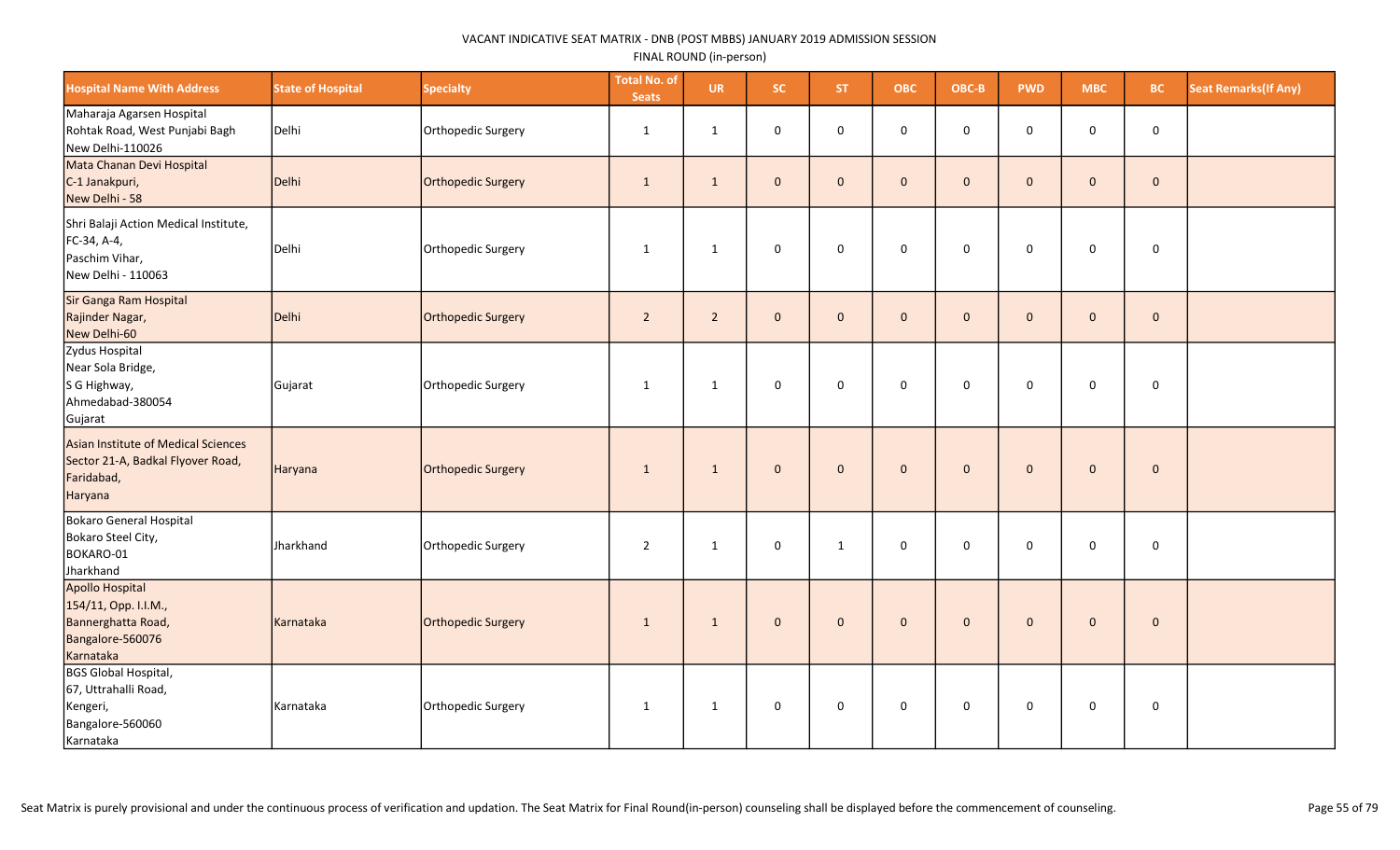| <b>Hospital Name With Address</b>                                                                 | <b>State of Hospital</b> | <b>Specialty</b>   | <b>Total No. of</b><br><b>Seats</b> | <b>UR</b>      | SC.          | ST.          | <b>OBC</b>          | OBC-B        | <b>PWD</b>   | <b>MBC</b>   | BC.                 | <b>Seat Remarks (If Any)</b> |
|---------------------------------------------------------------------------------------------------|--------------------------|--------------------|-------------------------------------|----------------|--------------|--------------|---------------------|--------------|--------------|--------------|---------------------|------------------------------|
| Maharaja Agarsen Hospital<br>Rohtak Road, West Punjabi Bagh<br>New Delhi-110026                   | Delhi                    | Orthopedic Surgery | 1                                   | 1              | $\mathsf 0$  | $\mathbf 0$  | $\mathsf{O}\xspace$ | $\pmb{0}$    | $\mathbf 0$  | $\mathbf 0$  | $\mathsf{O}\xspace$ |                              |
| Mata Chanan Devi Hospital<br>C-1 Janakpuri,<br>New Delhi - 58                                     | Delhi                    | Orthopedic Surgery | $\mathbf{1}$                        | $\mathbf{1}$   | $\mathbf{0}$ | $\mathbf{0}$ | $\mathbf{0}$        | $\mathbf{0}$ | $\Omega$     | $\mathbf{0}$ | $\mathbf{0}$        |                              |
| Shri Balaji Action Medical Institute,<br>FC-34, A-4,<br>Paschim Vihar,<br>New Delhi - 110063      | Delhi                    | Orthopedic Surgery | 1                                   | 1              | $\mathsf 0$  | $\mathsf 0$  | $\mathbf 0$         | $\mathsf 0$  | $\mathbf 0$  | $\mathbf 0$  | $\mathsf 0$         |                              |
| Sir Ganga Ram Hospital<br>Rajinder Nagar,<br>New Delhi-60                                         | Delhi                    | Orthopedic Surgery | $\overline{2}$                      | $\overline{2}$ | $\mathbf 0$  | $\mathbf{0}$ | $\mathbf 0$         | $\mathbf 0$  | $\mathbf{0}$ | $\mathbf 0$  | $\mathbf 0$         |                              |
| Zydus Hospital<br>Near Sola Bridge,<br>S G Highway,<br>Ahmedabad-380054<br>Gujarat                | Gujarat                  | Orthopedic Surgery | 1                                   | 1              | $\mathsf 0$  | $\mathbf 0$  | $\mathbf 0$         | $\mathsf 0$  | $\mathsf 0$  | $\mathbf 0$  | $\mathbf 0$         |                              |
| Asian Institute of Medical Sciences<br>Sector 21-A, Badkal Flyover Road,<br>Faridabad,<br>Haryana | Haryana                  | Orthopedic Surgery | 1                                   | $\mathbf{1}$   | $\mathbf 0$  | $\mathbf{0}$ | $\mathbf{0}$        | $\mathbf 0$  | $\mathbf{0}$ | $\mathbf{0}$ | $\mathbf 0$         |                              |
| Bokaro General Hospital<br>Bokaro Steel City,<br>BOKARO-01<br>Jharkhand                           | Jharkhand                | Orthopedic Surgery | $\overline{2}$                      | $\mathbf{1}$   | $\mathbf 0$  | 1            | $\mathbf 0$         | $\mathbf 0$  | $\mathbf 0$  | 0            | 0                   |                              |
| Apollo Hospital<br>154/11, Opp. I.I.M.,<br>Bannerghatta Road,<br>Bangalore-560076<br>Karnataka    | Karnataka                | Orthopedic Surgery | 1                                   | $\mathbf{1}$   | $\mathbf 0$  | $\mathbf{0}$ | $\mathbf{0}$        | $\mathbf 0$  | $\mathbf{0}$ | $\mathbf{0}$ | $\mathbf 0$         |                              |
| BGS Global Hospital,<br>67, Uttrahalli Road,<br>Kengeri,<br>Bangalore-560060<br>Karnataka         | Karnataka                | Orthopedic Surgery | 1                                   | $\mathbf{1}$   | 0            | $\mathbf 0$  | 0                   | $\mathbf 0$  | $\mathbf 0$  | 0            | 0                   |                              |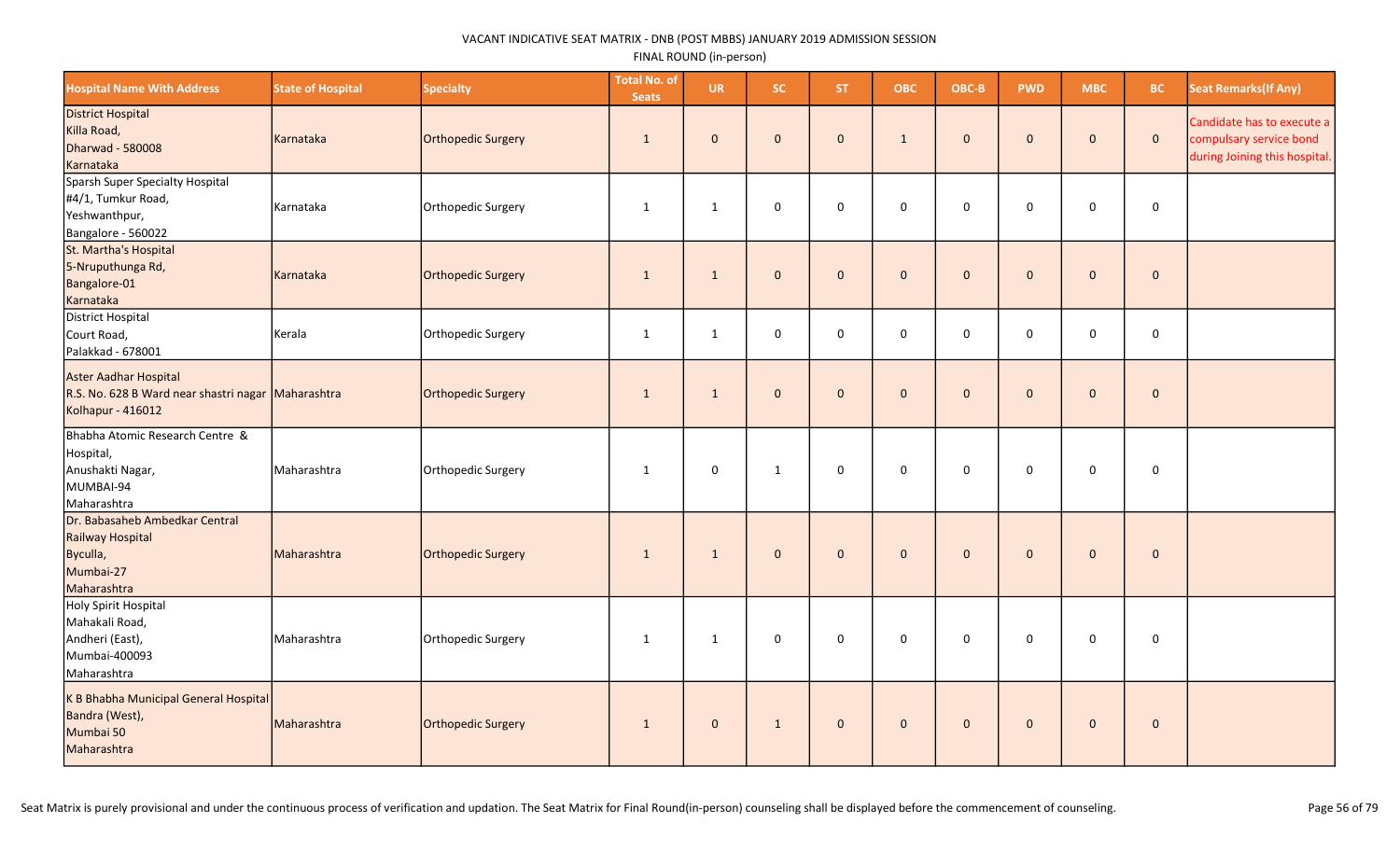| <b>Hospital Name With Address</b>                                                                | <b>State of Hospital</b> | <b>Specialty</b>   | <b>Total No. of</b><br><b>Seats</b> | <b>UR</b>    | SC.          | <b>ST</b>    | <b>OBC</b>          | OBC-B               | <b>PWD</b>   | <b>MBC</b>   | <b>BC</b>           | <b>Seat Remarks(If Any)</b>                                                            |
|--------------------------------------------------------------------------------------------------|--------------------------|--------------------|-------------------------------------|--------------|--------------|--------------|---------------------|---------------------|--------------|--------------|---------------------|----------------------------------------------------------------------------------------|
| <b>District Hospital</b><br>Killa Road,<br>Dharwad - 580008<br>Karnataka                         | Karnataka                | Orthopedic Surgery | $\mathbf{1}$                        | $\mathbf 0$  | $\mathbf{0}$ | $\mathbf{0}$ | $\mathbf{1}$        | $\mathbf 0$         | $\mathbf{0}$ | $\mathbf 0$  | $\mathbf{0}$        | Candidate has to execute a<br>compulsary service bond<br>during Joining this hospital. |
| Sparsh Super Specialty Hospital<br>#4/1, Tumkur Road,<br>Yeshwanthpur,<br>Bangalore - 560022     | Karnataka                | Orthopedic Surgery | $\mathbf{1}$                        | $\mathbf{1}$ | $\Omega$     | $\mathbf{0}$ | $\mathsf{O}\xspace$ | $\mathsf{O}\xspace$ | $\Omega$     | $\mathbf 0$  | $\mathsf{O}\xspace$ |                                                                                        |
| St. Martha's Hospital<br>5-Nruputhunga Rd,<br>Bangalore-01<br>Karnataka                          | Karnataka                | Orthopedic Surgery | $\mathbf{1}$                        | $\mathbf{1}$ | $\mathbf 0$  | $\mathbf{0}$ | $\mathbf 0$         | $\mathbf 0$         | $\mathbf 0$  | $\mathbf 0$  | $\mathbf 0$         |                                                                                        |
| District Hospital<br>Court Road,<br>Palakkad - 678001                                            | Kerala                   | Orthopedic Surgery | $\mathbf{1}$                        | $\mathbf{1}$ | $\mathbf 0$  | $\mathbf 0$  | 0                   | $\mathsf 0$         | $\mathbf 0$  | $\mathsf 0$  | 0                   |                                                                                        |
| Aster Aadhar Hospital<br>R.S. No. 628 B Ward near shastri nagar Maharashtra<br>Kolhapur - 416012 |                          | Orthopedic Surgery | 1                                   | $\mathbf{1}$ | $\mathbf{0}$ | $\Omega$     | $\mathbf{0}$        | $\pmb{0}$           | $\mathbf{0}$ | $\mathbf{0}$ | $\mathbf 0$         |                                                                                        |
| Bhabha Atomic Research Centre &<br>Hospital,<br>Anushakti Nagar,<br>MUMBAI-94<br>Maharashtra     | Maharashtra              | Orthopedic Surgery | $\mathbf{1}$                        | $\mathbf 0$  | $\mathbf{1}$ | $\mathbf 0$  | $\mathsf{O}\xspace$ | $\mathbf 0$         | 0            | $\mathbf 0$  | $\mathbf 0$         |                                                                                        |
| Dr. Babasaheb Ambedkar Central<br>Railway Hospital<br>Byculla,<br>Mumbai-27<br>Maharashtra       | Maharashtra              | Orthopedic Surgery | $\mathbf{1}$                        | $\mathbf{1}$ | $\mathbf{0}$ | $\mathbf{0}$ | $\mathbf{0}$        | $\mathbf{0}$        | $\mathbf{0}$ | $\mathbf{0}$ | $\mathbf{0}$        |                                                                                        |
| Holy Spirit Hospital<br>Mahakali Road,<br>Andheri (East),<br>Mumbai-400093<br>Maharashtra        | Maharashtra              | Orthopedic Surgery | $\mathbf{1}$                        | $\mathbf{1}$ | $\mathbf 0$  | $\mathbf 0$  | 0                   | $\mathsf 0$         | $\mathbf 0$  | $\mathbf 0$  | $\mathbf 0$         |                                                                                        |
| K B Bhabha Municipal General Hospital<br>Bandra (West),<br>Mumbai 50<br>Maharashtra              | Maharashtra              | Orthopedic Surgery | $\mathbf{1}$                        | $\mathbf{0}$ | $\mathbf{1}$ | $\mathbf{0}$ | $\mathbf{0}$        | $\mathbf 0$         | $\mathbf{0}$ | $\mathbf{0}$ | $\mathbf{0}$        |                                                                                        |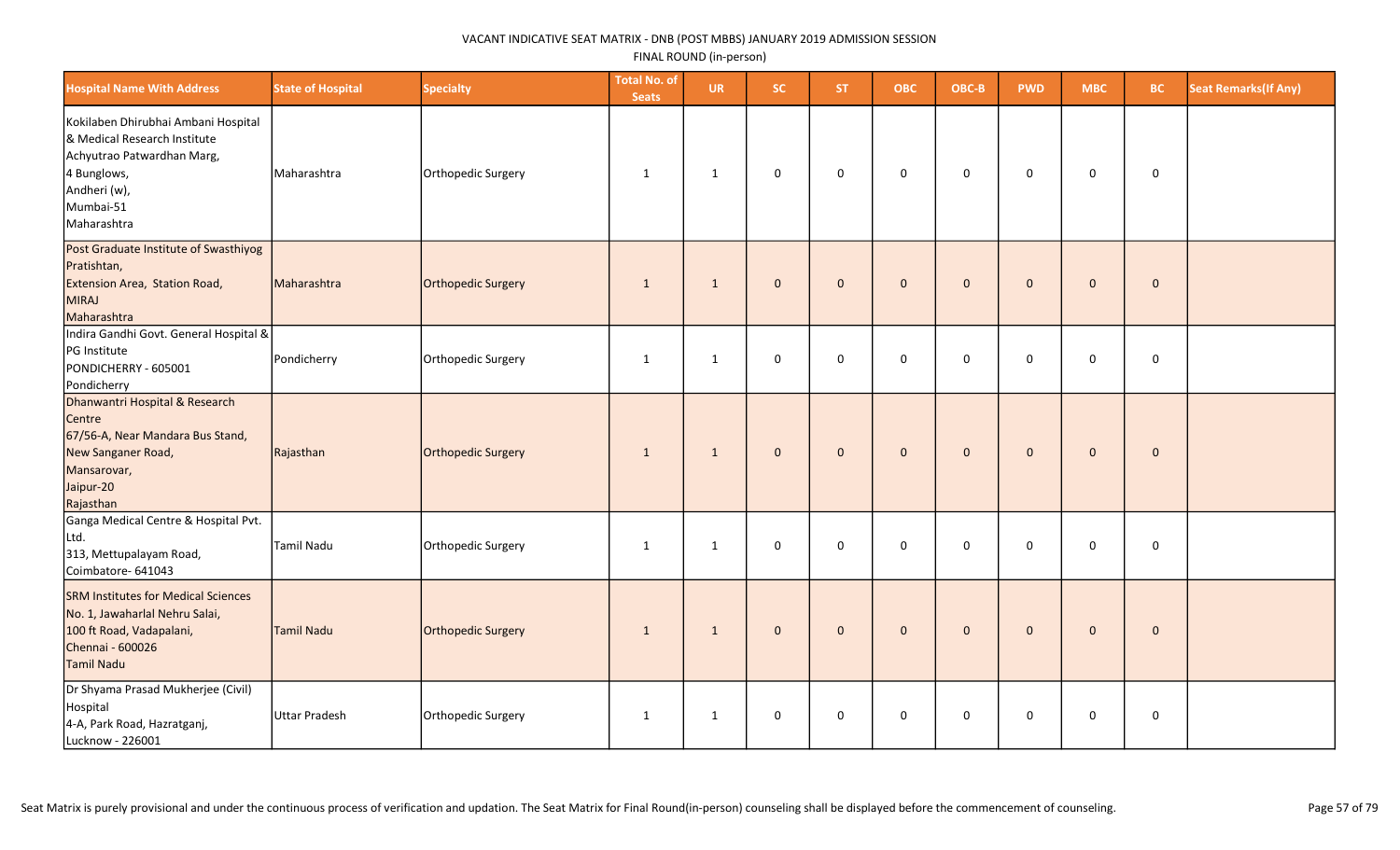| <b>Hospital Name With Address</b>                                                                                                                            | <b>State of Hospital</b> | <b>Specialty</b>   | <b>Total No. of</b><br><b>Seats</b> | <b>UR</b>    | <b>SC</b>    | ST.          | <b>OBC</b>   | OBC-B        | <b>PWD</b>   | <b>MBC</b>          | <b>BC</b>    | <b>Seat Remarks (If Any)</b> |
|--------------------------------------------------------------------------------------------------------------------------------------------------------------|--------------------------|--------------------|-------------------------------------|--------------|--------------|--------------|--------------|--------------|--------------|---------------------|--------------|------------------------------|
| Kokilaben Dhirubhai Ambani Hospital<br>& Medical Research Institute<br>Achyutrao Patwardhan Marg,<br>4 Bunglows,<br>Andheri (w),<br>Mumbai-51<br>Maharashtra | Maharashtra              | Orthopedic Surgery | 1                                   | $\mathbf{1}$ | $\mathbf 0$  | $\mathbf 0$  | $\mathbf 0$  | $\mathbf 0$  | $\mathbf 0$  | $\mathbf 0$         | $\mathbf 0$  |                              |
| Post Graduate Institute of Swasthiyog<br>Pratishtan,<br>Extension Area, Station Road,<br>MIRAJ<br>Maharashtra                                                | Maharashtra              | Orthopedic Surgery | $\mathbf{1}$                        | $\mathbf{1}$ | $\mathbf{0}$ | $\mathbf{0}$ | $\mathbf{0}$ | $\mathbf 0$  | $\mathbf{0}$ | $\mathsf{O}\xspace$ | $\mathbf 0$  |                              |
| Indira Gandhi Govt. General Hospital &<br>PG Institute<br>PONDICHERRY - 605001<br>Pondicherry                                                                | Pondicherry              | Orthopedic Surgery | $\mathbf{1}$                        | $\mathbf{1}$ | $\mathbf 0$  | 0            | $\mathbf 0$  | 0            | 0            | 0                   | 0            |                              |
| Dhanwantri Hospital & Research<br>Centre<br>67/56-A, Near Mandara Bus Stand,<br>New Sanganer Road,<br>Mansarovar,<br>Jaipur-20<br>Rajasthan                  | Rajasthan                | Orthopedic Surgery | $\mathbf{1}$                        | $\mathbf{1}$ | $\mathbf{0}$ | $\mathbf{0}$ | $\mathbf{0}$ | $\mathbf{0}$ | $\mathbf{0}$ | $\mathbf 0$         | $\mathbf{0}$ |                              |
| Ganga Medical Centre & Hospital Pvt.<br>Ltd.<br>313, Mettupalayam Road,<br>Coimbatore- 641043                                                                | <b>Tamil Nadu</b>        | Orthopedic Surgery | 1                                   | $\mathbf{1}$ | 0            | 0            | $\mathbf 0$  | 0            | 0            | 0                   | 0            |                              |
| <b>SRM Institutes for Medical Sciences</b><br>No. 1, Jawaharlal Nehru Salai,<br>100 ft Road, Vadapalani,<br>Chennai - 600026<br><b>Tamil Nadu</b>            | Tamil Nadu               | Orthopedic Surgery | $\mathbf{1}$                        | 1            | $\mathbf{0}$ | $\mathbf{0}$ | $\mathbf{0}$ | $\mathbf 0$  | $\mathbf{0}$ | $\mathbf 0$         | $\mathbf{0}$ |                              |
| Dr Shyama Prasad Mukherjee (Civil)<br>Hospital<br>4-A, Park Road, Hazratganj,<br>Lucknow - 226001                                                            | <b>Uttar Pradesh</b>     | Orthopedic Surgery | $\mathbf{1}$                        | $\mathbf{1}$ | $\mathbf 0$  | 0            | $\mathbf 0$  | 0            | $\mathbf 0$  | 0                   | $\mathbf 0$  |                              |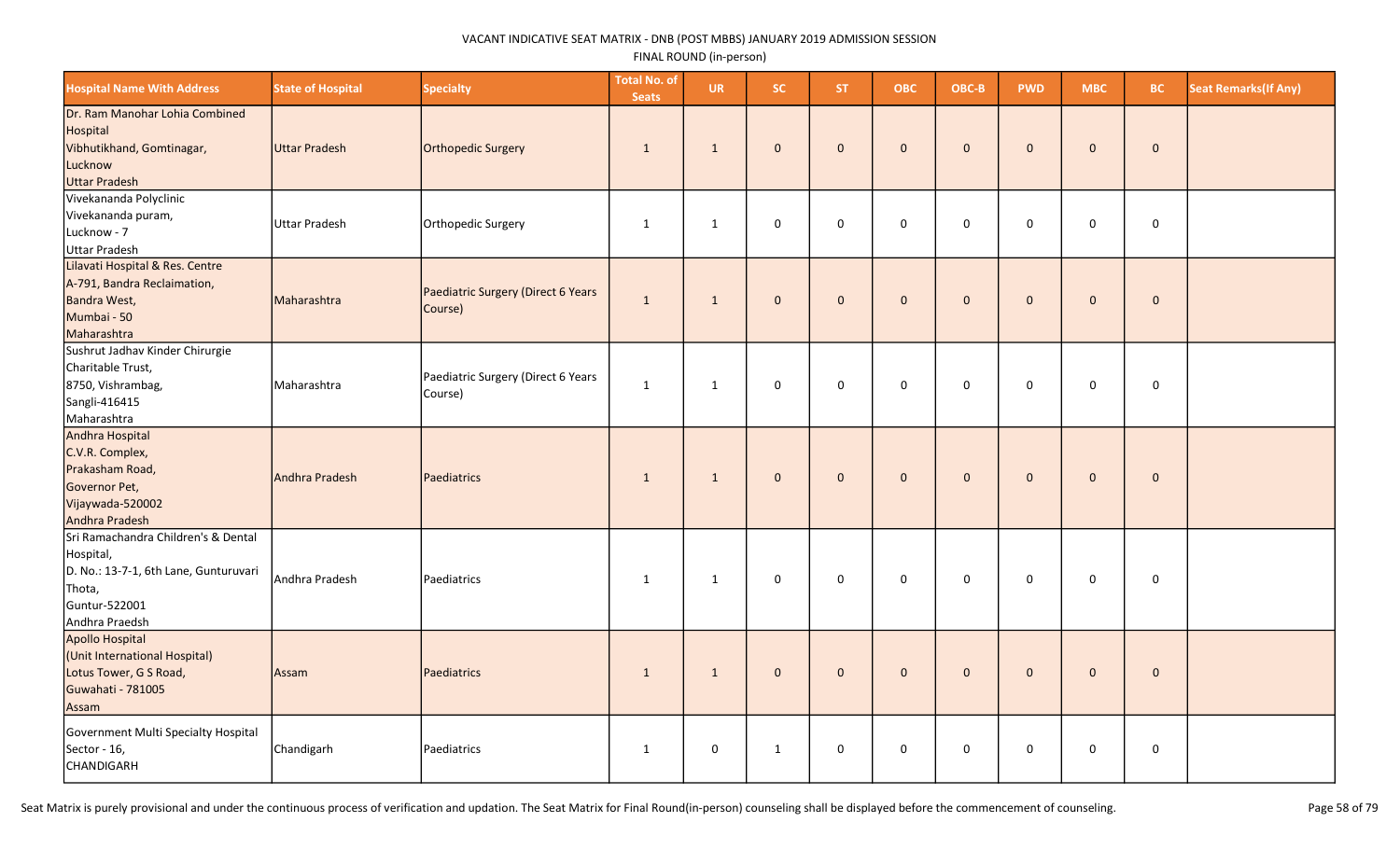| <b>Hospital Name With Address</b>                                                                                                      | <b>State of Hospital</b> | <b>Specialty</b>                              | <b>Total No. of</b><br><b>Seats</b> | <b>UR</b>    | <b>SC</b>    | <b>ST</b>    | <b>OBC</b>          | OBC-B        | <b>PWD</b>   | <b>MBC</b>   | BC.         | <b>Seat Remarks (If Any)</b> |
|----------------------------------------------------------------------------------------------------------------------------------------|--------------------------|-----------------------------------------------|-------------------------------------|--------------|--------------|--------------|---------------------|--------------|--------------|--------------|-------------|------------------------------|
| Dr. Ram Manohar Lohia Combined<br>Hospital<br>Vibhutikhand, Gomtinagar,<br>Lucknow<br>Uttar Pradesh                                    | Uttar Pradesh            | Orthopedic Surgery                            | $\mathbf{1}$                        | $\mathbf{1}$ | $\mathbf{0}$ | $\mathbf{0}$ | $\mathbf{0}$        | $\mathbf{0}$ | $\mathbf{0}$ | $\mathbf{0}$ | $\mathbf 0$ |                              |
| Vivekananda Polyclinic<br>Vivekananda puram,<br>Lucknow - 7<br>Uttar Pradesh                                                           | <b>Uttar Pradesh</b>     | Orthopedic Surgery                            | $\mathbf{1}$                        | $\mathbf{1}$ | 0            | $\Omega$     | $\mathsf 0$         | $\Omega$     | $\Omega$     | 0            | $\mathsf 0$ |                              |
| Lilavati Hospital & Res. Centre<br>A-791, Bandra Reclaimation,<br>Bandra West,<br>Mumbai - 50<br>Maharashtra                           | Maharashtra              | Paediatric Surgery (Direct 6 Years<br>Course) | $\mathbf{1}$                        | 1            | $\mathbf{0}$ | $\mathbf{0}$ | $\mathbf{0}$        | $\mathbf{0}$ | $\mathbf{0}$ | $\mathbf{0}$ | $\mathbf 0$ |                              |
| Sushrut Jadhav Kinder Chirurgie<br>Charitable Trust,<br>8750, Vishrambag,<br>Sangli-416415<br>Maharashtra                              | Maharashtra              | Paediatric Surgery (Direct 6 Years<br>Course) | $\mathbf{1}$                        | $\mathbf{1}$ | 0            | $\mathbf 0$  | $\mathbf 0$         | $\mathbf 0$  | $\mathbf 0$  | 0            | $\mathsf 0$ |                              |
| Andhra Hospital<br>C.V.R. Complex,<br>Prakasham Road,<br>Governor Pet,<br>Vijaywada-520002<br>Andhra Pradesh                           | Andhra Pradesh           | Paediatrics                                   | $\mathbf{1}$                        | $\mathbf{1}$ | $\mathbf 0$  | $\mathbf 0$  | $\mathbf 0$         | $\mathbf{0}$ | $\mathbf{0}$ | $\mathbf 0$  | $\mathbf 0$ |                              |
| Sri Ramachandra Children's & Dental<br>Hospital,<br>D. No.: 13-7-1, 6th Lane, Gunturuvari<br>Thota,<br>Guntur-522001<br>Andhra Praedsh | Andhra Pradesh           | Paediatrics                                   | $\mathbf{1}$                        | 1            | 0            | $\mathsf 0$  | $\mathsf{O}\xspace$ | $\mathbf 0$  | $\mathbf 0$  | $\mathsf 0$  | $\pmb{0}$   |                              |
| Apollo Hospital<br>(Unit International Hospital)<br>Lotus Tower, G S Road,<br>Guwahati - 781005<br>Assam                               | Assam                    | Paediatrics                                   | $\mathbf{1}$                        | $\mathbf{1}$ | $\mathbf 0$  | $\mathbf 0$  | $\pmb{0}$           | $\mathbf{0}$ | $\mathbf 0$  | $\mathbf 0$  | $\pmb{0}$   |                              |
| Government Multi Specialty Hospital<br>Sector - 16,<br><b>CHANDIGARH</b>                                                               | Chandigarh               | Paediatrics                                   | 1                                   | 0            | $\mathbf{1}$ | $\mathbf 0$  | $\pmb{0}$           | $\mathbf 0$  | $\mathbf 0$  | 0            | $\pmb{0}$   |                              |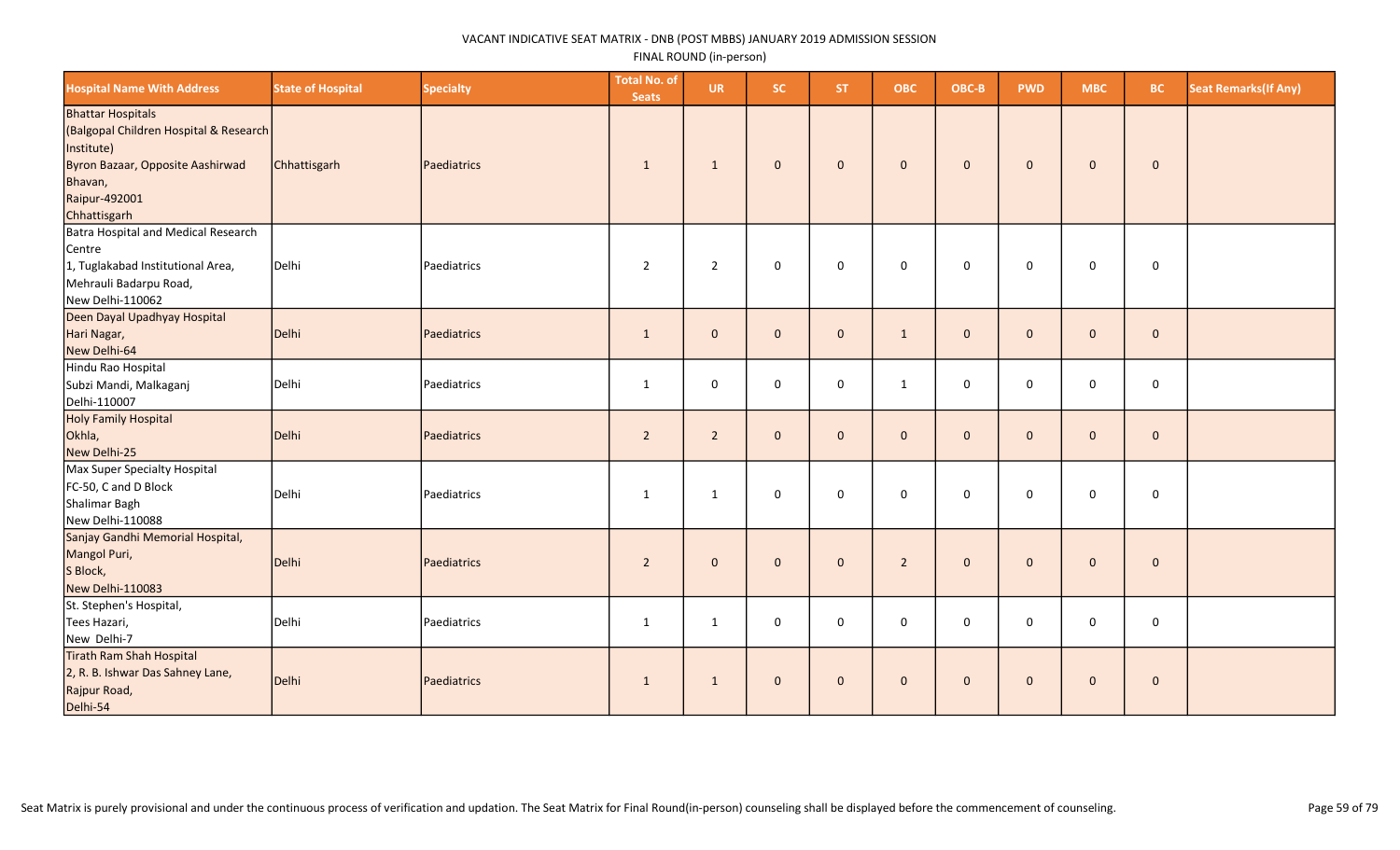| <b>Hospital Name With Address</b>                                                                                                                                | <b>State of Hospital</b> | <b>Specialty</b> | <b>Total No. of</b><br><b>Seats</b> | <b>UR</b>      | SC.          | <b>ST</b>    | <b>OBC</b>     | OBC-B        | <b>PWD</b>   | <b>MBC</b>   | <b>BC</b>   | <b>Seat Remarks (If Any)</b> |
|------------------------------------------------------------------------------------------------------------------------------------------------------------------|--------------------------|------------------|-------------------------------------|----------------|--------------|--------------|----------------|--------------|--------------|--------------|-------------|------------------------------|
| <b>Bhattar Hospitals</b><br>(Balgopal Children Hospital & Research<br>Institute)<br>Byron Bazaar, Opposite Aashirwad<br>Bhavan,<br>Raipur-492001<br>Chhattisgarh | Chhattisgarh             | Paediatrics      | 1                                   | $\mathbf{1}$   | $\mathbf 0$  | $\mathbf{0}$ | $\mathbf{0}$   | $\mathbf 0$  | $\mathbf{0}$ | $\mathbf 0$  | $\bf{0}$    |                              |
| Batra Hospital and Medical Research<br>Centre<br>1, Tuglakabad Institutional Area,<br>Mehrauli Badarpu Road,<br>New Delhi-110062                                 | Delhi                    | Paediatrics      | $\overline{2}$                      | $\overline{2}$ | $\mathsf 0$  | $\mathbf 0$  | $\mathbf 0$    | $\mathsf 0$  | $\mathbf 0$  | 0            | $\mathbf 0$ |                              |
| Deen Dayal Upadhyay Hospital<br>Hari Nagar,<br>New Delhi-64                                                                                                      | Delhi                    | Paediatrics      | $\mathbf{1}$                        | $\mathbf 0$    | $\mathbf 0$  | $\mathbf{0}$ | $\mathbf{1}$   | $\mathbf 0$  | $\Omega$     | $\mathbf{0}$ | $\mathbf 0$ |                              |
| Hindu Rao Hospital<br>Subzi Mandi, Malkaganj<br>Delhi-110007                                                                                                     | Delhi                    | Paediatrics      | 1                                   | 0              | 0            | $\mathbf 0$  | 1              | $\mathbf 0$  | $\mathbf 0$  | 0            | $\mathbf 0$ |                              |
| Holy Family Hospital<br>Okhla,<br>New Delhi-25                                                                                                                   | Delhi                    | Paediatrics      | $\overline{2}$                      | $\overline{2}$ | $\mathbf{0}$ | $\mathbf{0}$ | $\mathbf{0}$   | $\mathbf{0}$ | $\Omega$     | $\mathbf 0$  | $\mathbf 0$ |                              |
| Max Super Specialty Hospital<br>FC-50, C and D Block<br>Shalimar Bagh<br>New Delhi-110088                                                                        | Delhi                    | Paediatrics      | 1                                   | 1              | $\mathsf 0$  | $\mathbf 0$  | $\mathbf 0$    | $\mathbf 0$  | $\mathbf{0}$ | $\mathbf 0$  | $\mathbf 0$ |                              |
| Sanjay Gandhi Memorial Hospital,<br>Mangol Puri,<br>S Block,<br>New Delhi-110083                                                                                 | Delhi                    | Paediatrics      | $\overline{2}$                      | $\mathbf 0$    | $\mathbf 0$  | $\mathbf{0}$ | $\overline{2}$ | $\mathbf 0$  | $\Omega$     | $\mathbf 0$  | $\mathbf 0$ |                              |
| St. Stephen's Hospital,<br>Tees Hazari,<br>New Delhi-7                                                                                                           | Delhi                    | Paediatrics      | $\mathbf{1}$                        | $\mathbf{1}$   | $\mathsf 0$  | $\mathbf 0$  | $\mathbf 0$    | $\mathsf 0$  | $\mathsf 0$  | 0            | $\mathbf 0$ |                              |
| Tirath Ram Shah Hospital<br>2, R. B. Ishwar Das Sahney Lane,<br>Rajpur Road,<br>Delhi-54                                                                         | Delhi                    | Paediatrics      | $\mathbf{1}$                        | $\mathbf{1}$   | $\mathbf{0}$ | $\mathbf{0}$ | $\mathbf{0}$   | $\mathbf{0}$ | $\mathbf{0}$ | $\mathbf 0$  | $\mathbf 0$ |                              |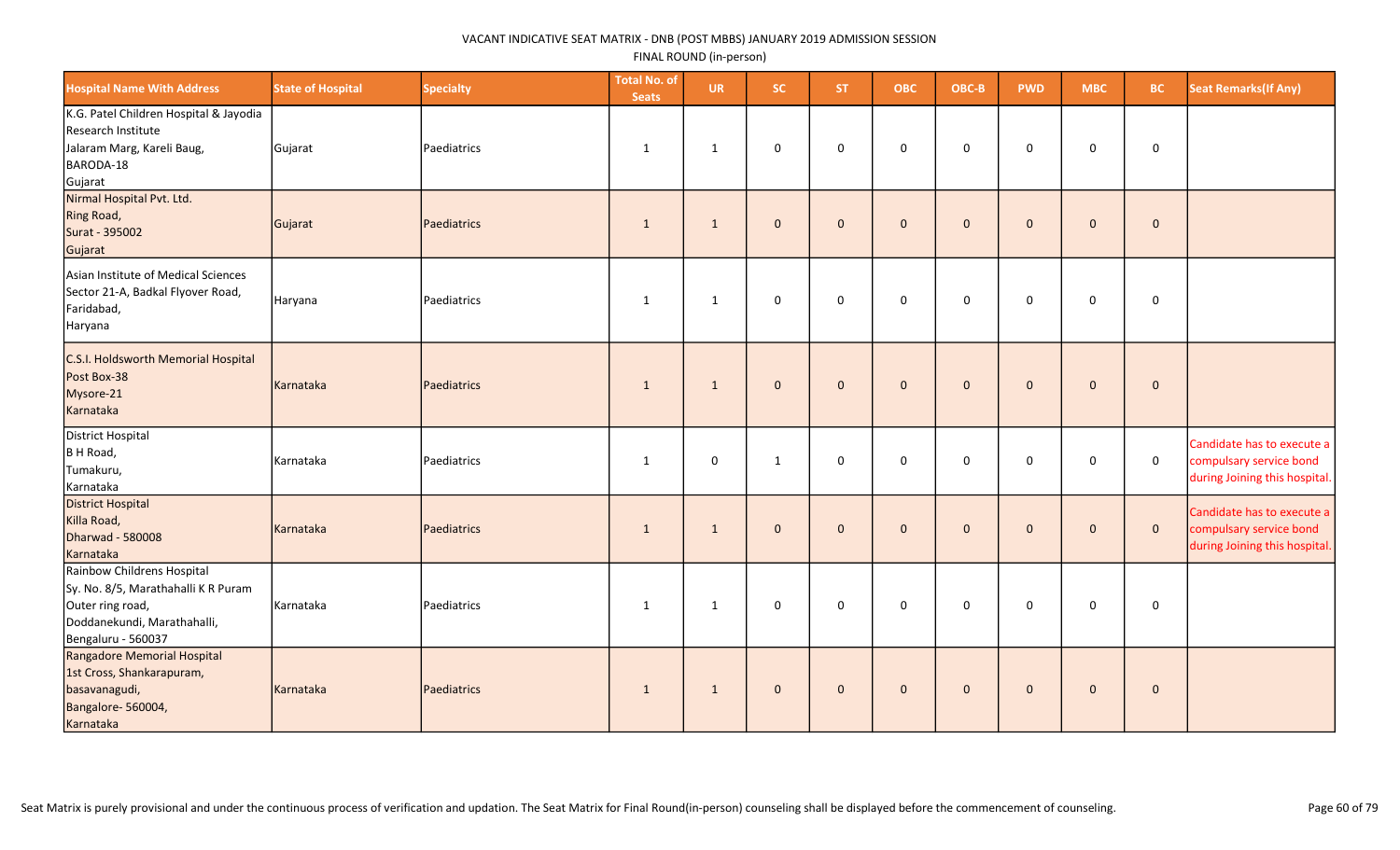| <b>Hospital Name With Address</b>                                                                                                          | <b>State of Hospital</b> | <b>Specialty</b> | <b>Total No. of</b><br><b>Seats</b> | <b>UR</b>    | <b>SC</b>    | ST.          | <b>OBC</b>   | OBC-B        | <b>PWD</b>   | <b>MBC</b>   | BC.          | <b>Seat Remarks (If Any)</b>                                                           |
|--------------------------------------------------------------------------------------------------------------------------------------------|--------------------------|------------------|-------------------------------------|--------------|--------------|--------------|--------------|--------------|--------------|--------------|--------------|----------------------------------------------------------------------------------------|
| K.G. Patel Children Hospital & Jayodia<br>Research Institute<br>Jalaram Marg, Kareli Baug,<br>BARODA-18<br>Gujarat                         | Gujarat                  | Paediatrics      | $\mathbf{1}$                        | 1            | 0            | $\mathbf 0$  | $\mathsf 0$  | $\mathbf 0$  | $\mathbf 0$  | 0            | $\mathbf 0$  |                                                                                        |
| Nirmal Hospital Pvt. Ltd.<br><b>Ring Road,</b><br>Surat - 395002<br>Gujarat                                                                | Gujarat                  | Paediatrics      | 1                                   | 1            | $\mathbf{0}$ | $\mathbf{0}$ | $\mathbf{0}$ | $\mathbf{0}$ | $\mathbf{0}$ | $\mathbf{0}$ | $\mathbf{0}$ |                                                                                        |
| Asian Institute of Medical Sciences<br>Sector 21-A, Badkal Flyover Road,<br>Faridabad,<br>Haryana                                          | Haryana                  | Paediatrics      | 1                                   | $\mathbf{1}$ | 0            | $\mathbf 0$  | $\mathbf 0$  | $\mathbf 0$  | 0            | $\mathbf 0$  | $\mathbf 0$  |                                                                                        |
| C.S.I. Holdsworth Memorial Hospital<br>Post Box-38<br>Mysore-21<br>Karnataka                                                               | Karnataka                | Paediatrics      | $\mathbf{1}$                        | $\mathbf{1}$ | $\mathbf 0$  | $\mathbf 0$  | $\mathbf 0$  | $\mathbf 0$  | $\mathbf 0$  | $\mathbf 0$  | $\pmb{0}$    |                                                                                        |
| District Hospital<br>B H Road,<br>Tumakuru,<br>Karnataka                                                                                   | Karnataka                | Paediatrics      | $\mathbf{1}$                        | $\mathbf 0$  | $\mathbf{1}$ | $\mathbf 0$  | $\mathbf 0$  | $\mathbf 0$  | $\mathbf 0$  | $\mathbf 0$  | $\mathbf 0$  | Candidate has to execute a<br>compulsary service bond<br>during Joining this hospital. |
| <b>District Hospital</b><br>Killa Road,<br>Dharwad - 580008<br>Karnataka                                                                   | Karnataka                | Paediatrics      | 1                                   | $\mathbf{1}$ | $\mathbf{0}$ | $\mathbf{0}$ | $\mathbf{0}$ | $\mathbf{0}$ | $\mathbf{0}$ | $\mathbf{0}$ | $\mathbf 0$  | Candidate has to execute a<br>compulsary service bond<br>during Joining this hospital. |
| Rainbow Childrens Hospital<br>Sy. No. 8/5, Marathahalli K R Puram<br>Outer ring road,<br>Doddanekundi, Marathahalli,<br>Bengaluru - 560037 | Karnataka                | Paediatrics      | 1                                   | $\mathbf{1}$ | 0            | $\mathbf 0$  | $\mathbf 0$  | $\mathbf 0$  | $\mathbf 0$  | $\mathbf 0$  | $\mathbf 0$  |                                                                                        |
| Rangadore Memorial Hospital<br>1st Cross, Shankarapuram,<br>basavanagudi,<br>Bangalore-560004,<br>Karnataka                                | Karnataka                | Paediatrics      | $\mathbf{1}$                        | $\mathbf{1}$ | $\mathbf{0}$ | $\mathbf 0$  | $\mathbf 0$  | $\mathbf{0}$ | $\mathbf{0}$ | $\mathbf 0$  | $\mathbf 0$  |                                                                                        |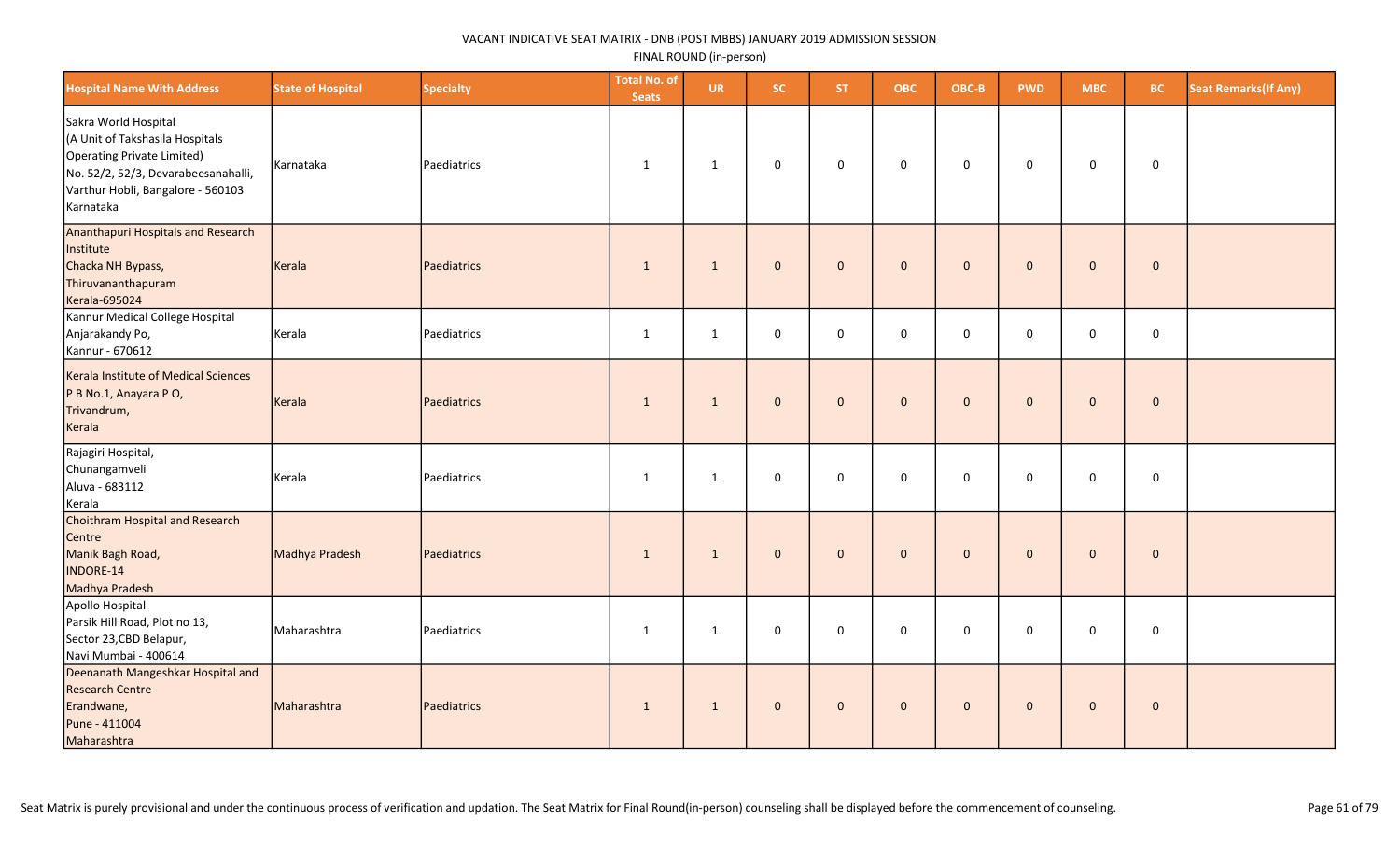| <b>Hospital Name With Address</b>                                                                                                                                              | <b>State of Hospital</b> | <b>Specialty</b> | <b>Total No. of</b><br><b>Seats</b> | <b>UR</b>    | SC.          | <b>ST</b>    | <b>OBC</b>   | OBC-B       | <b>PWD</b>   | <b>MBC</b>          | <b>BC</b>           | <b>Seat Remarks (If Any)</b> |
|--------------------------------------------------------------------------------------------------------------------------------------------------------------------------------|--------------------------|------------------|-------------------------------------|--------------|--------------|--------------|--------------|-------------|--------------|---------------------|---------------------|------------------------------|
| Sakra World Hospital<br>(A Unit of Takshasila Hospitals<br>Operating Private Limited)<br>No. 52/2, 52/3, Devarabeesanahalli,<br>Varthur Hobli, Bangalore - 560103<br>Karnataka | Karnataka                | Paediatrics      | 1                                   | 1            | $\mathbf 0$  | $\mathbf 0$  | 0            | $\mathbf 0$ | $\mathbf 0$  | $\mathbf 0$         | 0                   |                              |
| <b>Ananthapuri Hospitals and Research</b><br>Institute<br>Chacka NH Bypass,<br>Thiruvananthapuram<br><b>Kerala-695024</b>                                                      | Kerala                   | Paediatrics      | $\mathbf{1}$                        | $\mathbf{1}$ | $\mathbf{0}$ | $\mathbf{0}$ | $\mathbf 0$  | $\mathbf 0$ | $\Omega$     | $\mathbf{0}$        | $\mathbf{0}$        |                              |
| Kannur Medical College Hospital<br>Anjarakandy Po,<br>Kannur - 670612                                                                                                          | Kerala                   | Paediatrics      | $\mathbf{1}$                        | $\mathbf{1}$ | $\pmb{0}$    | $\mathbf 0$  | 0            | $\mathsf 0$ | $\mathbf 0$  | $\mathsf{O}\xspace$ | $\mathbf 0$         |                              |
| Kerala Institute of Medical Sciences<br>P B No.1, Anayara P O,<br>Trivandrum,<br>Kerala                                                                                        | Kerala                   | Paediatrics      | $\overline{1}$                      | $\mathbf{1}$ | $\mathbf 0$  | $\mathbf{0}$ | $\mathbf{0}$ | $\mathbf 0$ | $\mathbf{0}$ | $\mathbf{0}$        | $\mathbf 0$         |                              |
| Rajagiri Hospital,<br>Chunangamveli<br>Aluva - 683112<br>Kerala                                                                                                                | Kerala                   | Paediatrics      | $\mathbf{1}$                        | $\mathbf{1}$ | $\mathsf 0$  | $\mathbf 0$  | $\mathbf 0$  | $\mathbf 0$ | $\mathbf 0$  | $\mathsf{O}\xspace$ | $\mathsf{O}\xspace$ |                              |
| Choithram Hospital and Research<br>Centre<br>Manik Bagh Road,<br><b>INDORE-14</b><br>Madhya Pradesh                                                                            | Madhya Pradesh           | Paediatrics      | $\mathbf{1}$                        | $\mathbf{1}$ | $\mathbf{0}$ | $\mathbf{0}$ | $\mathbf 0$  | $\mathbf 0$ | $\mathbf{0}$ | $\mathbf{0}$        | $\mathbf 0$         |                              |
| Apollo Hospital<br>Parsik Hill Road, Plot no 13,<br>Sector 23, CBD Belapur,<br>Navi Mumbai - 400614                                                                            | Maharashtra              | Paediatrics      | $\mathbf{1}$                        | 1            | $\mathbf 0$  | $\mathbf 0$  | 0            | $\mathbf 0$ | 0            | 0                   | 0                   |                              |
| Deenanath Mangeshkar Hospital and<br><b>Research Centre</b><br>Erandwane,<br>Pune - 411004<br>Maharashtra                                                                      | Maharashtra              | Paediatrics      | $\mathbf{1}$                        | $\mathbf{1}$ | $\mathbf 0$  | $\mathbf{0}$ | $\mathbf{0}$ | $\mathbf 0$ | $\mathbf{0}$ | $\mathbf{0}$        | $\mathbf{0}$        |                              |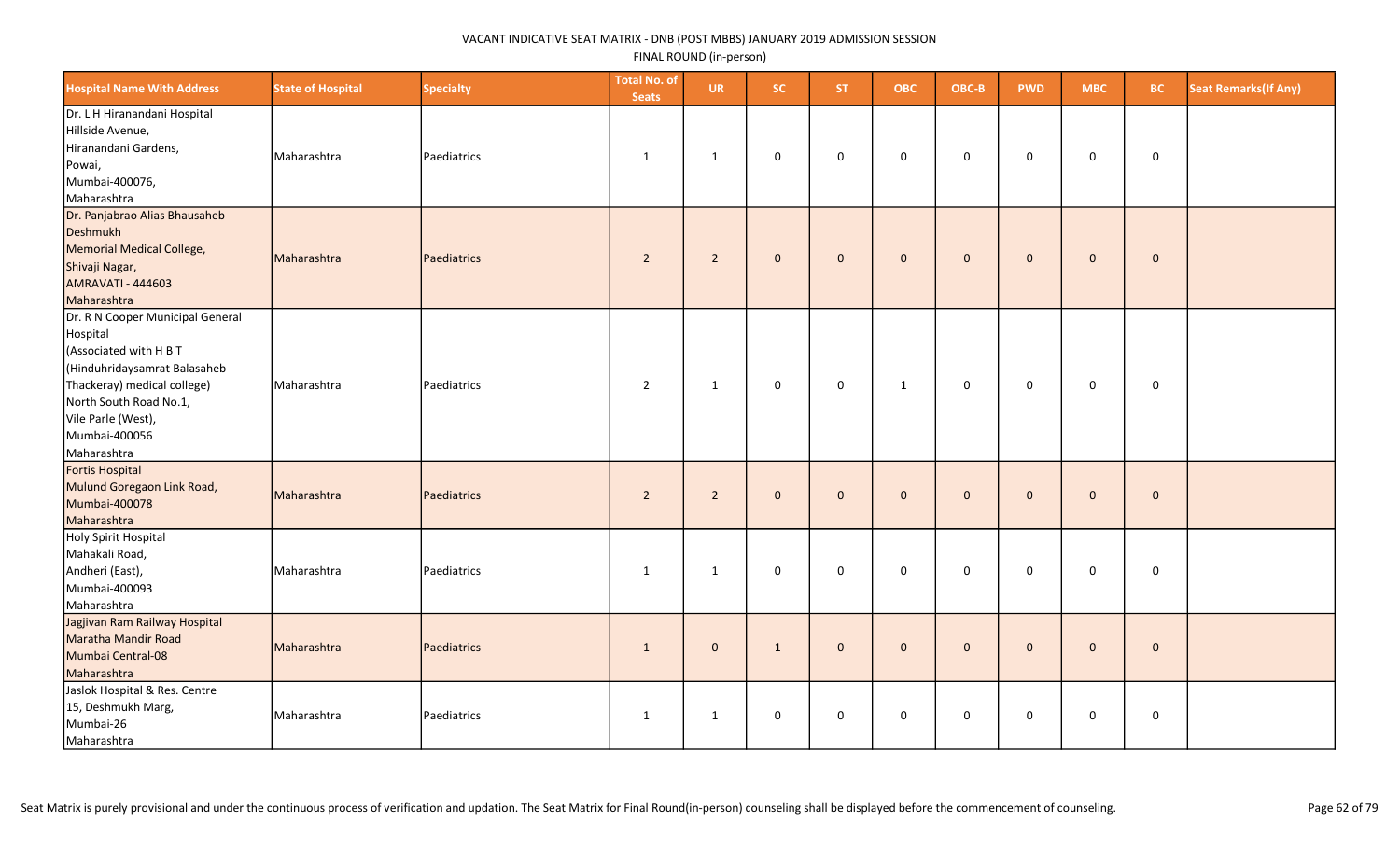| <b>Hospital Name With Address</b>                                                                                                                                                                                     | <b>State of Hospital</b> | <b>Specialty</b> | <b>Total No. of</b><br><b>Seats</b> | <b>UR</b>      | SC.          | <b>ST</b>      | <b>OBC</b>   | OBC-B        | <b>PWD</b>   | <b>MBC</b>   | <b>BC</b>    | <b>Seat Remarks (If Any)</b> |
|-----------------------------------------------------------------------------------------------------------------------------------------------------------------------------------------------------------------------|--------------------------|------------------|-------------------------------------|----------------|--------------|----------------|--------------|--------------|--------------|--------------|--------------|------------------------------|
| Dr. L H Hiranandani Hospital<br>Hillside Avenue,<br>Hiranandani Gardens,<br>Powai,<br>Mumbai-400076,<br>Maharashtra                                                                                                   | Maharashtra              | Paediatrics      | $\mathbf{1}$                        | $\mathbf{1}$   | 0            | $\Omega$       | $\mathbf 0$  | 0            | $\mathbf 0$  | 0            | $\mathbf 0$  |                              |
| Dr. Panjabrao Alias Bhausaheb<br>Deshmukh<br>Memorial Medical College,<br>Shivaji Nagar,<br><b>AMRAVATI - 444603</b><br>Maharashtra                                                                                   | Maharashtra              | Paediatrics      | $\overline{2}$                      | $\overline{2}$ | $\mathbf{0}$ | $\overline{0}$ | $\mathbf 0$  | $\mathbf{0}$ | $\mathbf{0}$ | $\mathbf{0}$ | $\mathbf 0$  |                              |
| Dr. R N Cooper Municipal General<br>Hospital<br>(Associated with H B T<br>(Hinduhridaysamrat Balasaheb<br>Thackeray) medical college)<br>North South Road No.1,<br>Vile Parle (West),<br>Mumbai-400056<br>Maharashtra | Maharashtra              | Paediatrics      | $\overline{2}$                      | $\mathbf{1}$   | 0            | $\mathbf 0$    | $\mathbf{1}$ | $\mathbf 0$  | $\mathbf 0$  | 0            | $\mathbf 0$  |                              |
| Fortis Hospital<br>Mulund Goregaon Link Road,<br>Mumbai-400078<br>Maharashtra                                                                                                                                         | Maharashtra              | Paediatrics      | $\overline{2}$                      | $\overline{2}$ | $\mathbf{0}$ | $\overline{0}$ | $\mathbf 0$  | $\mathbf{0}$ | $\mathbf{0}$ | $\mathbf{0}$ | $\mathbf 0$  |                              |
| Holy Spirit Hospital<br>Mahakali Road,<br>Andheri (East),<br>Mumbai-400093<br>Maharashtra                                                                                                                             | Maharashtra              | Paediatrics      | 1                                   | 1              | 0            | $\mathbf 0$    | $\mathbf 0$  | $\mathbf 0$  | $\Omega$     | $\mathbf 0$  | $\mathbf 0$  |                              |
| Jagjivan Ram Railway Hospital<br>Maratha Mandir Road<br>Mumbai Central-08<br>Maharashtra                                                                                                                              | Maharashtra              | Paediatrics      | $\mathbf{1}$                        | $\mathbf{0}$   | $\mathbf{1}$ | $\mathbf{0}$   | $\mathbf 0$  | $\mathbf{0}$ | $\mathbf{0}$ | $\mathbf 0$  | $\mathbf{0}$ |                              |
| Jaslok Hospital & Res. Centre<br>15, Deshmukh Marg,<br>Mumbai-26<br>Maharashtra                                                                                                                                       | Maharashtra              | Paediatrics      | $\mathbf{1}$                        | $\mathbf{1}$   | 0            | $\mathbf 0$    | 0            | $\mathbf 0$  | $\mathbf 0$  | $\mathbf 0$  | $\mathbf 0$  |                              |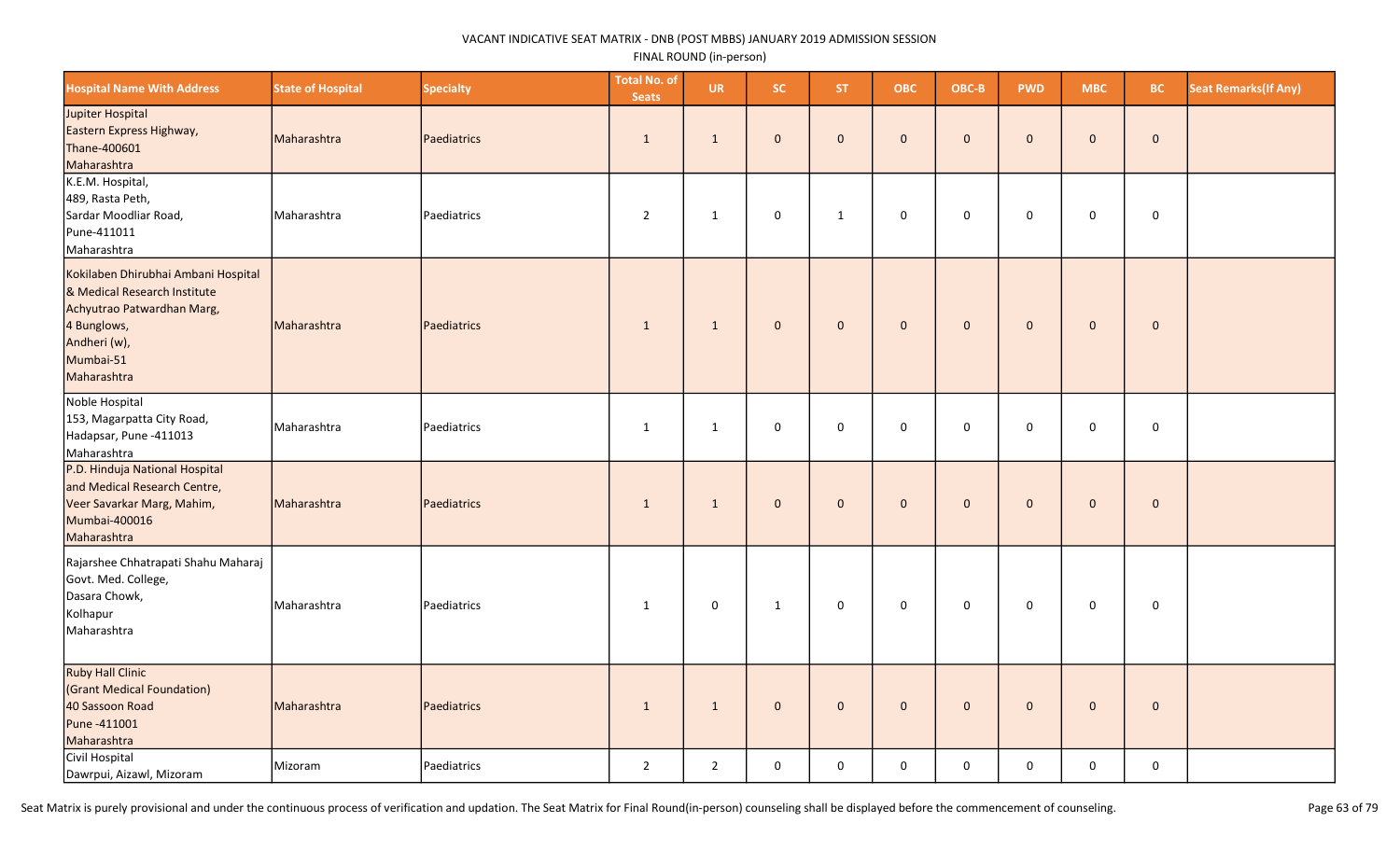| <b>Hospital Name With Address</b>                                                                                                                            | <b>State of Hospital</b> | <b>Specialty</b>   | <b>Total No. of</b><br><b>Seats</b> | <b>UR</b>      | SC.          | <b>ST</b>    | <b>OBC</b>   | OBC-B        | <b>PWD</b>   | <b>MBC</b>  | <b>BC</b>    | <b>Seat Remarks (If Any)</b> |
|--------------------------------------------------------------------------------------------------------------------------------------------------------------|--------------------------|--------------------|-------------------------------------|----------------|--------------|--------------|--------------|--------------|--------------|-------------|--------------|------------------------------|
| Jupiter Hospital<br>Eastern Express Highway,<br>Thane-400601<br>Maharashtra                                                                                  | Maharashtra              | Paediatrics        | 1                                   | $\mathbf{1}$   | $\mathbf{0}$ | $\mathbf 0$  | $\mathbf{0}$ | $\mathbf 0$  | $\mathbf 0$  | $\mathbf 0$ | $\mathbf 0$  |                              |
| K.E.M. Hospital,<br>489, Rasta Peth,<br>Sardar Moodliar Road,<br>Pune-411011<br>Maharashtra                                                                  | Maharashtra              | Paediatrics        | $\overline{2}$                      | 1              | $\mathbf 0$  | 1            | 0            | 0            | $\mathbf 0$  | $\mathbf 0$ | $\mathbf 0$  |                              |
| Kokilaben Dhirubhai Ambani Hospital<br>& Medical Research Institute<br>Achyutrao Patwardhan Marg,<br>4 Bunglows,<br>Andheri (w),<br>Mumbai-51<br>Maharashtra | Maharashtra              | Paediatrics        | $\mathbf{1}$                        | $\mathbf{1}$   | $\mathbf 0$  | $\mathbf 0$  | $\pmb{0}$    | $\mathbf 0$  | $\mathbf{0}$ | $\mathbf 0$ | $\pmb{0}$    |                              |
| Noble Hospital<br>153, Magarpatta City Road,<br>Hadapsar, Pune -411013<br>Maharashtra                                                                        | Maharashtra              | Paediatrics        | 1                                   | $\mathbf{1}$   | $\mathbf 0$  | 0            | 0            | $\mathbf 0$  | $\mathbf 0$  | 0           | $\mathbf 0$  |                              |
| P.D. Hinduja National Hospital<br>and Medical Research Centre,<br>Veer Savarkar Marg, Mahim,<br>Mumbai-400016<br>Maharashtra                                 | Maharashtra              | Paediatrics        | $\mathbf{1}$                        | $\mathbf{1}$   | $\mathbf 0$  | $\mathbf 0$  | $\mathbf 0$  | $\pmb{0}$    | $\mathbf{0}$ | $\mathbf 0$ | $\mathbf 0$  |                              |
| Rajarshee Chhatrapati Shahu Maharaj<br>Govt. Med. College,<br>Dasara Chowk,<br>Kolhapur<br>Maharashtra                                                       | Maharashtra              | Paediatrics        | $\mathbf{1}$                        | $\mathsf{O}$   | $\mathbf{1}$ | $\mathbf 0$  | $\mathbf 0$  | $\mathbf 0$  | $\mathbf 0$  | $\mathbf 0$ | $\mathbf 0$  |                              |
| <b>Ruby Hall Clinic</b><br>(Grant Medical Foundation)<br>40 Sassoon Road<br>Pune -411001<br>Maharashtra                                                      | Maharashtra              | <b>Paediatrics</b> | $\mathbf{1}$                        | $\mathbf{1}$   | $\mathbf{0}$ | $\mathbf{0}$ | $\mathbf{0}$ | $\mathbf{0}$ | $\mathbf{0}$ | $\mathbf 0$ | $\mathbf{0}$ |                              |
| Civil Hospital<br>Dawrpui, Aizawl, Mizoram                                                                                                                   | Mizoram                  | Paediatrics        | $\overline{2}$                      | $\overline{2}$ | $\mathbf 0$  | 0            | 0            | $\mathbf 0$  | 0            | 0           | 0            |                              |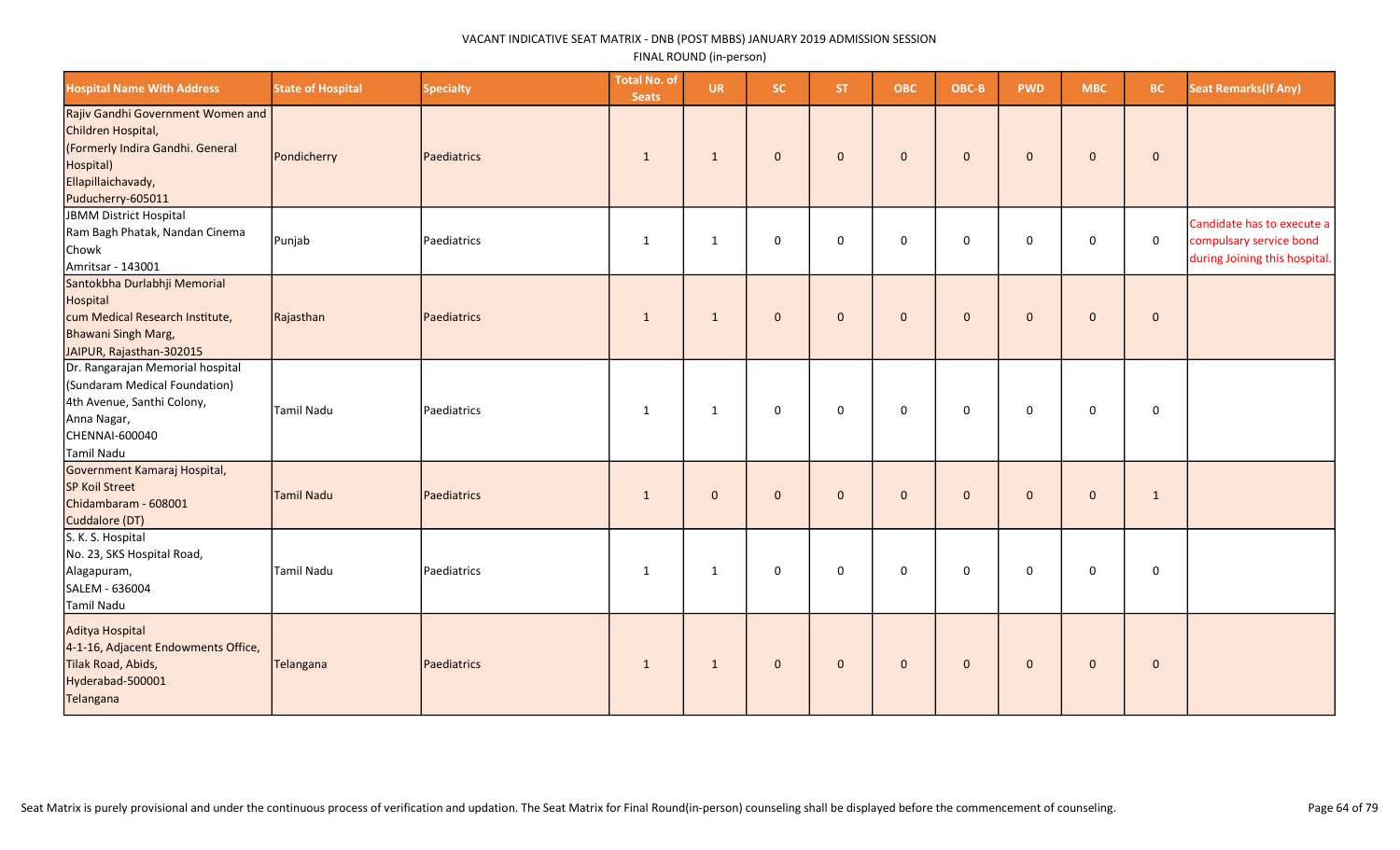| <b>Hospital Name With Address</b>                                                                                                                   | <b>State of Hospital</b> | <b>Specialty</b> | <b>Total No. of</b><br><b>Seats</b> | <b>UR</b>    | <b>SC</b>    | ST.          | <b>OBC</b>   | OBC-B        | <b>PWD</b>   | <b>MBC</b>   | <b>BC</b>    | <b>Seat Remarks (If Any)</b>                                                           |
|-----------------------------------------------------------------------------------------------------------------------------------------------------|--------------------------|------------------|-------------------------------------|--------------|--------------|--------------|--------------|--------------|--------------|--------------|--------------|----------------------------------------------------------------------------------------|
| Rajiv Gandhi Government Women and<br>Children Hospital,<br>(Formerly Indira Gandhi. General<br>Hospital)<br>Ellapillaichavady,<br>Puducherry-605011 | Pondicherry              | Paediatrics      | $\mathbf{1}$                        | $\mathbf{1}$ | $\mathbf{0}$ | $\mathbf{0}$ | $\mathbf 0$  | $\mathbf{0}$ | $\mathbf{0}$ | $\mathbf{0}$ | $\mathbf 0$  |                                                                                        |
| JBMM District Hospital<br>Ram Bagh Phatak, Nandan Cinema<br>Chowk<br>Amritsar - 143001                                                              | Punjab                   | Paediatrics      | 1                                   | 1            | 0            | $\mathbf 0$  | $\mathbf 0$  | $\mathbf 0$  | $\mathbf 0$  | 0            | $\mathbf 0$  | Candidate has to execute a<br>compulsary service bond<br>during Joining this hospital. |
| Santokbha Durlabhji Memorial<br>Hospital<br>cum Medical Research Institute,<br>Bhawani Singh Marg,<br>JAIPUR, Rajasthan-302015                      | Rajasthan                | Paediatrics      | $\mathbf{1}$                        | $\mathbf{1}$ | $\mathbf{0}$ | $\mathbf 0$  | $\mathbf 0$  | $\mathbf{0}$ | $\mathbf{0}$ | $\mathbf{0}$ | $\pmb{0}$    |                                                                                        |
| Dr. Rangarajan Memorial hospital<br>(Sundaram Medical Foundation)<br>4th Avenue, Santhi Colony,<br>Anna Nagar,<br>CHENNAI-600040<br>Tamil Nadu      | Tamil Nadu               | Paediatrics      | 1                                   | $\mathbf{1}$ | 0            | $\mathbf 0$  | $\mathsf 0$  | $\mathbf 0$  | $\mathbf 0$  | $\mathbf 0$  | $\mathbf 0$  |                                                                                        |
| Government Kamaraj Hospital,<br>SP Koil Street<br>Chidambaram - 608001<br>Cuddalore (DT)                                                            | Tamil Nadu               | Paediatrics      | $\mathbf{1}$                        | $\mathbf{0}$ | $\mathbf{0}$ | $\mathbf{0}$ | $\mathbf{0}$ | $\mathbf{0}$ | $\mathbf{0}$ | $\mathbf 0$  | $\mathbf{1}$ |                                                                                        |
| S. K. S. Hospital<br>No. 23, SKS Hospital Road,<br>Alagapuram,<br>SALEM - 636004<br>Tamil Nadu                                                      | Tamil Nadu               | Paediatrics      | $\mathbf{1}$                        | $\mathbf{1}$ | 0            | $\mathsf 0$  | $\mathsf 0$  | 0            | 0            | $\mathbf 0$  | $\pmb{0}$    |                                                                                        |
| Aditya Hospital<br>4-1-16, Adjacent Endowments Office,<br>Tilak Road, Abids,<br>Hyderabad-500001<br>Telangana                                       | Telangana                | Paediatrics      | $\mathbf{1}$                        | $\mathbf{1}$ | $\mathbf 0$  | $\mathbf 0$  | $\mathbf 0$  | $\mathbf{0}$ | $\mathbf 0$  | $\mathbf{0}$ | $\mathbf{0}$ |                                                                                        |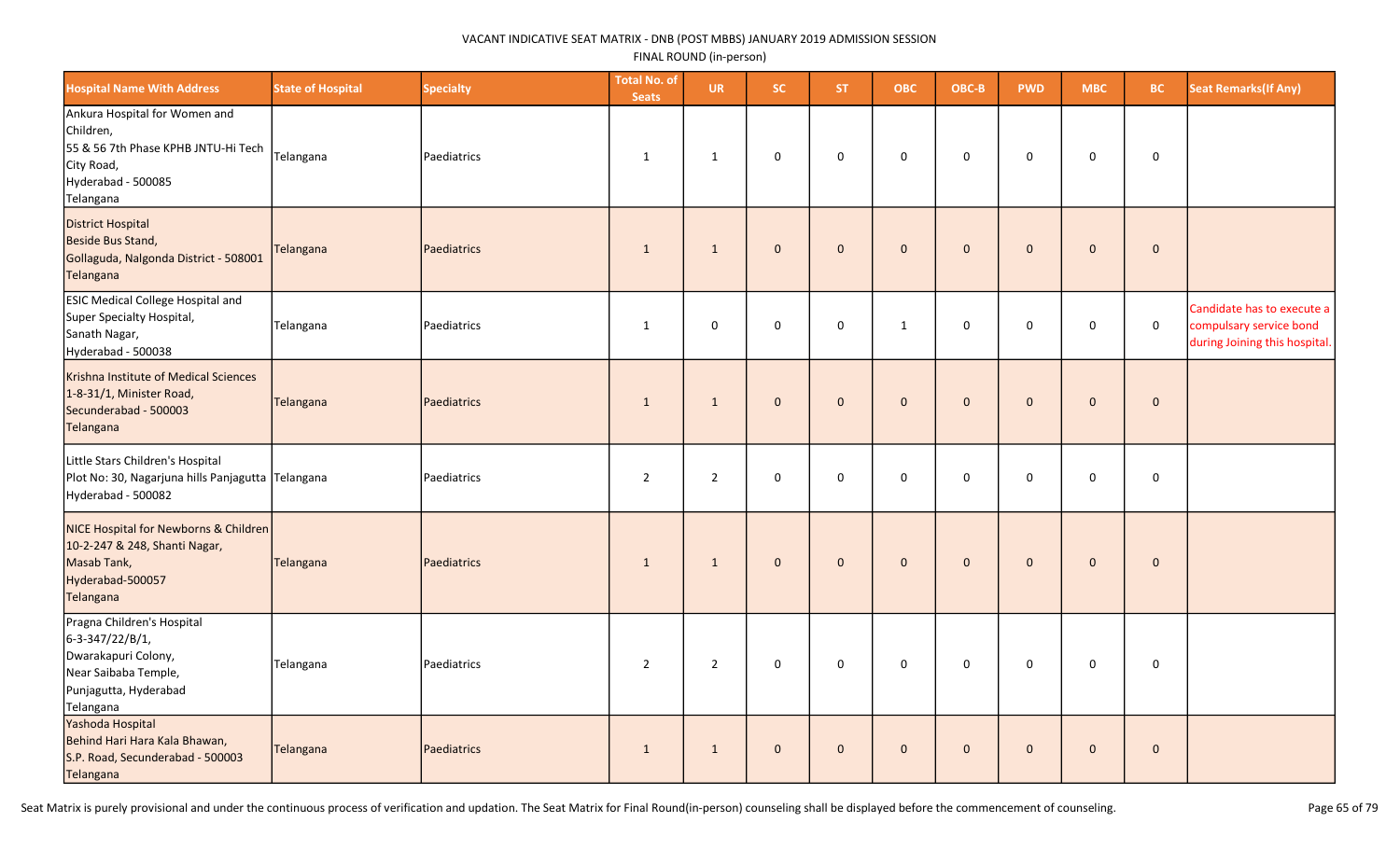| <b>Hospital Name With Address</b>                                                                                                  | <b>State of Hospital</b> | <b>Specialty</b>   | <b>Total No. of</b><br><b>Seats</b> | <b>UR</b>      | SC.          | <b>ST</b>    | <b>OBC</b>   | OBC-B        | <b>PWD</b>   | <b>MBC</b>          | <b>BC</b>   | <b>Seat Remarks (If Any)</b>                                                           |
|------------------------------------------------------------------------------------------------------------------------------------|--------------------------|--------------------|-------------------------------------|----------------|--------------|--------------|--------------|--------------|--------------|---------------------|-------------|----------------------------------------------------------------------------------------|
| Ankura Hospital for Women and<br>Children,<br>55 & 56 7th Phase KPHB JNTU-Hi Tech<br>City Road,<br>Hyderabad - 500085<br>Telangana | Telangana                | Paediatrics        | 1                                   | 1              | $\mathbf 0$  | $\mathsf 0$  | $\pmb{0}$    | $\mathbf 0$  | $\mathsf 0$  | $\mathsf{O}\xspace$ | $\pmb{0}$   |                                                                                        |
| District Hospital<br>Beside Bus Stand,<br>Gollaguda, Nalgonda District - 508001<br>Telangana                                       | Telangana                | <b>Paediatrics</b> | $\mathbf{1}$                        | $\mathbf{1}$   | $\mathbf{0}$ | $\mathbf{0}$ | $\mathbf{0}$ | $\mathbf{0}$ | $\mathbf{0}$ | $\mathbf{0}$        | $\mathbf 0$ |                                                                                        |
| <b>ESIC Medical College Hospital and</b><br>Super Specialty Hospital,<br>Sanath Nagar,<br>Hyderabad - 500038                       | Telangana                | Paediatrics        | $\mathbf{1}$                        | $\mathbf 0$    | 0            | $\mathbf 0$  | $\mathbf{1}$ | $\mathsf 0$  | $\mathbf 0$  | 0                   | $\mathsf 0$ | Candidate has to execute a<br>compulsary service bond<br>during Joining this hospital. |
| Krishna Institute of Medical Sciences<br>1-8-31/1, Minister Road,<br>Secunderabad - 500003<br>Telangana                            | Telangana                | Paediatrics        | $\mathbf{1}$                        | $\mathbf{1}$   | $\mathbf{0}$ | $\mathbf{0}$ | $\mathbf{0}$ | $\mathbf{0}$ | $\mathbf{0}$ | $\mathbf{0}$        | $\mathbf 0$ |                                                                                        |
| Little Stars Children's Hospital<br>Plot No: 30, Nagarjuna hills Panjagutta Telangana<br>Hyderabad - 500082                        |                          | Paediatrics        | $\overline{2}$                      | $\overline{2}$ | 0            | $\mathbf 0$  | $\mathbf 0$  | $\mathbf 0$  | $\mathbf 0$  | 0                   | $\mathbf 0$ |                                                                                        |
| NICE Hospital for Newborns & Children<br>10-2-247 & 248, Shanti Nagar,<br>Masab Tank,<br>Hyderabad-500057<br>Telangana             | Telangana                | Paediatrics        | $\mathbf{1}$                        | $\mathbf{1}$   | $\mathbf 0$  | $\mathbf 0$  | $\mathbf 0$  | $\mathbf 0$  | $\pmb{0}$    | $\mathbf 0$         | $\pmb{0}$   |                                                                                        |
| Pragna Children's Hospital<br>6-3-347/22/B/1,<br>Dwarakapuri Colony,<br>Near Saibaba Temple,<br>Punjagutta, Hyderabad<br>Telangana | Telangana                | Paediatrics        | $\overline{2}$                      | $\overline{2}$ | $\mathbf 0$  | $\mathbf 0$  | $\pmb{0}$    | $\mathbf 0$  | $\mathbf 0$  | $\mathsf{O}\xspace$ | $\pmb{0}$   |                                                                                        |
| Yashoda Hospital<br>Behind Hari Hara Kala Bhawan,<br>S.P. Road, Secunderabad - 500003<br>Telangana                                 | Telangana                | Paediatrics        | $\mathbf{1}$                        | $\mathbf{1}$   | $\mathbf 0$  | $\mathbf 0$  | $\mathbf 0$  | $\pmb{0}$    | $\mathbf 0$  | $\pmb{0}$           | $\pmb{0}$   |                                                                                        |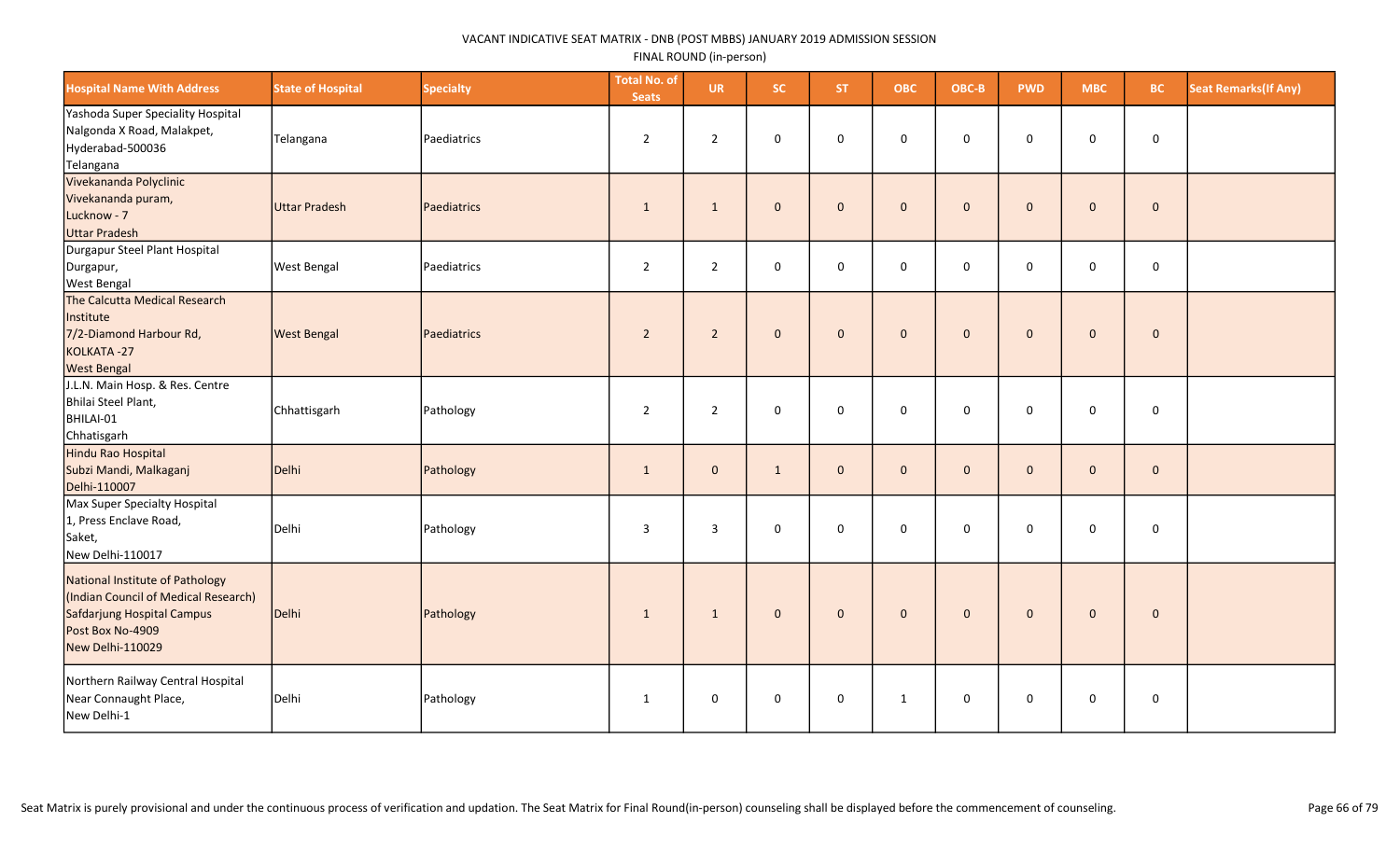| <b>Hospital Name With Address</b>                                                                                                             | <b>State of Hospital</b> | <b>Specialty</b> | <b>Total No. of</b><br><b>Seats</b> | <b>UR</b>      | SC.          | <b>ST</b>    | <b>OBC</b>   | OBC-B        | <b>PWD</b>   | <b>MBC</b>          | <b>BC</b>           | <b>Seat Remarks (If Any)</b> |
|-----------------------------------------------------------------------------------------------------------------------------------------------|--------------------------|------------------|-------------------------------------|----------------|--------------|--------------|--------------|--------------|--------------|---------------------|---------------------|------------------------------|
| Yashoda Super Speciality Hospital<br>Nalgonda X Road, Malakpet,<br>Hyderabad-500036<br>Telangana                                              | Telangana                | Paediatrics      | $\overline{2}$                      | $\overline{2}$ | $\mathsf 0$  | $\mathbf 0$  | $\mathbf 0$  | $\mathbf 0$  | $\mathbf 0$  | 0                   | $\mathbf 0$         |                              |
| Vivekananda Polyclinic<br>Vivekananda puram,<br>Lucknow - 7<br><b>Uttar Pradesh</b>                                                           | Uttar Pradesh            | Paediatrics      | 1                                   | $\mathbf{1}$   | $\mathbf{0}$ | $\mathbf{0}$ | $\mathbf{0}$ | $\mathbf 0$  | $\Omega$     | $\mathbf{0}$        | $\mathbf{0}$        |                              |
| Durgapur Steel Plant Hospital<br>Durgapur,<br><b>West Bengal</b>                                                                              | <b>West Bengal</b>       | Paediatrics      | $\overline{2}$                      | $\overline{2}$ | $\mathsf 0$  | $\mathbf 0$  | $\mathbf 0$  | $\mathsf 0$  | $\mathbf 0$  | $\mathbf 0$         | $\mathbf 0$         |                              |
| The Calcutta Medical Research<br>Institute<br>7/2-Diamond Harbour Rd,<br>KOLKATA-27<br><b>West Bengal</b>                                     | <b>West Bengal</b>       | Paediatrics      | $\overline{2}$                      | $\overline{2}$ | $\mathbf 0$  | $\mathbf{0}$ | $\mathbf{0}$ | $\mathbf 0$  | $\mathbf{0}$ | $\mathbf{0}$        | $\mathbf 0$         |                              |
| J.L.N. Main Hosp. & Res. Centre<br>Bhilai Steel Plant,<br>BHILAI-01<br>Chhatisgarh                                                            | Chhattisgarh             | Pathology        | $\overline{2}$                      | $\overline{2}$ | $\mathsf 0$  | $\mathbf 0$  | $\mathbf 0$  | $\mathbf 0$  | $\mathbf 0$  | 0                   | $\mathsf 0$         |                              |
| Hindu Rao Hospital<br>Subzi Mandi, Malkaganj<br>Delhi-110007                                                                                  | Delhi                    | Pathology        | $\mathbf{1}$                        | $\mathbf{0}$   | $\mathbf{1}$ | $\mathbf{0}$ | $\mathbf{0}$ | $\mathbf{0}$ | $\mathbf{0}$ | $\mathbf{0}$        | $\mathbf 0$         |                              |
| Max Super Specialty Hospital<br>1, Press Enclave Road,<br>Saket,<br>New Delhi-110017                                                          | Delhi                    | Pathology        | 3                                   | 3              | $\mathsf 0$  | $\mathbf 0$  | $\mathbf 0$  | $\mathbf 0$  | $\mathbf 0$  | 0                   | $\mathsf{O}\xspace$ |                              |
| National Institute of Pathology<br>(Indian Council of Medical Research)<br>Safdarjung Hospital Campus<br>Post Box No-4909<br>New Delhi-110029 | Delhi                    | Pathology        | $\mathbf{1}$                        | $\mathbf{1}$   | $\mathbf 0$  | $\mathbf{0}$ | $\mathbf 0$  | $\mathbf 0$  | $\Omega$     | $\mathbf 0$         | $\pmb{0}$           |                              |
| Northern Railway Central Hospital<br>Near Connaught Place,<br>New Delhi-1                                                                     | Delhi                    | Pathology        | 1                                   | $\mathbf 0$    | $\mathsf 0$  | $\mathbf 0$  | $\mathbf{1}$ | $\mathbf 0$  | $\mathsf 0$  | $\mathsf{O}\xspace$ | $\mathsf{O}\xspace$ |                              |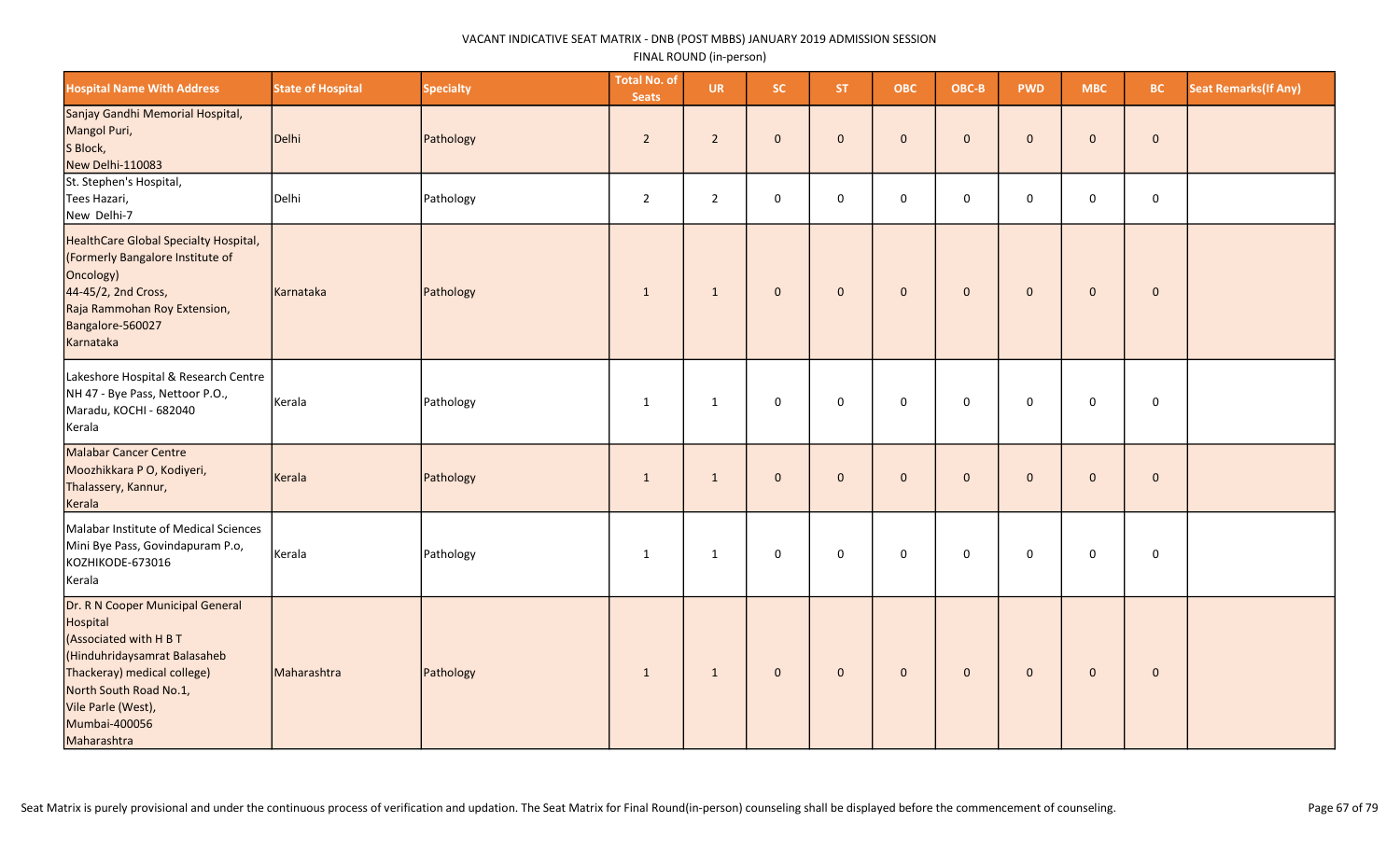| <b>Hospital Name With Address</b>                                                                                                                                                                                     | <b>State of Hospital</b> | <b>Specialty</b> | <b>Total No. of</b><br><b>Seats</b> | <b>UR</b>      | <b>SC</b>           | ST.          | <b>OBC</b>   | OBC-B        | <b>PWD</b>   | <b>MBC</b>          | <b>BC</b>   | <b>Seat Remarks (If Any)</b> |
|-----------------------------------------------------------------------------------------------------------------------------------------------------------------------------------------------------------------------|--------------------------|------------------|-------------------------------------|----------------|---------------------|--------------|--------------|--------------|--------------|---------------------|-------------|------------------------------|
| Sanjay Gandhi Memorial Hospital,<br>Mangol Puri,<br>S Block,<br>New Delhi-110083                                                                                                                                      | Delhi                    | Pathology        | $\overline{2}$                      | $\overline{2}$ | $\mathbf{0}$        | $\mathbf{0}$ | $\mathbf{0}$ | $\mathbf{0}$ | $\mathbf{0}$ | $\mathbf{0}$        | $\mathbf 0$ |                              |
| St. Stephen's Hospital,<br>Tees Hazari,<br>New Delhi-7                                                                                                                                                                | Delhi                    | Pathology        | $\overline{2}$                      | $\overline{2}$ | $\mathsf{O}\xspace$ | $\mathbf 0$  | $\mathbf 0$  | $\mathbf 0$  | 0            | 0                   | $\mathbf 0$ |                              |
| HealthCare Global Specialty Hospital,<br>(Formerly Bangalore Institute of<br>Oncology)<br>44-45/2, 2nd Cross,<br>Raja Rammohan Roy Extension,<br>Bangalore-560027<br>Karnataka                                        | Karnataka                | Pathology        | $\mathbf{1}$                        | $\mathbf{1}$   | $\mathbf 0$         | $\mathbf{0}$ | $\mathbf{0}$ | $\mathbf{0}$ | $\mathbf{0}$ | $\mathbf 0$         | $\mathbf 0$ |                              |
| Lakeshore Hospital & Research Centre<br>NH 47 - Bye Pass, Nettoor P.O.,<br>Maradu, KOCHI - 682040<br>Kerala                                                                                                           | Kerala                   | Pathology        | $\mathbf{1}$                        | $\mathbf{1}$   | 0                   | $\mathbf 0$  | $\mathbf 0$  | $\mathbf 0$  | $\mathbf 0$  | $\mathsf{O}\xspace$ | $\mathbf 0$ |                              |
| <b>Malabar Cancer Centre</b><br>Moozhikkara P O, Kodiyeri,<br>Thalassery, Kannur,<br>Kerala                                                                                                                           | Kerala                   | Pathology        | $\mathbf{1}$                        | $\mathbf{1}$   | $\mathbf 0$         | $\mathbf{0}$ | $\mathbf 0$  | $\mathbf{0}$ | $\mathbf{0}$ | $\mathbf 0$         | $\pmb{0}$   |                              |
| Malabar Institute of Medical Sciences<br>Mini Bye Pass, Govindapuram P.o,<br>KOZHIKODE-673016<br>Kerala                                                                                                               | Kerala                   | Pathology        | 1                                   | 1              | 0                   | 0            | $\mathsf 0$  | $\mathsf 0$  | 0            | 0                   | $\mathbf 0$ |                              |
| Dr. R N Cooper Municipal General<br>Hospital<br>(Associated with H B T<br>(Hinduhridaysamrat Balasaheb<br>Thackeray) medical college)<br>North South Road No.1,<br>Vile Parle (West),<br>Mumbai-400056<br>Maharashtra | Maharashtra              | Pathology        | $\mathbf{1}$                        | $\mathbf{1}$   | $\mathbf 0$         | $\mathbf 0$  | $\mathbf 0$  | $\mathbf 0$  | $\mathbf 0$  | $\mathbf 0$         | $\pmb{0}$   |                              |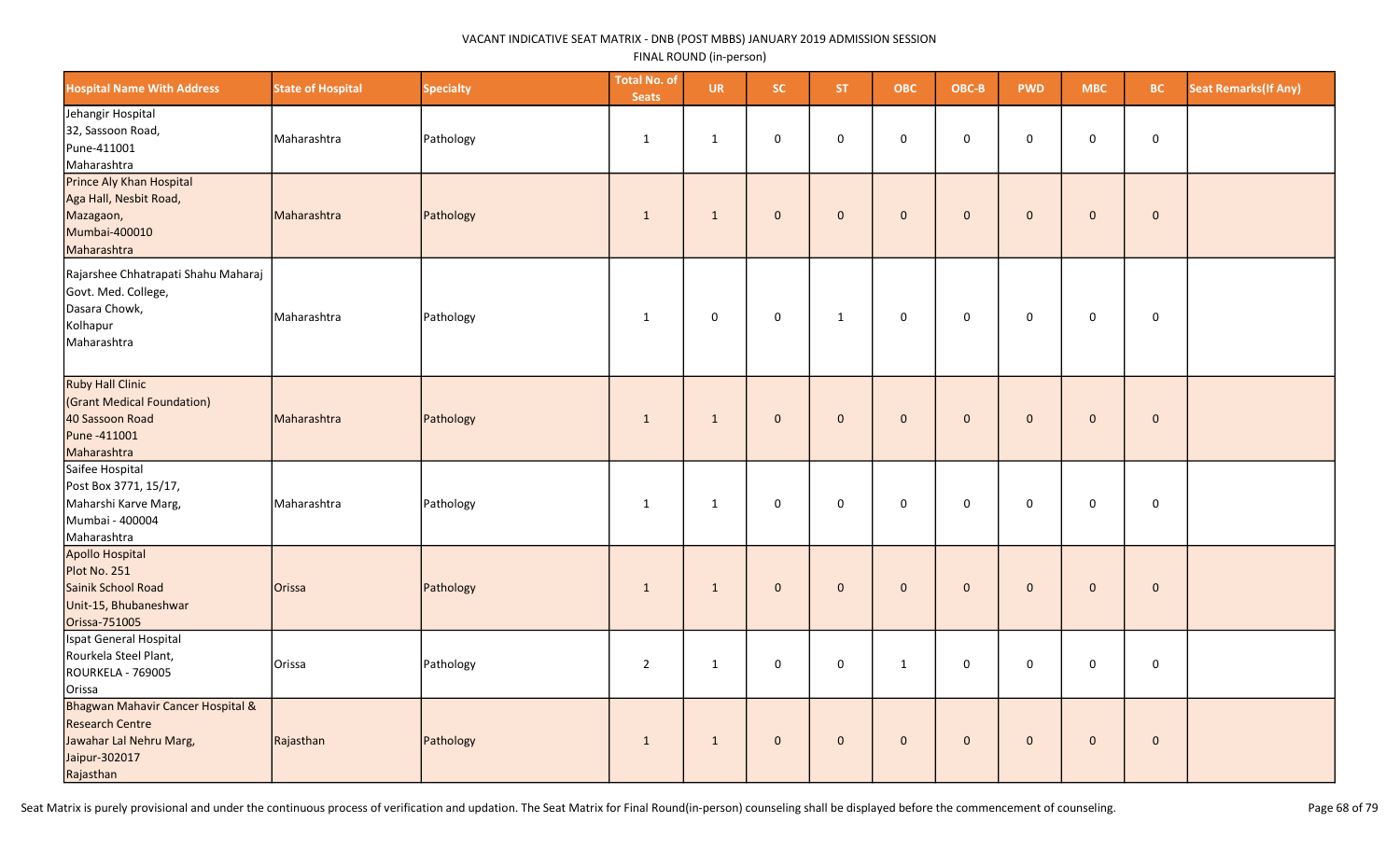| <b>Hospital Name With Address</b>                                                                                    | <b>State of Hospital</b> | <b>Specialty</b> | <b>Total No. of</b><br><b>Seats</b> | <b>UR</b>    | SC           | <b>ST</b>      | <b>OBC</b>          | OBC-B        | <b>PWD</b>   | <b>MBC</b>   | <b>BC</b>   | <b>Seat Remarks (If Any)</b> |
|----------------------------------------------------------------------------------------------------------------------|--------------------------|------------------|-------------------------------------|--------------|--------------|----------------|---------------------|--------------|--------------|--------------|-------------|------------------------------|
| Jehangir Hospital<br>32, Sassoon Road,<br>Pune-411001<br>Maharashtra                                                 | Maharashtra              | Pathology        | 1                                   | 1            | $\mathbf 0$  | $\mathbf 0$    | $\mathbf 0$         | $\mathbf 0$  | $\mathbf 0$  | $\mathbf 0$  | $\mathbf 0$ |                              |
| Prince Aly Khan Hospital<br>Aga Hall, Nesbit Road,<br>Mazagaon,<br>Mumbai-400010<br>Maharashtra                      | Maharashtra              | Pathology        | 1                                   | $\mathbf{1}$ | $\mathbf{0}$ | $\mathbf{0}$   | $\mathbf 0$         | $\mathbf{0}$ | $\mathbf{0}$ | $\mathbf{0}$ | $\mathbf 0$ |                              |
| Rajarshee Chhatrapati Shahu Maharaj<br>Govt. Med. College,<br>Dasara Chowk,<br>Kolhapur<br>Maharashtra               | Maharashtra              | Pathology        | $\mathbf{1}$                        | $\mathbf 0$  | $\pmb{0}$    | $\mathbf{1}$   | $\mathsf{O}\xspace$ | $\mathsf 0$  | $\mathbf 0$  | $\mathbf 0$  | $\mathbf 0$ |                              |
| <b>Ruby Hall Clinic</b><br>(Grant Medical Foundation)<br>40 Sassoon Road<br>Pune -411001<br>Maharashtra              | Maharashtra              | Pathology        | $\mathbf{1}$                        | $\mathbf{1}$ | $\mathbf 0$  | $\mathbf{0}$   | $\mathbf{0}$        | $\mathbf{0}$ | $\mathbf{0}$ | $\mathbf{0}$ | $\mathbf 0$ |                              |
| Saifee Hospital<br>Post Box 3771, 15/17,<br>Maharshi Karve Marg,<br>Mumbai - 400004<br>Maharashtra                   | Maharashtra              | Pathology        | $\mathbf{1}$                        | $\mathbf{1}$ | 0            | $\mathbf 0$    | $\mathbf 0$         | $\mathbf 0$  | 0            | $\mathbf 0$  | $\mathbf 0$ |                              |
| Apollo Hospital<br>Plot No. 251<br>Sainik School Road<br>Unit-15, Bhubaneshwar<br>Orissa-751005                      | Orissa                   | Pathology        | $\mathbf{1}$                        | $\mathbf{1}$ | $\mathbf 0$  | $\overline{0}$ | $\mathbf{0}$        | $\mathbf{0}$ | $\mathbf{0}$ | $\mathbf{0}$ | $\mathbf 0$ |                              |
| Ispat General Hospital<br>Rourkela Steel Plant,<br><b>ROURKELA - 769005</b><br>Orissa                                | Orissa                   | Pathology        | $\overline{2}$                      | $\mathbf{1}$ | $\mathbf 0$  | $\Omega$       | $\mathbf{1}$        | $\mathbf{0}$ | $\mathbf 0$  | $\mathbf 0$  | $\mathbf 0$ |                              |
| Bhagwan Mahavir Cancer Hospital &<br><b>Research Centre</b><br>Jawahar Lal Nehru Marg,<br>Jaipur-302017<br>Rajasthan | Rajasthan                | Pathology        | 1                                   | $\mathbf{1}$ | $\mathbf 0$  | $\overline{0}$ | $\mathbf 0$         | $\mathbf{0}$ | $\mathbf{0}$ | $\mathbf 0$  | $\mathbf 0$ |                              |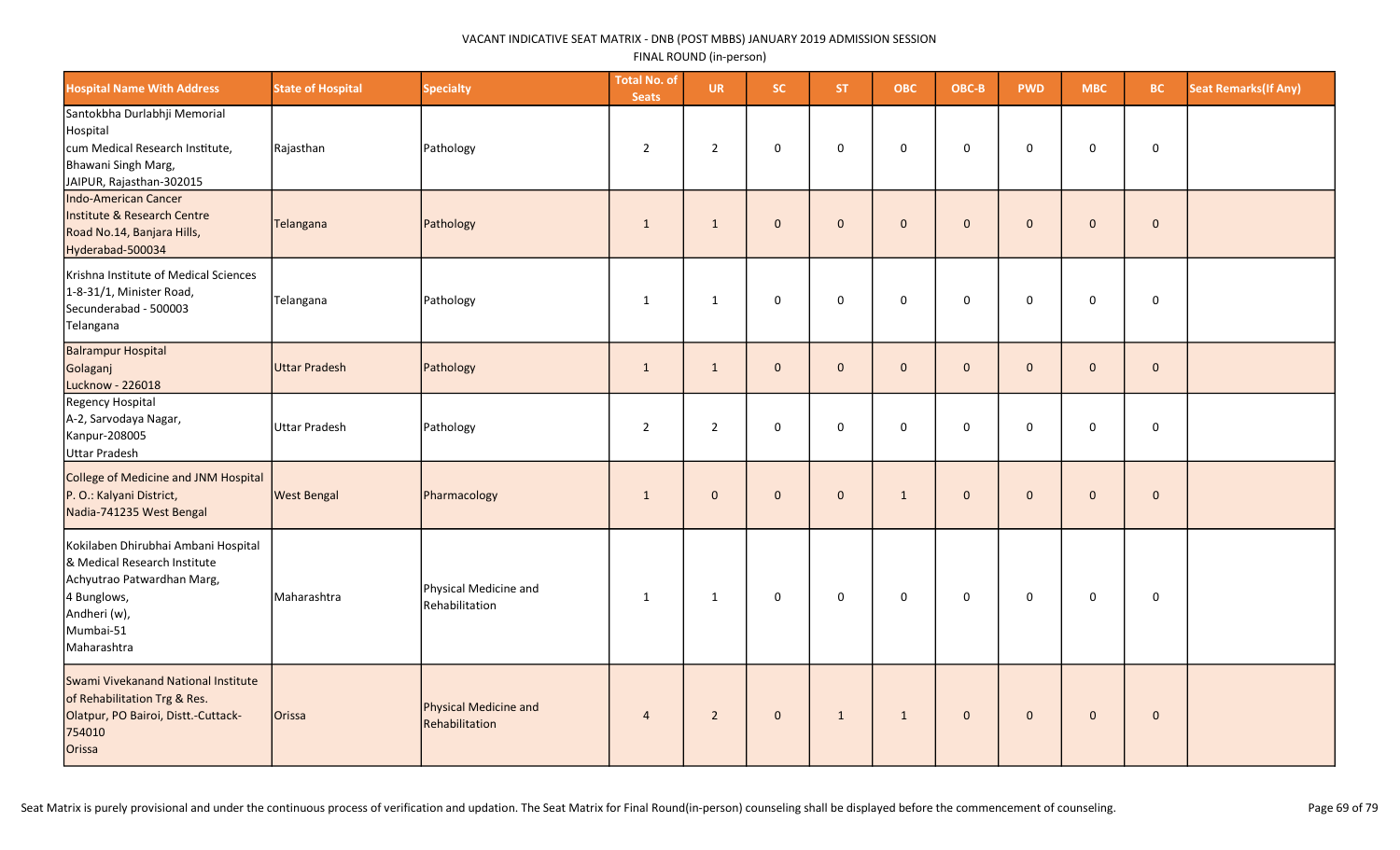| <b>Hospital Name With Address</b>                                                                                                                            | <b>State of Hospital</b> | <b>Specialty</b>                        | <b>Total No. of</b><br><b>Seats</b> | <b>UR</b>      | SC.          | ST.          | <b>OBC</b>   | OBC-B        | <b>PWD</b>   | <b>MBC</b>          | BC.         | <b>Seat Remarks (If Any)</b> |
|--------------------------------------------------------------------------------------------------------------------------------------------------------------|--------------------------|-----------------------------------------|-------------------------------------|----------------|--------------|--------------|--------------|--------------|--------------|---------------------|-------------|------------------------------|
| Santokbha Durlabhji Memorial<br>Hospital<br>cum Medical Research Institute,<br>Bhawani Singh Marg,<br>JAIPUR, Rajasthan-302015                               | Rajasthan                | Pathology                               | $\overline{2}$                      | $\overline{2}$ | 0            | $\mathbf 0$  | 0            | 0            | $\mathbf 0$  | 0                   | $\mathbf 0$ |                              |
| Indo-American Cancer<br>Institute & Research Centre<br>Road No.14, Banjara Hills,<br>Hyderabad-500034                                                        | Telangana                | Pathology                               | $\mathbf{1}$                        | $\mathbf{1}$   | $\mathbf{0}$ | $\mathbf 0$  | $\mathbf 0$  | $\mathbf 0$  | $\mathbf 0$  | $\mathbf{0}$        | $\mathbf 0$ |                              |
| Krishna Institute of Medical Sciences<br>1-8-31/1, Minister Road,<br>Secunderabad - 500003<br>Telangana                                                      | Telangana                | Pathology                               | $\mathbf{1}$                        | $\mathbf{1}$   | 0            | $\mathbf 0$  | $\mathsf 0$  | 0            | $\mathsf 0$  | $\mathbf 0$         | $\mathsf 0$ |                              |
| <b>Balrampur Hospital</b><br>Golaganj<br>Lucknow - 226018                                                                                                    | Uttar Pradesh            | Pathology                               | $\mathbf{1}$                        | $\mathbf{1}$   | $\mathbf{0}$ | $\mathbf 0$  | $\pmb{0}$    | $\mathbf{0}$ | $\mathbf{0}$ | $\mathbf 0$         | $\pmb{0}$   |                              |
| Regency Hospital<br>A-2, Sarvodaya Nagar,<br>Kanpur-208005<br>Uttar Pradesh                                                                                  | Uttar Pradesh            | Pathology                               | $\mathbf 2$                         | $\overline{2}$ | 0            | $\mathbf 0$  | 0            | $\mathbf 0$  | 0            | $\mathbf 0$         | $\mathsf 0$ |                              |
| College of Medicine and JNM Hospital<br>P. O.: Kalyani District,<br>Nadia-741235 West Bengal                                                                 | <b>West Bengal</b>       | Pharmacology                            | $\mathbf{1}$                        | $\mathbf 0$    | $\mathbf 0$  | $\mathbf{0}$ | $\mathbf{1}$ | $\mathbf 0$  | $\mathbf{0}$ | $\mathsf{O}\xspace$ | $\mathbf 0$ |                              |
| Kokilaben Dhirubhai Ambani Hospital<br>& Medical Research Institute<br>Achyutrao Patwardhan Marg,<br>4 Bunglows,<br>Andheri (w),<br>Mumbai-51<br>Maharashtra | Maharashtra              | Physical Medicine and<br>Rehabilitation | $\mathbf{1}$                        | $\mathbf{1}$   | 0            | $\mathsf 0$  | $\mathbf 0$  | 0            | $\mathbf 0$  | $\mathsf{O}\xspace$ | $\pmb{0}$   |                              |
| Swami Vivekanand National Institute<br>of Rehabilitation Trg & Res.<br>Olatpur, PO Bairoi, Distt.-Cuttack-<br>754010<br>Orissa                               | Orissa                   | Physical Medicine and<br>Rehabilitation | $\overline{4}$                      | $\overline{2}$ | $\mathbf 0$  | $\mathbf{1}$ | $\mathbf{1}$ | $\mathbf{0}$ | $\mathbf 0$  | $\mathbf 0$         | $\mathbf 0$ |                              |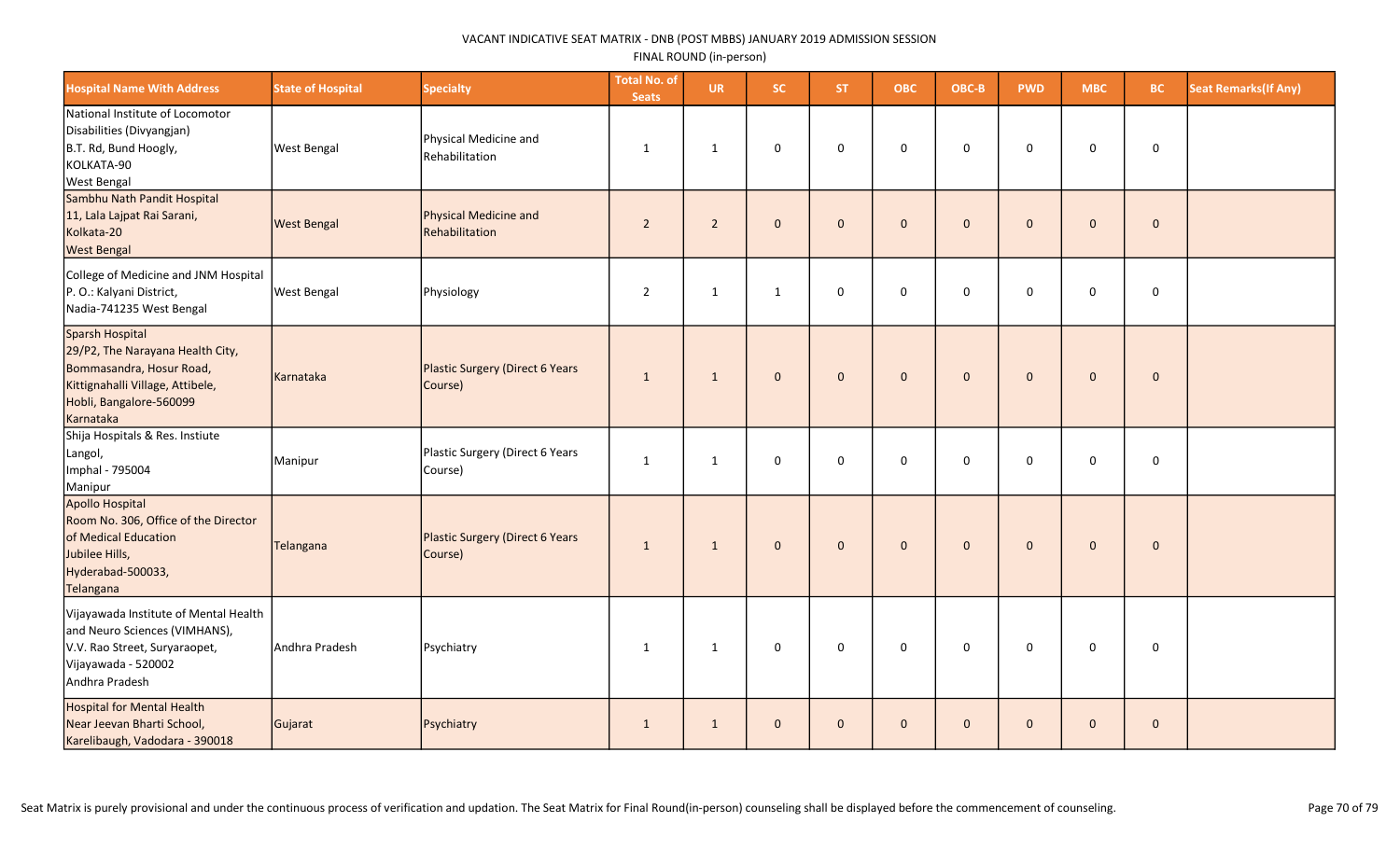| <b>Hospital Name With Address</b>                                                                                                                           | <b>State of Hospital</b> | <b>Specialty</b>                                  | <b>Total No. of</b><br><b>Seats</b> | <b>UR</b>      | SC.          | ST.          | <b>OBC</b>   | OBC-B        | <b>PWD</b>   | <b>MBC</b>   | <b>BC</b>    | <b>Seat Remarks (If Any)</b> |
|-------------------------------------------------------------------------------------------------------------------------------------------------------------|--------------------------|---------------------------------------------------|-------------------------------------|----------------|--------------|--------------|--------------|--------------|--------------|--------------|--------------|------------------------------|
| National Institute of Locomotor<br>Disabilities (Divyangjan)<br>B.T. Rd, Bund Hoogly,<br>KOLKATA-90<br><b>West Bengal</b>                                   | <b>West Bengal</b>       | Physical Medicine and<br>Rehabilitation           | $\mathbf{1}$                        | $\mathbf{1}$   | 0            | $\mathbf 0$  | $\mathbf 0$  | $\mathbf 0$  | $\mathbf 0$  | $\mathbf 0$  | $\mathsf 0$  |                              |
| Sambhu Nath Pandit Hospital<br>11, Lala Lajpat Rai Sarani,<br>Kolkata-20<br><b>West Bengal</b>                                                              | <b>West Bengal</b>       | Physical Medicine and<br>Rehabilitation           | $\sqrt{2}$                          | $\overline{2}$ | $\mathbf{0}$ | $\mathbf{0}$ | $\mathbf{0}$ | $\mathbf{0}$ | $\Omega$     | $\mathbf{0}$ | $\mathbf 0$  |                              |
| College of Medicine and JNM Hospital<br>P. O.: Kalyani District,<br>Nadia-741235 West Bengal                                                                | <b>West Bengal</b>       | Physiology                                        | $\mathbf 2$                         | $\mathbf{1}$   | $\mathbf{1}$ | $\mathbf 0$  | 0            | $\mathbf 0$  | $\mathsf 0$  | 0            | $\mathsf 0$  |                              |
| Sparsh Hospital<br>29/P2, The Narayana Health City,<br>Bommasandra, Hosur Road,<br>Kittignahalli Village, Attibele,<br>Hobli, Bangalore-560099<br>Karnataka | Karnataka                | <b>Plastic Surgery (Direct 6 Years</b><br>Course) | $\mathbf{1}$                        | $\mathbf{1}$   | $\mathbf{0}$ | $\mathbf{0}$ | $\mathbf{0}$ | $\mathbf 0$  | $\mathbf{0}$ | $\mathbf 0$  | $\mathbf{0}$ |                              |
| Shija Hospitals & Res. Instiute<br>Langol,<br>Imphal - 795004<br>Manipur                                                                                    | Manipur                  | Plastic Surgery (Direct 6 Years<br>Course)        | $\mathbf{1}$                        | 1              | $\mathbf 0$  | $\mathbf{0}$ | $\Omega$     | $\mathbf 0$  | $\Omega$     | $\mathbf 0$  | $\mathbf 0$  |                              |
| Apollo Hospital<br>Room No. 306, Office of the Director<br>of Medical Education<br>Jubilee Hills,<br>Hyderabad-500033,<br>Telangana                         | Telangana                | Plastic Surgery (Direct 6 Years<br>Course)        | $\mathbf{1}$                        | $\mathbf{1}$   | $\mathbf{0}$ | $\mathbf{0}$ | $\mathbf{0}$ | $\mathbf{0}$ | $\mathbf{0}$ | $\mathbf 0$  | $\mathbf 0$  |                              |
| Vijayawada Institute of Mental Health<br>and Neuro Sciences (VIMHANS),<br>V.V. Rao Street, Suryaraopet,<br>Vijayawada - 520002<br>Andhra Pradesh            | Andhra Pradesh           | Psychiatry                                        | $\mathbf{1}$                        | $\mathbf{1}$   | 0            | $\mathsf 0$  | $\mathbf 0$  | $\mathsf 0$  | $\mathsf 0$  | $\mathbf 0$  | $\mathsf 0$  |                              |
| Hospital for Mental Health<br>Near Jeevan Bharti School,<br>Karelibaugh, Vadodara - 390018                                                                  | Gujarat                  | Psychiatry                                        | $\mathbf{1}$                        | 1              | $\mathbf{0}$ | $\mathbf{0}$ | $\mathbf{0}$ | $\mathbf{0}$ | $\mathbf{0}$ | $\mathbf{0}$ | $\mathbf{0}$ |                              |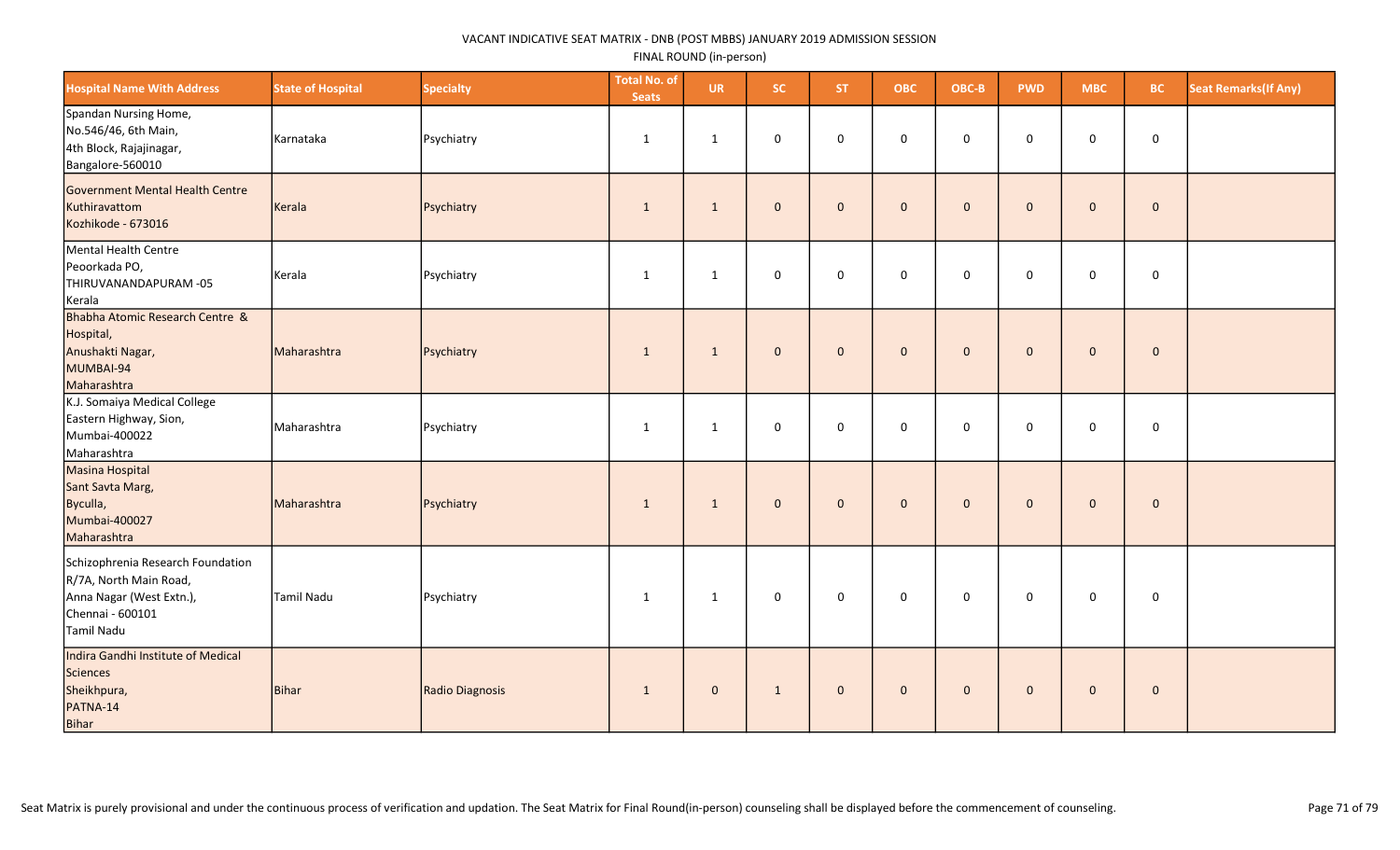| <b>Hospital Name With Address</b>                                                                                         | <b>State of Hospital</b> | <b>Specialty</b> | <b>Total No. of</b><br><b>Seats</b> | <b>UR</b>    | SC.          | <b>ST</b>    | <b>OBC</b>   | OBC-B       | <b>PWD</b>   | <b>MBC</b>   | <b>BC</b>    | <b>Seat Remarks (If Any)</b> |
|---------------------------------------------------------------------------------------------------------------------------|--------------------------|------------------|-------------------------------------|--------------|--------------|--------------|--------------|-------------|--------------|--------------|--------------|------------------------------|
| Spandan Nursing Home,<br>No.546/46, 6th Main,<br>4th Block, Rajajinagar,<br>Bangalore-560010                              | Karnataka                | Psychiatry       | $\mathbf{1}$                        | $\mathbf{1}$ | $\mathbf 0$  | $\mathbf 0$  | 0            | $\mathsf 0$ | 0            | 0            | $\mathsf 0$  |                              |
| Government Mental Health Centre<br>Kuthiravattom<br>Kozhikode - 673016                                                    | Kerala                   | Psychiatry       | $\mathbf{1}$                        | $\mathbf{1}$ | $\mathbf{0}$ | $\mathbf{0}$ | $\mathbf 0$  | $\mathbf 0$ | $\mathbf{0}$ | $\mathbf 0$  | $\mathbf 0$  |                              |
| Mental Health Centre<br>Peoorkada PO,<br>THIRUVANANDAPURAM-05<br>Kerala                                                   | Kerala                   | Psychiatry       | 1                                   | 1            | $\mathbf 0$  | $\mathbf 0$  | 0            | $\mathbf 0$ | $\mathbf 0$  | $\mathsf{O}$ | $\mathbf 0$  |                              |
| Bhabha Atomic Research Centre &<br>Hospital,<br>Anushakti Nagar,<br>MUMBAI-94<br>Maharashtra                              | Maharashtra              | Psychiatry       | $\mathbf{1}$                        | $\mathbf{1}$ | $\mathbf{0}$ | $\mathbf{0}$ | $\mathbf{0}$ | $\mathbf 0$ | $\mathbf{0}$ | $\mathbf 0$  | $\mathbf{0}$ |                              |
| K.J. Somaiya Medical College<br>Eastern Highway, Sion,<br>Mumbai-400022<br>Maharashtra                                    | Maharashtra              | Psychiatry       | 1                                   | $\mathbf{1}$ | $\mathbf 0$  | $\mathbf 0$  | 0            | $\mathsf 0$ | 0            | 0            | $\mathbf 0$  |                              |
| Masina Hospital<br>Sant Savta Marg,<br>Byculla,<br>Mumbai-400027<br>Maharashtra                                           | Maharashtra              | Psychiatry       | $\mathbf{1}$                        | $\mathbf{1}$ | $\mathbf{0}$ | $\mathbf{0}$ | $\mathbf 0$  | $\mathbf 0$ | $\mathbf{0}$ | $\mathbf 0$  | $\pmb{0}$    |                              |
| Schizophrenia Research Foundation<br>R/7A, North Main Road,<br>Anna Nagar (West Extn.),<br>Chennai - 600101<br>Tamil Nadu | Tamil Nadu               | Psychiatry       | 1                                   | $\mathbf{1}$ | $\mathbf 0$  | $\mathbf 0$  | $\mathbf 0$  | $\mathbf 0$ | $\mathbf 0$  | $\mathbf 0$  | 0            |                              |
| Indira Gandhi Institute of Medical<br>Sciences<br>Sheikhpura,<br>PATNA-14<br>Bihar                                        | Bihar                    | Radio Diagnosis  | $\mathbf{1}$                        | $\mathbf 0$  | $\mathbf{1}$ | $\mathbf 0$  | $\mathbf 0$  | $\mathbf 0$ | $\mathbf{0}$ | $\mathbf 0$  | $\mathbf 0$  |                              |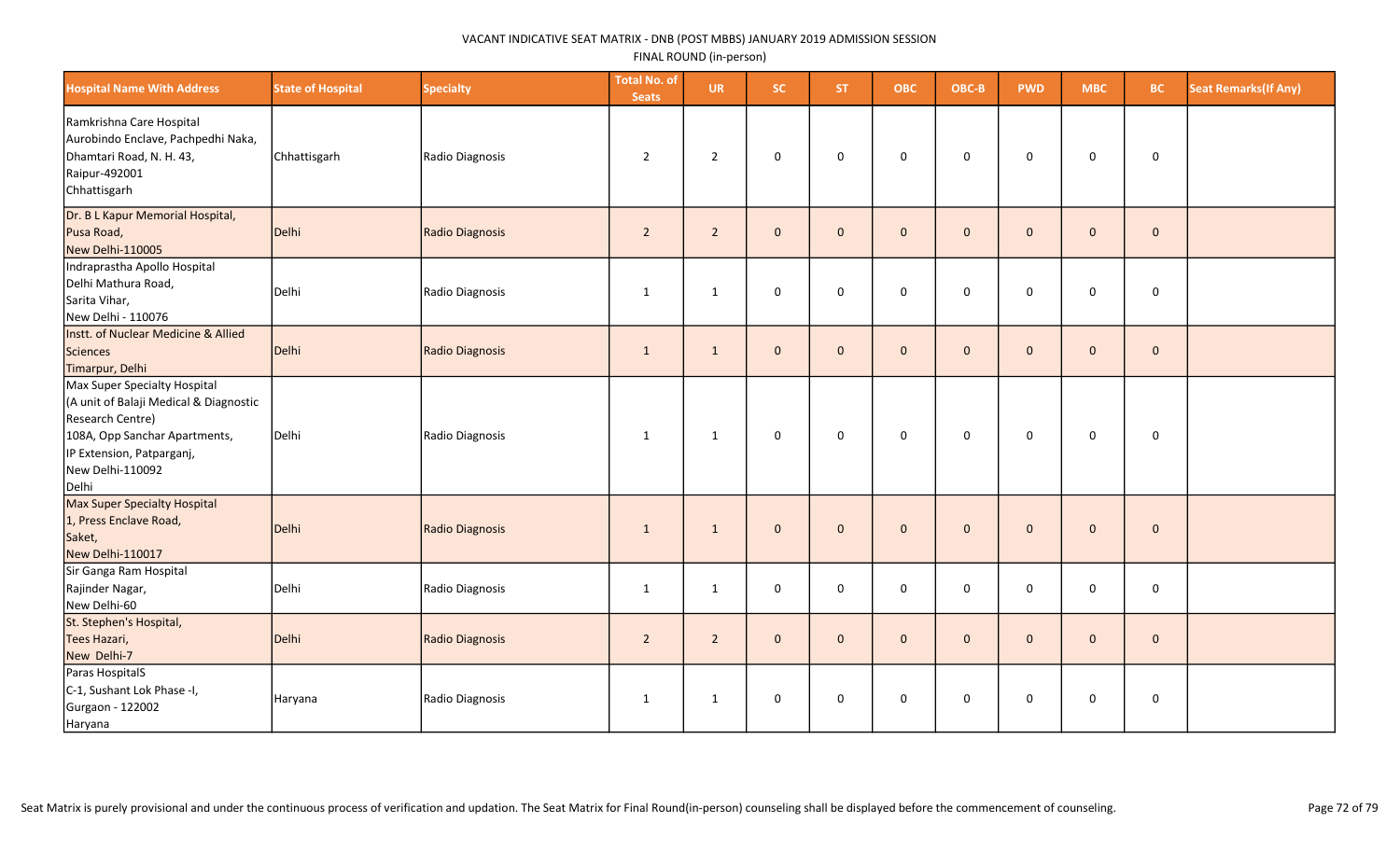| <b>Hospital Name With Address</b>                                                                                                                                                     | <b>State of Hospital</b> | <b>Specialty</b>       | <b>Total No. of</b><br><b>Seats</b> | <b>UR</b>      | <b>SC</b>    | ST.          | <b>OBC</b>   | OBC-B        | <b>PWD</b>   | <b>MBC</b>   | BC.         | <b>Seat Remarks (If Any)</b> |
|---------------------------------------------------------------------------------------------------------------------------------------------------------------------------------------|--------------------------|------------------------|-------------------------------------|----------------|--------------|--------------|--------------|--------------|--------------|--------------|-------------|------------------------------|
| Ramkrishna Care Hospital<br>Aurobindo Enclave, Pachpedhi Naka,<br>Dhamtari Road, N. H. 43,<br>Raipur-492001<br>Chhattisgarh                                                           | Chhattisgarh             | Radio Diagnosis        | $\overline{2}$                      | $\overline{2}$ | 0            | $\mathbf 0$  | $\mathsf 0$  | $\mathbf 0$  | $\mathbf 0$  | 0            | $\pmb{0}$   |                              |
| Dr. B L Kapur Memorial Hospital,<br>Pusa Road,<br>New Delhi-110005                                                                                                                    | Delhi                    | <b>Radio Diagnosis</b> | $\overline{2}$                      | $\overline{2}$ | $\mathbf 0$  | $\mathbf{0}$ | $\mathbf 0$  | $\mathbf{0}$ | $\mathbf{0}$ | $\mathbf{0}$ | $\mathbf 0$ |                              |
| Indraprastha Apollo Hospital<br>Delhi Mathura Road,<br>Sarita Vihar,<br>New Delhi - 110076                                                                                            | Delhi                    | Radio Diagnosis        | $\mathbf{1}$                        | $\mathbf{1}$   | 0            | $\mathbf 0$  | $\mathbf 0$  | $\mathbf 0$  | $\mathbf 0$  | 0            | $\pmb{0}$   |                              |
| Instt. of Nuclear Medicine & Allied<br>Sciences<br>Timarpur, Delhi                                                                                                                    | Delhi                    | Radio Diagnosis        | $\mathbf{1}$                        | $\mathbf{1}$   | $\mathbf{0}$ | $\mathbf 0$  | $\mathbf 0$  | $\mathbf{0}$ | $\mathbf{0}$ | $\mathbf{0}$ | $\mathbf 0$ |                              |
| Max Super Specialty Hospital<br>(A unit of Balaji Medical & Diagnostic<br>Research Centre)<br>108A, Opp Sanchar Apartments,<br>IP Extension, Patparganj,<br>New Delhi-110092<br>Delhi | Delhi                    | Radio Diagnosis        | $\mathbf{1}$                        | $\mathbf{1}$   | 0            | $\mathbf 0$  | $\mathbf 0$  | $\mathbf 0$  | 0            | 0            | 0           |                              |
| Max Super Specialty Hospital<br>1, Press Enclave Road,<br>Saket,<br>New Delhi-110017                                                                                                  | Delhi                    | Radio Diagnosis        | $\mathbf{1}$                        | $\mathbf{1}$   | $\mathbf{0}$ | $\mathbf 0$  | $\mathbf 0$  | $\mathbf{0}$ | $\mathbf{0}$ | $\mathbf 0$  | $\mathbf 0$ |                              |
| Sir Ganga Ram Hospital<br>Rajinder Nagar,<br>New Delhi-60                                                                                                                             | Delhi                    | Radio Diagnosis        | $\mathbf{1}$                        | $\mathbf{1}$   | 0            | $\mathbf 0$  | $\mathbf 0$  | $\mathbf 0$  | $\mathbf 0$  | 0            | $\mathsf 0$ |                              |
| St. Stephen's Hospital,<br>Tees Hazari,<br>New Delhi-7                                                                                                                                | Delhi                    | <b>Radio Diagnosis</b> | $\overline{2}$                      | $\overline{2}$ | $\mathbf{0}$ | $\mathbf{0}$ | $\mathbf{0}$ | $\mathbf{0}$ | $\mathbf{0}$ | $\mathbf{0}$ | $\mathbf 0$ |                              |
| Paras HospitalS<br>C-1, Sushant Lok Phase -I,<br>Gurgaon - 122002<br>Haryana                                                                                                          | Haryana                  | Radio Diagnosis        | $\mathbf{1}$                        | 1              | 0            | $\mathbf 0$  | $\mathsf 0$  | $\mathbf 0$  | $\mathbf 0$  | 0            | $\pmb{0}$   |                              |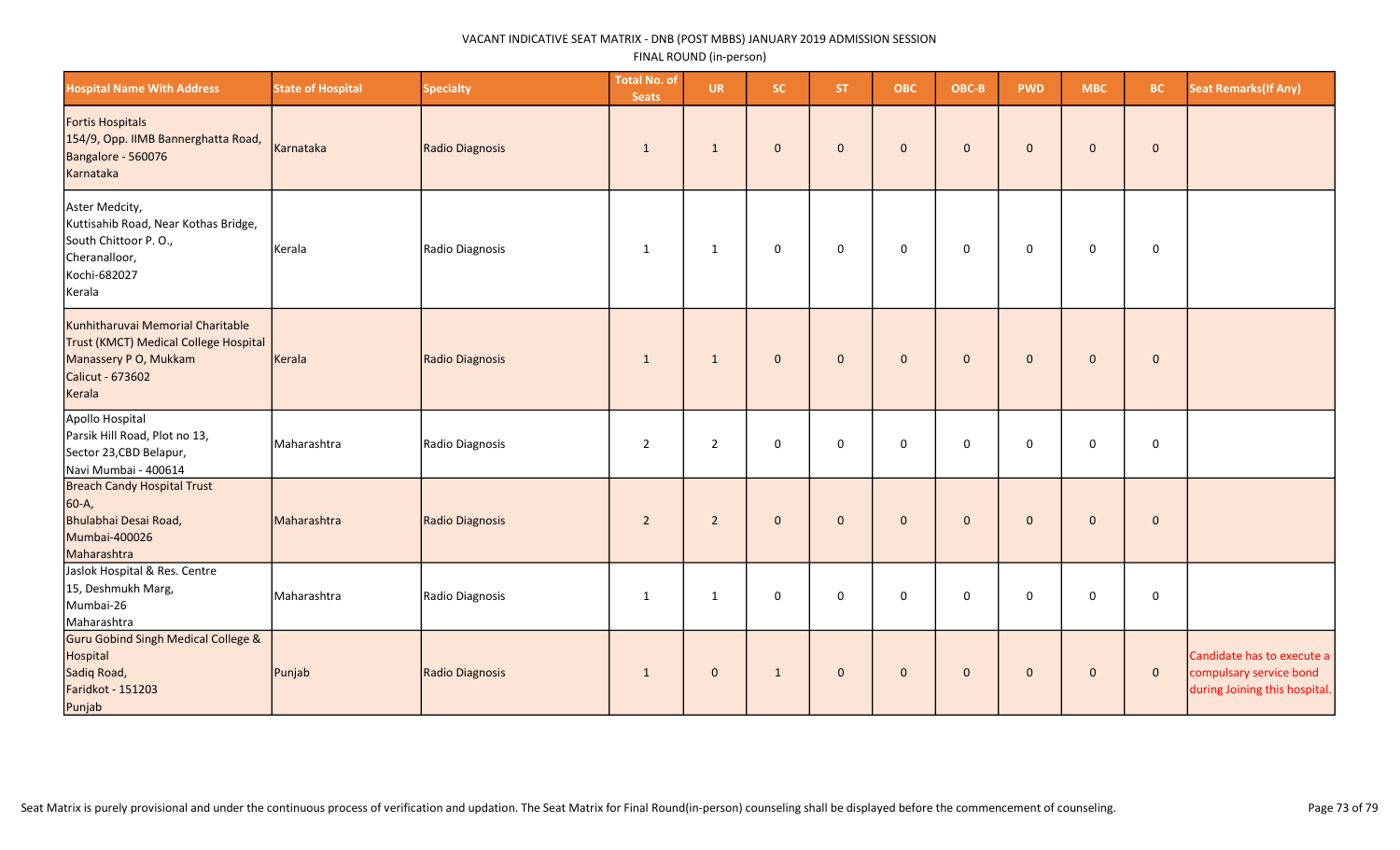| <b>Hospital Name With Address</b>                                                                                                 | <b>State of Hospital</b> | <b>Specialty</b> | <b>Total No. of</b><br><b>Seats</b> | <b>UR</b>      | <b>SC</b>           | ST.          | <b>OBC</b>  | OBC-B        | <b>PWD</b>   | <b>MBC</b>          | <b>BC</b>   | <b>Seat Remarks (If Any)</b>                                                           |
|-----------------------------------------------------------------------------------------------------------------------------------|--------------------------|------------------|-------------------------------------|----------------|---------------------|--------------|-------------|--------------|--------------|---------------------|-------------|----------------------------------------------------------------------------------------|
| Fortis Hospitals<br>154/9, Opp. IIMB Bannerghatta Road,<br>Bangalore - 560076<br>Karnataka                                        | Karnataka                | Radio Diagnosis  | $\mathbf{1}$                        | $\mathbf{1}$   | $\mathbf 0$         | $\mathbf 0$  | $\mathbf 0$ | $\mathbf 0$  | $\mathbf{0}$ | $\mathbf 0$         | $\pmb{0}$   |                                                                                        |
| Aster Medcity,<br>Kuttisahib Road, Near Kothas Bridge,<br>South Chittoor P.O.,<br>Cheranalloor,<br>Kochi-682027<br>Kerala         | Kerala                   | Radio Diagnosis  | 1                                   | $\mathbf{1}$   | $\mathbf 0$         | $\mathbf{0}$ | $\mathbf 0$ | $\mathbf 0$  | $\mathbf 0$  | $\mathbf 0$         | $\mathsf 0$ |                                                                                        |
| Kunhitharuvai Memorial Charitable<br>Trust (KMCT) Medical College Hospital<br>Manassery P O, Mukkam<br>Calicut - 673602<br>Kerala | Kerala                   | Radio Diagnosis  | $\mathbf{1}$                        | $\mathbf{1}$   | $\mathbf 0$         | $\mathbf 0$  | $\mathbf 0$ | $\pmb{0}$    | $\mathbf 0$  | $\mathbf 0$         | $\mathbf 0$ |                                                                                        |
| Apollo Hospital<br>Parsik Hill Road, Plot no 13,<br>Sector 23, CBD Belapur,<br>Navi Mumbai - 400614                               | Maharashtra              | Radio Diagnosis  | $\overline{2}$                      | $\overline{2}$ | $\mathbf 0$         | $\mathbf 0$  | $\mathbf 0$ | $\mathbf 0$  | $\Omega$     | 0                   | $\pmb{0}$   |                                                                                        |
| <b>Breach Candy Hospital Trust</b><br>60-A,<br>Bhulabhai Desai Road,<br>Mumbai-400026<br>Maharashtra                              | Maharashtra              | Radio Diagnosis  | $\overline{2}$                      | $\overline{2}$ | $\mathbf 0$         | $\mathbf{0}$ | $\mathbf 0$ | $\mathbf{0}$ | $\mathbf{0}$ | $\mathbf 0$         | $\mathbf 0$ |                                                                                        |
| Jaslok Hospital & Res. Centre<br>15, Deshmukh Marg,<br>Mumbai-26<br>Maharashtra                                                   | Maharashtra              | Radio Diagnosis  | $\mathbf{1}$                        | $\mathbf{1}$   | $\mathsf{O}\xspace$ | $\mathbf 0$  | $\mathbf 0$ | $\mathsf 0$  | $\Omega$     | $\mathsf{O}\xspace$ | $\pmb{0}$   |                                                                                        |
| Guru Gobind Singh Medical College &<br>Hospital<br>Sadiq Road,<br>Faridkot - 151203<br>Punjab                                     | Punjab                   | Radio Diagnosis  | $\mathbf{1}$                        | $\mathbf 0$    | $\mathbf{1}$        | $\mathbf 0$  | $\mathbf 0$ | $\mathbf 0$  | $\mathbf{0}$ | $\mathbf 0$         | $\mathbf 0$ | Candidate has to execute a<br>compulsary service bond<br>during Joining this hospital. |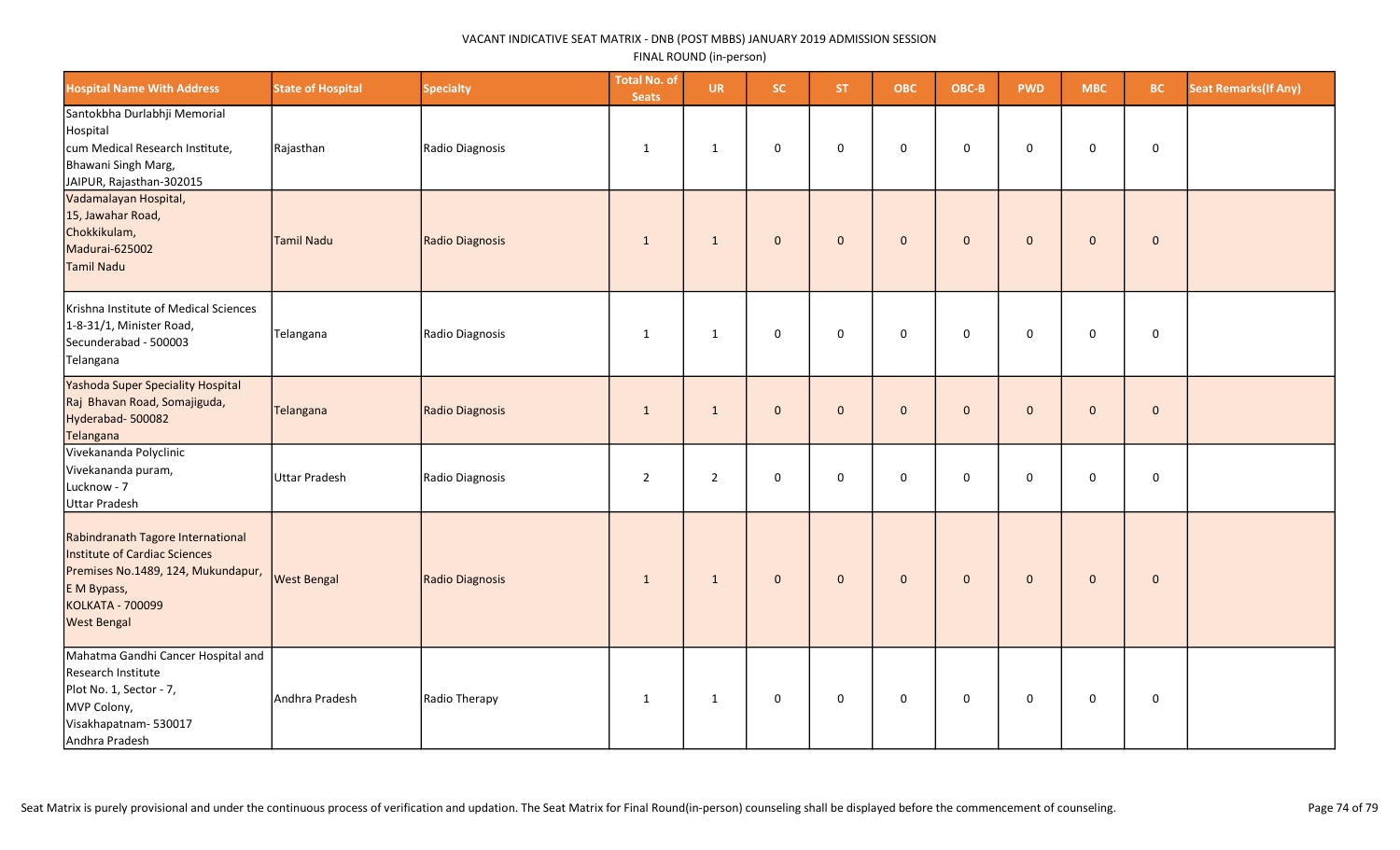| <b>Hospital Name With Address</b>                                                                                                                                 | <b>State of Hospital</b> | <b>Specialty</b> | <b>Total No. of</b><br><b>Seats</b> | <b>UR</b>      | <b>SC</b>    | ST.          | <b>OBC</b>          | OBC-B        | <b>PWD</b>   | <b>MBC</b>          | BC.         | <b>Seat Remarks (If Any)</b> |
|-------------------------------------------------------------------------------------------------------------------------------------------------------------------|--------------------------|------------------|-------------------------------------|----------------|--------------|--------------|---------------------|--------------|--------------|---------------------|-------------|------------------------------|
| Santokbha Durlabhji Memorial<br>Hospital<br>cum Medical Research Institute,<br>Bhawani Singh Marg,<br>JAIPUR, Rajasthan-302015                                    | Rajasthan                | Radio Diagnosis  | $\mathbf{1}$                        | $\mathbf{1}$   | 0            | $\mathbf 0$  | 0                   | 0            | $\mathsf 0$  | $\mathbf 0$         | $\mathsf 0$ |                              |
| Vadamalayan Hospital,<br>15, Jawahar Road,<br>Chokkikulam,<br>Madurai-625002<br>Tamil Nadu                                                                        | Tamil Nadu               | Radio Diagnosis  | $\mathbf{1}$                        | $\mathbf{1}$   | $\mathbf{0}$ | $\mathbf{0}$ | $\mathbf 0$         | $\mathbf 0$  | $\mathbf 0$  | $\mathbf{0}$        | $\mathbf 0$ |                              |
| Krishna Institute of Medical Sciences<br>1-8-31/1, Minister Road,<br>Secunderabad - 500003<br>Telangana                                                           | Telangana                | Radio Diagnosis  | $\mathbf{1}$                        | $\mathbf{1}$   | $\mathbf 0$  | $\mathbf 0$  | $\mathsf{O}\xspace$ | 0            | $\mathbf 0$  | $\mathsf{O}\xspace$ | $\mathbf 0$ |                              |
| Yashoda Super Speciality Hospital<br>Raj Bhavan Road, Somajiguda,<br>Hyderabad-500082<br>Telangana                                                                | Telangana                | Radio Diagnosis  | $\mathbf{1}$                        | $\mathbf{1}$   | $\mathbf{0}$ | $\mathbf{0}$ | $\mathbf{0}$        | $\mathbf{0}$ | $\mathbf 0$  | $\mathbf{0}$        | $\mathbf 0$ |                              |
| Vivekananda Polyclinic<br>Vivekananda puram,<br>Lucknow - 7<br>Uttar Pradesh                                                                                      | Uttar Pradesh            | Radio Diagnosis  | $\overline{2}$                      | $\overline{2}$ | 0            | $\mathbf 0$  | $\mathsf{O}\xspace$ | 0            | 0            | $\mathsf{O}\xspace$ | $\pmb{0}$   |                              |
| Rabindranath Tagore International<br>Institute of Cardiac Sciences<br>Premises No.1489, 124, Mukundapur,<br>E M Bypass,<br>KOLKATA - 700099<br><b>West Bengal</b> | <b>West Bengal</b>       | Radio Diagnosis  | $\mathbf{1}$                        | $\mathbf{1}$   | $\mathbf{0}$ | $\mathbf{0}$ | $\mathbf{0}$        | $\mathbf{0}$ | $\mathbf{0}$ | $\mathbf{0}$        | $\mathbf 0$ |                              |
| Mahatma Gandhi Cancer Hospital and<br>Research Institute<br>Plot No. 1, Sector - 7,<br>MVP Colony,<br>Visakhapatnam-530017<br>Andhra Pradesh                      | Andhra Pradesh           | Radio Therapy    | $\mathbf{1}$                        | $\mathbf{1}$   | 0            | $\mathbf 0$  | 0                   | 0            | $\mathbf 0$  | $\mathbf 0$         | $\mathbf 0$ |                              |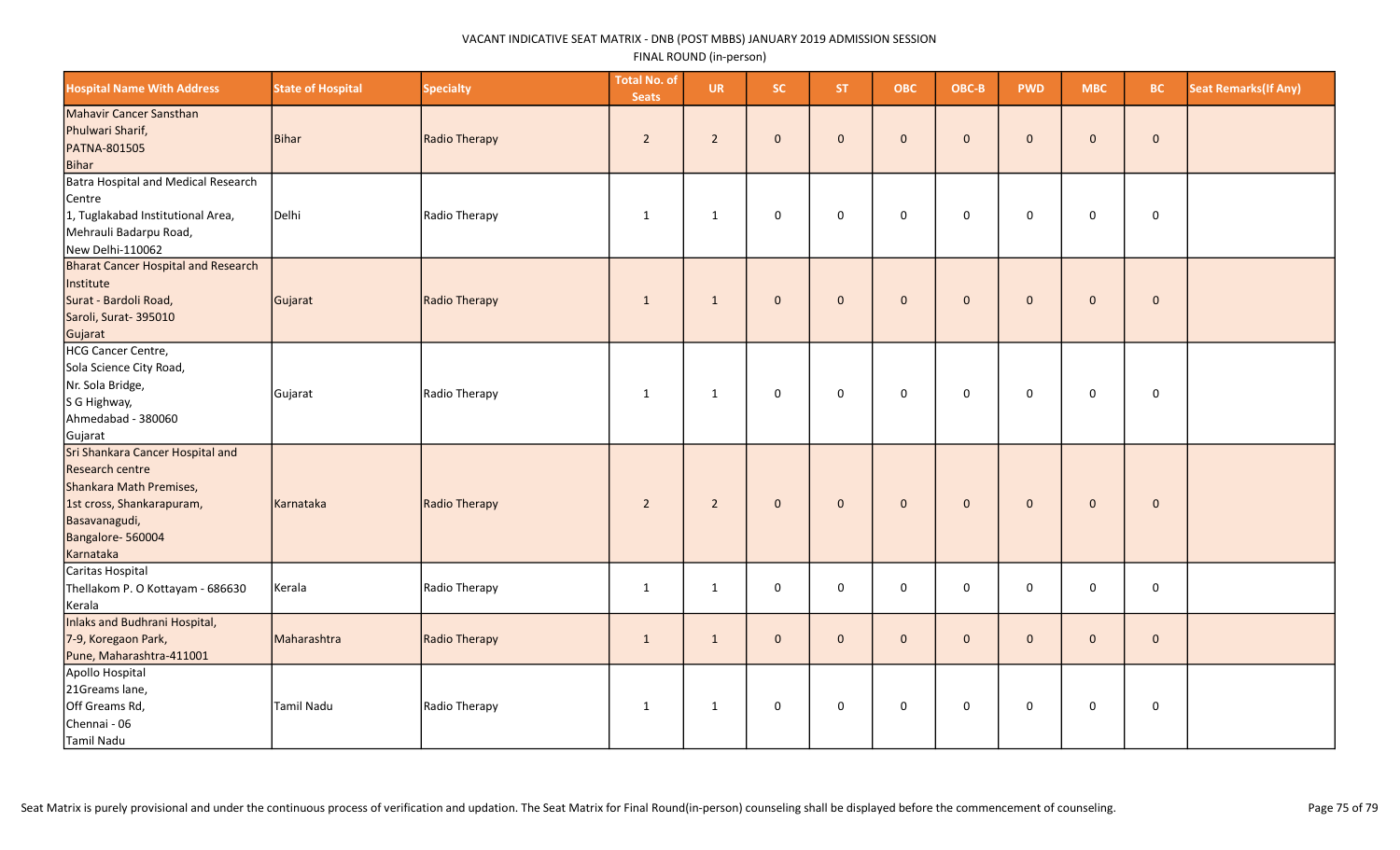| <b>Hospital Name With Address</b>                                                                                                                                    | <b>State of Hospital</b> | <b>Specialty</b> | <b>Total No. of</b><br><b>Seats</b> | <b>UR</b>      | SC.          | <b>ST</b>    | <b>OBC</b>          | OBC-B        | <b>PWD</b>   | <b>MBC</b>          | <b>BC</b>           | <b>Seat Remarks (If Any)</b> |
|----------------------------------------------------------------------------------------------------------------------------------------------------------------------|--------------------------|------------------|-------------------------------------|----------------|--------------|--------------|---------------------|--------------|--------------|---------------------|---------------------|------------------------------|
| Mahavir Cancer Sansthan<br>Phulwari Sharif,<br>PATNA-801505<br>Bihar                                                                                                 | <b>Bihar</b>             | Radio Therapy    | $2^{\circ}$                         | $2^{\circ}$    | $\mathbf{0}$ | $\mathbf{0}$ | $\mathbf{0}$        | $\mathbf{0}$ | $\Omega$     | $\mathbf{0}$        | $\mathbf{0}$        |                              |
| <b>Batra Hospital and Medical Research</b><br>Centre<br>1, Tuglakabad Institutional Area,<br>Mehrauli Badarpu Road,<br>New Delhi-110062                              | Delhi                    | Radio Therapy    | 1                                   | $\mathbf{1}$   | $\mathbf 0$  | $\mathbf 0$  | 0                   | $\mathbf 0$  | $\mathbf 0$  | $\mathbf 0$         | $\mathbf 0$         |                              |
| <b>Bharat Cancer Hospital and Research</b><br>Institute<br>Surat - Bardoli Road,<br>Saroli, Surat- 395010<br>Gujarat                                                 | Gujarat                  | Radio Therapy    | $\mathbf{1}$                        | $\mathbf{1}$   | $\mathbf{0}$ | $\mathbf{0}$ | $\mathbf{0}$        | $\mathbf 0$  | $\mathbf{0}$ | $\mathbf 0$         | $\mathbf{0}$        |                              |
| <b>HCG Cancer Centre,</b><br>Sola Science City Road,<br>Nr. Sola Bridge,<br>S G Highway,<br>Ahmedabad - 380060<br>Gujarat                                            | Gujarat                  | Radio Therapy    | $\mathbf{1}$                        | $\mathbf{1}$   | $\mathsf 0$  | $\mathsf 0$  | $\pmb{0}$           | $\mathbf 0$  | $\mathbf 0$  | $\mathsf{O}\xspace$ | $\mathsf{O}\xspace$ |                              |
| Sri Shankara Cancer Hospital and<br><b>Research centre</b><br>Shankara Math Premises,<br>1st cross, Shankarapuram,<br>Basavanagudi,<br>Bangalore-560004<br>Karnataka | Karnataka                | Radio Therapy    | $\overline{2}$                      | $\overline{2}$ | $\mathbf 0$  | $\mathbf 0$  | $\mathbf 0$         | $\mathbf 0$  | $\mathbf{0}$ | $\mathbf 0$         | $\mathbf 0$         |                              |
| Caritas Hospital<br>Thellakom P. O Kottayam - 686630<br>Kerala                                                                                                       | Kerala                   | Radio Therapy    | $\mathbf{1}$                        | $\mathbf{1}$   | $\mathbf 0$  | $\Omega$     | $\mathbf 0$         | $\mathbf 0$  | $\Omega$     | $\mathbf 0$         | $\mathbf 0$         |                              |
| <b>Inlaks and Budhrani Hospital,</b><br>7-9, Koregaon Park,<br>Pune, Maharashtra-411001                                                                              | Maharashtra              | Radio Therapy    | $\mathbf{1}$                        | $\mathbf{1}$   | $\mathbf{0}$ | $\mathbf{0}$ | $\mathbf{0}$        | $\mathbf{0}$ | $\Omega$     | $\mathbf{0}$        | $\mathbf{0}$        |                              |
| Apollo Hospital<br>21Greams lane,<br>Off Greams Rd,<br>Chennai - 06<br>Tamil Nadu                                                                                    | <b>Tamil Nadu</b>        | Radio Therapy    | $\mathbf{1}$                        | $\mathbf{1}$   | $\pmb{0}$    | $\mathbf 0$  | $\mathsf{O}\xspace$ | $\mathbf 0$  | $\mathbf 0$  | $\mathsf{O}\xspace$ | $\mathsf{O}$        |                              |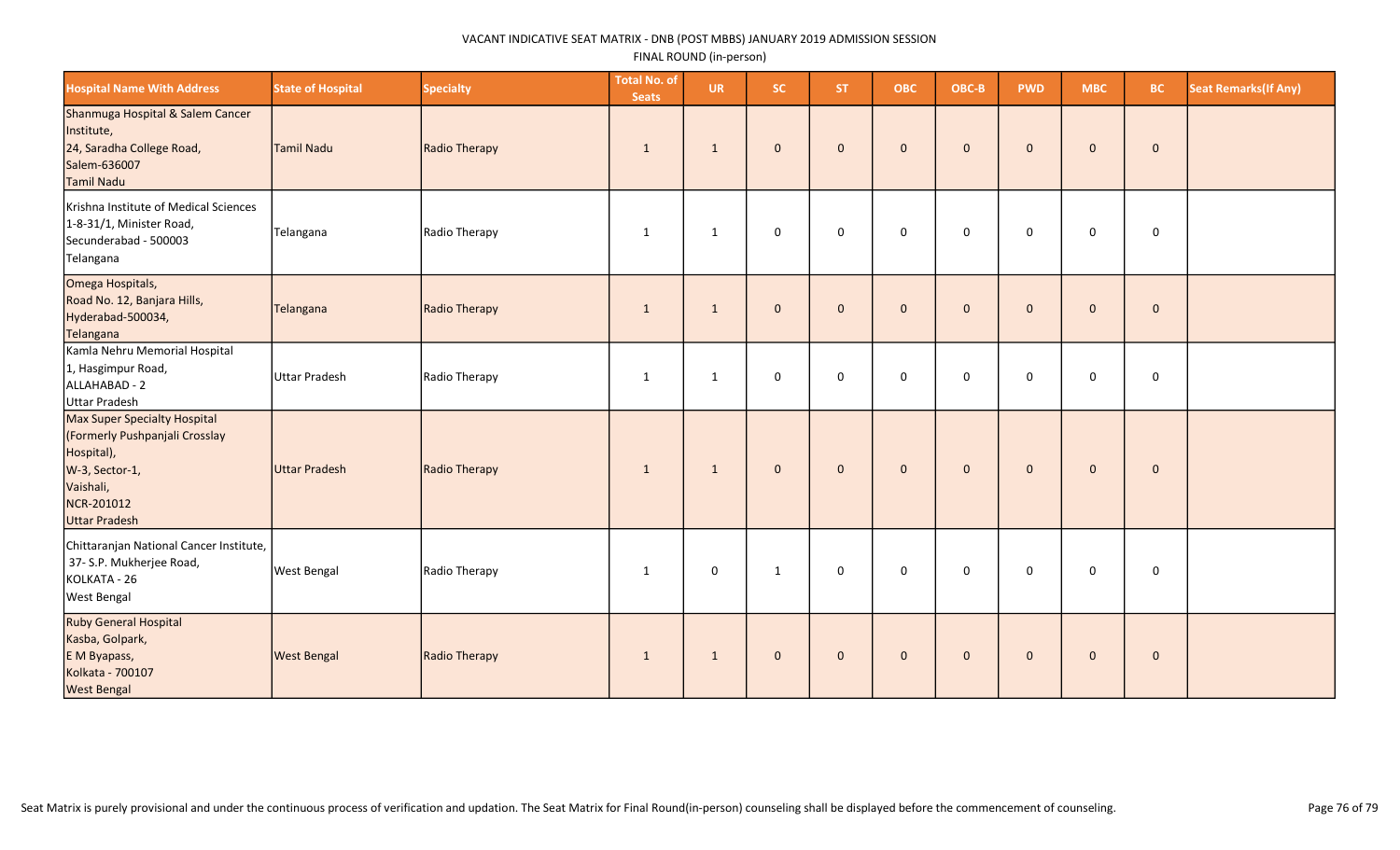| <b>Hospital Name With Address</b>                                                                                                                 | <b>State of Hospital</b> | <b>Specialty</b> | <b>Total No. of</b><br><b>Seats</b> | <b>UR</b>    | <b>SC</b>    | ST.          | <b>OBC</b>   | OBC-B        | <b>PWD</b>   | <b>MBC</b>   | <b>BC</b>   | <b>Seat Remarks (If Any)</b> |
|---------------------------------------------------------------------------------------------------------------------------------------------------|--------------------------|------------------|-------------------------------------|--------------|--------------|--------------|--------------|--------------|--------------|--------------|-------------|------------------------------|
| Shanmuga Hospital & Salem Cancer<br>Institute,<br>24, Saradha College Road,<br>Salem-636007<br>Tamil Nadu                                         | Tamil Nadu               | Radio Therapy    | -1                                  | $\mathbf{1}$ | $\mathbf{0}$ | $\mathbf{0}$ | $\mathbf{0}$ | $\mathbf{0}$ | $\mathbf{0}$ | $\mathbf 0$  | $\pmb{0}$   |                              |
| Krishna Institute of Medical Sciences<br>1-8-31/1, Minister Road,<br>Secunderabad - 500003<br>Telangana                                           | Telangana                | Radio Therapy    | $\mathbf{1}$                        | 1            | $\mathbf 0$  | $\mathbf 0$  | $\mathbf 0$  | $\mathbf 0$  | $\mathbf 0$  | $\mathbf 0$  | $\mathbf 0$ |                              |
| Omega Hospitals,<br>Road No. 12, Banjara Hills,<br>Hyderabad-500034,<br>Telangana                                                                 | Telangana                | Radio Therapy    | $\mathbf{1}$                        | $\mathbf{1}$ | $\mathbf{0}$ | $\mathbf{0}$ | $\mathbf{0}$ | $\mathbf{0}$ | $\mathbf{0}$ | $\mathbf 0$  | $\mathbf 0$ |                              |
| Kamla Nehru Memorial Hospital<br>1, Hasgimpur Road,<br>ALLAHABAD - 2<br><b>Uttar Pradesh</b>                                                      | Uttar Pradesh            | Radio Therapy    | 1                                   | 1            | 0            | $\mathbf 0$  | 0            | $\mathbf 0$  | $\mathbf 0$  | $\mathbf 0$  | $\mathbf 0$ |                              |
| Max Super Specialty Hospital<br>(Formerly Pushpanjali Crosslay<br>Hospital),<br>W-3, Sector-1,<br>Vaishali,<br>NCR-201012<br><b>Uttar Pradesh</b> | Uttar Pradesh            | Radio Therapy    | $\mathbf{1}$                        | $\mathbf{1}$ | $\mathbf{0}$ | $\mathbf{0}$ | $\mathbf{0}$ | $\mathbf{0}$ | $\mathbf{0}$ | $\mathbf{0}$ | $\mathbf 0$ |                              |
| Chittaranjan National Cancer Institute,<br>37- S.P. Mukherjee Road,<br>KOLKATA - 26<br>West Bengal                                                | <b>West Bengal</b>       | Radio Therapy    | 1                                   | $\mathbf 0$  | $\mathbf{1}$ | $\mathbf 0$  | $\mathbf 0$  | $\mathbf 0$  | $\mathbf 0$  | 0            | $\mathbf 0$ |                              |
| Ruby General Hospital<br>Kasba, Golpark,<br>E M Byapass,<br>Kolkata - 700107<br><b>West Bengal</b>                                                | <b>West Bengal</b>       | Radio Therapy    | $\mathbf{1}$                        | $\mathbf{1}$ | $\mathbf{0}$ | $\mathbf{0}$ | $\mathbf{0}$ | $\mathbf{0}$ | $\mathbf{0}$ | $\mathbf{0}$ | $\pmb{0}$   |                              |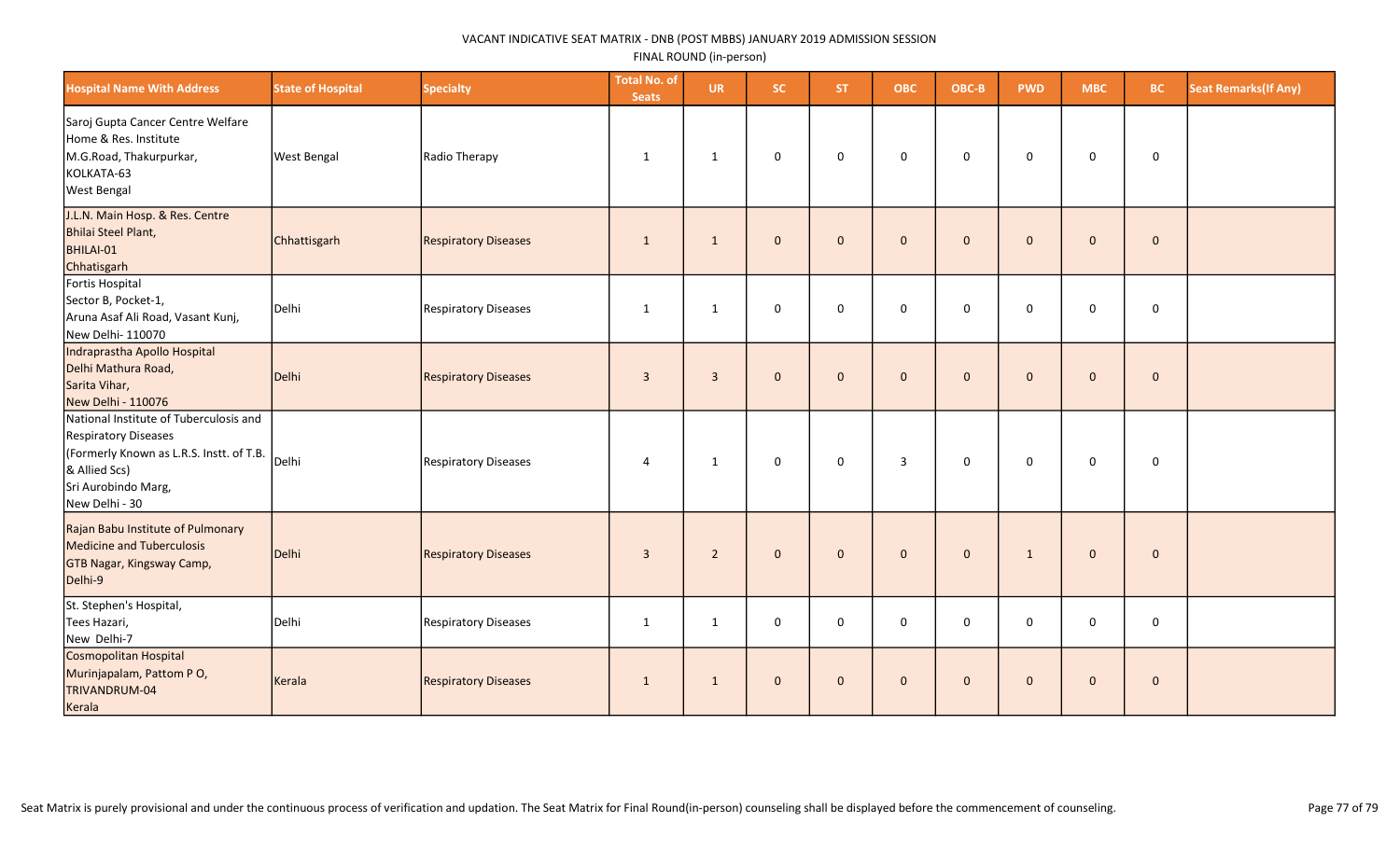| <b>Hospital Name With Address</b>                                                                                                                                                 | <b>State of Hospital</b> | <b>Specialty</b>            | <b>Total No. of</b><br><b>Seats</b> | <b>UR</b>      | SC.          | <b>ST</b>    | <b>OBC</b>     | OBC-B        | <b>PWD</b>   | <b>MBC</b>   | <b>BC</b>    | <b>Seat Remarks (If Any)</b> |
|-----------------------------------------------------------------------------------------------------------------------------------------------------------------------------------|--------------------------|-----------------------------|-------------------------------------|----------------|--------------|--------------|----------------|--------------|--------------|--------------|--------------|------------------------------|
| Saroj Gupta Cancer Centre Welfare<br>Home & Res. Institute<br>M.G.Road, Thakurpurkar,<br>KOLKATA-63<br><b>West Bengal</b>                                                         | <b>West Bengal</b>       | Radio Therapy               | $\mathbf{1}$                        | $\mathbf{1}$   | 0            | $\mathbf 0$  | $\mathbf 0$    | 0            | $\mathbf 0$  | 0            | 0            |                              |
| J.L.N. Main Hosp. & Res. Centre<br>Bhilai Steel Plant,<br>BHILAI-01<br>Chhatisgarh                                                                                                | Chhattisgarh             | <b>Respiratory Diseases</b> | $\mathbf{1}$                        | $\mathbf{1}$   | $\mathbf{0}$ | $\mathbf{0}$ | $\mathbf{0}$   | $\mathbf{0}$ | $\mathbf{0}$ | $\mathbf{0}$ | $\mathbf 0$  |                              |
| Fortis Hospital<br>Sector B, Pocket-1,<br>Aruna Asaf Ali Road, Vasant Kunj,<br>New Delhi-110070                                                                                   | Delhi                    | <b>Respiratory Diseases</b> | $\mathbf{1}$                        | $\mathbf{1}$   | $\mathbf 0$  | $\mathbf 0$  | 0              | $\mathbf 0$  | $\mathbf 0$  | 0            | 0            |                              |
| Indraprastha Apollo Hospital<br>Delhi Mathura Road,<br>Sarita Vihar,<br>New Delhi - 110076                                                                                        | Delhi                    | <b>Respiratory Diseases</b> | $\overline{3}$                      | $\overline{3}$ | $\mathbf{0}$ | $\mathbf{0}$ | $\mathbf{0}$   | $\mathbf{0}$ | $\mathbf{0}$ | $\mathbf 0$  | $\mathbf{0}$ |                              |
| National Institute of Tuberculosis and<br><b>Respiratory Diseases</b><br>(Formerly Known as L.R.S. Instt. of T.B. Delhi<br>& Allied Scs)<br>Sri Aurobindo Marg,<br>New Delhi - 30 |                          | <b>Respiratory Diseases</b> | $\overline{4}$                      | $\mathbf{1}$   | $\mathbf 0$  | $\mathbf 0$  | 3              | $\mathsf 0$  | $\mathbf 0$  | 0            | $\pmb{0}$    |                              |
| Rajan Babu Institute of Pulmonary<br>Medicine and Tuberculosis<br>GTB Nagar, Kingsway Camp,<br>Delhi-9                                                                            | Delhi                    | <b>Respiratory Diseases</b> | $\overline{3}$                      | $\overline{2}$ | $\mathbf 0$  | $\mathbf{0}$ | $\mathbf 0$    | $\mathbf 0$  | $\mathbf{1}$ | $\pmb{0}$    | $\mathbf 0$  |                              |
| St. Stephen's Hospital,<br>Tees Hazari,<br>New Delhi-7                                                                                                                            | Delhi                    | <b>Respiratory Diseases</b> | $\mathbf{1}$                        | $\mathbf{1}$   | $\Omega$     | $\Omega$     | 0              | $\mathbf 0$  | $\mathbf 0$  | 0            | 0            |                              |
| Cosmopolitan Hospital<br>Murinjapalam, Pattom PO,<br>TRIVANDRUM-04<br>Kerala                                                                                                      | Kerala                   | <b>Respiratory Diseases</b> | $\mathbf{1}$                        | $\mathbf{1}$   | $\mathbf{0}$ | $\mathbf{0}$ | $\overline{0}$ | $\mathbf{0}$ | $\mathbf{0}$ | $\mathbf 0$  | $\mathbf 0$  |                              |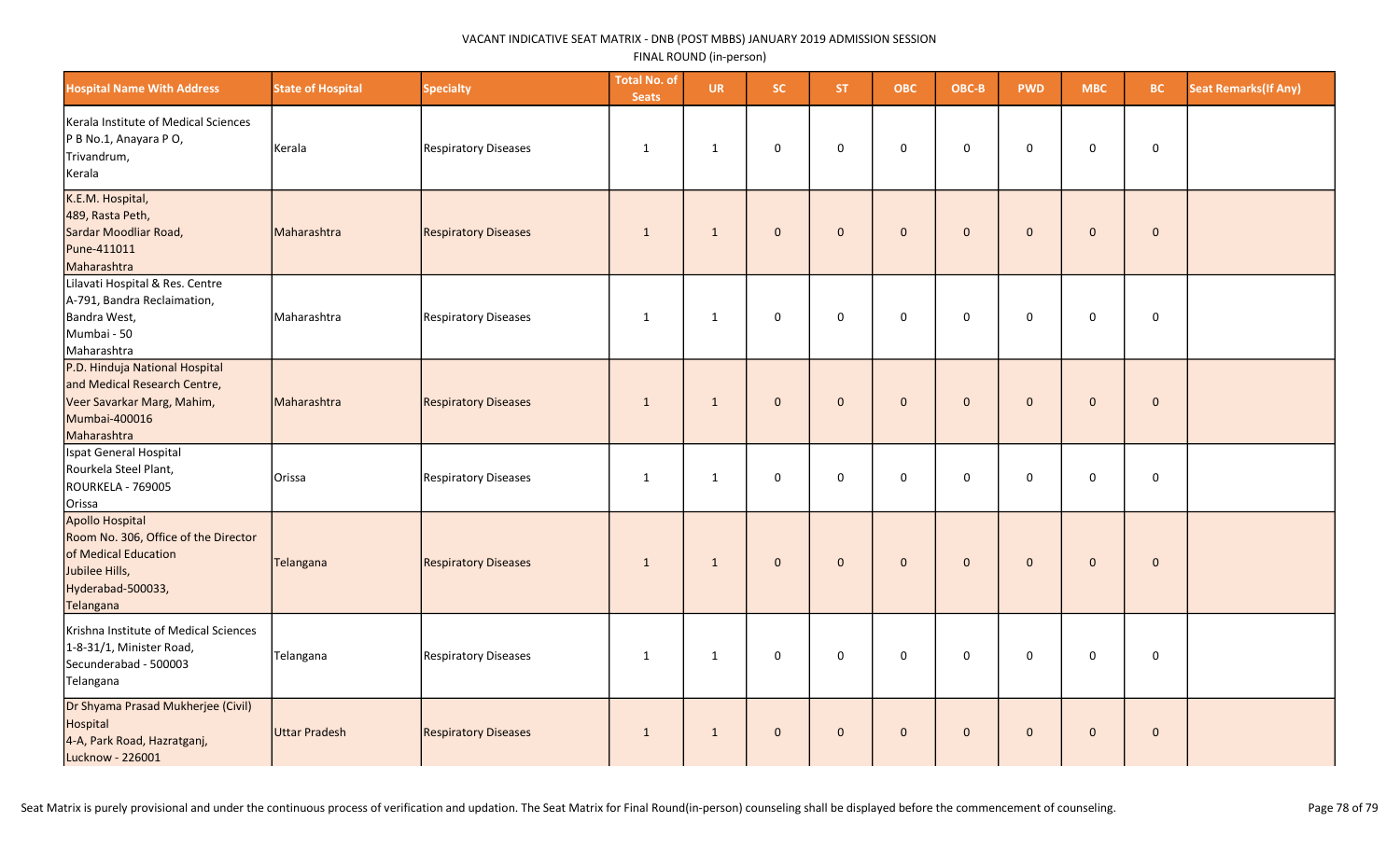| <b>Hospital Name With Address</b>                                                                                                   | <b>State of Hospital</b> | <b>Specialty</b>            | <b>Total No. of</b><br><b>Seats</b> | <b>UR</b>      | SC.          | <b>ST</b>    | <b>OBC</b>   | OBC-B        | <b>PWD</b>   | <b>MBC</b>   | <b>BC</b>   | <b>Seat Remarks (If Any)</b> |
|-------------------------------------------------------------------------------------------------------------------------------------|--------------------------|-----------------------------|-------------------------------------|----------------|--------------|--------------|--------------|--------------|--------------|--------------|-------------|------------------------------|
| Kerala Institute of Medical Sciences<br>P B No.1, Anayara P O,<br>Trivandrum,<br>Kerala                                             | Kerala                   | Respiratory Diseases        | 1                                   | $\overline{1}$ | 0            | $\Omega$     | $\mathbf 0$  | $\mathbf 0$  | $\Omega$     | 0            | $\mathsf 0$ |                              |
| K.E.M. Hospital,<br>489, Rasta Peth,<br>Sardar Moodliar Road,<br>Pune-411011<br>Maharashtra                                         | Maharashtra              | <b>Respiratory Diseases</b> | $\mathbf{1}$                        | $\mathbf{1}$   | $\mathbf{0}$ | $\mathbf{0}$ | $\mathbf{0}$ | $\mathbf{0}$ | $\Omega$     | $\mathbf 0$  | $\mathbf 0$ |                              |
| Lilavati Hospital & Res. Centre<br>A-791, Bandra Reclaimation,<br>Bandra West,<br>Mumbai - 50<br>Maharashtra                        | Maharashtra              | Respiratory Diseases        | $\mathbf{1}$                        | $\mathbf{1}$   | $\mathsf 0$  | $\mathbf 0$  | $\mathbf 0$  | $\mathbf 0$  | $\mathbf 0$  | $\mathbf 0$  | $\mathsf 0$ |                              |
| P.D. Hinduja National Hospital<br>and Medical Research Centre,<br>Veer Savarkar Marg, Mahim,<br>Mumbai-400016<br>Maharashtra        | Maharashtra              | <b>Respiratory Diseases</b> | 1                                   | $\mathbf{1}$   | $\mathbf{0}$ | $\mathbf{0}$ | $\mathbf{0}$ | $\mathbf{0}$ | $\Omega$     | $\mathbf{0}$ | $\mathbf 0$ |                              |
| Ispat General Hospital<br>Rourkela Steel Plant,<br><b>ROURKELA - 769005</b><br>Orissa                                               | Orissa                   | Respiratory Diseases        | 1                                   | $\mathbf{1}$   | 0            | 0            | $\mathbf 0$  | $\mathbf 0$  | 0            | 0            | 0           |                              |
| Apollo Hospital<br>Room No. 306, Office of the Director<br>of Medical Education<br>Jubilee Hills,<br>Hyderabad-500033,<br>Telangana | Telangana                | <b>Respiratory Diseases</b> | $\mathbf{1}$                        | $\mathbf{1}$   | $\mathbf{0}$ | $\mathbf{0}$ | $\mathbf{0}$ | $\mathbf{0}$ | $\mathbf{0}$ | $\mathbf{0}$ | $\mathbf 0$ |                              |
| Krishna Institute of Medical Sciences<br>1-8-31/1, Minister Road,<br>Secunderabad - 500003<br>Telangana                             | Telangana                | <b>Respiratory Diseases</b> | 1                                   | $\mathbf{1}$   | $\mathsf 0$  | $\Omega$     | $\Omega$     | $\mathsf 0$  | $\Omega$     | $\Omega$     | $\mathsf 0$ |                              |
| Dr Shyama Prasad Mukherjee (Civil)<br>Hospital<br>4-A, Park Road, Hazratganj,<br>Lucknow - 226001                                   | Uttar Pradesh            | <b>Respiratory Diseases</b> | 1                                   | $\mathbf{1}$   | $\mathbf 0$  | $\mathbf{0}$ | $\mathbf{0}$ | $\mathbf 0$  | $\Omega$     | $\mathbf{0}$ | $\mathbf 0$ |                              |